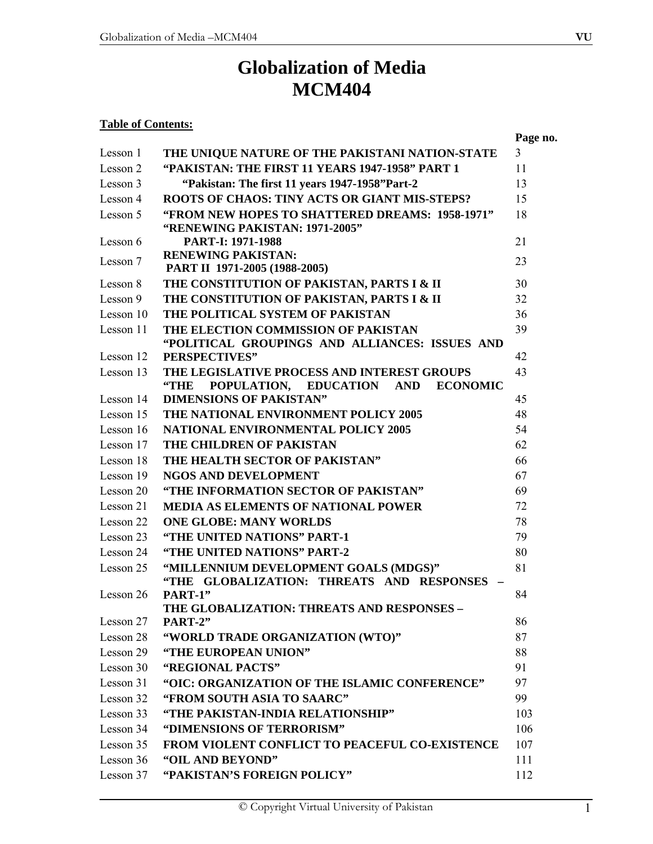# **Globalization of Media MCM404**

# **Table of Contents:**

|           |                                                                                        | Page no. |
|-----------|----------------------------------------------------------------------------------------|----------|
| Lesson 1  | THE UNIQUE NATURE OF THE PAKISTANI NATION-STATE                                        | 3        |
| Lesson 2  | "PAKISTAN: THE FIRST 11 YEARS 1947-1958" PART 1                                        | 11       |
| Lesson 3  | "Pakistan: The first 11 years 1947-1958" Part-2                                        | 13       |
| Lesson 4  | <b>ROOTS OF CHAOS: TINY ACTS OR GIANT MIS-STEPS?</b>                                   | 15       |
| Lesson 5  | "FROM NEW HOPES TO SHATTERED DREAMS: 1958-1971"<br>"RENEWING PAKISTAN: 1971-2005"      | 18       |
| Lesson 6  | PART-I: 1971-1988                                                                      | 21       |
| Lesson 7  | <b>RENEWING PAKISTAN:</b>                                                              | 23       |
|           | PART II 1971-2005 (1988-2005)                                                          |          |
| Lesson 8  | THE CONSTITUTION OF PAKISTAN, PARTS I & II                                             | 30       |
| Lesson 9  | THE CONSTITUTION OF PAKISTAN, PARTS I & II                                             | 32       |
| Lesson 10 | THE POLITICAL SYSTEM OF PAKISTAN                                                       | 36       |
| Lesson 11 | THE ELECTION COMMISSION OF PAKISTAN                                                    | 39       |
|           | "POLITICAL GROUPINGS AND ALLIANCES: ISSUES AND                                         |          |
| Lesson 12 | PERSPECTIVES"                                                                          | 42       |
| Lesson 13 | THE LEGISLATIVE PROCESS AND INTEREST GROUPS                                            | 43       |
| Lesson 14 | POPULATION, EDUCATION AND<br>"THE<br><b>ECONOMIC</b><br><b>DIMENSIONS OF PAKISTAN"</b> | 45       |
| Lesson 15 | THE NATIONAL ENVIRONMENT POLICY 2005                                                   | 48       |
| Lesson 16 | <b>NATIONAL ENVIRONMENTAL POLICY 2005</b>                                              | 54       |
| Lesson 17 | THE CHILDREN OF PAKISTAN                                                               | 62       |
| Lesson 18 | THE HEALTH SECTOR OF PAKISTAN"                                                         | 66       |
| Lesson 19 | <b>NGOS AND DEVELOPMENT</b>                                                            | 67       |
| Lesson 20 | "THE INFORMATION SECTOR OF PAKISTAN"                                                   | 69       |
| Lesson 21 | <b>MEDIA AS ELEMENTS OF NATIONAL POWER</b>                                             | 72       |
| Lesson 22 | <b>ONE GLOBE: MANY WORLDS</b>                                                          | 78       |
| Lesson 23 | "THE UNITED NATIONS" PART-1                                                            | 79       |
| Lesson 24 | "THE UNITED NATIONS" PART-2                                                            | 80       |
| Lesson 25 | "MILLENNIUM DEVELOPMENT GOALS (MDGS)"                                                  | 81       |
|           | "THE GLOBALIZATION: THREATS AND RESPONSES -                                            |          |
| Lesson 26 | PART-1"                                                                                | 84       |
|           | THE GLOBALIZATION: THREATS AND RESPONSES -                                             |          |
| Lesson 27 | PART-2"                                                                                | 86       |
| Lesson 28 | "WORLD TRADE ORGANIZATION (WTO)"                                                       | 87       |
| Lesson 29 | "THE EUROPEAN UNION"                                                                   | 88       |
| Lesson 30 | "REGIONAL PACTS"                                                                       | 91       |
| Lesson 31 | "OIC: ORGANIZATION OF THE ISLAMIC CONFERENCE"                                          | 97       |
| Lesson 32 | "FROM SOUTH ASIA TO SAARC"                                                             | 99       |
| Lesson 33 | "THE PAKISTAN-INDIA RELATIONSHIP"                                                      | 103      |
| Lesson 34 | "DIMENSIONS OF TERRORISM"                                                              | 106      |
| Lesson 35 | FROM VIOLENT CONFLICT TO PEACEFUL CO-EXISTENCE                                         | 107      |
| Lesson 36 | "OIL AND BEYOND"                                                                       | 111      |
| Lesson 37 | "PAKISTAN'S FOREIGN POLICY"                                                            | 112      |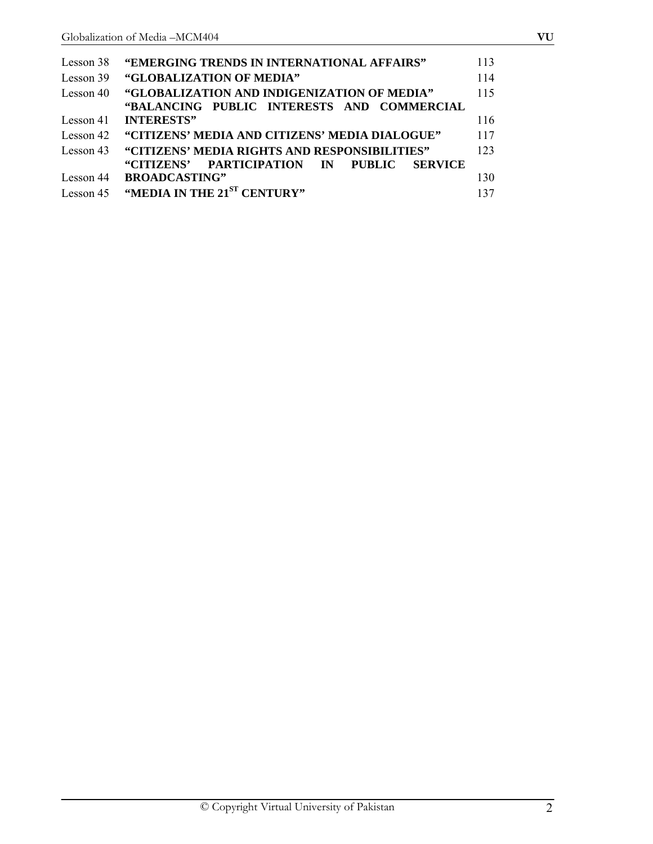| Lesson 38 | "EMERGING TRENDS IN INTERNATIONAL AFFAIRS"     | 113 |
|-----------|------------------------------------------------|-----|
| Lesson 39 | "GLOBALIZATION OF MEDIA"                       | 114 |
| Lesson 40 | "GLOBALIZATION AND INDIGENIZATION OF MEDIA"    | 115 |
|           | "BALANCING PUBLIC INTERESTS AND COMMERCIAL     |     |
| Lesson 41 | <b>INTERESTS"</b>                              | 116 |
| Lesson 42 | "CITIZENS' MEDIA AND CITIZENS' MEDIA DIALOGUE" | 117 |
| Lesson 43 | "CITIZENS' MEDIA RIGHTS AND RESPONSIBILITIES"  | 123 |
|           | "CITIZENS' PARTICIPATION IN PUBLIC SERVICE     |     |
| Lesson 44 | <b>BROADCASTING"</b>                           | 130 |
|           | Lesson 45 "MEDIA IN THE $21^{ST}$ CENTURY"     | 137 |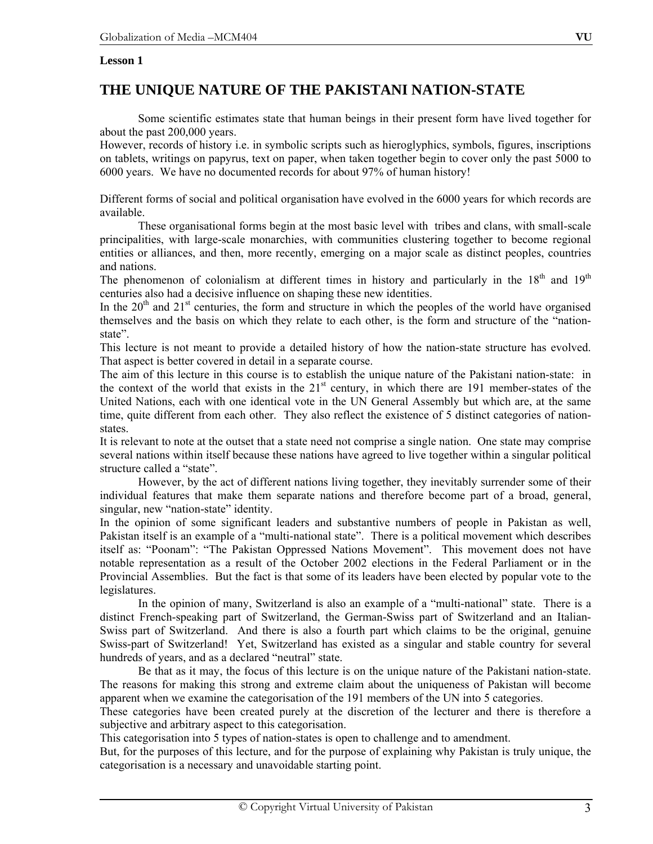#### **Lesson 1**

# **THE UNIQUE NATURE OF THE PAKISTANI NATION-STATE**

 Some scientific estimates state that human beings in their present form have lived together for about the past 200,000 years.

However, records of history i.e. in symbolic scripts such as hieroglyphics, symbols, figures, inscriptions on tablets, writings on papyrus, text on paper, when taken together begin to cover only the past 5000 to 6000 years. We have no documented records for about 97% of human history!

Different forms of social and political organisation have evolved in the 6000 years for which records are available.

 These organisational forms begin at the most basic level with tribes and clans, with small-scale principalities, with large-scale monarchies, with communities clustering together to become regional entities or alliances, and then, more recently, emerging on a major scale as distinct peoples, countries and nations.

The phenomenon of colonialism at different times in history and particularly in the  $18<sup>th</sup>$  and  $19<sup>th</sup>$ centuries also had a decisive influence on shaping these new identities.

In the  $20<sup>th</sup>$  and  $21<sup>st</sup>$  centuries, the form and structure in which the peoples of the world have organised themselves and the basis on which they relate to each other, is the form and structure of the "nationstate".

This lecture is not meant to provide a detailed history of how the nation-state structure has evolved. That aspect is better covered in detail in a separate course.

The aim of this lecture in this course is to establish the unique nature of the Pakistani nation-state: in the context of the world that exists in the 21<sup>st</sup> century, in which there are 191 member-states of the United Nations, each with one identical vote in the UN General Assembly but which are, at the same time, quite different from each other. They also reflect the existence of 5 distinct categories of nationstates.

It is relevant to note at the outset that a state need not comprise a single nation. One state may comprise several nations within itself because these nations have agreed to live together within a singular political structure called a "state".

 However, by the act of different nations living together, they inevitably surrender some of their individual features that make them separate nations and therefore become part of a broad, general, singular, new "nation-state" identity.

In the opinion of some significant leaders and substantive numbers of people in Pakistan as well, Pakistan itself is an example of a "multi-national state". There is a political movement which describes itself as: "Poonam": "The Pakistan Oppressed Nations Movement". This movement does not have notable representation as a result of the October 2002 elections in the Federal Parliament or in the Provincial Assemblies. But the fact is that some of its leaders have been elected by popular vote to the legislatures.

 In the opinion of many, Switzerland is also an example of a "multi-national" state. There is a distinct French-speaking part of Switzerland, the German-Swiss part of Switzerland and an Italian-Swiss part of Switzerland. And there is also a fourth part which claims to be the original, genuine Swiss-part of Switzerland! Yet, Switzerland has existed as a singular and stable country for several hundreds of years, and as a declared "neutral" state.

 Be that as it may, the focus of this lecture is on the unique nature of the Pakistani nation-state. The reasons for making this strong and extreme claim about the uniqueness of Pakistan will become apparent when we examine the categorisation of the 191 members of the UN into 5 categories.

These categories have been created purely at the discretion of the lecturer and there is therefore a subjective and arbitrary aspect to this categorisation.

This categorisation into 5 types of nation-states is open to challenge and to amendment.

But, for the purposes of this lecture, and for the purpose of explaining why Pakistan is truly unique, the categorisation is a necessary and unavoidable starting point.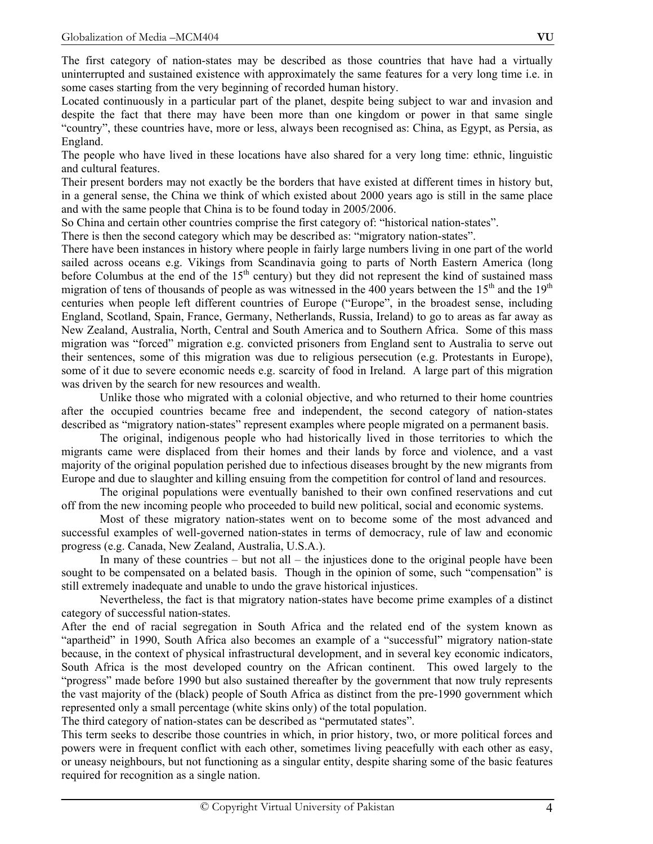The first category of nation-states may be described as those countries that have had a virtually uninterrupted and sustained existence with approximately the same features for a very long time i.e. in some cases starting from the very beginning of recorded human history.

Located continuously in a particular part of the planet, despite being subject to war and invasion and despite the fact that there may have been more than one kingdom or power in that same single "country", these countries have, more or less, always been recognised as: China, as Egypt, as Persia, as England.

The people who have lived in these locations have also shared for a very long time: ethnic, linguistic and cultural features.

Their present borders may not exactly be the borders that have existed at different times in history but, in a general sense, the China we think of which existed about 2000 years ago is still in the same place and with the same people that China is to be found today in 2005/2006.

So China and certain other countries comprise the first category of: "historical nation-states".

There is then the second category which may be described as: "migratory nation-states".

There have been instances in history where people in fairly large numbers living in one part of the world sailed across oceans e.g. Vikings from Scandinavia going to parts of North Eastern America (long before Columbus at the end of the  $15<sup>th</sup>$  century) but they did not represent the kind of sustained mass migration of tens of thousands of people as was witnessed in the 400 years between the  $15<sup>th</sup>$  and the  $19<sup>th</sup>$ centuries when people left different countries of Europe ("Europe", in the broadest sense, including England, Scotland, Spain, France, Germany, Netherlands, Russia, Ireland) to go to areas as far away as New Zealand, Australia, North, Central and South America and to Southern Africa. Some of this mass migration was "forced" migration e.g. convicted prisoners from England sent to Australia to serve out their sentences, some of this migration was due to religious persecution (e.g. Protestants in Europe), some of it due to severe economic needs e.g. scarcity of food in Ireland. A large part of this migration was driven by the search for new resources and wealth.

 Unlike those who migrated with a colonial objective, and who returned to their home countries after the occupied countries became free and independent, the second category of nation-states described as "migratory nation-states" represent examples where people migrated on a permanent basis.

 The original, indigenous people who had historically lived in those territories to which the migrants came were displaced from their homes and their lands by force and violence, and a vast majority of the original population perished due to infectious diseases brought by the new migrants from Europe and due to slaughter and killing ensuing from the competition for control of land and resources.

 The original populations were eventually banished to their own confined reservations and cut off from the new incoming people who proceeded to build new political, social and economic systems.

 Most of these migratory nation-states went on to become some of the most advanced and successful examples of well-governed nation-states in terms of democracy, rule of law and economic progress (e.g. Canada, New Zealand, Australia, U.S.A.).

 In many of these countries – but not all – the injustices done to the original people have been sought to be compensated on a belated basis. Though in the opinion of some, such "compensation" is still extremely inadequate and unable to undo the grave historical injustices.

 Nevertheless, the fact is that migratory nation-states have become prime examples of a distinct category of successful nation-states.

After the end of racial segregation in South Africa and the related end of the system known as "apartheid" in 1990, South Africa also becomes an example of a "successful" migratory nation-state because, in the context of physical infrastructural development, and in several key economic indicators, South Africa is the most developed country on the African continent. This owed largely to the "progress" made before 1990 but also sustained thereafter by the government that now truly represents the vast majority of the (black) people of South Africa as distinct from the pre-1990 government which represented only a small percentage (white skins only) of the total population.

The third category of nation-states can be described as "permutated states".

This term seeks to describe those countries in which, in prior history, two, or more political forces and powers were in frequent conflict with each other, sometimes living peacefully with each other as easy, or uneasy neighbours, but not functioning as a singular entity, despite sharing some of the basic features required for recognition as a single nation.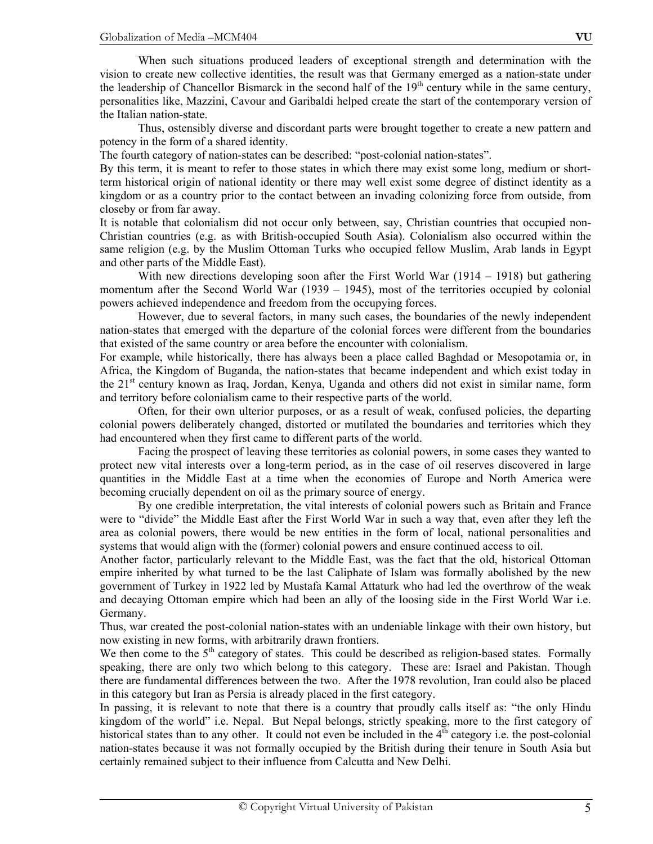When such situations produced leaders of exceptional strength and determination with the vision to create new collective identities, the result was that Germany emerged as a nation-state under the leadership of Chancellor Bismarck in the second half of the  $19<sup>th</sup>$  century while in the same century, personalities like, Mazzini, Cavour and Garibaldi helped create the start of the contemporary version of the Italian nation-state.

 Thus, ostensibly diverse and discordant parts were brought together to create a new pattern and potency in the form of a shared identity.

The fourth category of nation-states can be described: "post-colonial nation-states".

By this term, it is meant to refer to those states in which there may exist some long, medium or shortterm historical origin of national identity or there may well exist some degree of distinct identity as a kingdom or as a country prior to the contact between an invading colonizing force from outside, from closeby or from far away.

It is notable that colonialism did not occur only between, say, Christian countries that occupied non-Christian countries (e.g. as with British-occupied South Asia). Colonialism also occurred within the same religion (e.g. by the Muslim Ottoman Turks who occupied fellow Muslim, Arab lands in Egypt and other parts of the Middle East).

With new directions developing soon after the First World War  $(1914 - 1918)$  but gathering momentum after the Second World War (1939 – 1945), most of the territories occupied by colonial powers achieved independence and freedom from the occupying forces.

 However, due to several factors, in many such cases, the boundaries of the newly independent nation-states that emerged with the departure of the colonial forces were different from the boundaries that existed of the same country or area before the encounter with colonialism.

For example, while historically, there has always been a place called Baghdad or Mesopotamia or, in Africa, the Kingdom of Buganda, the nation-states that became independent and which exist today in the 21<sup>st</sup> century known as Iraq, Jordan, Kenya, Uganda and others did not exist in similar name, form and territory before colonialism came to their respective parts of the world.

 Often, for their own ulterior purposes, or as a result of weak, confused policies, the departing colonial powers deliberately changed, distorted or mutilated the boundaries and territories which they had encountered when they first came to different parts of the world.

 Facing the prospect of leaving these territories as colonial powers, in some cases they wanted to protect new vital interests over a long-term period, as in the case of oil reserves discovered in large quantities in the Middle East at a time when the economies of Europe and North America were becoming crucially dependent on oil as the primary source of energy.

 By one credible interpretation, the vital interests of colonial powers such as Britain and France were to "divide" the Middle East after the First World War in such a way that, even after they left the area as colonial powers, there would be new entities in the form of local, national personalities and systems that would align with the (former) colonial powers and ensure continued access to oil.

Another factor, particularly relevant to the Middle East, was the fact that the old, historical Ottoman empire inherited by what turned to be the last Caliphate of Islam was formally abolished by the new government of Turkey in 1922 led by Mustafa Kamal Attaturk who had led the overthrow of the weak and decaying Ottoman empire which had been an ally of the loosing side in the First World War i.e. Germany.

Thus, war created the post-colonial nation-states with an undeniable linkage with their own history, but now existing in new forms, with arbitrarily drawn frontiers.

We then come to the 5<sup>th</sup> category of states. This could be described as religion-based states. Formally speaking, there are only two which belong to this category. These are: Israel and Pakistan. Though there are fundamental differences between the two. After the 1978 revolution, Iran could also be placed in this category but Iran as Persia is already placed in the first category.

In passing, it is relevant to note that there is a country that proudly calls itself as: "the only Hindu kingdom of the world" i.e. Nepal. But Nepal belongs, strictly speaking, more to the first category of historical states than to any other. It could not even be included in the  $4<sup>th</sup>$  category i.e. the post-colonial nation-states because it was not formally occupied by the British during their tenure in South Asia but certainly remained subject to their influence from Calcutta and New Delhi.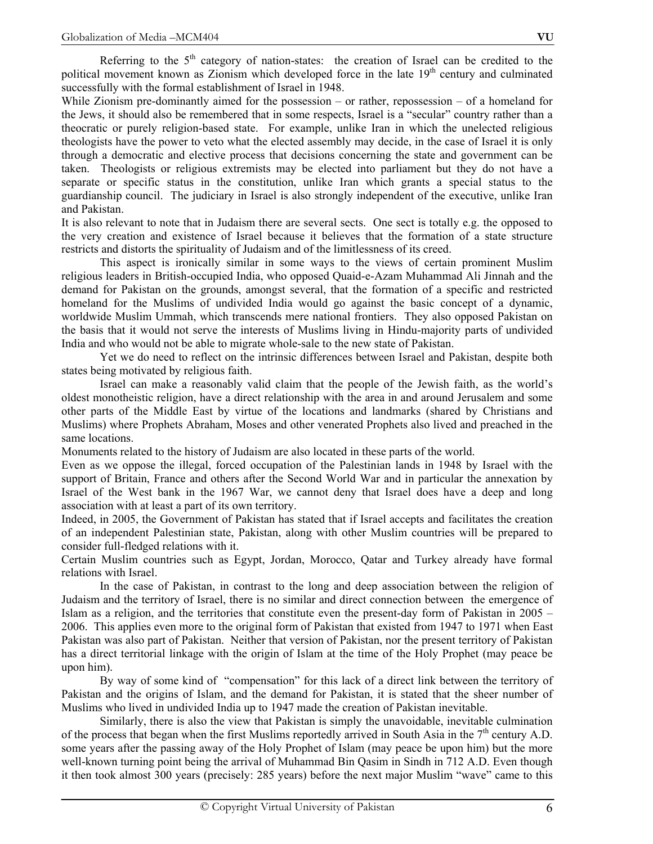Referring to the  $5<sup>th</sup>$  category of nation-states: the creation of Israel can be credited to the political movement known as Zionism which developed force in the late  $19<sup>th</sup>$  century and culminated successfully with the formal establishment of Israel in 1948.

While Zionism pre-dominantly aimed for the possession – or rather, repossession – of a homeland for the Jews, it should also be remembered that in some respects, Israel is a "secular" country rather than a theocratic or purely religion-based state. For example, unlike Iran in which the unelected religious theologists have the power to veto what the elected assembly may decide, in the case of Israel it is only through a democratic and elective process that decisions concerning the state and government can be taken. Theologists or religious extremists may be elected into parliament but they do not have a separate or specific status in the constitution, unlike Iran which grants a special status to the guardianship council. The judiciary in Israel is also strongly independent of the executive, unlike Iran and Pakistan.

It is also relevant to note that in Judaism there are several sects. One sect is totally e.g. the opposed to the very creation and existence of Israel because it believes that the formation of a state structure restricts and distorts the spirituality of Judaism and of the limitlessness of its creed.

 This aspect is ironically similar in some ways to the views of certain prominent Muslim religious leaders in British-occupied India, who opposed Quaid-e-Azam Muhammad Ali Jinnah and the demand for Pakistan on the grounds, amongst several, that the formation of a specific and restricted homeland for the Muslims of undivided India would go against the basic concept of a dynamic, worldwide Muslim Ummah, which transcends mere national frontiers. They also opposed Pakistan on the basis that it would not serve the interests of Muslims living in Hindu-majority parts of undivided India and who would not be able to migrate whole-sale to the new state of Pakistan.

 Yet we do need to reflect on the intrinsic differences between Israel and Pakistan, despite both states being motivated by religious faith.

 Israel can make a reasonably valid claim that the people of the Jewish faith, as the world's oldest monotheistic religion, have a direct relationship with the area in and around Jerusalem and some other parts of the Middle East by virtue of the locations and landmarks (shared by Christians and Muslims) where Prophets Abraham, Moses and other venerated Prophets also lived and preached in the same locations.

Monuments related to the history of Judaism are also located in these parts of the world.

Even as we oppose the illegal, forced occupation of the Palestinian lands in 1948 by Israel with the support of Britain, France and others after the Second World War and in particular the annexation by Israel of the West bank in the 1967 War, we cannot deny that Israel does have a deep and long association with at least a part of its own territory.

Indeed, in 2005, the Government of Pakistan has stated that if Israel accepts and facilitates the creation of an independent Palestinian state, Pakistan, along with other Muslim countries will be prepared to consider full-fledged relations with it.

Certain Muslim countries such as Egypt, Jordan, Morocco, Qatar and Turkey already have formal relations with Israel.

 In the case of Pakistan, in contrast to the long and deep association between the religion of Judaism and the territory of Israel, there is no similar and direct connection between the emergence of Islam as a religion, and the territories that constitute even the present-day form of Pakistan in 2005 – 2006. This applies even more to the original form of Pakistan that existed from 1947 to 1971 when East Pakistan was also part of Pakistan. Neither that version of Pakistan, nor the present territory of Pakistan has a direct territorial linkage with the origin of Islam at the time of the Holy Prophet (may peace be upon him).

 By way of some kind of "compensation" for this lack of a direct link between the territory of Pakistan and the origins of Islam, and the demand for Pakistan, it is stated that the sheer number of Muslims who lived in undivided India up to 1947 made the creation of Pakistan inevitable.

 Similarly, there is also the view that Pakistan is simply the unavoidable, inevitable culmination of the process that began when the first Muslims reportedly arrived in South Asia in the  $7<sup>th</sup>$  century A.D. some years after the passing away of the Holy Prophet of Islam (may peace be upon him) but the more well-known turning point being the arrival of Muhammad Bin Qasim in Sindh in 712 A.D. Even though it then took almost 300 years (precisely: 285 years) before the next major Muslim "wave" came to this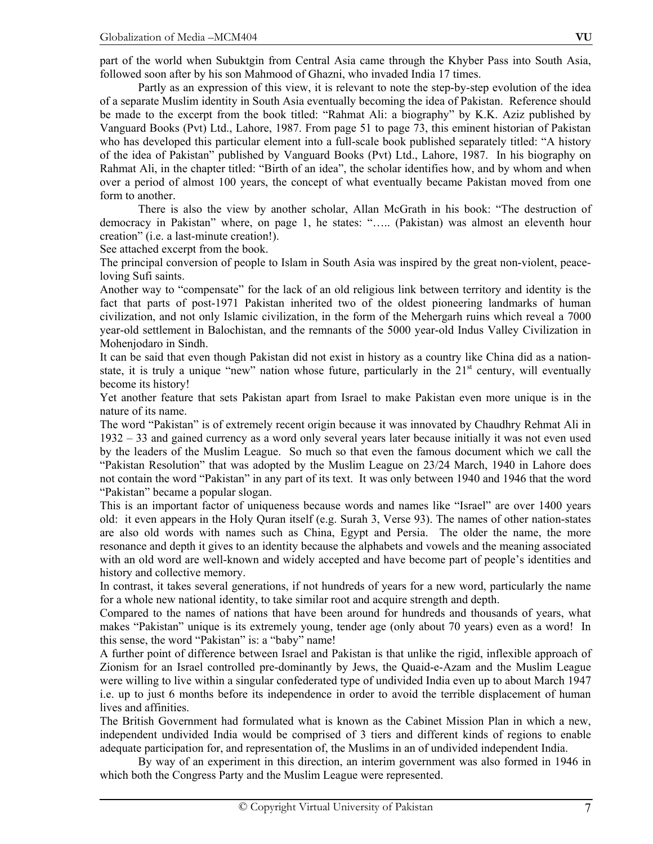part of the world when Subuktgin from Central Asia came through the Khyber Pass into South Asia, followed soon after by his son Mahmood of Ghazni, who invaded India 17 times.

 Partly as an expression of this view, it is relevant to note the step-by-step evolution of the idea of a separate Muslim identity in South Asia eventually becoming the idea of Pakistan. Reference should be made to the excerpt from the book titled: "Rahmat Ali: a biography" by K.K. Aziz published by Vanguard Books (Pvt) Ltd., Lahore, 1987. From page 51 to page 73, this eminent historian of Pakistan who has developed this particular element into a full-scale book published separately titled: "A history of the idea of Pakistan" published by Vanguard Books (Pvt) Ltd., Lahore, 1987. In his biography on Rahmat Ali, in the chapter titled: "Birth of an idea", the scholar identifies how, and by whom and when over a period of almost 100 years, the concept of what eventually became Pakistan moved from one form to another.

 There is also the view by another scholar, Allan McGrath in his book: "The destruction of democracy in Pakistan" where, on page 1, he states: "….. (Pakistan) was almost an eleventh hour creation" (i.e. a last-minute creation!).

See attached excerpt from the book.

The principal conversion of people to Islam in South Asia was inspired by the great non-violent, peaceloving Sufi saints.

Another way to "compensate" for the lack of an old religious link between territory and identity is the fact that parts of post-1971 Pakistan inherited two of the oldest pioneering landmarks of human civilization, and not only Islamic civilization, in the form of the Mehergarh ruins which reveal a 7000 year-old settlement in Balochistan, and the remnants of the 5000 year-old Indus Valley Civilization in Mohenjodaro in Sindh.

It can be said that even though Pakistan did not exist in history as a country like China did as a nationstate, it is truly a unique "new" nation whose future, particularly in the  $21<sup>st</sup>$  century, will eventually become its history!

Yet another feature that sets Pakistan apart from Israel to make Pakistan even more unique is in the nature of its name.

The word "Pakistan" is of extremely recent origin because it was innovated by Chaudhry Rehmat Ali in 1932 – 33 and gained currency as a word only several years later because initially it was not even used by the leaders of the Muslim League. So much so that even the famous document which we call the "Pakistan Resolution" that was adopted by the Muslim League on 23/24 March, 1940 in Lahore does not contain the word "Pakistan" in any part of its text. It was only between 1940 and 1946 that the word "Pakistan" became a popular slogan.

This is an important factor of uniqueness because words and names like "Israel" are over 1400 years old: it even appears in the Holy Quran itself (e.g. Surah 3, Verse 93). The names of other nation-states are also old words with names such as China, Egypt and Persia. The older the name, the more resonance and depth it gives to an identity because the alphabets and vowels and the meaning associated with an old word are well-known and widely accepted and have become part of people's identities and history and collective memory.

In contrast, it takes several generations, if not hundreds of years for a new word, particularly the name for a whole new national identity, to take similar root and acquire strength and depth.

Compared to the names of nations that have been around for hundreds and thousands of years, what makes "Pakistan" unique is its extremely young, tender age (only about 70 years) even as a word! In this sense, the word "Pakistan" is: a "baby" name!

A further point of difference between Israel and Pakistan is that unlike the rigid, inflexible approach of Zionism for an Israel controlled pre-dominantly by Jews, the Quaid-e-Azam and the Muslim League were willing to live within a singular confederated type of undivided India even up to about March 1947 i.e. up to just 6 months before its independence in order to avoid the terrible displacement of human lives and affinities.

The British Government had formulated what is known as the Cabinet Mission Plan in which a new, independent undivided India would be comprised of 3 tiers and different kinds of regions to enable adequate participation for, and representation of, the Muslims in an of undivided independent India.

 By way of an experiment in this direction, an interim government was also formed in 1946 in which both the Congress Party and the Muslim League were represented.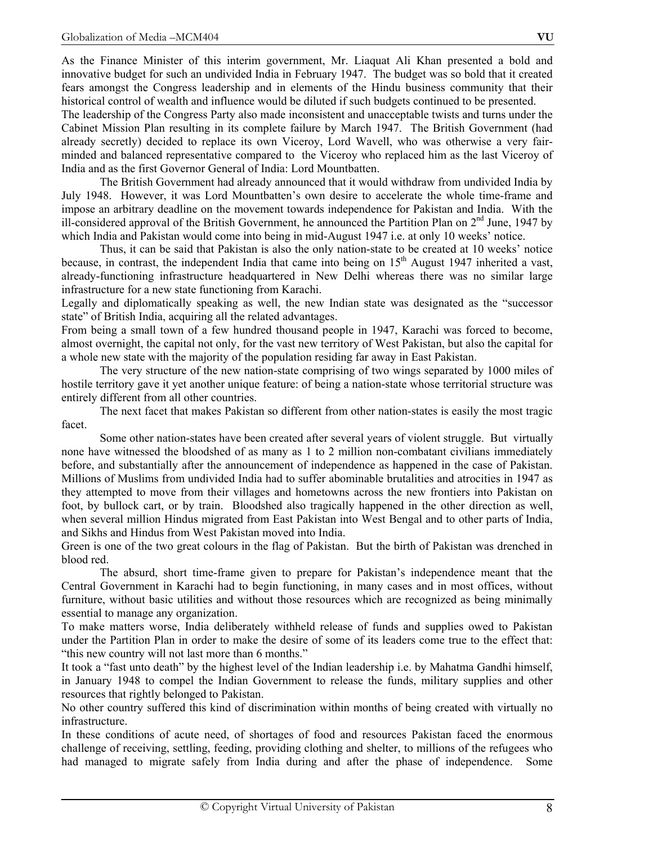As the Finance Minister of this interim government, Mr. Liaquat Ali Khan presented a bold and innovative budget for such an undivided India in February 1947. The budget was so bold that it created fears amongst the Congress leadership and in elements of the Hindu business community that their historical control of wealth and influence would be diluted if such budgets continued to be presented.

The leadership of the Congress Party also made inconsistent and unacceptable twists and turns under the Cabinet Mission Plan resulting in its complete failure by March 1947. The British Government (had already secretly) decided to replace its own Viceroy, Lord Wavell, who was otherwise a very fairminded and balanced representative compared to the Viceroy who replaced him as the last Viceroy of India and as the first Governor General of India: Lord Mountbatten.

 The British Government had already announced that it would withdraw from undivided India by July 1948. However, it was Lord Mountbatten's own desire to accelerate the whole time-frame and impose an arbitrary deadline on the movement towards independence for Pakistan and India. With the ill-considered approval of the British Government, he announced the Partition Plan on  $2<sup>nd</sup>$  June, 1947 by which India and Pakistan would come into being in mid-August 1947 i.e. at only 10 weeks' notice.

 Thus, it can be said that Pakistan is also the only nation-state to be created at 10 weeks' notice because, in contrast, the independent India that came into being on 15<sup>th</sup> August 1947 inherited a vast, already-functioning infrastructure headquartered in New Delhi whereas there was no similar large infrastructure for a new state functioning from Karachi.

Legally and diplomatically speaking as well, the new Indian state was designated as the "successor state" of British India, acquiring all the related advantages.

From being a small town of a few hundred thousand people in 1947, Karachi was forced to become, almost overnight, the capital not only, for the vast new territory of West Pakistan, but also the capital for a whole new state with the majority of the population residing far away in East Pakistan.

 The very structure of the new nation-state comprising of two wings separated by 1000 miles of hostile territory gave it yet another unique feature: of being a nation-state whose territorial structure was entirely different from all other countries.

 The next facet that makes Pakistan so different from other nation-states is easily the most tragic facet.

 Some other nation-states have been created after several years of violent struggle. But virtually none have witnessed the bloodshed of as many as 1 to 2 million non-combatant civilians immediately before, and substantially after the announcement of independence as happened in the case of Pakistan. Millions of Muslims from undivided India had to suffer abominable brutalities and atrocities in 1947 as they attempted to move from their villages and hometowns across the new frontiers into Pakistan on foot, by bullock cart, or by train. Bloodshed also tragically happened in the other direction as well, when several million Hindus migrated from East Pakistan into West Bengal and to other parts of India, and Sikhs and Hindus from West Pakistan moved into India.

Green is one of the two great colours in the flag of Pakistan. But the birth of Pakistan was drenched in blood red.

 The absurd, short time-frame given to prepare for Pakistan's independence meant that the Central Government in Karachi had to begin functioning, in many cases and in most offices, without furniture, without basic utilities and without those resources which are recognized as being minimally essential to manage any organization.

To make matters worse, India deliberately withheld release of funds and supplies owed to Pakistan under the Partition Plan in order to make the desire of some of its leaders come true to the effect that: "this new country will not last more than 6 months."

It took a "fast unto death" by the highest level of the Indian leadership i.e. by Mahatma Gandhi himself, in January 1948 to compel the Indian Government to release the funds, military supplies and other resources that rightly belonged to Pakistan.

No other country suffered this kind of discrimination within months of being created with virtually no infrastructure.

In these conditions of acute need, of shortages of food and resources Pakistan faced the enormous challenge of receiving, settling, feeding, providing clothing and shelter, to millions of the refugees who had managed to migrate safely from India during and after the phase of independence. Some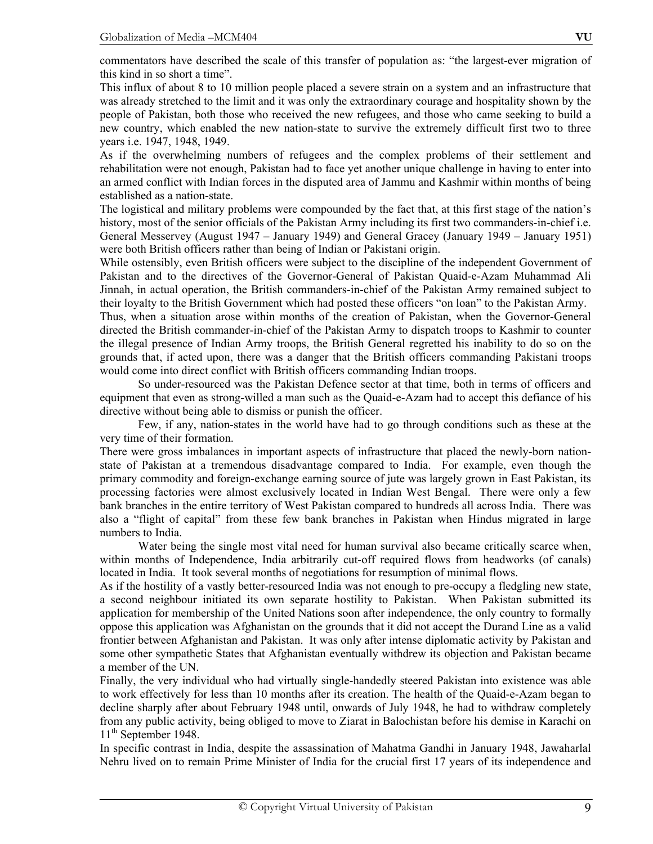commentators have described the scale of this transfer of population as: "the largest-ever migration of this kind in so short a time".

This influx of about 8 to 10 million people placed a severe strain on a system and an infrastructure that was already stretched to the limit and it was only the extraordinary courage and hospitality shown by the people of Pakistan, both those who received the new refugees, and those who came seeking to build a new country, which enabled the new nation-state to survive the extremely difficult first two to three years i.e. 1947, 1948, 1949.

As if the overwhelming numbers of refugees and the complex problems of their settlement and rehabilitation were not enough, Pakistan had to face yet another unique challenge in having to enter into an armed conflict with Indian forces in the disputed area of Jammu and Kashmir within months of being established as a nation-state.

The logistical and military problems were compounded by the fact that, at this first stage of the nation's history, most of the senior officials of the Pakistan Army including its first two commanders-in-chief i.e. General Messervey (August 1947 – January 1949) and General Gracey (January 1949 – January 1951) were both British officers rather than being of Indian or Pakistani origin.

While ostensibly, even British officers were subject to the discipline of the independent Government of Pakistan and to the directives of the Governor-General of Pakistan Quaid-e-Azam Muhammad Ali Jinnah, in actual operation, the British commanders-in-chief of the Pakistan Army remained subject to their loyalty to the British Government which had posted these officers "on loan" to the Pakistan Army.

Thus, when a situation arose within months of the creation of Pakistan, when the Governor-General directed the British commander-in-chief of the Pakistan Army to dispatch troops to Kashmir to counter the illegal presence of Indian Army troops, the British General regretted his inability to do so on the grounds that, if acted upon, there was a danger that the British officers commanding Pakistani troops would come into direct conflict with British officers commanding Indian troops.

 So under-resourced was the Pakistan Defence sector at that time, both in terms of officers and equipment that even as strong-willed a man such as the Quaid-e-Azam had to accept this defiance of his directive without being able to dismiss or punish the officer.

 Few, if any, nation-states in the world have had to go through conditions such as these at the very time of their formation.

There were gross imbalances in important aspects of infrastructure that placed the newly-born nationstate of Pakistan at a tremendous disadvantage compared to India. For example, even though the primary commodity and foreign-exchange earning source of jute was largely grown in East Pakistan, its processing factories were almost exclusively located in Indian West Bengal. There were only a few bank branches in the entire territory of West Pakistan compared to hundreds all across India. There was also a "flight of capital" from these few bank branches in Pakistan when Hindus migrated in large numbers to India.

Water being the single most vital need for human survival also became critically scarce when, within months of Independence, India arbitrarily cut-off required flows from headworks (of canals) located in India. It took several months of negotiations for resumption of minimal flows.

As if the hostility of a vastly better-resourced India was not enough to pre-occupy a fledgling new state, a second neighbour initiated its own separate hostility to Pakistan. When Pakistan submitted its application for membership of the United Nations soon after independence, the only country to formally oppose this application was Afghanistan on the grounds that it did not accept the Durand Line as a valid frontier between Afghanistan and Pakistan. It was only after intense diplomatic activity by Pakistan and some other sympathetic States that Afghanistan eventually withdrew its objection and Pakistan became a member of the UN.

Finally, the very individual who had virtually single-handedly steered Pakistan into existence was able to work effectively for less than 10 months after its creation. The health of the Quaid-e-Azam began to decline sharply after about February 1948 until, onwards of July 1948, he had to withdraw completely from any public activity, being obliged to move to Ziarat in Balochistan before his demise in Karachi on 11<sup>th</sup> September 1948.

In specific contrast in India, despite the assassination of Mahatma Gandhi in January 1948, Jawaharlal Nehru lived on to remain Prime Minister of India for the crucial first 17 years of its independence and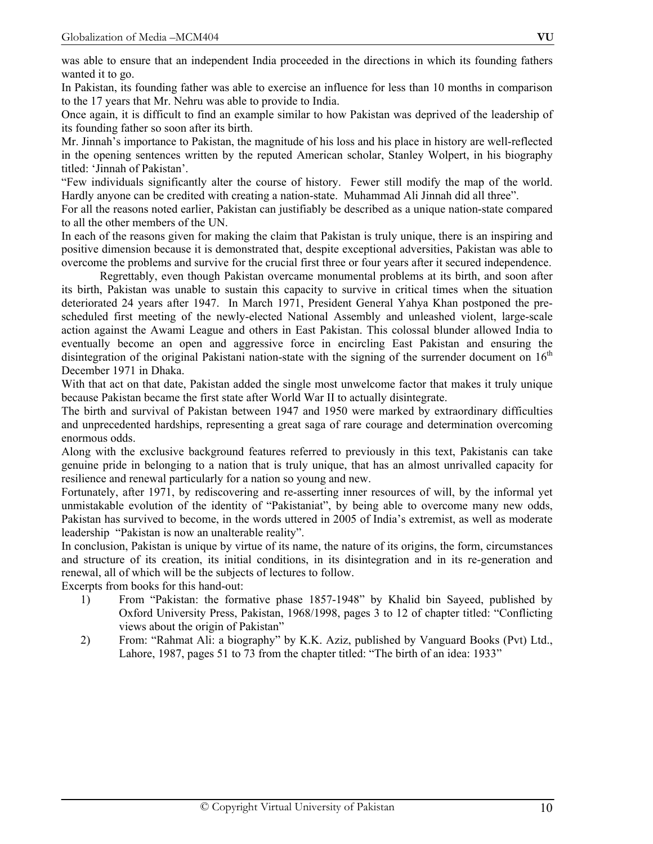was able to ensure that an independent India proceeded in the directions in which its founding fathers wanted it to go.

In Pakistan, its founding father was able to exercise an influence for less than 10 months in comparison to the 17 years that Mr. Nehru was able to provide to India.

Once again, it is difficult to find an example similar to how Pakistan was deprived of the leadership of its founding father so soon after its birth.

Mr. Jinnah's importance to Pakistan, the magnitude of his loss and his place in history are well-reflected in the opening sentences written by the reputed American scholar, Stanley Wolpert, in his biography titled: 'Jinnah of Pakistan'.

"Few individuals significantly alter the course of history. Fewer still modify the map of the world. Hardly anyone can be credited with creating a nation-state. Muhammad Ali Jinnah did all three".

For all the reasons noted earlier, Pakistan can justifiably be described as a unique nation-state compared to all the other members of the UN.

In each of the reasons given for making the claim that Pakistan is truly unique, there is an inspiring and positive dimension because it is demonstrated that, despite exceptional adversities, Pakistan was able to overcome the problems and survive for the crucial first three or four years after it secured independence.

 Regrettably, even though Pakistan overcame monumental problems at its birth, and soon after its birth, Pakistan was unable to sustain this capacity to survive in critical times when the situation deteriorated 24 years after 1947. In March 1971, President General Yahya Khan postponed the prescheduled first meeting of the newly-elected National Assembly and unleashed violent, large-scale action against the Awami League and others in East Pakistan. This colossal blunder allowed India to eventually become an open and aggressive force in encircling East Pakistan and ensuring the disintegration of the original Pakistani nation-state with the signing of the surrender document on  $16<sup>th</sup>$ December 1971 in Dhaka.

With that act on that date, Pakistan added the single most unwelcome factor that makes it truly unique because Pakistan became the first state after World War II to actually disintegrate.

The birth and survival of Pakistan between 1947 and 1950 were marked by extraordinary difficulties and unprecedented hardships, representing a great saga of rare courage and determination overcoming enormous odds.

Along with the exclusive background features referred to previously in this text, Pakistanis can take genuine pride in belonging to a nation that is truly unique, that has an almost unrivalled capacity for resilience and renewal particularly for a nation so young and new.

Fortunately, after 1971, by rediscovering and re-asserting inner resources of will, by the informal yet unmistakable evolution of the identity of "Pakistaniat", by being able to overcome many new odds, Pakistan has survived to become, in the words uttered in 2005 of India's extremist, as well as moderate leadership "Pakistan is now an unalterable reality".

In conclusion, Pakistan is unique by virtue of its name, the nature of its origins, the form, circumstances and structure of its creation, its initial conditions, in its disintegration and in its re-generation and renewal, all of which will be the subjects of lectures to follow.

Excerpts from books for this hand-out:

- 1) From "Pakistan: the formative phase 1857-1948" by Khalid bin Sayeed, published by Oxford University Press, Pakistan, 1968/1998, pages 3 to 12 of chapter titled: "Conflicting views about the origin of Pakistan"
- 2) From: "Rahmat Ali: a biography" by K.K. Aziz, published by Vanguard Books (Pvt) Ltd., Lahore, 1987, pages 51 to 73 from the chapter titled: "The birth of an idea: 1933"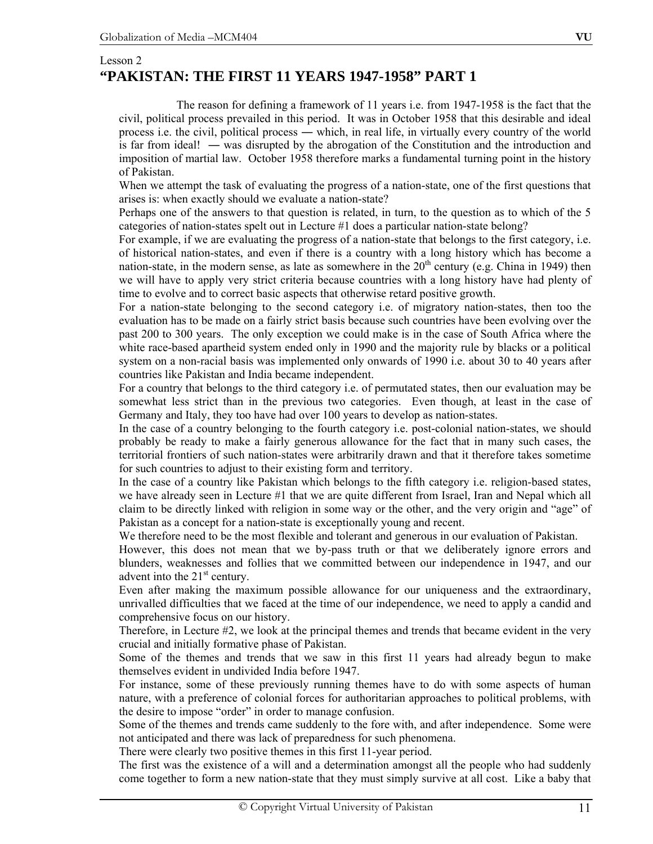## Lesson 2 **"PAKISTAN: THE FIRST 11 YEARS 1947-1958" PART 1**

 The reason for defining a framework of 11 years i.e. from 1947-1958 is the fact that the civil, political process prevailed in this period. It was in October 1958 that this desirable and ideal process i.e. the civil, political process ― which, in real life, in virtually every country of the world is far from ideal! ― was disrupted by the abrogation of the Constitution and the introduction and imposition of martial law. October 1958 therefore marks a fundamental turning point in the history of Pakistan.

When we attempt the task of evaluating the progress of a nation-state, one of the first questions that arises is: when exactly should we evaluate a nation-state?

Perhaps one of the answers to that question is related, in turn, to the question as to which of the 5 categories of nation-states spelt out in Lecture #1 does a particular nation-state belong?

For example, if we are evaluating the progress of a nation-state that belongs to the first category, i.e. of historical nation-states, and even if there is a country with a long history which has become a nation-state, in the modern sense, as late as somewhere in the  $20<sup>th</sup>$  century (e.g. China in 1949) then we will have to apply very strict criteria because countries with a long history have had plenty of time to evolve and to correct basic aspects that otherwise retard positive growth.

For a nation-state belonging to the second category i.e. of migratory nation-states, then too the evaluation has to be made on a fairly strict basis because such countries have been evolving over the past 200 to 300 years. The only exception we could make is in the case of South Africa where the white race-based apartheid system ended only in 1990 and the majority rule by blacks or a political system on a non-racial basis was implemented only onwards of 1990 i.e. about 30 to 40 years after countries like Pakistan and India became independent.

For a country that belongs to the third category i.e. of permutated states, then our evaluation may be somewhat less strict than in the previous two categories. Even though, at least in the case of Germany and Italy, they too have had over 100 years to develop as nation-states.

In the case of a country belonging to the fourth category i.e. post-colonial nation-states, we should probably be ready to make a fairly generous allowance for the fact that in many such cases, the territorial frontiers of such nation-states were arbitrarily drawn and that it therefore takes sometime for such countries to adjust to their existing form and territory.

In the case of a country like Pakistan which belongs to the fifth category i.e. religion-based states, we have already seen in Lecture #1 that we are quite different from Israel, Iran and Nepal which all claim to be directly linked with religion in some way or the other, and the very origin and "age" of Pakistan as a concept for a nation-state is exceptionally young and recent.

We therefore need to be the most flexible and tolerant and generous in our evaluation of Pakistan.

However, this does not mean that we by-pass truth or that we deliberately ignore errors and blunders, weaknesses and follies that we committed between our independence in 1947, and our advent into the  $21<sup>st</sup>$  century.

Even after making the maximum possible allowance for our uniqueness and the extraordinary, unrivalled difficulties that we faced at the time of our independence, we need to apply a candid and comprehensive focus on our history.

Therefore, in Lecture #2, we look at the principal themes and trends that became evident in the very crucial and initially formative phase of Pakistan.

Some of the themes and trends that we saw in this first 11 years had already begun to make themselves evident in undivided India before 1947.

For instance, some of these previously running themes have to do with some aspects of human nature, with a preference of colonial forces for authoritarian approaches to political problems, with the desire to impose "order" in order to manage confusion.

Some of the themes and trends came suddenly to the fore with, and after independence. Some were not anticipated and there was lack of preparedness for such phenomena.

There were clearly two positive themes in this first 11-year period.

The first was the existence of a will and a determination amongst all the people who had suddenly come together to form a new nation-state that they must simply survive at all cost. Like a baby that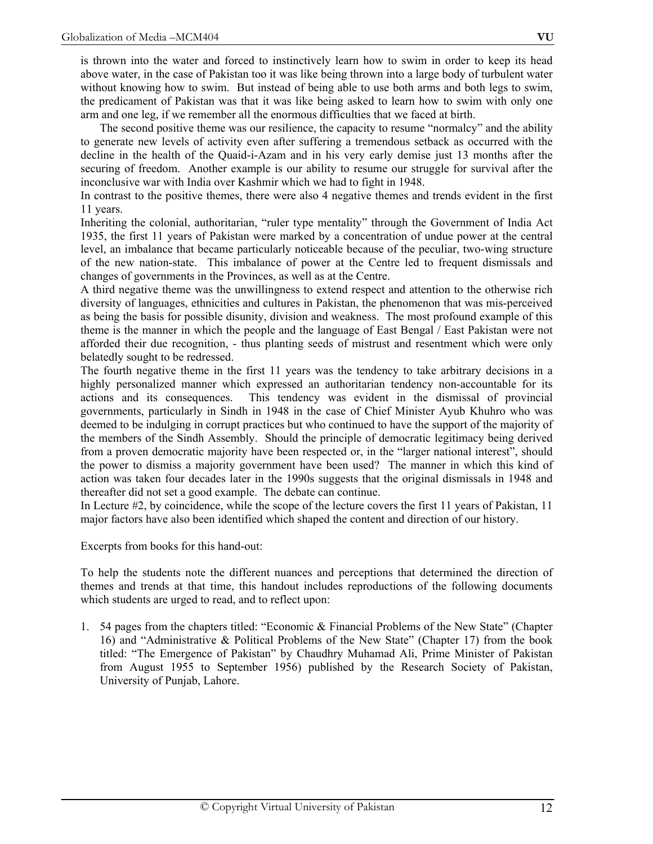is thrown into the water and forced to instinctively learn how to swim in order to keep its head above water, in the case of Pakistan too it was like being thrown into a large body of turbulent water without knowing how to swim. But instead of being able to use both arms and both legs to swim, the predicament of Pakistan was that it was like being asked to learn how to swim with only one arm and one leg, if we remember all the enormous difficulties that we faced at birth.

 The second positive theme was our resilience, the capacity to resume "normalcy" and the ability to generate new levels of activity even after suffering a tremendous setback as occurred with the decline in the health of the Quaid-i-Azam and in his very early demise just 13 months after the securing of freedom. Another example is our ability to resume our struggle for survival after the inconclusive war with India over Kashmir which we had to fight in 1948.

In contrast to the positive themes, there were also 4 negative themes and trends evident in the first 11 years.

Inheriting the colonial, authoritarian, "ruler type mentality" through the Government of India Act 1935, the first 11 years of Pakistan were marked by a concentration of undue power at the central level, an imbalance that became particularly noticeable because of the peculiar, two-wing structure of the new nation-state. This imbalance of power at the Centre led to frequent dismissals and changes of governments in the Provinces, as well as at the Centre.

A third negative theme was the unwillingness to extend respect and attention to the otherwise rich diversity of languages, ethnicities and cultures in Pakistan, the phenomenon that was mis-perceived as being the basis for possible disunity, division and weakness. The most profound example of this theme is the manner in which the people and the language of East Bengal / East Pakistan were not afforded their due recognition, - thus planting seeds of mistrust and resentment which were only belatedly sought to be redressed.

The fourth negative theme in the first 11 years was the tendency to take arbitrary decisions in a highly personalized manner which expressed an authoritarian tendency non-accountable for its actions and its consequences. This tendency was evident in the dismissal of provincial governments, particularly in Sindh in 1948 in the case of Chief Minister Ayub Khuhro who was deemed to be indulging in corrupt practices but who continued to have the support of the majority of the members of the Sindh Assembly. Should the principle of democratic legitimacy being derived from a proven democratic majority have been respected or, in the "larger national interest", should the power to dismiss a majority government have been used? The manner in which this kind of action was taken four decades later in the 1990s suggests that the original dismissals in 1948 and thereafter did not set a good example. The debate can continue.

In Lecture #2, by coincidence, while the scope of the lecture covers the first 11 years of Pakistan, 11 major factors have also been identified which shaped the content and direction of our history.

Excerpts from books for this hand-out:

To help the students note the different nuances and perceptions that determined the direction of themes and trends at that time, this handout includes reproductions of the following documents which students are urged to read, and to reflect upon:

1. 54 pages from the chapters titled: "Economic & Financial Problems of the New State" (Chapter 16) and "Administrative & Political Problems of the New State" (Chapter 17) from the book titled: "The Emergence of Pakistan" by Chaudhry Muhamad Ali, Prime Minister of Pakistan from August 1955 to September 1956) published by the Research Society of Pakistan, University of Punjab, Lahore.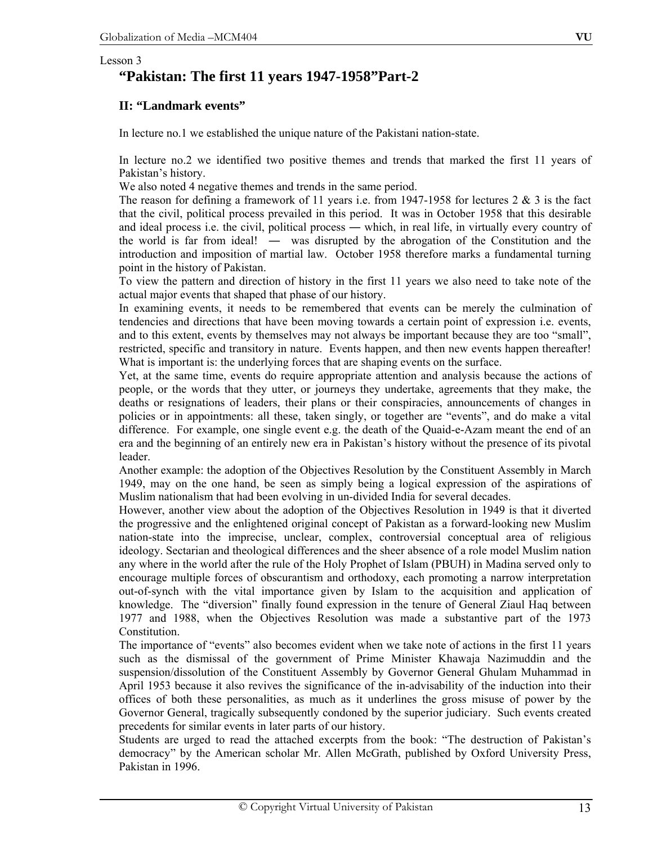#### Lesson 3

# **"Pakistan: The first 11 years 1947-1958"Part-2**

## **II: "Landmark events"**

In lecture no.1 we established the unique nature of the Pakistani nation-state.

In lecture no.2 we identified two positive themes and trends that marked the first 11 years of Pakistan's history.

We also noted 4 negative themes and trends in the same period.

The reason for defining a framework of 11 years i.e. from 1947-1958 for lectures  $2 \& 3$  is the fact that the civil, political process prevailed in this period. It was in October 1958 that this desirable and ideal process i.e. the civil, political process ― which, in real life, in virtually every country of the world is far from ideal! ― was disrupted by the abrogation of the Constitution and the introduction and imposition of martial law. October 1958 therefore marks a fundamental turning point in the history of Pakistan.

To view the pattern and direction of history in the first 11 years we also need to take note of the actual major events that shaped that phase of our history.

In examining events, it needs to be remembered that events can be merely the culmination of tendencies and directions that have been moving towards a certain point of expression i.e. events, and to this extent, events by themselves may not always be important because they are too "small", restricted, specific and transitory in nature. Events happen, and then new events happen thereafter! What is important is: the underlying forces that are shaping events on the surface.

Yet, at the same time, events do require appropriate attention and analysis because the actions of people, or the words that they utter, or journeys they undertake, agreements that they make, the deaths or resignations of leaders, their plans or their conspiracies, announcements of changes in policies or in appointments: all these, taken singly, or together are "events", and do make a vital difference. For example, one single event e.g. the death of the Quaid-e-Azam meant the end of an era and the beginning of an entirely new era in Pakistan's history without the presence of its pivotal leader.

Another example: the adoption of the Objectives Resolution by the Constituent Assembly in March 1949, may on the one hand, be seen as simply being a logical expression of the aspirations of Muslim nationalism that had been evolving in un-divided India for several decades.

However, another view about the adoption of the Objectives Resolution in 1949 is that it diverted the progressive and the enlightened original concept of Pakistan as a forward-looking new Muslim nation-state into the imprecise, unclear, complex, controversial conceptual area of religious ideology. Sectarian and theological differences and the sheer absence of a role model Muslim nation any where in the world after the rule of the Holy Prophet of Islam (PBUH) in Madina served only to encourage multiple forces of obscurantism and orthodoxy, each promoting a narrow interpretation out-of-synch with the vital importance given by Islam to the acquisition and application of knowledge. The "diversion" finally found expression in the tenure of General Ziaul Haq between 1977 and 1988, when the Objectives Resolution was made a substantive part of the 1973 Constitution.

The importance of "events" also becomes evident when we take note of actions in the first 11 years such as the dismissal of the government of Prime Minister Khawaja Nazimuddin and the suspension/dissolution of the Constituent Assembly by Governor General Ghulam Muhammad in April 1953 because it also revives the significance of the in-advisability of the induction into their offices of both these personalities, as much as it underlines the gross misuse of power by the Governor General, tragically subsequently condoned by the superior judiciary. Such events created precedents for similar events in later parts of our history.

Students are urged to read the attached excerpts from the book: "The destruction of Pakistan's democracy" by the American scholar Mr. Allen McGrath, published by Oxford University Press, Pakistan in 1996.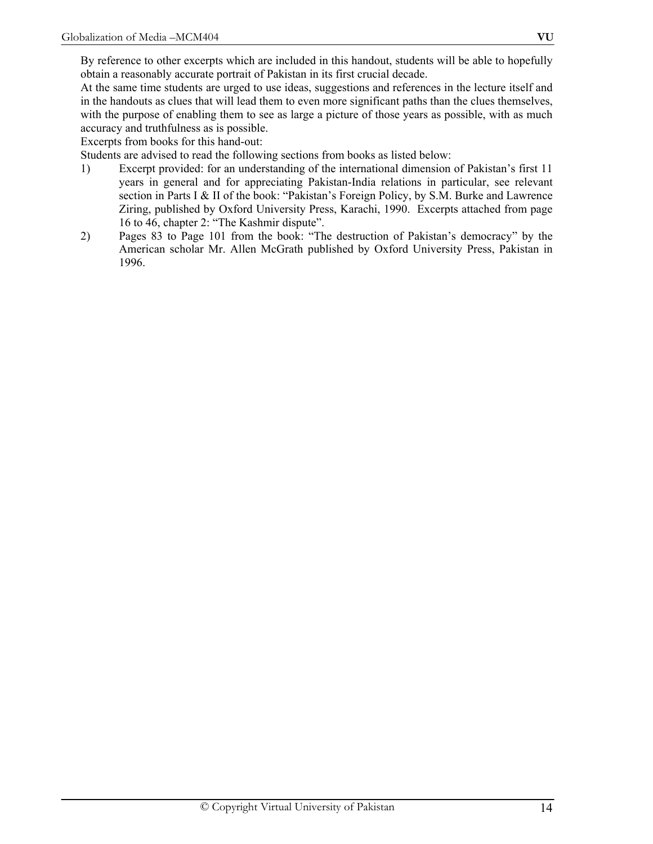At the same time students are urged to use ideas, suggestions and references in the lecture itself and in the handouts as clues that will lead them to even more significant paths than the clues themselves, with the purpose of enabling them to see as large a picture of those years as possible, with as much accuracy and truthfulness as is possible.

Excerpts from books for this hand-out:

Students are advised to read the following sections from books as listed below:

- 1) Excerpt provided: for an understanding of the international dimension of Pakistan's first 11 years in general and for appreciating Pakistan-India relations in particular, see relevant section in Parts I & II of the book: "Pakistan's Foreign Policy, by S.M. Burke and Lawrence Ziring, published by Oxford University Press, Karachi, 1990. Excerpts attached from page 16 to 46, chapter 2: "The Kashmir dispute".
- 2) Pages 83 to Page 101 from the book: "The destruction of Pakistan's democracy" by the American scholar Mr. Allen McGrath published by Oxford University Press, Pakistan in 1996.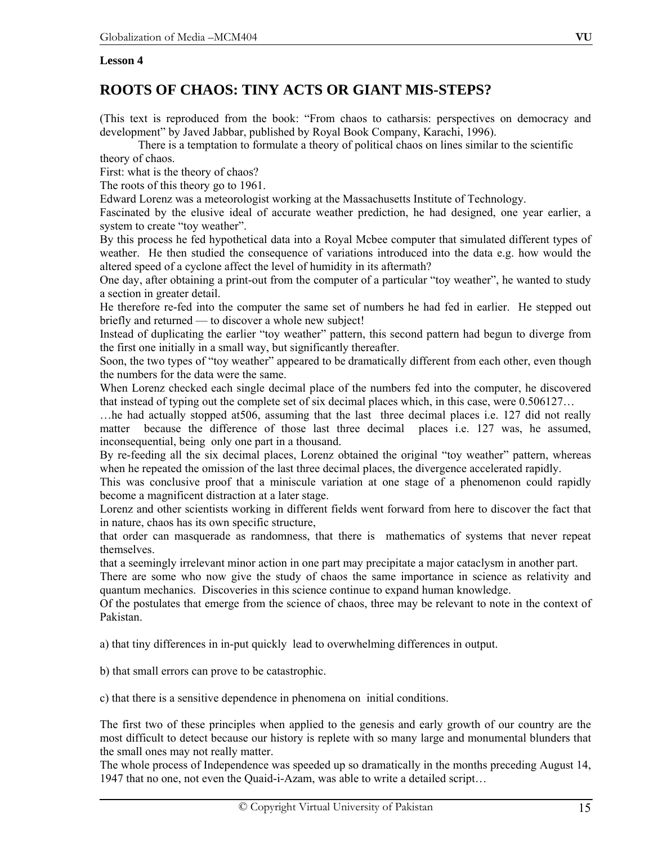#### **Lesson 4**

# **ROOTS OF CHAOS: TINY ACTS OR GIANT MIS-STEPS?**

(This text is reproduced from the book: "From chaos to catharsis: perspectives on democracy and development" by Javed Jabbar, published by Royal Book Company, Karachi, 1996).

There is a temptation to formulate a theory of political chaos on lines similar to the scientific

theory of chaos.

First: what is the theory of chaos?

The roots of this theory go to 1961.

Edward Lorenz was a meteorologist working at the Massachusetts Institute of Technology.

Fascinated by the elusive ideal of accurate weather prediction, he had designed, one year earlier, a system to create "toy weather".

By this process he fed hypothetical data into a Royal Mcbee computer that simulated different types of weather. He then studied the consequence of variations introduced into the data e.g. how would the altered speed of a cyclone affect the level of humidity in its aftermath?

One day, after obtaining a print-out from the computer of a particular "toy weather", he wanted to study a section in greater detail.

He therefore re-fed into the computer the same set of numbers he had fed in earlier. He stepped out briefly and returned — to discover a whole new subject!

Instead of duplicating the earlier "toy weather" pattern, this second pattern had begun to diverge from the first one initially in a small way, but significantly thereafter.

Soon, the two types of "toy weather" appeared to be dramatically different from each other, even though the numbers for the data were the same.

When Lorenz checked each single decimal place of the numbers fed into the computer, he discovered that instead of typing out the complete set of six decimal places which, in this case, were 0.506127…

…he had actually stopped at506, assuming that the last three decimal places i.e. 127 did not really matter because the difference of those last three decimal places i.e. 127 was, he assumed, inconsequential, being only one part in a thousand.

By re-feeding all the six decimal places, Lorenz obtained the original "toy weather" pattern, whereas when he repeated the omission of the last three decimal places, the divergence accelerated rapidly.

This was conclusive proof that a miniscule variation at one stage of a phenomenon could rapidly become a magnificent distraction at a later stage.

Lorenz and other scientists working in different fields went forward from here to discover the fact that in nature, chaos has its own specific structure,

that order can masquerade as randomness, that there is mathematics of systems that never repeat themselves.

that a seemingly irrelevant minor action in one part may precipitate a major cataclysm in another part.

There are some who now give the study of chaos the same importance in science as relativity and quantum mechanics. Discoveries in this science continue to expand human knowledge.

Of the postulates that emerge from the science of chaos, three may be relevant to note in the context of Pakistan.

a) that tiny differences in in-put quickly lead to overwhelming differences in output.

b) that small errors can prove to be catastrophic.

c) that there is a sensitive dependence in phenomena on initial conditions.

The first two of these principles when applied to the genesis and early growth of our country are the most difficult to detect because our history is replete with so many large and monumental blunders that the small ones may not really matter.

The whole process of Independence was speeded up so dramatically in the months preceding August 14, 1947 that no one, not even the Quaid-i-Azam, was able to write a detailed script…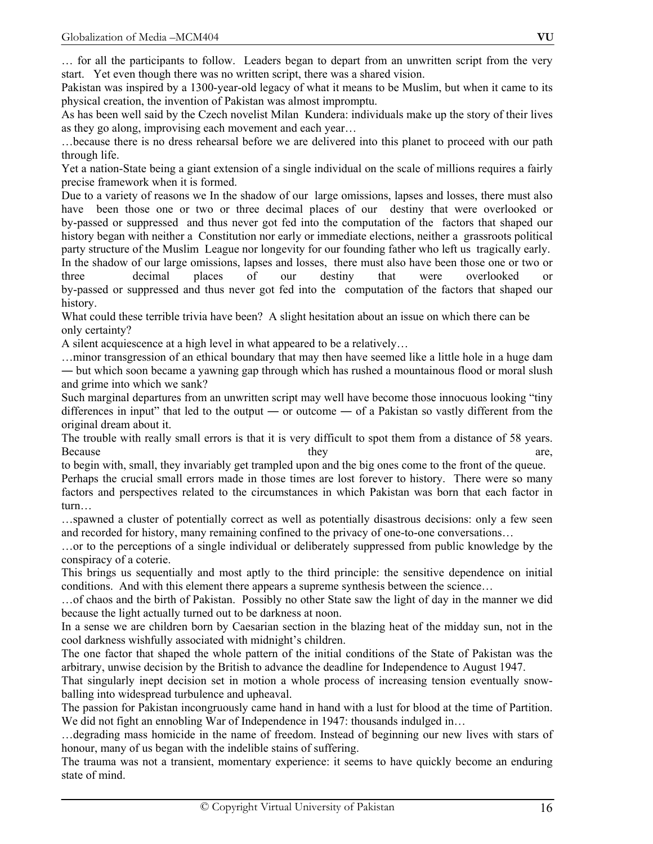Pakistan was inspired by a 1300-year-old legacy of what it means to be Muslim, but when it came to its physical creation, the invention of Pakistan was almost impromptu.

As has been well said by the Czech novelist Milan Kundera: individuals make up the story of their lives as they go along, improvising each movement and each year…

…because there is no dress rehearsal before we are delivered into this planet to proceed with our path through life.

Yet a nation-State being a giant extension of a single individual on the scale of millions requires a fairly precise framework when it is formed.

Due to a variety of reasons we In the shadow of our large omissions, lapses and losses, there must also have been those one or two or three decimal places of our destiny that were overlooked or by-passed or suppressed and thus never got fed into the computation of the factors that shaped our history began with neither a Constitution nor early or immediate elections, neither a grassroots political party structure of the Muslim League nor longevity for our founding father who left us tragically early.

In the shadow of our large omissions, lapses and losses, there must also have been those one or two or three decimal places of our destiny that were overlooked or by-passed or suppressed and thus never got fed into the computation of the factors that shaped our history.

What could these terrible trivia have been? A slight hesitation about an issue on which there can be only certainty?

A silent acquiescence at a high level in what appeared to be a relatively…

…minor transgression of an ethical boundary that may then have seemed like a little hole in a huge dam ― but which soon became a yawning gap through which has rushed a mountainous flood or moral slush and grime into which we sank?

Such marginal departures from an unwritten script may well have become those innocuous looking "tiny differences in input" that led to the output ― or outcome ― of a Pakistan so vastly different from the original dream about it.

The trouble with really small errors is that it is very difficult to spot them from a distance of 58 years. Because are, they they are,

to begin with, small, they invariably get trampled upon and the big ones come to the front of the queue. Perhaps the crucial small errors made in those times are lost forever to history. There were so many factors and perspectives related to the circumstances in which Pakistan was born that each factor in turn…

…spawned a cluster of potentially correct as well as potentially disastrous decisions: only a few seen and recorded for history, many remaining confined to the privacy of one-to-one conversations…

…or to the perceptions of a single individual or deliberately suppressed from public knowledge by the conspiracy of a coterie.

This brings us sequentially and most aptly to the third principle: the sensitive dependence on initial conditions. And with this element there appears a supreme synthesis between the science…

…of chaos and the birth of Pakistan. Possibly no other State saw the light of day in the manner we did because the light actually turned out to be darkness at noon.

In a sense we are children born by Caesarian section in the blazing heat of the midday sun, not in the cool darkness wishfully associated with midnight's children.

The one factor that shaped the whole pattern of the initial conditions of the State of Pakistan was the arbitrary, unwise decision by the British to advance the deadline for Independence to August 1947.

That singularly inept decision set in motion a whole process of increasing tension eventually snowballing into widespread turbulence and upheaval.

The passion for Pakistan incongruously came hand in hand with a lust for blood at the time of Partition. We did not fight an ennobling War of Independence in 1947: thousands indulged in...

…degrading mass homicide in the name of freedom. Instead of beginning our new lives with stars of honour, many of us began with the indelible stains of suffering.

The trauma was not a transient, momentary experience: it seems to have quickly become an enduring state of mind.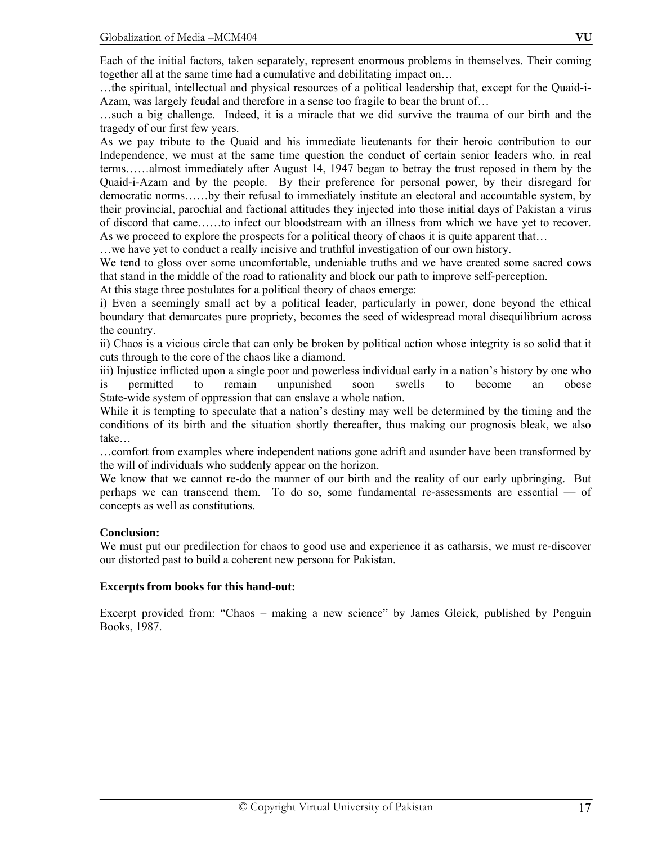Each of the initial factors, taken separately, represent enormous problems in themselves. Their coming together all at the same time had a cumulative and debilitating impact on…

…the spiritual, intellectual and physical resources of a political leadership that, except for the Quaid-i-Azam, was largely feudal and therefore in a sense too fragile to bear the brunt of…

…such a big challenge. Indeed, it is a miracle that we did survive the trauma of our birth and the tragedy of our first few years.

As we pay tribute to the Quaid and his immediate lieutenants for their heroic contribution to our Independence, we must at the same time question the conduct of certain senior leaders who, in real terms……almost immediately after August 14, 1947 began to betray the trust reposed in them by the Quaid-i-Azam and by the people. By their preference for personal power, by their disregard for democratic norms……by their refusal to immediately institute an electoral and accountable system, by their provincial, parochial and factional attitudes they injected into those initial days of Pakistan a virus of discord that came……to infect our bloodstream with an illness from which we have yet to recover. As we proceed to explore the prospects for a political theory of chaos it is quite apparent that...

…we have yet to conduct a really incisive and truthful investigation of our own history.

We tend to gloss over some uncomfortable, undeniable truths and we have created some sacred cows that stand in the middle of the road to rationality and block our path to improve self-perception.

At this stage three postulates for a political theory of chaos emerge:

i) Even a seemingly small act by a political leader, particularly in power, done beyond the ethical boundary that demarcates pure propriety, becomes the seed of widespread moral disequilibrium across the country.

ii) Chaos is a vicious circle that can only be broken by political action whose integrity is so solid that it cuts through to the core of the chaos like a diamond.

iii) Injustice inflicted upon a single poor and powerless individual early in a nation's history by one who is permitted to remain unpunished soon swells to become an obese State-wide system of oppression that can enslave a whole nation.

While it is tempting to speculate that a nation's destiny may well be determined by the timing and the conditions of its birth and the situation shortly thereafter, thus making our prognosis bleak, we also take…

…comfort from examples where independent nations gone adrift and asunder have been transformed by the will of individuals who suddenly appear on the horizon.

We know that we cannot re-do the manner of our birth and the reality of our early upbringing. But perhaps we can transcend them. To do so, some fundamental re-assessments are essential — of concepts as well as constitutions.

## **Conclusion:**

We must put our predilection for chaos to good use and experience it as catharsis, we must re-discover our distorted past to build a coherent new persona for Pakistan.

## **Excerpts from books for this hand-out:**

Excerpt provided from: "Chaos – making a new science" by James Gleick, published by Penguin Books, 1987.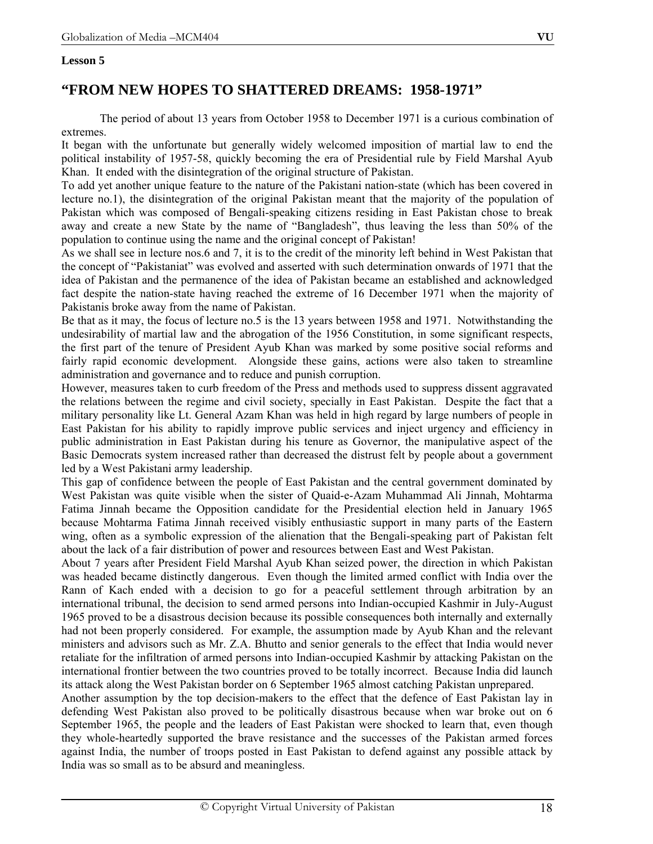#### **Lesson 5**

# **"FROM NEW HOPES TO SHATTERED DREAMS: 1958-1971"**

 The period of about 13 years from October 1958 to December 1971 is a curious combination of extremes.

It began with the unfortunate but generally widely welcomed imposition of martial law to end the political instability of 1957-58, quickly becoming the era of Presidential rule by Field Marshal Ayub Khan. It ended with the disintegration of the original structure of Pakistan.

To add yet another unique feature to the nature of the Pakistani nation-state (which has been covered in lecture no.1), the disintegration of the original Pakistan meant that the majority of the population of Pakistan which was composed of Bengali-speaking citizens residing in East Pakistan chose to break away and create a new State by the name of "Bangladesh", thus leaving the less than 50% of the population to continue using the name and the original concept of Pakistan!

As we shall see in lecture nos.6 and 7, it is to the credit of the minority left behind in West Pakistan that the concept of "Pakistaniat" was evolved and asserted with such determination onwards of 1971 that the idea of Pakistan and the permanence of the idea of Pakistan became an established and acknowledged fact despite the nation-state having reached the extreme of 16 December 1971 when the majority of Pakistanis broke away from the name of Pakistan.

Be that as it may, the focus of lecture no.5 is the 13 years between 1958 and 1971. Notwithstanding the undesirability of martial law and the abrogation of the 1956 Constitution, in some significant respects, the first part of the tenure of President Ayub Khan was marked by some positive social reforms and fairly rapid economic development. Alongside these gains, actions were also taken to streamline administration and governance and to reduce and punish corruption.

However, measures taken to curb freedom of the Press and methods used to suppress dissent aggravated the relations between the regime and civil society, specially in East Pakistan. Despite the fact that a military personality like Lt. General Azam Khan was held in high regard by large numbers of people in East Pakistan for his ability to rapidly improve public services and inject urgency and efficiency in public administration in East Pakistan during his tenure as Governor, the manipulative aspect of the Basic Democrats system increased rather than decreased the distrust felt by people about a government led by a West Pakistani army leadership.

This gap of confidence between the people of East Pakistan and the central government dominated by West Pakistan was quite visible when the sister of Quaid-e-Azam Muhammad Ali Jinnah, Mohtarma Fatima Jinnah became the Opposition candidate for the Presidential election held in January 1965 because Mohtarma Fatima Jinnah received visibly enthusiastic support in many parts of the Eastern wing, often as a symbolic expression of the alienation that the Bengali-speaking part of Pakistan felt about the lack of a fair distribution of power and resources between East and West Pakistan.

About 7 years after President Field Marshal Ayub Khan seized power, the direction in which Pakistan was headed became distinctly dangerous. Even though the limited armed conflict with India over the Rann of Kach ended with a decision to go for a peaceful settlement through arbitration by an international tribunal, the decision to send armed persons into Indian-occupied Kashmir in July-August 1965 proved to be a disastrous decision because its possible consequences both internally and externally had not been properly considered. For example, the assumption made by Ayub Khan and the relevant ministers and advisors such as Mr. Z.A. Bhutto and senior generals to the effect that India would never retaliate for the infiltration of armed persons into Indian-occupied Kashmir by attacking Pakistan on the international frontier between the two countries proved to be totally incorrect. Because India did launch its attack along the West Pakistan border on 6 September 1965 almost catching Pakistan unprepared.

Another assumption by the top decision-makers to the effect that the defence of East Pakistan lay in defending West Pakistan also proved to be politically disastrous because when war broke out on 6 September 1965, the people and the leaders of East Pakistan were shocked to learn that, even though they whole-heartedly supported the brave resistance and the successes of the Pakistan armed forces against India, the number of troops posted in East Pakistan to defend against any possible attack by India was so small as to be absurd and meaningless.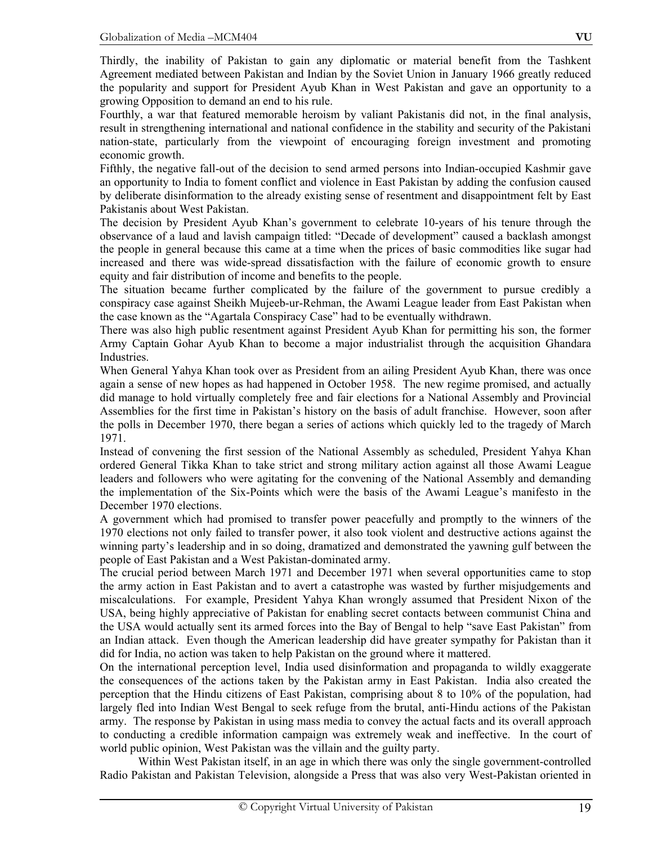Thirdly, the inability of Pakistan to gain any diplomatic or material benefit from the Tashkent Agreement mediated between Pakistan and Indian by the Soviet Union in January 1966 greatly reduced the popularity and support for President Ayub Khan in West Pakistan and gave an opportunity to a growing Opposition to demand an end to his rule.

Fourthly, a war that featured memorable heroism by valiant Pakistanis did not, in the final analysis, result in strengthening international and national confidence in the stability and security of the Pakistani nation-state, particularly from the viewpoint of encouraging foreign investment and promoting economic growth.

Fifthly, the negative fall-out of the decision to send armed persons into Indian-occupied Kashmir gave an opportunity to India to foment conflict and violence in East Pakistan by adding the confusion caused by deliberate disinformation to the already existing sense of resentment and disappointment felt by East Pakistanis about West Pakistan.

The decision by President Ayub Khan's government to celebrate 10-years of his tenure through the observance of a laud and lavish campaign titled: "Decade of development" caused a backlash amongst the people in general because this came at a time when the prices of basic commodities like sugar had increased and there was wide-spread dissatisfaction with the failure of economic growth to ensure equity and fair distribution of income and benefits to the people.

The situation became further complicated by the failure of the government to pursue credibly a conspiracy case against Sheikh Mujeeb-ur-Rehman, the Awami League leader from East Pakistan when the case known as the "Agartala Conspiracy Case" had to be eventually withdrawn.

There was also high public resentment against President Ayub Khan for permitting his son, the former Army Captain Gohar Ayub Khan to become a major industrialist through the acquisition Ghandara Industries.

When General Yahya Khan took over as President from an ailing President Ayub Khan, there was once again a sense of new hopes as had happened in October 1958. The new regime promised, and actually did manage to hold virtually completely free and fair elections for a National Assembly and Provincial Assemblies for the first time in Pakistan's history on the basis of adult franchise. However, soon after the polls in December 1970, there began a series of actions which quickly led to the tragedy of March 1971.

Instead of convening the first session of the National Assembly as scheduled, President Yahya Khan ordered General Tikka Khan to take strict and strong military action against all those Awami League leaders and followers who were agitating for the convening of the National Assembly and demanding the implementation of the Six-Points which were the basis of the Awami League's manifesto in the December 1970 elections.

A government which had promised to transfer power peacefully and promptly to the winners of the 1970 elections not only failed to transfer power, it also took violent and destructive actions against the winning party's leadership and in so doing, dramatized and demonstrated the yawning gulf between the people of East Pakistan and a West Pakistan-dominated army.

The crucial period between March 1971 and December 1971 when several opportunities came to stop the army action in East Pakistan and to avert a catastrophe was wasted by further misjudgements and miscalculations. For example, President Yahya Khan wrongly assumed that President Nixon of the USA, being highly appreciative of Pakistan for enabling secret contacts between communist China and the USA would actually sent its armed forces into the Bay of Bengal to help "save East Pakistan" from an Indian attack. Even though the American leadership did have greater sympathy for Pakistan than it did for India, no action was taken to help Pakistan on the ground where it mattered.

On the international perception level, India used disinformation and propaganda to wildly exaggerate the consequences of the actions taken by the Pakistan army in East Pakistan. India also created the perception that the Hindu citizens of East Pakistan, comprising about 8 to 10% of the population, had largely fled into Indian West Bengal to seek refuge from the brutal, anti-Hindu actions of the Pakistan army. The response by Pakistan in using mass media to convey the actual facts and its overall approach to conducting a credible information campaign was extremely weak and ineffective. In the court of world public opinion, West Pakistan was the villain and the guilty party.

 Within West Pakistan itself, in an age in which there was only the single government-controlled Radio Pakistan and Pakistan Television, alongside a Press that was also very West-Pakistan oriented in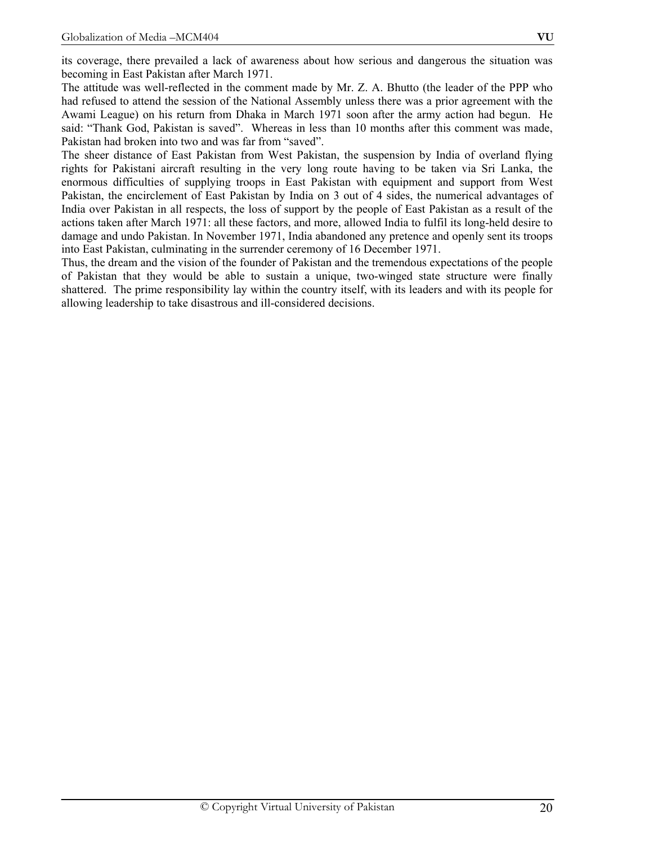its coverage, there prevailed a lack of awareness about how serious and dangerous the situation was becoming in East Pakistan after March 1971.

The attitude was well-reflected in the comment made by Mr. Z. A. Bhutto (the leader of the PPP who had refused to attend the session of the National Assembly unless there was a prior agreement with the Awami League) on his return from Dhaka in March 1971 soon after the army action had begun. He said: "Thank God, Pakistan is saved". Whereas in less than 10 months after this comment was made, Pakistan had broken into two and was far from "saved".

The sheer distance of East Pakistan from West Pakistan, the suspension by India of overland flying rights for Pakistani aircraft resulting in the very long route having to be taken via Sri Lanka, the enormous difficulties of supplying troops in East Pakistan with equipment and support from West Pakistan, the encirclement of East Pakistan by India on 3 out of 4 sides, the numerical advantages of India over Pakistan in all respects, the loss of support by the people of East Pakistan as a result of the actions taken after March 1971: all these factors, and more, allowed India to fulfil its long-held desire to damage and undo Pakistan. In November 1971, India abandoned any pretence and openly sent its troops into East Pakistan, culminating in the surrender ceremony of 16 December 1971.

Thus, the dream and the vision of the founder of Pakistan and the tremendous expectations of the people of Pakistan that they would be able to sustain a unique, two-winged state structure were finally shattered. The prime responsibility lay within the country itself, with its leaders and with its people for allowing leadership to take disastrous and ill-considered decisions.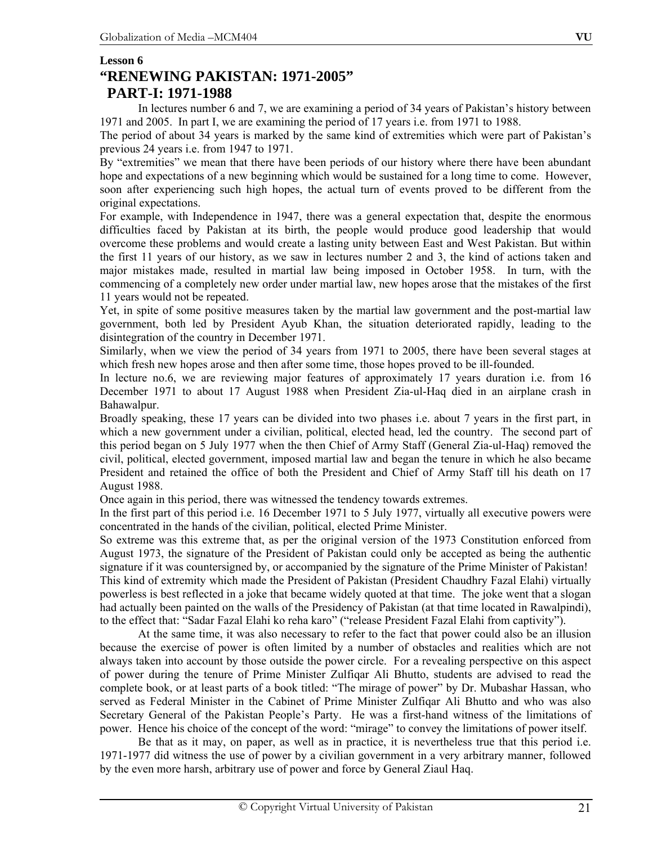#### **Lesson 6**

## **"RENEWING PAKISTAN: 1971-2005"**

## **PART-I: 1971-1988**

 In lectures number 6 and 7, we are examining a period of 34 years of Pakistan's history between 1971 and 2005. In part I, we are examining the period of 17 years i.e. from 1971 to 1988.

The period of about 34 years is marked by the same kind of extremities which were part of Pakistan's previous 24 years i.e. from 1947 to 1971.

By "extremities" we mean that there have been periods of our history where there have been abundant hope and expectations of a new beginning which would be sustained for a long time to come. However, soon after experiencing such high hopes, the actual turn of events proved to be different from the original expectations.

For example, with Independence in 1947, there was a general expectation that, despite the enormous difficulties faced by Pakistan at its birth, the people would produce good leadership that would overcome these problems and would create a lasting unity between East and West Pakistan. But within the first 11 years of our history, as we saw in lectures number 2 and 3, the kind of actions taken and major mistakes made, resulted in martial law being imposed in October 1958. In turn, with the commencing of a completely new order under martial law, new hopes arose that the mistakes of the first 11 years would not be repeated.

Yet, in spite of some positive measures taken by the martial law government and the post-martial law government, both led by President Ayub Khan, the situation deteriorated rapidly, leading to the disintegration of the country in December 1971.

Similarly, when we view the period of 34 years from 1971 to 2005, there have been several stages at which fresh new hopes arose and then after some time, those hopes proved to be ill-founded.

In lecture no.6, we are reviewing major features of approximately 17 years duration i.e. from 16 December 1971 to about 17 August 1988 when President Zia-ul-Haq died in an airplane crash in Bahawalpur.

Broadly speaking, these 17 years can be divided into two phases i.e. about 7 years in the first part, in which a new government under a civilian, political, elected head, led the country. The second part of this period began on 5 July 1977 when the then Chief of Army Staff (General Zia-ul-Haq) removed the civil, political, elected government, imposed martial law and began the tenure in which he also became President and retained the office of both the President and Chief of Army Staff till his death on 17 August 1988.

Once again in this period, there was witnessed the tendency towards extremes.

In the first part of this period i.e. 16 December 1971 to 5 July 1977, virtually all executive powers were concentrated in the hands of the civilian, political, elected Prime Minister.

So extreme was this extreme that, as per the original version of the 1973 Constitution enforced from August 1973, the signature of the President of Pakistan could only be accepted as being the authentic signature if it was countersigned by, or accompanied by the signature of the Prime Minister of Pakistan! This kind of extremity which made the President of Pakistan (President Chaudhry Fazal Elahi) virtually powerless is best reflected in a joke that became widely quoted at that time. The joke went that a slogan had actually been painted on the walls of the Presidency of Pakistan (at that time located in Rawalpindi), to the effect that: "Sadar Fazal Elahi ko reha karo" ("release President Fazal Elahi from captivity").

 At the same time, it was also necessary to refer to the fact that power could also be an illusion because the exercise of power is often limited by a number of obstacles and realities which are not always taken into account by those outside the power circle. For a revealing perspective on this aspect of power during the tenure of Prime Minister Zulfiqar Ali Bhutto, students are advised to read the complete book, or at least parts of a book titled: "The mirage of power" by Dr. Mubashar Hassan, who served as Federal Minister in the Cabinet of Prime Minister Zulfiqar Ali Bhutto and who was also Secretary General of the Pakistan People's Party. He was a first-hand witness of the limitations of power. Hence his choice of the concept of the word: "mirage" to convey the limitations of power itself.

 Be that as it may, on paper, as well as in practice, it is nevertheless true that this period i.e. 1971-1977 did witness the use of power by a civilian government in a very arbitrary manner, followed by the even more harsh, arbitrary use of power and force by General Ziaul Haq.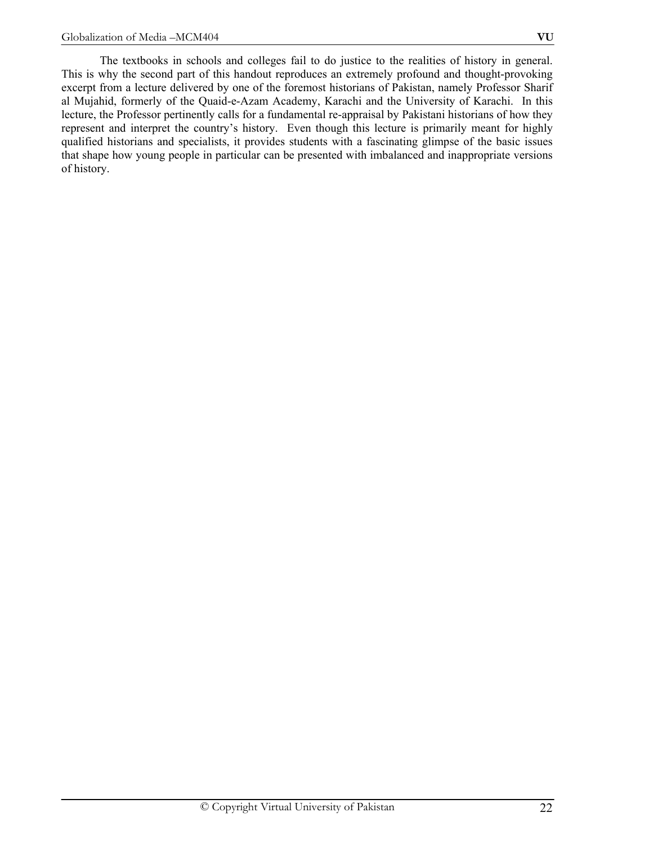The textbooks in schools and colleges fail to do justice to the realities of history in general. This is why the second part of this handout reproduces an extremely profound and thought-provoking excerpt from a lecture delivered by one of the foremost historians of Pakistan, namely Professor Sharif al Mujahid, formerly of the Quaid-e-Azam Academy, Karachi and the University of Karachi. In this lecture, the Professor pertinently calls for a fundamental re-appraisal by Pakistani historians of how they represent and interpret the country's history. Even though this lecture is primarily meant for highly qualified historians and specialists, it provides students with a fascinating glimpse of the basic issues that shape how young people in particular can be presented with imbalanced and inappropriate versions of history.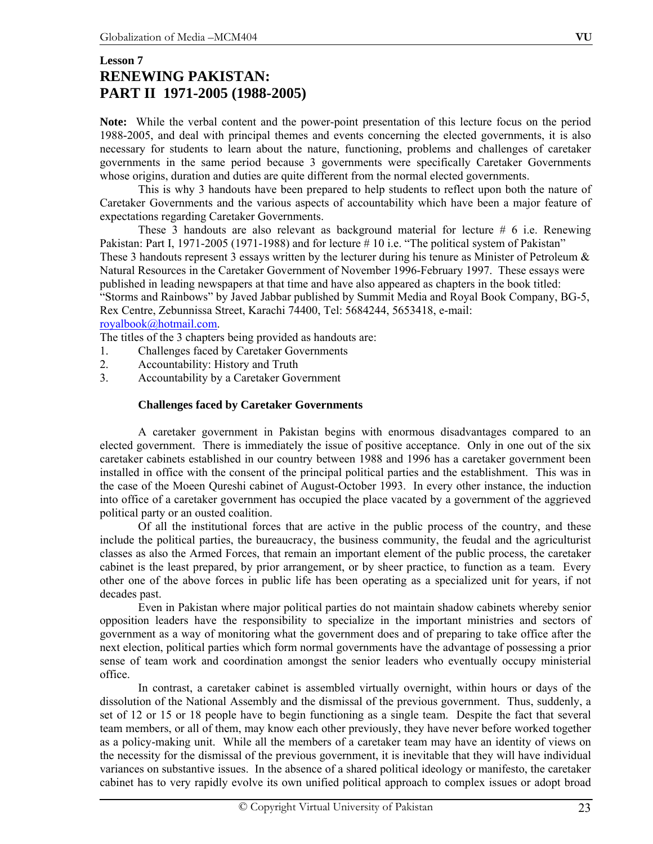# **Lesson 7 RENEWING PAKISTAN: PART II 1971-2005 (1988-2005)**

**Note:** While the verbal content and the power-point presentation of this lecture focus on the period 1988-2005, and deal with principal themes and events concerning the elected governments, it is also necessary for students to learn about the nature, functioning, problems and challenges of caretaker governments in the same period because 3 governments were specifically Caretaker Governments whose origins, duration and duties are quite different from the normal elected governments.

 This is why 3 handouts have been prepared to help students to reflect upon both the nature of Caretaker Governments and the various aspects of accountability which have been a major feature of expectations regarding Caretaker Governments.

These 3 handouts are also relevant as background material for lecture  $# 6$  i.e. Renewing Pakistan: Part I, 1971-2005 (1971-1988) and for lecture #10 i.e. "The political system of Pakistan" These 3 handouts represent 3 essays written by the lecturer during his tenure as Minister of Petroleum & Natural Resources in the Caretaker Government of November 1996-February 1997. These essays were published in leading newspapers at that time and have also appeared as chapters in the book titled: "Storms and Rainbows" by Javed Jabbar published by Summit Media and Royal Book Company, BG-5, Rex Centre, Zebunnissa Street, Karachi 74400, Tel: 5684244, 5653418, e-mail: royalbook@hotmail.com.

The titles of the 3 chapters being provided as handouts are:

- 1. Challenges faced by Caretaker Governments
- 2. Accountability: History and Truth
- 3. Accountability by a Caretaker Government

#### **Challenges faced by Caretaker Governments**

 A caretaker government in Pakistan begins with enormous disadvantages compared to an elected government. There is immediately the issue of positive acceptance. Only in one out of the six caretaker cabinets established in our country between 1988 and 1996 has a caretaker government been installed in office with the consent of the principal political parties and the establishment. This was in the case of the Moeen Qureshi cabinet of August-October 1993. In every other instance, the induction into office of a caretaker government has occupied the place vacated by a government of the aggrieved political party or an ousted coalition.

 Of all the institutional forces that are active in the public process of the country, and these include the political parties, the bureaucracy, the business community, the feudal and the agriculturist classes as also the Armed Forces, that remain an important element of the public process, the caretaker cabinet is the least prepared, by prior arrangement, or by sheer practice, to function as a team. Every other one of the above forces in public life has been operating as a specialized unit for years, if not decades past.

 Even in Pakistan where major political parties do not maintain shadow cabinets whereby senior opposition leaders have the responsibility to specialize in the important ministries and sectors of government as a way of monitoring what the government does and of preparing to take office after the next election, political parties which form normal governments have the advantage of possessing a prior sense of team work and coordination amongst the senior leaders who eventually occupy ministerial office.

 In contrast, a caretaker cabinet is assembled virtually overnight, within hours or days of the dissolution of the National Assembly and the dismissal of the previous government. Thus, suddenly, a set of 12 or 15 or 18 people have to begin functioning as a single team. Despite the fact that several team members, or all of them, may know each other previously, they have never before worked together as a policy-making unit. While all the members of a caretaker team may have an identity of views on the necessity for the dismissal of the previous government, it is inevitable that they will have individual variances on substantive issues. In the absence of a shared political ideology or manifesto, the caretaker cabinet has to very rapidly evolve its own unified political approach to complex issues or adopt broad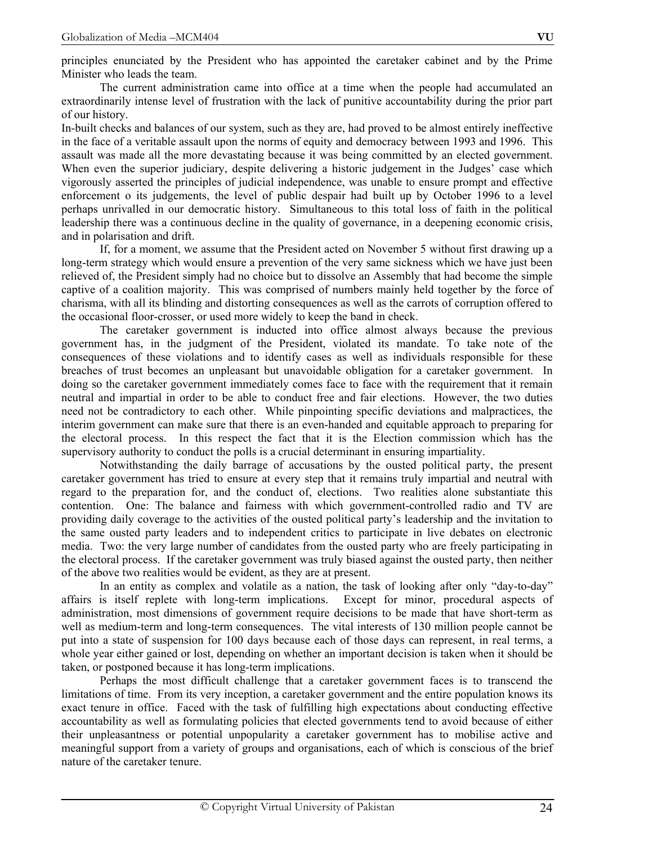The current administration came into office at a time when the people had accumulated an extraordinarily intense level of frustration with the lack of punitive accountability during the prior part of our history.

In-built checks and balances of our system, such as they are, had proved to be almost entirely ineffective in the face of a veritable assault upon the norms of equity and democracy between 1993 and 1996. This assault was made all the more devastating because it was being committed by an elected government. When even the superior judiciary, despite delivering a historic judgement in the Judges' case which vigorously asserted the principles of judicial independence, was unable to ensure prompt and effective enforcement o its judgements, the level of public despair had built up by October 1996 to a level perhaps unrivalled in our democratic history. Simultaneous to this total loss of faith in the political leadership there was a continuous decline in the quality of governance, in a deepening economic crisis, and in polarisation and drift.

 If, for a moment, we assume that the President acted on November 5 without first drawing up a long-term strategy which would ensure a prevention of the very same sickness which we have just been relieved of, the President simply had no choice but to dissolve an Assembly that had become the simple captive of a coalition majority. This was comprised of numbers mainly held together by the force of charisma, with all its blinding and distorting consequences as well as the carrots of corruption offered to the occasional floor-crosser, or used more widely to keep the band in check.

 The caretaker government is inducted into office almost always because the previous government has, in the judgment of the President, violated its mandate. To take note of the consequences of these violations and to identify cases as well as individuals responsible for these breaches of trust becomes an unpleasant but unavoidable obligation for a caretaker government. In doing so the caretaker government immediately comes face to face with the requirement that it remain neutral and impartial in order to be able to conduct free and fair elections. However, the two duties need not be contradictory to each other. While pinpointing specific deviations and malpractices, the interim government can make sure that there is an even-handed and equitable approach to preparing for the electoral process. In this respect the fact that it is the Election commission which has the supervisory authority to conduct the polls is a crucial determinant in ensuring impartiality.

 Notwithstanding the daily barrage of accusations by the ousted political party, the present caretaker government has tried to ensure at every step that it remains truly impartial and neutral with regard to the preparation for, and the conduct of, elections. Two realities alone substantiate this contention. One: The balance and fairness with which government-controlled radio and TV are providing daily coverage to the activities of the ousted political party's leadership and the invitation to the same ousted party leaders and to independent critics to participate in live debates on electronic media. Two: the very large number of candidates from the ousted party who are freely participating in the electoral process. If the caretaker government was truly biased against the ousted party, then neither of the above two realities would be evident, as they are at present.

 In an entity as complex and volatile as a nation, the task of looking after only "day-to-day" affairs is itself replete with long-term implications. Except for minor, procedural aspects of administration, most dimensions of government require decisions to be made that have short-term as well as medium-term and long-term consequences. The vital interests of 130 million people cannot be put into a state of suspension for 100 days because each of those days can represent, in real terms, a whole year either gained or lost, depending on whether an important decision is taken when it should be taken, or postponed because it has long-term implications.

 Perhaps the most difficult challenge that a caretaker government faces is to transcend the limitations of time. From its very inception, a caretaker government and the entire population knows its exact tenure in office. Faced with the task of fulfilling high expectations about conducting effective accountability as well as formulating policies that elected governments tend to avoid because of either their unpleasantness or potential unpopularity a caretaker government has to mobilise active and meaningful support from a variety of groups and organisations, each of which is conscious of the brief nature of the caretaker tenure.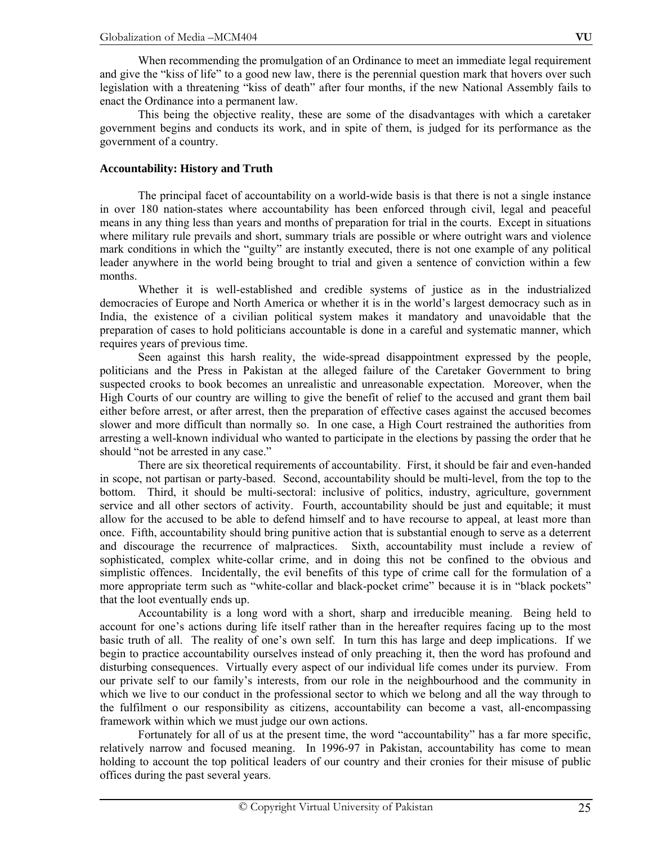This being the objective reality, these are some of the disadvantages with which a caretaker government begins and conducts its work, and in spite of them, is judged for its performance as the government of a country.

## **Accountability: History and Truth**

 The principal facet of accountability on a world-wide basis is that there is not a single instance in over 180 nation-states where accountability has been enforced through civil, legal and peaceful means in any thing less than years and months of preparation for trial in the courts. Except in situations where military rule prevails and short, summary trials are possible or where outright wars and violence mark conditions in which the "guilty" are instantly executed, there is not one example of any political leader anywhere in the world being brought to trial and given a sentence of conviction within a few months.

 Whether it is well-established and credible systems of justice as in the industrialized democracies of Europe and North America or whether it is in the world's largest democracy such as in India, the existence of a civilian political system makes it mandatory and unavoidable that the preparation of cases to hold politicians accountable is done in a careful and systematic manner, which requires years of previous time.

 Seen against this harsh reality, the wide-spread disappointment expressed by the people, politicians and the Press in Pakistan at the alleged failure of the Caretaker Government to bring suspected crooks to book becomes an unrealistic and unreasonable expectation. Moreover, when the High Courts of our country are willing to give the benefit of relief to the accused and grant them bail either before arrest, or after arrest, then the preparation of effective cases against the accused becomes slower and more difficult than normally so. In one case, a High Court restrained the authorities from arresting a well-known individual who wanted to participate in the elections by passing the order that he should "not be arrested in any case."

 There are six theoretical requirements of accountability. First, it should be fair and even-handed in scope, not partisan or party-based. Second, accountability should be multi-level, from the top to the bottom. Third, it should be multi-sectoral: inclusive of politics, industry, agriculture, government service and all other sectors of activity. Fourth, accountability should be just and equitable; it must allow for the accused to be able to defend himself and to have recourse to appeal, at least more than once. Fifth, accountability should bring punitive action that is substantial enough to serve as a deterrent and discourage the recurrence of malpractices. Sixth, accountability must include a review of sophisticated, complex white-collar crime, and in doing this not be confined to the obvious and simplistic offences. Incidentally, the evil benefits of this type of crime call for the formulation of a more appropriate term such as "white-collar and black-pocket crime" because it is in "black pockets" that the loot eventually ends up.

 Accountability is a long word with a short, sharp and irreducible meaning. Being held to account for one's actions during life itself rather than in the hereafter requires facing up to the most basic truth of all. The reality of one's own self. In turn this has large and deep implications. If we begin to practice accountability ourselves instead of only preaching it, then the word has profound and disturbing consequences. Virtually every aspect of our individual life comes under its purview. From our private self to our family's interests, from our role in the neighbourhood and the community in which we live to our conduct in the professional sector to which we belong and all the way through to the fulfilment o our responsibility as citizens, accountability can become a vast, all-encompassing framework within which we must judge our own actions.

 Fortunately for all of us at the present time, the word "accountability" has a far more specific, relatively narrow and focused meaning. In 1996-97 in Pakistan, accountability has come to mean holding to account the top political leaders of our country and their cronies for their misuse of public offices during the past several years.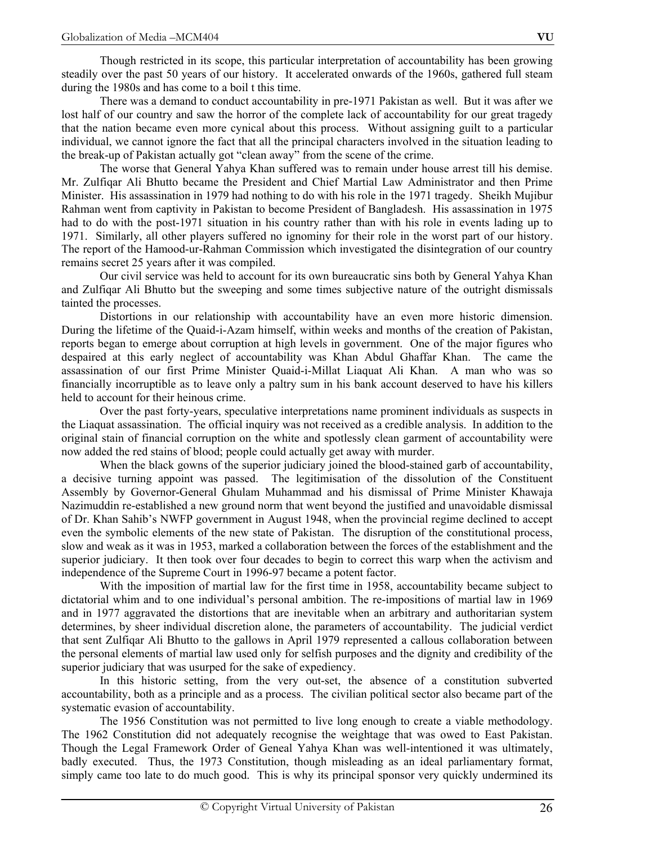Though restricted in its scope, this particular interpretation of accountability has been growing steadily over the past 50 years of our history. It accelerated onwards of the 1960s, gathered full steam during the 1980s and has come to a boil t this time.

 There was a demand to conduct accountability in pre-1971 Pakistan as well. But it was after we lost half of our country and saw the horror of the complete lack of accountability for our great tragedy that the nation became even more cynical about this process. Without assigning guilt to a particular individual, we cannot ignore the fact that all the principal characters involved in the situation leading to the break-up of Pakistan actually got "clean away" from the scene of the crime.

 The worse that General Yahya Khan suffered was to remain under house arrest till his demise. Mr. Zulfiqar Ali Bhutto became the President and Chief Martial Law Administrator and then Prime Minister. His assassination in 1979 had nothing to do with his role in the 1971 tragedy. Sheikh Mujibur Rahman went from captivity in Pakistan to become President of Bangladesh. His assassination in 1975 had to do with the post-1971 situation in his country rather than with his role in events lading up to 1971. Similarly, all other players suffered no ignominy for their role in the worst part of our history. The report of the Hamood-ur-Rahman Commission which investigated the disintegration of our country remains secret 25 years after it was compiled.

 Our civil service was held to account for its own bureaucratic sins both by General Yahya Khan and Zulfiqar Ali Bhutto but the sweeping and some times subjective nature of the outright dismissals tainted the processes.

 Distortions in our relationship with accountability have an even more historic dimension. During the lifetime of the Quaid-i-Azam himself, within weeks and months of the creation of Pakistan, reports began to emerge about corruption at high levels in government. One of the major figures who despaired at this early neglect of accountability was Khan Abdul Ghaffar Khan. The came the assassination of our first Prime Minister Quaid-i-Millat Liaquat Ali Khan. A man who was so financially incorruptible as to leave only a paltry sum in his bank account deserved to have his killers held to account for their heinous crime.

 Over the past forty-years, speculative interpretations name prominent individuals as suspects in the Liaquat assassination. The official inquiry was not received as a credible analysis. In addition to the original stain of financial corruption on the white and spotlessly clean garment of accountability were now added the red stains of blood; people could actually get away with murder.

 When the black gowns of the superior judiciary joined the blood-stained garb of accountability, a decisive turning appoint was passed. The legitimisation of the dissolution of the Constituent Assembly by Governor-General Ghulam Muhammad and his dismissal of Prime Minister Khawaja Nazimuddin re-established a new ground norm that went beyond the justified and unavoidable dismissal of Dr. Khan Sahib's NWFP government in August 1948, when the provincial regime declined to accept even the symbolic elements of the new state of Pakistan. The disruption of the constitutional process, slow and weak as it was in 1953, marked a collaboration between the forces of the establishment and the superior judiciary. It then took over four decades to begin to correct this warp when the activism and independence of the Supreme Court in 1996-97 became a potent factor.

 With the imposition of martial law for the first time in 1958, accountability became subject to dictatorial whim and to one individual's personal ambition. The re-impositions of martial law in 1969 and in 1977 aggravated the distortions that are inevitable when an arbitrary and authoritarian system determines, by sheer individual discretion alone, the parameters of accountability. The judicial verdict that sent Zulfiqar Ali Bhutto to the gallows in April 1979 represented a callous collaboration between the personal elements of martial law used only for selfish purposes and the dignity and credibility of the superior judiciary that was usurped for the sake of expediency.

 In this historic setting, from the very out-set, the absence of a constitution subverted accountability, both as a principle and as a process. The civilian political sector also became part of the systematic evasion of accountability.

 The 1956 Constitution was not permitted to live long enough to create a viable methodology. The 1962 Constitution did not adequately recognise the weightage that was owed to East Pakistan. Though the Legal Framework Order of Geneal Yahya Khan was well-intentioned it was ultimately, badly executed. Thus, the 1973 Constitution, though misleading as an ideal parliamentary format, simply came too late to do much good. This is why its principal sponsor very quickly undermined its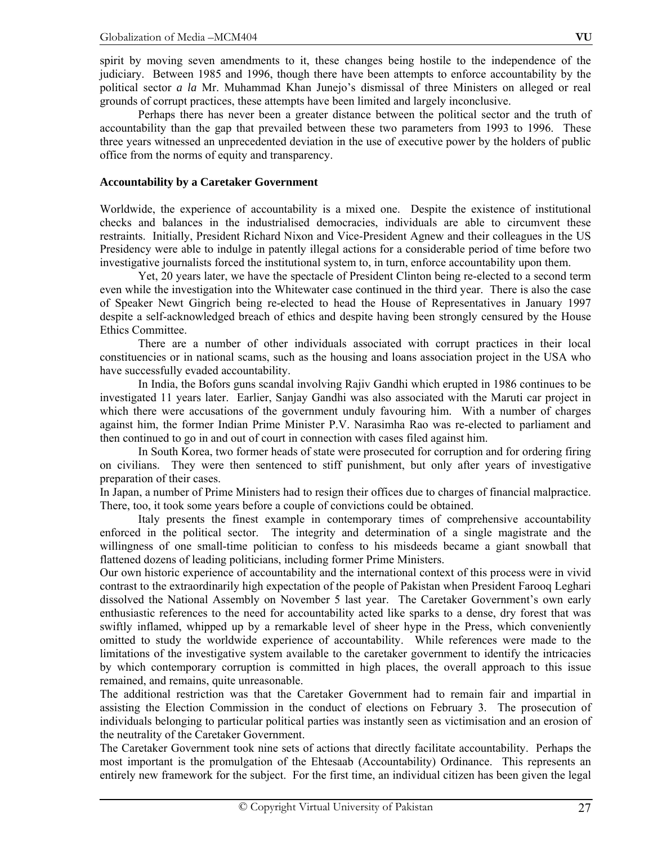spirit by moving seven amendments to it, these changes being hostile to the independence of the judiciary. Between 1985 and 1996, though there have been attempts to enforce accountability by the political sector *a la* Mr. Muhammad Khan Junejo's dismissal of three Ministers on alleged or real grounds of corrupt practices, these attempts have been limited and largely inconclusive.

 Perhaps there has never been a greater distance between the political sector and the truth of accountability than the gap that prevailed between these two parameters from 1993 to 1996. These three years witnessed an unprecedented deviation in the use of executive power by the holders of public office from the norms of equity and transparency.

## **Accountability by a Caretaker Government**

Worldwide, the experience of accountability is a mixed one. Despite the existence of institutional checks and balances in the industrialised democracies, individuals are able to circumvent these restraints. Initially, President Richard Nixon and Vice-President Agnew and their colleagues in the US Presidency were able to indulge in patently illegal actions for a considerable period of time before two investigative journalists forced the institutional system to, in turn, enforce accountability upon them.

 Yet, 20 years later, we have the spectacle of President Clinton being re-elected to a second term even while the investigation into the Whitewater case continued in the third year. There is also the case of Speaker Newt Gingrich being re-elected to head the House of Representatives in January 1997 despite a self-acknowledged breach of ethics and despite having been strongly censured by the House Ethics Committee.

 There are a number of other individuals associated with corrupt practices in their local constituencies or in national scams, such as the housing and loans association project in the USA who have successfully evaded accountability.

 In India, the Bofors guns scandal involving Rajiv Gandhi which erupted in 1986 continues to be investigated 11 years later. Earlier, Sanjay Gandhi was also associated with the Maruti car project in which there were accusations of the government unduly favouring him. With a number of charges against him, the former Indian Prime Minister P.V. Narasimha Rao was re-elected to parliament and then continued to go in and out of court in connection with cases filed against him.

 In South Korea, two former heads of state were prosecuted for corruption and for ordering firing on civilians. They were then sentenced to stiff punishment, but only after years of investigative preparation of their cases.

In Japan, a number of Prime Ministers had to resign their offices due to charges of financial malpractice. There, too, it took some years before a couple of convictions could be obtained.

 Italy presents the finest example in contemporary times of comprehensive accountability enforced in the political sector. The integrity and determination of a single magistrate and the willingness of one small-time politician to confess to his misdeeds became a giant snowball that flattened dozens of leading politicians, including former Prime Ministers.

Our own historic experience of accountability and the international context of this process were in vivid contrast to the extraordinarily high expectation of the people of Pakistan when President Farooq Leghari dissolved the National Assembly on November 5 last year. The Caretaker Government's own early enthusiastic references to the need for accountability acted like sparks to a dense, dry forest that was swiftly inflamed, whipped up by a remarkable level of sheer hype in the Press, which conveniently omitted to study the worldwide experience of accountability. While references were made to the limitations of the investigative system available to the caretaker government to identify the intricacies by which contemporary corruption is committed in high places, the overall approach to this issue remained, and remains, quite unreasonable.

The additional restriction was that the Caretaker Government had to remain fair and impartial in assisting the Election Commission in the conduct of elections on February 3. The prosecution of individuals belonging to particular political parties was instantly seen as victimisation and an erosion of the neutrality of the Caretaker Government.

The Caretaker Government took nine sets of actions that directly facilitate accountability. Perhaps the most important is the promulgation of the Ehtesaab (Accountability) Ordinance. This represents an entirely new framework for the subject. For the first time, an individual citizen has been given the legal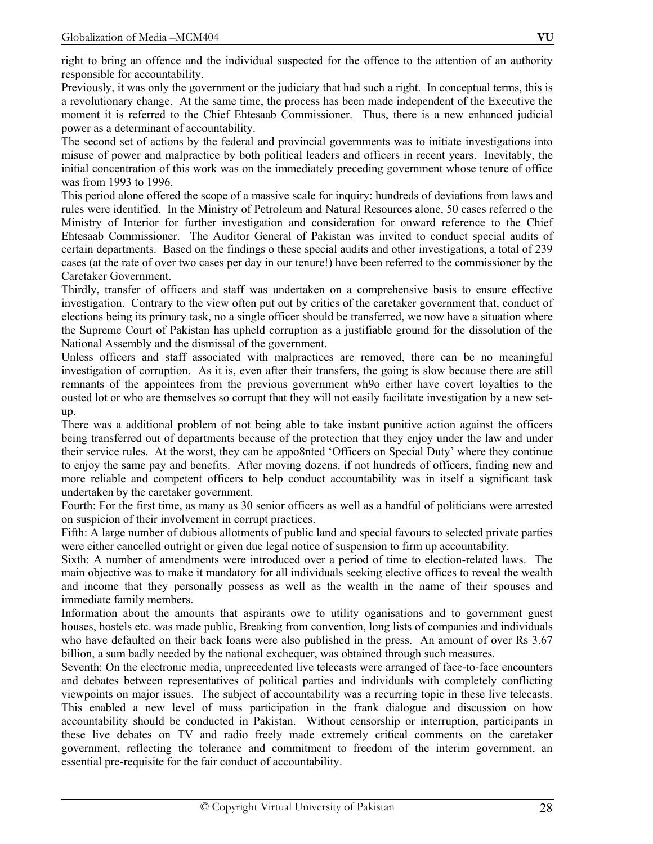Previously, it was only the government or the judiciary that had such a right. In conceptual terms, this is a revolutionary change. At the same time, the process has been made independent of the Executive the moment it is referred to the Chief Ehtesaab Commissioner. Thus, there is a new enhanced judicial power as a determinant of accountability.

The second set of actions by the federal and provincial governments was to initiate investigations into misuse of power and malpractice by both political leaders and officers in recent years. Inevitably, the initial concentration of this work was on the immediately preceding government whose tenure of office was from 1993 to 1996.

This period alone offered the scope of a massive scale for inquiry: hundreds of deviations from laws and rules were identified. In the Ministry of Petroleum and Natural Resources alone, 50 cases referred o the Ministry of Interior for further investigation and consideration for onward reference to the Chief Ehtesaab Commissioner. The Auditor General of Pakistan was invited to conduct special audits of certain departments. Based on the findings o these special audits and other investigations, a total of 239 cases (at the rate of over two cases per day in our tenure!) have been referred to the commissioner by the Caretaker Government.

Thirdly, transfer of officers and staff was undertaken on a comprehensive basis to ensure effective investigation. Contrary to the view often put out by critics of the caretaker government that, conduct of elections being its primary task, no a single officer should be transferred, we now have a situation where the Supreme Court of Pakistan has upheld corruption as a justifiable ground for the dissolution of the National Assembly and the dismissal of the government.

Unless officers and staff associated with malpractices are removed, there can be no meaningful investigation of corruption. As it is, even after their transfers, the going is slow because there are still remnants of the appointees from the previous government wh9o either have covert loyalties to the ousted lot or who are themselves so corrupt that they will not easily facilitate investigation by a new setup.

There was a additional problem of not being able to take instant punitive action against the officers being transferred out of departments because of the protection that they enjoy under the law and under their service rules. At the worst, they can be appo8nted 'Officers on Special Duty' where they continue to enjoy the same pay and benefits. After moving dozens, if not hundreds of officers, finding new and more reliable and competent officers to help conduct accountability was in itself a significant task undertaken by the caretaker government.

Fourth: For the first time, as many as 30 senior officers as well as a handful of politicians were arrested on suspicion of their involvement in corrupt practices.

Fifth: A large number of dubious allotments of public land and special favours to selected private parties were either cancelled outright or given due legal notice of suspension to firm up accountability.

Sixth: A number of amendments were introduced over a period of time to election-related laws. The main objective was to make it mandatory for all individuals seeking elective offices to reveal the wealth and income that they personally possess as well as the wealth in the name of their spouses and immediate family members.

Information about the amounts that aspirants owe to utility oganisations and to government guest houses, hostels etc. was made public, Breaking from convention, long lists of companies and individuals who have defaulted on their back loans were also published in the press. An amount of over Rs 3.67 billion, a sum badly needed by the national exchequer, was obtained through such measures.

Seventh: On the electronic media, unprecedented live telecasts were arranged of face-to-face encounters and debates between representatives of political parties and individuals with completely conflicting viewpoints on major issues. The subject of accountability was a recurring topic in these live telecasts. This enabled a new level of mass participation in the frank dialogue and discussion on how accountability should be conducted in Pakistan. Without censorship or interruption, participants in these live debates on TV and radio freely made extremely critical comments on the caretaker government, reflecting the tolerance and commitment to freedom of the interim government, an essential pre-requisite for the fair conduct of accountability.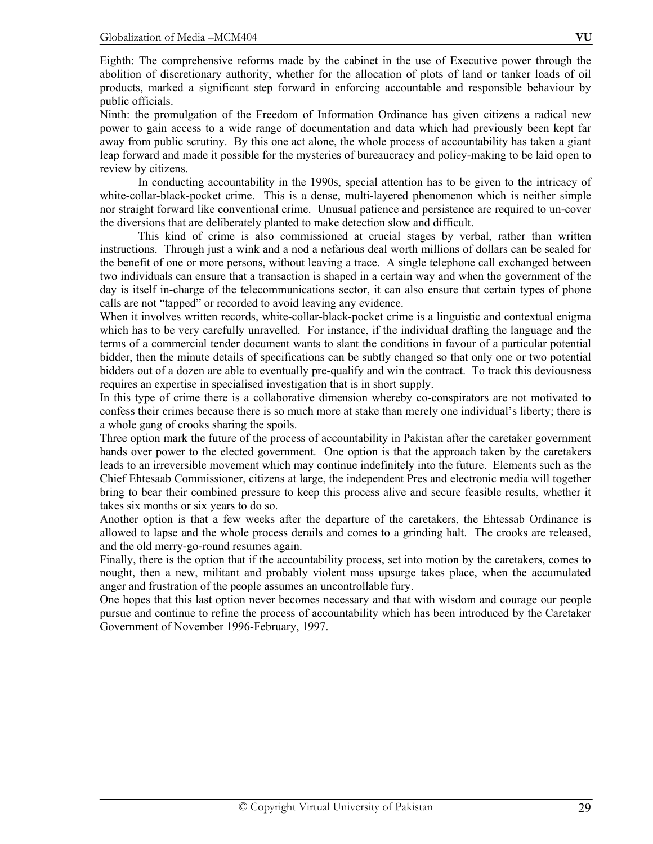Eighth: The comprehensive reforms made by the cabinet in the use of Executive power through the abolition of discretionary authority, whether for the allocation of plots of land or tanker loads of oil products, marked a significant step forward in enforcing accountable and responsible behaviour by public officials.

Ninth: the promulgation of the Freedom of Information Ordinance has given citizens a radical new power to gain access to a wide range of documentation and data which had previously been kept far away from public scrutiny. By this one act alone, the whole process of accountability has taken a giant leap forward and made it possible for the mysteries of bureaucracy and policy-making to be laid open to review by citizens.

 In conducting accountability in the 1990s, special attention has to be given to the intricacy of white-collar-black-pocket crime. This is a dense, multi-layered phenomenon which is neither simple nor straight forward like conventional crime. Unusual patience and persistence are required to un-cover the diversions that are deliberately planted to make detection slow and difficult.

 This kind of crime is also commissioned at crucial stages by verbal, rather than written instructions. Through just a wink and a nod a nefarious deal worth millions of dollars can be sealed for the benefit of one or more persons, without leaving a trace. A single telephone call exchanged between two individuals can ensure that a transaction is shaped in a certain way and when the government of the day is itself in-charge of the telecommunications sector, it can also ensure that certain types of phone calls are not "tapped" or recorded to avoid leaving any evidence.

When it involves written records, white-collar-black-pocket crime is a linguistic and contextual enigma which has to be very carefully unravelled. For instance, if the individual drafting the language and the terms of a commercial tender document wants to slant the conditions in favour of a particular potential bidder, then the minute details of specifications can be subtly changed so that only one or two potential bidders out of a dozen are able to eventually pre-qualify and win the contract. To track this deviousness requires an expertise in specialised investigation that is in short supply.

In this type of crime there is a collaborative dimension whereby co-conspirators are not motivated to confess their crimes because there is so much more at stake than merely one individual's liberty; there is a whole gang of crooks sharing the spoils.

Three option mark the future of the process of accountability in Pakistan after the caretaker government hands over power to the elected government. One option is that the approach taken by the caretakers leads to an irreversible movement which may continue indefinitely into the future. Elements such as the Chief Ehtesaab Commissioner, citizens at large, the independent Pres and electronic media will together bring to bear their combined pressure to keep this process alive and secure feasible results, whether it takes six months or six years to do so.

Another option is that a few weeks after the departure of the caretakers, the Ehtessab Ordinance is allowed to lapse and the whole process derails and comes to a grinding halt. The crooks are released, and the old merry-go-round resumes again.

Finally, there is the option that if the accountability process, set into motion by the caretakers, comes to nought, then a new, militant and probably violent mass upsurge takes place, when the accumulated anger and frustration of the people assumes an uncontrollable fury.

One hopes that this last option never becomes necessary and that with wisdom and courage our people pursue and continue to refine the process of accountability which has been introduced by the Caretaker Government of November 1996-February, 1997.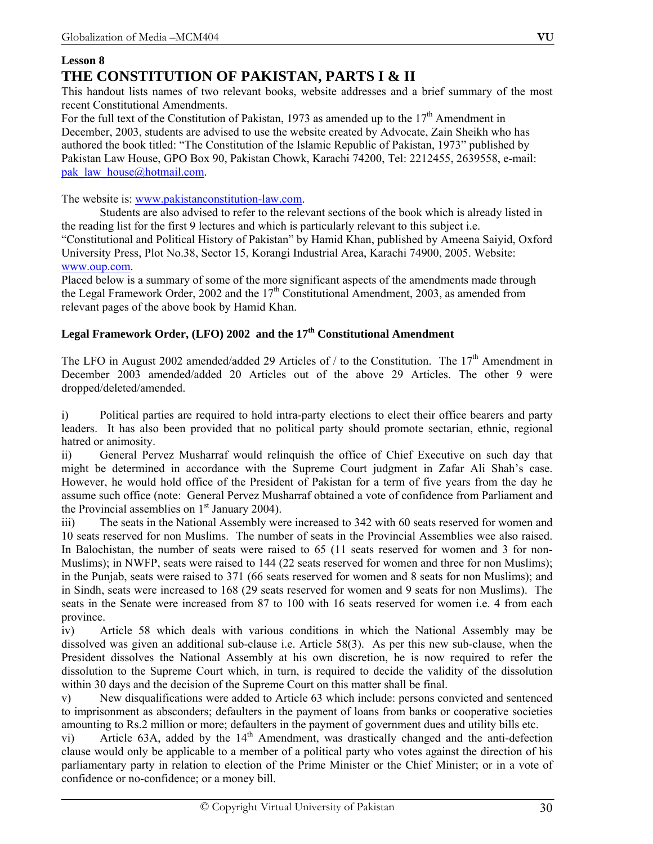# **Lesson 8 THE CONSTITUTION OF PAKISTAN, PARTS I & II**

This handout lists names of two relevant books, website addresses and a brief summary of the most recent Constitutional Amendments.

For the full text of the Constitution of Pakistan, 1973 as amended up to the  $17<sup>th</sup>$  Amendment in December, 2003, students are advised to use the website created by Advocate, Zain Sheikh who has authored the book titled: "The Constitution of the Islamic Republic of Pakistan, 1973" published by Pakistan Law House, GPO Box 90, Pakistan Chowk, Karachi 74200, Tel: 2212455, 2639558, e-mail: pak\_law\_house@hotmail.com.

The website is: www.pakistanconstitution-law.com.

 Students are also advised to refer to the relevant sections of the book which is already listed in the reading list for the first 9 lectures and which is particularly relevant to this subject i.e. "Constitutional and Political History of Pakistan" by Hamid Khan, published by Ameena Saiyid, Oxford University Press, Plot No.38, Sector 15, Korangi Industrial Area, Karachi 74900, 2005. Website: www.oup.com.

Placed below is a summary of some of the more significant aspects of the amendments made through the Legal Framework Order, 2002 and the 17<sup>th</sup> Constitutional Amendment, 2003, as amended from relevant pages of the above book by Hamid Khan.

## Legal Framework Order, (LFO) 2002 and the 17<sup>th</sup> Constitutional Amendment

The LFO in August 2002 amended/added 29 Articles of / to the Constitution. The  $17<sup>th</sup>$  Amendment in December 2003 amended/added 20 Articles out of the above 29 Articles. The other 9 were dropped/deleted/amended.

i) Political parties are required to hold intra-party elections to elect their office bearers and party leaders. It has also been provided that no political party should promote sectarian, ethnic, regional hatred or animosity.

ii) General Pervez Musharraf would relinquish the office of Chief Executive on such day that might be determined in accordance with the Supreme Court judgment in Zafar Ali Shah's case. However, he would hold office of the President of Pakistan for a term of five years from the day he assume such office (note: General Pervez Musharraf obtained a vote of confidence from Parliament and the Provincial assemblies on  $1<sup>st</sup>$  January 2004).

iii) The seats in the National Assembly were increased to 342 with 60 seats reserved for women and 10 seats reserved for non Muslims. The number of seats in the Provincial Assemblies wee also raised. In Balochistan, the number of seats were raised to 65 (11 seats reserved for women and 3 for non-Muslims); in NWFP, seats were raised to 144 (22 seats reserved for women and three for non Muslims); in the Punjab, seats were raised to 371 (66 seats reserved for women and 8 seats for non Muslims); and in Sindh, seats were increased to 168 (29 seats reserved for women and 9 seats for non Muslims). The seats in the Senate were increased from 87 to 100 with 16 seats reserved for women i.e. 4 from each province.

iv) Article 58 which deals with various conditions in which the National Assembly may be dissolved was given an additional sub-clause i.e. Article 58(3). As per this new sub-clause, when the President dissolves the National Assembly at his own discretion, he is now required to refer the dissolution to the Supreme Court which, in turn, is required to decide the validity of the dissolution within 30 days and the decision of the Supreme Court on this matter shall be final.

v) New disqualifications were added to Article 63 which include: persons convicted and sentenced to imprisonment as absconders; defaulters in the payment of loans from banks or cooperative societies amounting to Rs.2 million or more; defaulters in the payment of government dues and utility bills etc.

vi) Article 63A, added by the 14<sup>th</sup> Amendment, was drastically changed and the anti-defection clause would only be applicable to a member of a political party who votes against the direction of his parliamentary party in relation to election of the Prime Minister or the Chief Minister; or in a vote of confidence or no-confidence; or a money bill.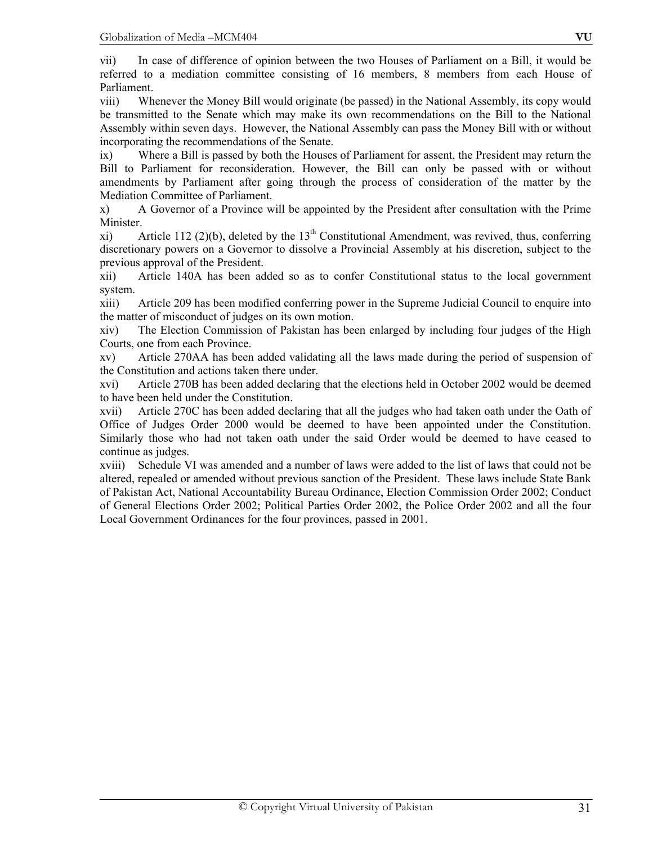vii) In case of difference of opinion between the two Houses of Parliament on a Bill, it would be referred to a mediation committee consisting of 16 members, 8 members from each House of Parliament.

viii) Whenever the Money Bill would originate (be passed) in the National Assembly, its copy would be transmitted to the Senate which may make its own recommendations on the Bill to the National Assembly within seven days. However, the National Assembly can pass the Money Bill with or without incorporating the recommendations of the Senate.

ix) Where a Bill is passed by both the Houses of Parliament for assent, the President may return the Bill to Parliament for reconsideration. However, the Bill can only be passed with or without amendments by Parliament after going through the process of consideration of the matter by the Mediation Committee of Parliament.

x) A Governor of a Province will be appointed by the President after consultation with the Prime Minister.

xi) Article 112 (2)(b), deleted by the  $13<sup>th</sup>$  Constitutional Amendment, was revived, thus, conferring discretionary powers on a Governor to dissolve a Provincial Assembly at his discretion, subject to the previous approval of the President.

xii) Article 140A has been added so as to confer Constitutional status to the local government system.

xiii) Article 209 has been modified conferring power in the Supreme Judicial Council to enquire into the matter of misconduct of judges on its own motion.

xiv) The Election Commission of Pakistan has been enlarged by including four judges of the High Courts, one from each Province.

xv) Article 270AA has been added validating all the laws made during the period of suspension of the Constitution and actions taken there under.

xvi) Article 270B has been added declaring that the elections held in October 2002 would be deemed to have been held under the Constitution.

xvii) Article 270C has been added declaring that all the judges who had taken oath under the Oath of Office of Judges Order 2000 would be deemed to have been appointed under the Constitution. Similarly those who had not taken oath under the said Order would be deemed to have ceased to continue as judges.

xviii) Schedule VI was amended and a number of laws were added to the list of laws that could not be altered, repealed or amended without previous sanction of the President. These laws include State Bank of Pakistan Act, National Accountability Bureau Ordinance, Election Commission Order 2002; Conduct of General Elections Order 2002; Political Parties Order 2002, the Police Order 2002 and all the four Local Government Ordinances for the four provinces, passed in 2001.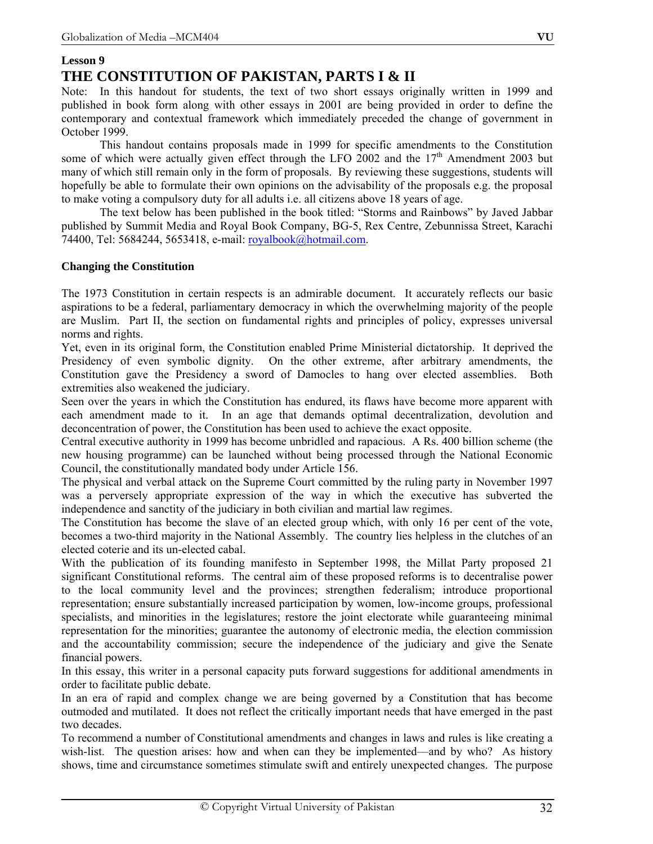#### **Lesson 9**

# **THE CONSTITUTION OF PAKISTAN, PARTS I & II**

Note: In this handout for students, the text of two short essays originally written in 1999 and published in book form along with other essays in 2001 are being provided in order to define the contemporary and contextual framework which immediately preceded the change of government in October 1999.

 This handout contains proposals made in 1999 for specific amendments to the Constitution some of which were actually given effect through the LFO 2002 and the  $17<sup>th</sup>$  Amendment 2003 but many of which still remain only in the form of proposals. By reviewing these suggestions, students will hopefully be able to formulate their own opinions on the advisability of the proposals e.g. the proposal to make voting a compulsory duty for all adults i.e. all citizens above 18 years of age.

 The text below has been published in the book titled: "Storms and Rainbows" by Javed Jabbar published by Summit Media and Royal Book Company, BG-5, Rex Centre, Zebunnissa Street, Karachi 74400, Tel: 5684244, 5653418, e-mail: royalbook@hotmail.com.

#### **Changing the Constitution**

The 1973 Constitution in certain respects is an admirable document. It accurately reflects our basic aspirations to be a federal, parliamentary democracy in which the overwhelming majority of the people are Muslim. Part II, the section on fundamental rights and principles of policy, expresses universal norms and rights.

Yet, even in its original form, the Constitution enabled Prime Ministerial dictatorship. It deprived the Presidency of even symbolic dignity. On the other extreme, after arbitrary amendments, the Constitution gave the Presidency a sword of Damocles to hang over elected assemblies. Both extremities also weakened the judiciary.

Seen over the years in which the Constitution has endured, its flaws have become more apparent with each amendment made to it. In an age that demands optimal decentralization, devolution and deconcentration of power, the Constitution has been used to achieve the exact opposite.

Central executive authority in 1999 has become unbridled and rapacious. A Rs. 400 billion scheme (the new housing programme) can be launched without being processed through the National Economic Council, the constitutionally mandated body under Article 156.

The physical and verbal attack on the Supreme Court committed by the ruling party in November 1997 was a perversely appropriate expression of the way in which the executive has subverted the independence and sanctity of the judiciary in both civilian and martial law regimes.

The Constitution has become the slave of an elected group which, with only 16 per cent of the vote, becomes a two-third majority in the National Assembly. The country lies helpless in the clutches of an elected coterie and its un-elected cabal.

With the publication of its founding manifesto in September 1998, the Millat Party proposed 21 significant Constitutional reforms. The central aim of these proposed reforms is to decentralise power to the local community level and the provinces; strengthen federalism; introduce proportional representation; ensure substantially increased participation by women, low-income groups, professional specialists, and minorities in the legislatures; restore the joint electorate while guaranteeing minimal representation for the minorities; guarantee the autonomy of electronic media, the election commission and the accountability commission; secure the independence of the judiciary and give the Senate financial powers.

In this essay, this writer in a personal capacity puts forward suggestions for additional amendments in order to facilitate public debate.

In an era of rapid and complex change we are being governed by a Constitution that has become outmoded and mutilated. It does not reflect the critically important needs that have emerged in the past two decades.

To recommend a number of Constitutional amendments and changes in laws and rules is like creating a wish-list. The question arises: how and when can they be implemented—and by who? As history shows, time and circumstance sometimes stimulate swift and entirely unexpected changes. The purpose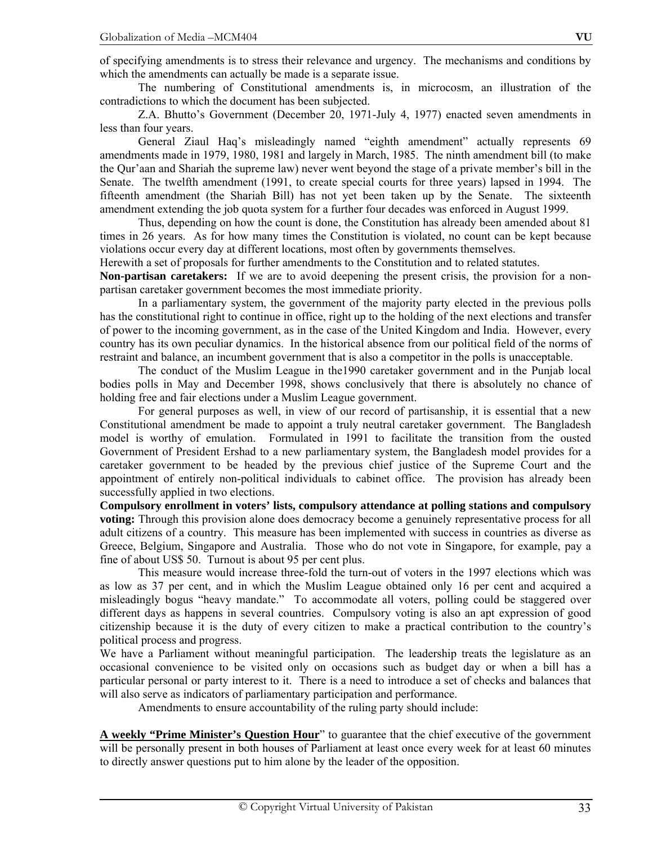The numbering of Constitutional amendments is, in microcosm, an illustration of the contradictions to which the document has been subjected.

 Z.A. Bhutto's Government (December 20, 1971-July 4, 1977) enacted seven amendments in less than four years.

 General Ziaul Haq's misleadingly named "eighth amendment" actually represents 69 amendments made in 1979, 1980, 1981 and largely in March, 1985. The ninth amendment bill (to make the Qur'aan and Shariah the supreme law) never went beyond the stage of a private member's bill in the Senate. The twelfth amendment (1991, to create special courts for three years) lapsed in 1994. The fifteenth amendment (the Shariah Bill) has not yet been taken up by the Senate. The sixteenth amendment extending the job quota system for a further four decades was enforced in August 1999.

 Thus, depending on how the count is done, the Constitution has already been amended about 81 times in 26 years. As for how many times the Constitution is violated, no count can be kept because violations occur every day at different locations, most often by governments themselves.

Herewith a set of proposals for further amendments to the Constitution and to related statutes.

**Non-partisan caretakers:** If we are to avoid deepening the present crisis, the provision for a nonpartisan caretaker government becomes the most immediate priority.

 In a parliamentary system, the government of the majority party elected in the previous polls has the constitutional right to continue in office, right up to the holding of the next elections and transfer of power to the incoming government, as in the case of the United Kingdom and India. However, every country has its own peculiar dynamics. In the historical absence from our political field of the norms of restraint and balance, an incumbent government that is also a competitor in the polls is unacceptable.

 The conduct of the Muslim League in the1990 caretaker government and in the Punjab local bodies polls in May and December 1998, shows conclusively that there is absolutely no chance of holding free and fair elections under a Muslim League government.

 For general purposes as well, in view of our record of partisanship, it is essential that a new Constitutional amendment be made to appoint a truly neutral caretaker government. The Bangladesh model is worthy of emulation. Formulated in 1991 to facilitate the transition from the ousted Government of President Ershad to a new parliamentary system, the Bangladesh model provides for a caretaker government to be headed by the previous chief justice of the Supreme Court and the appointment of entirely non-political individuals to cabinet office. The provision has already been successfully applied in two elections.

**Compulsory enrollment in voters' lists, compulsory attendance at polling stations and compulsory voting:** Through this provision alone does democracy become a genuinely representative process for all adult citizens of a country. This measure has been implemented with success in countries as diverse as Greece, Belgium, Singapore and Australia. Those who do not vote in Singapore, for example, pay a fine of about US\$ 50. Turnout is about 95 per cent plus.

 This measure would increase three-fold the turn-out of voters in the 1997 elections which was as low as 37 per cent, and in which the Muslim League obtained only 16 per cent and acquired a misleadingly bogus "heavy mandate." To accommodate all voters, polling could be staggered over different days as happens in several countries. Compulsory voting is also an apt expression of good citizenship because it is the duty of every citizen to make a practical contribution to the country's political process and progress.

We have a Parliament without meaningful participation. The leadership treats the legislature as an occasional convenience to be visited only on occasions such as budget day or when a bill has a particular personal or party interest to it. There is a need to introduce a set of checks and balances that will also serve as indicators of parliamentary participation and performance.

Amendments to ensure accountability of the ruling party should include:

**A weekly "Prime Minister's Question Hour**" to guarantee that the chief executive of the government will be personally present in both houses of Parliament at least once every week for at least 60 minutes to directly answer questions put to him alone by the leader of the opposition.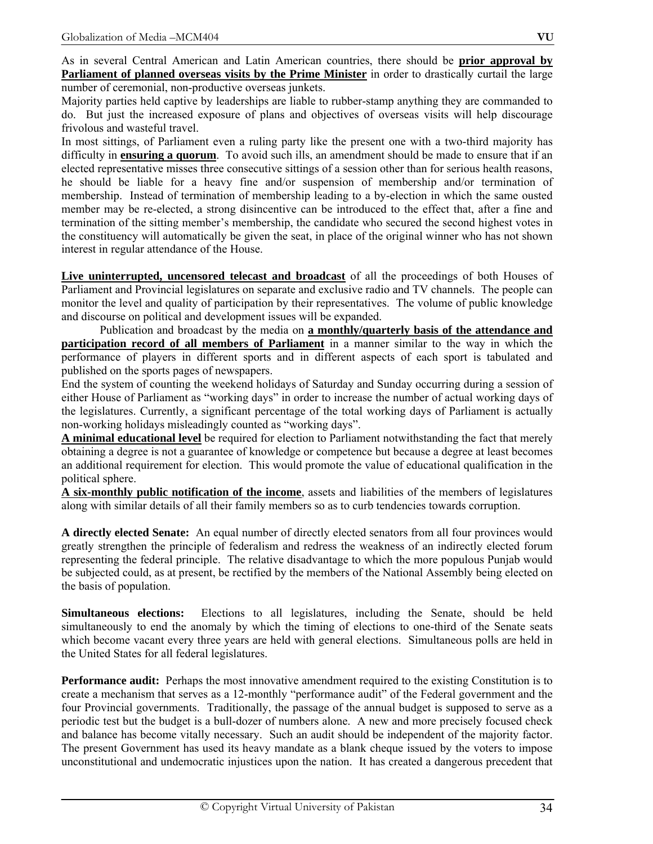Majority parties held captive by leaderships are liable to rubber-stamp anything they are commanded to do. But just the increased exposure of plans and objectives of overseas visits will help discourage frivolous and wasteful travel.

In most sittings, of Parliament even a ruling party like the present one with a two-third majority has difficulty in **ensuring a quorum**. To avoid such ills, an amendment should be made to ensure that if an elected representative misses three consecutive sittings of a session other than for serious health reasons, he should be liable for a heavy fine and/or suspension of membership and/or termination of membership. Instead of termination of membership leading to a by-election in which the same ousted member may be re-elected, a strong disincentive can be introduced to the effect that, after a fine and termination of the sitting member's membership, the candidate who secured the second highest votes in the constituency will automatically be given the seat, in place of the original winner who has not shown interest in regular attendance of the House.

**Live uninterrupted, uncensored telecast and broadcast** of all the proceedings of both Houses of Parliament and Provincial legislatures on separate and exclusive radio and TV channels. The people can monitor the level and quality of participation by their representatives. The volume of public knowledge and discourse on political and development issues will be expanded.

 Publication and broadcast by the media on **a monthly/quarterly basis of the attendance and participation record of all members of Parliament** in a manner similar to the way in which the performance of players in different sports and in different aspects of each sport is tabulated and published on the sports pages of newspapers.

End the system of counting the weekend holidays of Saturday and Sunday occurring during a session of either House of Parliament as "working days" in order to increase the number of actual working days of the legislatures. Currently, a significant percentage of the total working days of Parliament is actually non-working holidays misleadingly counted as "working days".

**A minimal educational level** be required for election to Parliament notwithstanding the fact that merely obtaining a degree is not a guarantee of knowledge or competence but because a degree at least becomes an additional requirement for election. This would promote the value of educational qualification in the political sphere.

**A six-monthly public notification of the income**, assets and liabilities of the members of legislatures along with similar details of all their family members so as to curb tendencies towards corruption.

**A directly elected Senate:** An equal number of directly elected senators from all four provinces would greatly strengthen the principle of federalism and redress the weakness of an indirectly elected forum representing the federal principle. The relative disadvantage to which the more populous Punjab would be subjected could, as at present, be rectified by the members of the National Assembly being elected on the basis of population.

**Simultaneous elections:** Elections to all legislatures, including the Senate, should be held simultaneously to end the anomaly by which the timing of elections to one-third of the Senate seats which become vacant every three years are held with general elections. Simultaneous polls are held in the United States for all federal legislatures.

**Performance audit:** Perhaps the most innovative amendment required to the existing Constitution is to create a mechanism that serves as a 12-monthly "performance audit" of the Federal government and the four Provincial governments. Traditionally, the passage of the annual budget is supposed to serve as a periodic test but the budget is a bull-dozer of numbers alone. A new and more precisely focused check and balance has become vitally necessary. Such an audit should be independent of the majority factor. The present Government has used its heavy mandate as a blank cheque issued by the voters to impose unconstitutional and undemocratic injustices upon the nation. It has created a dangerous precedent that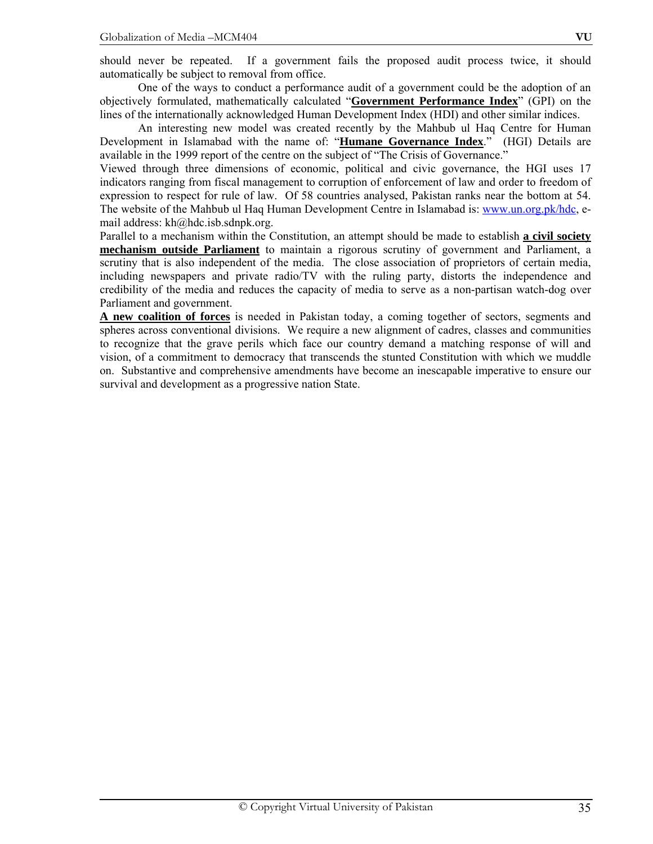One of the ways to conduct a performance audit of a government could be the adoption of an objectively formulated, mathematically calculated "**Government Performance Index**" (GPI) on the lines of the internationally acknowledged Human Development Index (HDI) and other similar indices.

 An interesting new model was created recently by the Mahbub ul Haq Centre for Human Development in Islamabad with the name of: "**Humane Governance Index**." (HGI) Details are available in the 1999 report of the centre on the subject of "The Crisis of Governance."

Viewed through three dimensions of economic, political and civic governance, the HGI uses 17 indicators ranging from fiscal management to corruption of enforcement of law and order to freedom of expression to respect for rule of law. Of 58 countries analysed, Pakistan ranks near the bottom at 54. The website of the Mahbub ul Haq Human Development Centre in Islamabad is: www.un.org.pk/hdc, email address: kh@hdc.isb.sdnpk.org.

Parallel to a mechanism within the Constitution, an attempt should be made to establish **a civil society mechanism outside Parliament** to maintain a rigorous scrutiny of government and Parliament, a scrutiny that is also independent of the media. The close association of proprietors of certain media, including newspapers and private radio/TV with the ruling party, distorts the independence and credibility of the media and reduces the capacity of media to serve as a non-partisan watch-dog over Parliament and government.

**A new coalition of forces** is needed in Pakistan today, a coming together of sectors, segments and spheres across conventional divisions. We require a new alignment of cadres, classes and communities to recognize that the grave perils which face our country demand a matching response of will and vision, of a commitment to democracy that transcends the stunted Constitution with which we muddle on. Substantive and comprehensive amendments have become an inescapable imperative to ensure our survival and development as a progressive nation State.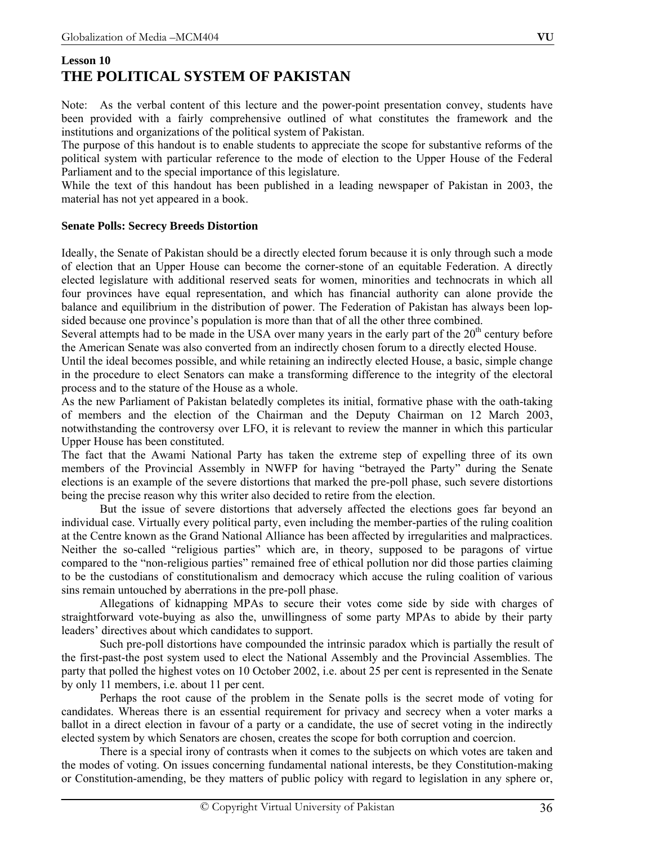# **Lesson 10 THE POLITICAL SYSTEM OF PAKISTAN**

Note: As the verbal content of this lecture and the power-point presentation convey, students have been provided with a fairly comprehensive outlined of what constitutes the framework and the institutions and organizations of the political system of Pakistan.

The purpose of this handout is to enable students to appreciate the scope for substantive reforms of the political system with particular reference to the mode of election to the Upper House of the Federal Parliament and to the special importance of this legislature.

While the text of this handout has been published in a leading newspaper of Pakistan in 2003, the material has not yet appeared in a book.

#### **Senate Polls: Secrecy Breeds Distortion**

Ideally, the Senate of Pakistan should be a directly elected forum because it is only through such a mode of election that an Upper House can become the corner-stone of an equitable Federation. A directly elected legislature with additional reserved seats for women, minorities and technocrats in which all four provinces have equal representation, and which has financial authority can alone provide the balance and equilibrium in the distribution of power. The Federation of Pakistan has always been lopsided because one province's population is more than that of all the other three combined.

Several attempts had to be made in the USA over many years in the early part of the  $20<sup>th</sup>$  century before the American Senate was also converted from an indirectly chosen forum to a directly elected House.

Until the ideal becomes possible, and while retaining an indirectly elected House, a basic, simple change in the procedure to elect Senators can make a transforming difference to the integrity of the electoral process and to the stature of the House as a whole.

As the new Parliament of Pakistan belatedly completes its initial, formative phase with the oath-taking of members and the election of the Chairman and the Deputy Chairman on 12 March 2003, notwithstanding the controversy over LFO, it is relevant to review the manner in which this particular Upper House has been constituted.

The fact that the Awami National Party has taken the extreme step of expelling three of its own members of the Provincial Assembly in NWFP for having "betrayed the Party" during the Senate elections is an example of the severe distortions that marked the pre-poll phase, such severe distortions being the precise reason why this writer also decided to retire from the election.

 But the issue of severe distortions that adversely affected the elections goes far beyond an individual case. Virtually every political party, even including the member-parties of the ruling coalition at the Centre known as the Grand National Alliance has been affected by irregularities and malpractices. Neither the so-called "religious parties" which are, in theory, supposed to be paragons of virtue compared to the "non-religious parties" remained free of ethical pollution nor did those parties claiming to be the custodians of constitutionalism and democracy which accuse the ruling coalition of various sins remain untouched by aberrations in the pre-poll phase.

 Allegations of kidnapping MPAs to secure their votes come side by side with charges of straightforward vote-buying as also the, unwillingness of some party MPAs to abide by their party leaders' directives about which candidates to support.

 Such pre-poll distortions have compounded the intrinsic paradox which is partially the result of the first-past-the post system used to elect the National Assembly and the Provincial Assemblies. The party that polled the highest votes on 10 October 2002, i.e. about 25 per cent is represented in the Senate by only 11 members, i.e. about 11 per cent.

 Perhaps the root cause of the problem in the Senate polls is the secret mode of voting for candidates. Whereas there is an essential requirement for privacy and secrecy when a voter marks a ballot in a direct election in favour of a party or a candidate, the use of secret voting in the indirectly elected system by which Senators are chosen, creates the scope for both corruption and coercion.

 There is a special irony of contrasts when it comes to the subjects on which votes are taken and the modes of voting. On issues concerning fundamental national interests, be they Constitution-making or Constitution-amending, be they matters of public policy with regard to legislation in any sphere or,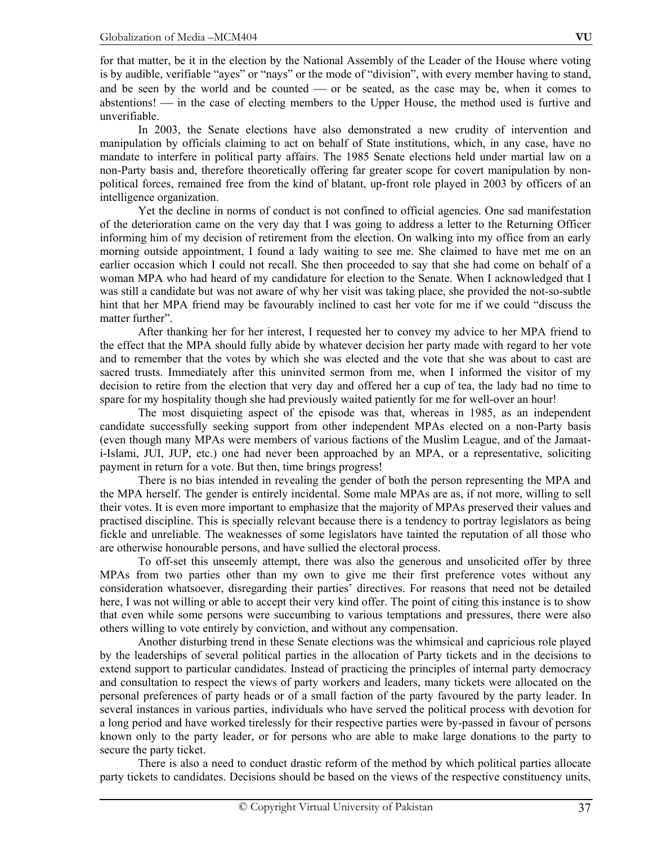for that matter, be it in the election by the National Assembly of the Leader of the House where voting is by audible, verifiable "ayes" or "nays" or the mode of "division", with every member having to stand, and be seen by the world and be counted  $\sim$  or be seated, as the case may be, when it comes to abstentions! — in the case of electing members to the Upper House, the method used is furtive and unverifiable.

 In 2003, the Senate elections have also demonstrated a new crudity of intervention and manipulation by officials claiming to act on behalf of State institutions, which, in any case, have no mandate to interfere in political party affairs. The 1985 Senate elections held under martial law on a non-Party basis and, therefore theoretically offering far greater scope for covert manipulation by nonpolitical forces, remained free from the kind of blatant, up-front role played in 2003 by officers of an intelligence organization.

 Yet the decline in norms of conduct is not confined to official agencies. One sad manifestation of the deterioration came on the very day that I was going to address a letter to the Returning Officer informing him of my decision of retirement from the election. On walking into my office from an early morning outside appointment, I found a lady waiting to see me. She claimed to have met me on an earlier occasion which I could not recall. She then proceeded to say that she had come on behalf of a woman MPA who had heard of my candidature for election to the Senate. When I acknowledged that I was still a candidate but was not aware of why her visit was taking place, she provided the not-so-subtle hint that her MPA friend may be favourably inclined to cast her vote for me if we could "discuss the matter further".

 After thanking her for her interest, I requested her to convey my advice to her MPA friend to the effect that the MPA should fully abide by whatever decision her party made with regard to her vote and to remember that the votes by which she was elected and the vote that she was about to cast are sacred trusts. Immediately after this uninvited sermon from me, when I informed the visitor of my decision to retire from the election that very day and offered her a cup of tea, the lady had no time to spare for my hospitality though she had previously waited patiently for me for well-over an hour!

 The most disquieting aspect of the episode was that, whereas in 1985, as an independent candidate successfully seeking support from other independent MPAs elected on a non-Party basis (even though many MPAs were members of various factions of the Muslim League, and of the Jamaati-Islami, JUI, JUP, etc.) one had never been approached by an MPA, or a representative, soliciting payment in return for a vote. But then, time brings progress!

 There is no bias intended in revealing the gender of both the person representing the MPA and the MPA herself. The gender is entirely incidental. Some male MPAs are as, if not more, willing to sell their votes. It is even more important to emphasize that the majority of MPAs preserved their values and practised discipline. This is specially relevant because there is a tendency to portray legislators as being fickle and unreliable. The weaknesses of some legislators have tainted the reputation of all those who are otherwise honourable persons, and have sullied the electoral process.

 To off-set this unseemly attempt, there was also the generous and unsolicited offer by three MPAs from two parties other than my own to give me their first preference votes without any consideration whatsoever, disregarding their parties' directives. For reasons that need not be detailed here, I was not willing or able to accept their very kind offer. The point of citing this instance is to show that even while some persons were succumbing to various temptations and pressures, there were also others willing to vote entirely by conviction, and without any compensation.

 Another disturbing trend in these Senate elections was the whimsical and capricious role played by the leaderships of several political parties in the allocation of Party tickets and in the decisions to extend support to particular candidates. Instead of practicing the principles of internal party democracy and consultation to respect the views of party workers and leaders, many tickets were allocated on the personal preferences of party heads or of a small faction of the party favoured by the party leader. In several instances in various parties, individuals who have served the political process with devotion for a long period and have worked tirelessly for their respective parties were by-passed in favour of persons known only to the party leader, or for persons who are able to make large donations to the party to secure the party ticket.

 There is also a need to conduct drastic reform of the method by which political parties allocate party tickets to candidates. Decisions should be based on the views of the respective constituency units,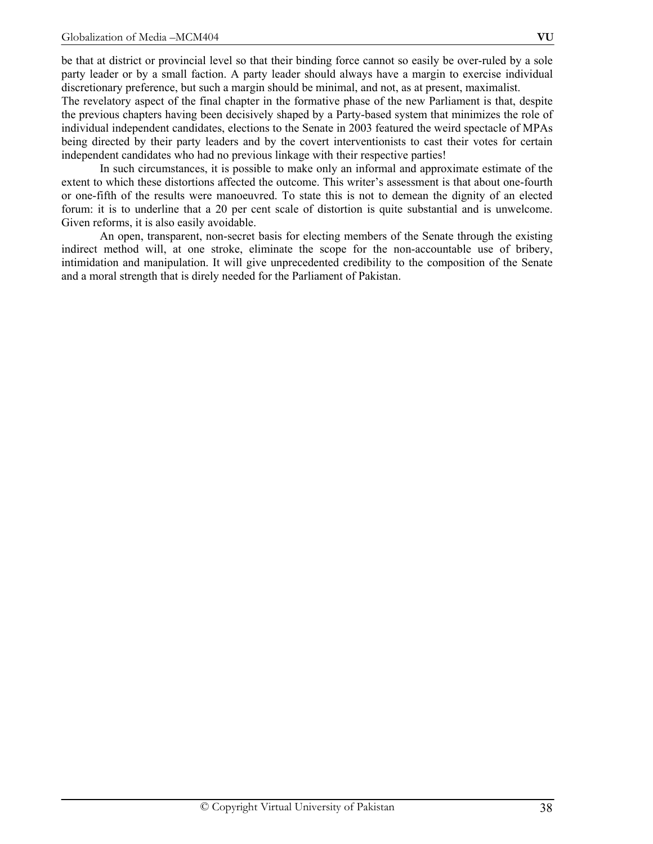be that at district or provincial level so that their binding force cannot so easily be over-ruled by a sole party leader or by a small faction. A party leader should always have a margin to exercise individual discretionary preference, but such a margin should be minimal, and not, as at present, maximalist.

The revelatory aspect of the final chapter in the formative phase of the new Parliament is that, despite the previous chapters having been decisively shaped by a Party-based system that minimizes the role of individual independent candidates, elections to the Senate in 2003 featured the weird spectacle of MPAs being directed by their party leaders and by the covert interventionists to cast their votes for certain independent candidates who had no previous linkage with their respective parties!

 In such circumstances, it is possible to make only an informal and approximate estimate of the extent to which these distortions affected the outcome. This writer's assessment is that about one-fourth or one-fifth of the results were manoeuvred. To state this is not to demean the dignity of an elected forum: it is to underline that a 20 per cent scale of distortion is quite substantial and is unwelcome. Given reforms, it is also easily avoidable.

 An open, transparent, non-secret basis for electing members of the Senate through the existing indirect method will, at one stroke, eliminate the scope for the non-accountable use of bribery, intimidation and manipulation. It will give unprecedented credibility to the composition of the Senate and a moral strength that is direly needed for the Parliament of Pakistan.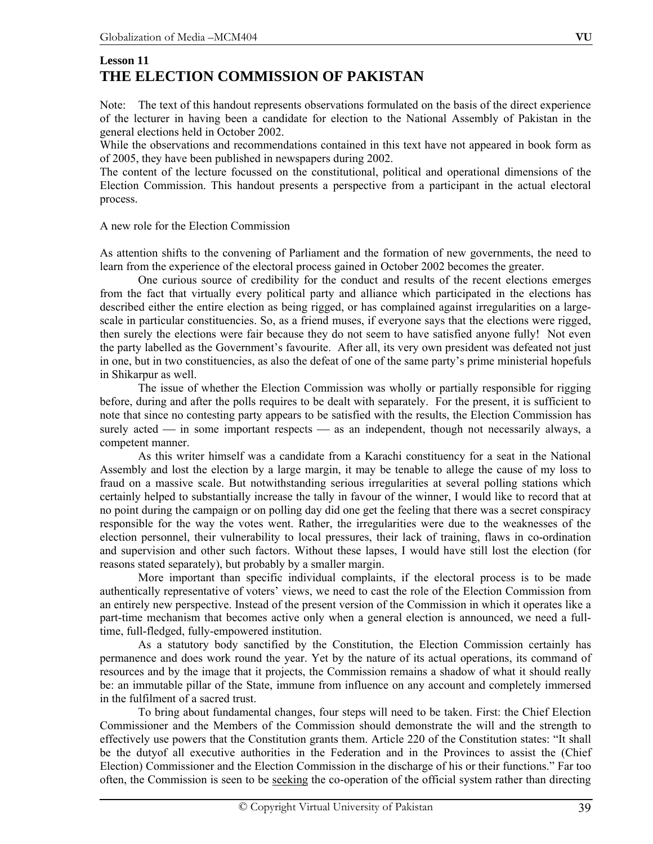# **Lesson 11 THE ELECTION COMMISSION OF PAKISTAN**

Note: The text of this handout represents observations formulated on the basis of the direct experience of the lecturer in having been a candidate for election to the National Assembly of Pakistan in the general elections held in October 2002.

While the observations and recommendations contained in this text have not appeared in book form as of 2005, they have been published in newspapers during 2002.

The content of the lecture focussed on the constitutional, political and operational dimensions of the Election Commission. This handout presents a perspective from a participant in the actual electoral process.

### A new role for the Election Commission

As attention shifts to the convening of Parliament and the formation of new governments, the need to learn from the experience of the electoral process gained in October 2002 becomes the greater.

 One curious source of credibility for the conduct and results of the recent elections emerges from the fact that virtually every political party and alliance which participated in the elections has described either the entire election as being rigged, or has complained against irregularities on a largescale in particular constituencies. So, as a friend muses, if everyone says that the elections were rigged, then surely the elections were fair because they do not seem to have satisfied anyone fully! Not even the party labelled as the Government's favourite. After all, its very own president was defeated not just in one, but in two constituencies, as also the defeat of one of the same party's prime ministerial hopefuls in Shikarpur as well.

 The issue of whether the Election Commission was wholly or partially responsible for rigging before, during and after the polls requires to be dealt with separately. For the present, it is sufficient to note that since no contesting party appears to be satisfied with the results, the Election Commission has surely acted  $\frac{1}{\sqrt{2}}$  in some important respects  $\frac{1}{\sqrt{2}}$  as an independent, though not necessarily always, a competent manner.

 As this writer himself was a candidate from a Karachi constituency for a seat in the National Assembly and lost the election by a large margin, it may be tenable to allege the cause of my loss to fraud on a massive scale. But notwithstanding serious irregularities at several polling stations which certainly helped to substantially increase the tally in favour of the winner, I would like to record that at no point during the campaign or on polling day did one get the feeling that there was a secret conspiracy responsible for the way the votes went. Rather, the irregularities were due to the weaknesses of the election personnel, their vulnerability to local pressures, their lack of training, flaws in co-ordination and supervision and other such factors. Without these lapses, I would have still lost the election (for reasons stated separately), but probably by a smaller margin.

 More important than specific individual complaints, if the electoral process is to be made authentically representative of voters' views, we need to cast the role of the Election Commission from an entirely new perspective. Instead of the present version of the Commission in which it operates like a part-time mechanism that becomes active only when a general election is announced, we need a fulltime, full-fledged, fully-empowered institution.

 As a statutory body sanctified by the Constitution, the Election Commission certainly has permanence and does work round the year. Yet by the nature of its actual operations, its command of resources and by the image that it projects, the Commission remains a shadow of what it should really be: an immutable pillar of the State, immune from influence on any account and completely immersed in the fulfilment of a sacred trust.

 To bring about fundamental changes, four steps will need to be taken. First: the Chief Election Commissioner and the Members of the Commission should demonstrate the will and the strength to effectively use powers that the Constitution grants them. Article 220 of the Constitution states: "It shall be the dutyof all executive authorities in the Federation and in the Provinces to assist the (Chief Election) Commissioner and the Election Commission in the discharge of his or their functions." Far too often, the Commission is seen to be seeking the co-operation of the official system rather than directing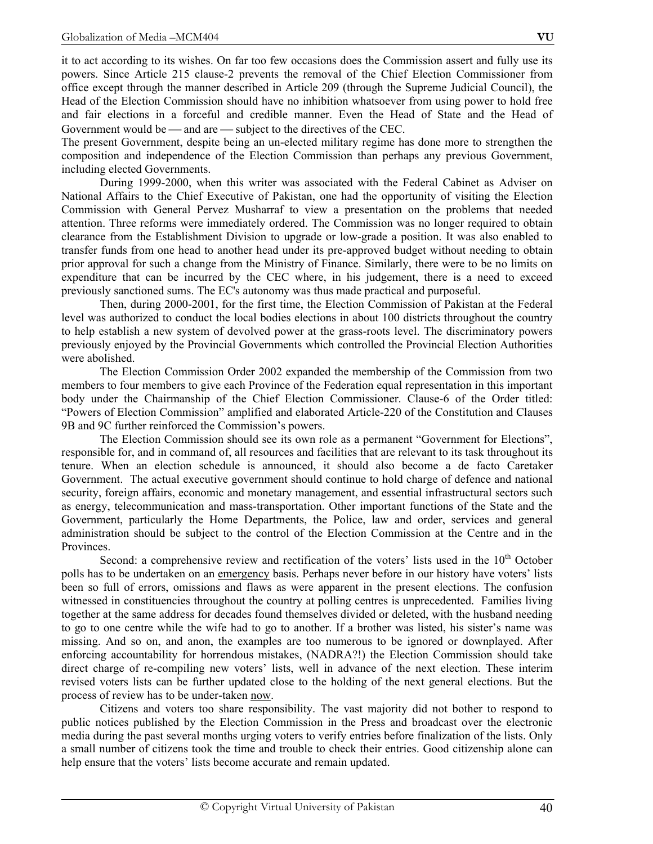it to act according to its wishes. On far too few occasions does the Commission assert and fully use its powers. Since Article 215 clause-2 prevents the removal of the Chief Election Commissioner from office except through the manner described in Article 209 (through the Supreme Judicial Council), the Head of the Election Commission should have no inhibition whatsoever from using power to hold free and fair elections in a forceful and credible manner. Even the Head of State and the Head of Government would be  $\_\$ and are  $\_\$  subject to the directives of the CEC.

The present Government, despite being an un-elected military regime has done more to strengthen the composition and independence of the Election Commission than perhaps any previous Government, including elected Governments.

 During 1999-2000, when this writer was associated with the Federal Cabinet as Adviser on National Affairs to the Chief Executive of Pakistan, one had the opportunity of visiting the Election Commission with General Pervez Musharraf to view a presentation on the problems that needed attention. Three reforms were immediately ordered. The Commission was no longer required to obtain clearance from the Establishment Division to upgrade or low-grade a position. It was also enabled to transfer funds from one head to another head under its pre-approved budget without needing to obtain prior approval for such a change from the Ministry of Finance. Similarly, there were to be no limits on expenditure that can be incurred by the CEC where, in his judgement, there is a need to exceed previously sanctioned sums. The EC's autonomy was thus made practical and purposeful.

 Then, during 2000-2001, for the first time, the Election Commission of Pakistan at the Federal level was authorized to conduct the local bodies elections in about 100 districts throughout the country to help establish a new system of devolved power at the grass-roots level. The discriminatory powers previously enjoyed by the Provincial Governments which controlled the Provincial Election Authorities were abolished.

 The Election Commission Order 2002 expanded the membership of the Commission from two members to four members to give each Province of the Federation equal representation in this important body under the Chairmanship of the Chief Election Commissioner. Clause-6 of the Order titled: "Powers of Election Commission" amplified and elaborated Article-220 of the Constitution and Clauses 9B and 9C further reinforced the Commission's powers.

 The Election Commission should see its own role as a permanent "Government for Elections", responsible for, and in command of, all resources and facilities that are relevant to its task throughout its tenure. When an election schedule is announced, it should also become a de facto Caretaker Government. The actual executive government should continue to hold charge of defence and national security, foreign affairs, economic and monetary management, and essential infrastructural sectors such as energy, telecommunication and mass-transportation. Other important functions of the State and the Government, particularly the Home Departments, the Police, law and order, services and general administration should be subject to the control of the Election Commission at the Centre and in the Provinces.

Second: a comprehensive review and rectification of the voters' lists used in the  $10<sup>th</sup>$  October polls has to be undertaken on an emergency basis. Perhaps never before in our history have voters' lists been so full of errors, omissions and flaws as were apparent in the present elections. The confusion witnessed in constituencies throughout the country at polling centres is unprecedented. Families living together at the same address for decades found themselves divided or deleted, with the husband needing to go to one centre while the wife had to go to another. If a brother was listed, his sister's name was missing. And so on, and anon, the examples are too numerous to be ignored or downplayed. After enforcing accountability for horrendous mistakes, (NADRA?!) the Election Commission should take direct charge of re-compiling new voters' lists, well in advance of the next election. These interim revised voters lists can be further updated close to the holding of the next general elections. But the process of review has to be under-taken now.

 Citizens and voters too share responsibility. The vast majority did not bother to respond to public notices published by the Election Commission in the Press and broadcast over the electronic media during the past several months urging voters to verify entries before finalization of the lists. Only a small number of citizens took the time and trouble to check their entries. Good citizenship alone can help ensure that the voters' lists become accurate and remain updated.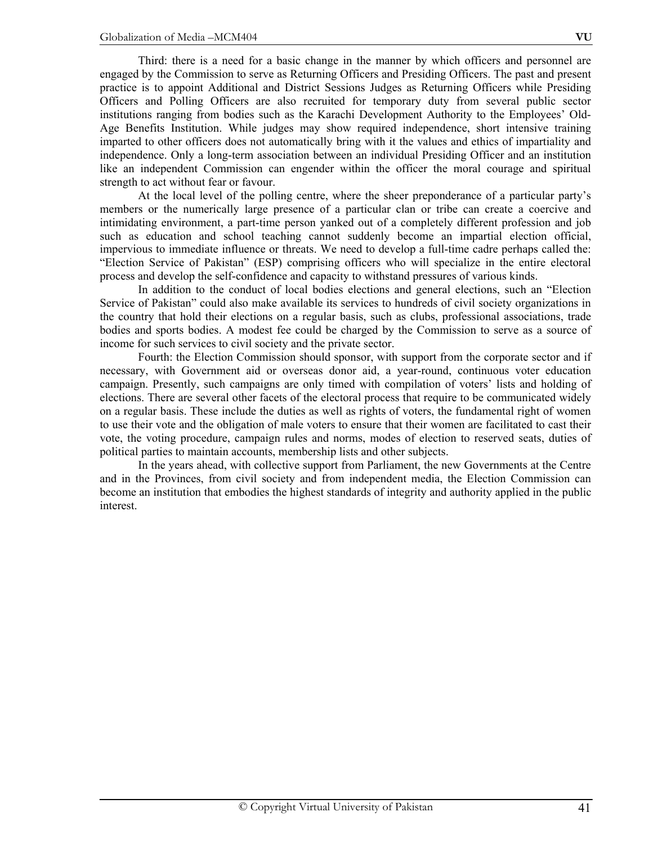Third: there is a need for a basic change in the manner by which officers and personnel are engaged by the Commission to serve as Returning Officers and Presiding Officers. The past and present practice is to appoint Additional and District Sessions Judges as Returning Officers while Presiding Officers and Polling Officers are also recruited for temporary duty from several public sector institutions ranging from bodies such as the Karachi Development Authority to the Employees' Old-Age Benefits Institution. While judges may show required independence, short intensive training imparted to other officers does not automatically bring with it the values and ethics of impartiality and independence. Only a long-term association between an individual Presiding Officer and an institution like an independent Commission can engender within the officer the moral courage and spiritual strength to act without fear or favour.

 At the local level of the polling centre, where the sheer preponderance of a particular party's members or the numerically large presence of a particular clan or tribe can create a coercive and intimidating environment, a part-time person yanked out of a completely different profession and job such as education and school teaching cannot suddenly become an impartial election official, impervious to immediate influence or threats. We need to develop a full-time cadre perhaps called the: "Election Service of Pakistan" (ESP) comprising officers who will specialize in the entire electoral process and develop the self-confidence and capacity to withstand pressures of various kinds.

 In addition to the conduct of local bodies elections and general elections, such an "Election Service of Pakistan" could also make available its services to hundreds of civil society organizations in the country that hold their elections on a regular basis, such as clubs, professional associations, trade bodies and sports bodies. A modest fee could be charged by the Commission to serve as a source of income for such services to civil society and the private sector.

 Fourth: the Election Commission should sponsor, with support from the corporate sector and if necessary, with Government aid or overseas donor aid, a year-round, continuous voter education campaign. Presently, such campaigns are only timed with compilation of voters' lists and holding of elections. There are several other facets of the electoral process that require to be communicated widely on a regular basis. These include the duties as well as rights of voters, the fundamental right of women to use their vote and the obligation of male voters to ensure that their women are facilitated to cast their vote, the voting procedure, campaign rules and norms, modes of election to reserved seats, duties of political parties to maintain accounts, membership lists and other subjects.

 In the years ahead, with collective support from Parliament, the new Governments at the Centre and in the Provinces, from civil society and from independent media, the Election Commission can become an institution that embodies the highest standards of integrity and authority applied in the public interest.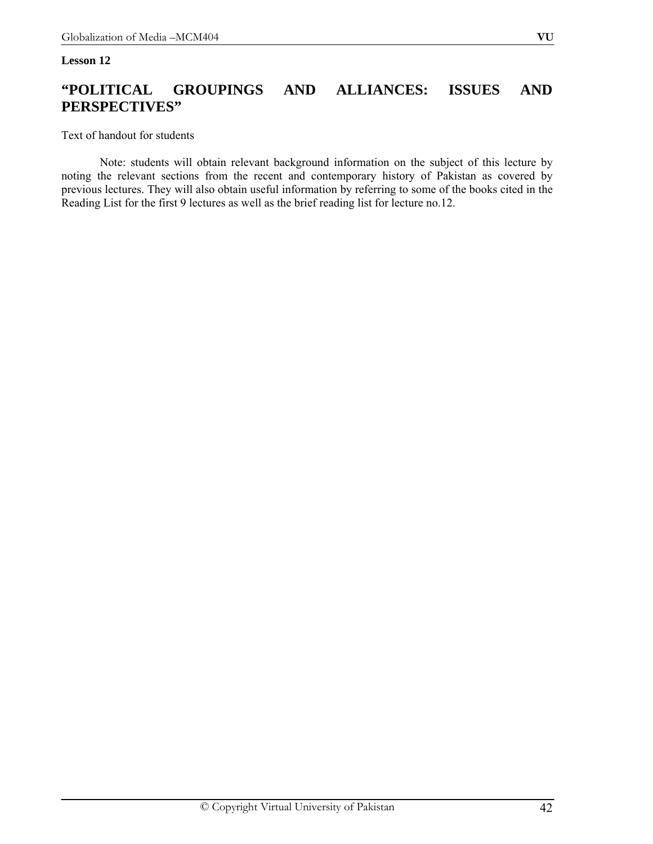# **"POLITICAL GROUPINGS AND ALLIANCES: ISSUES AND PERSPECTIVES"**

Text of handout for students

 Note: students will obtain relevant background information on the subject of this lecture by noting the relevant sections from the recent and contemporary history of Pakistan as covered by previous lectures. They will also obtain useful information by referring to some of the books cited in the Reading List for the first 9 lectures as well as the brief reading list for lecture no.12.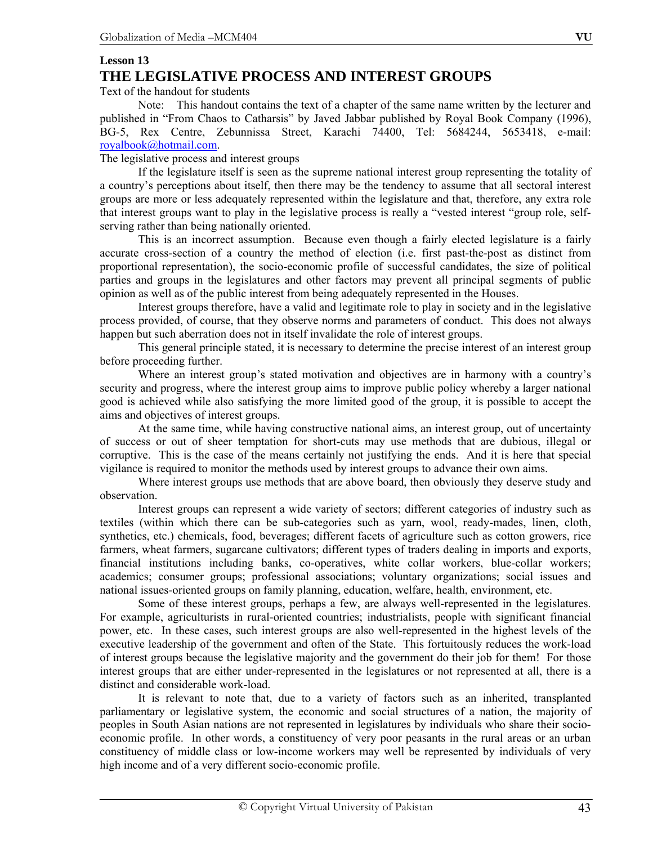## **Lesson 13 THE LEGISLATIVE PROCESS AND INTEREST GROUPS**

Text of the handout for students

 Note: This handout contains the text of a chapter of the same name written by the lecturer and published in "From Chaos to Catharsis" by Javed Jabbar published by Royal Book Company (1996), BG-5, Rex Centre, Zebunnissa Street, Karachi 74400, Tel: 5684244, 5653418, e-mail: royalbook@hotmail.com.

The legislative process and interest groups

 If the legislature itself is seen as the supreme national interest group representing the totality of a country's perceptions about itself, then there may be the tendency to assume that all sectoral interest groups are more or less adequately represented within the legislature and that, therefore, any extra role that interest groups want to play in the legislative process is really a "vested interest "group role, selfserving rather than being nationally oriented.

 This is an incorrect assumption. Because even though a fairly elected legislature is a fairly accurate cross-section of a country the method of election (i.e. first past-the-post as distinct from proportional representation), the socio-economic profile of successful candidates, the size of political parties and groups in the legislatures and other factors may prevent all principal segments of public opinion as well as of the public interest from being adequately represented in the Houses.

 Interest groups therefore, have a valid and legitimate role to play in society and in the legislative process provided, of course, that they observe norms and parameters of conduct. This does not always happen but such aberration does not in itself invalidate the role of interest groups.

 This general principle stated, it is necessary to determine the precise interest of an interest group before proceeding further.

 Where an interest group's stated motivation and objectives are in harmony with a country's security and progress, where the interest group aims to improve public policy whereby a larger national good is achieved while also satisfying the more limited good of the group, it is possible to accept the aims and objectives of interest groups.

 At the same time, while having constructive national aims, an interest group, out of uncertainty of success or out of sheer temptation for short-cuts may use methods that are dubious, illegal or corruptive. This is the case of the means certainly not justifying the ends. And it is here that special vigilance is required to monitor the methods used by interest groups to advance their own aims.

 Where interest groups use methods that are above board, then obviously they deserve study and observation.

 Interest groups can represent a wide variety of sectors; different categories of industry such as textiles (within which there can be sub-categories such as yarn, wool, ready-mades, linen, cloth, synthetics, etc.) chemicals, food, beverages; different facets of agriculture such as cotton growers, rice farmers, wheat farmers, sugarcane cultivators; different types of traders dealing in imports and exports, financial institutions including banks, co-operatives, white collar workers, blue-collar workers; academics; consumer groups; professional associations; voluntary organizations; social issues and national issues-oriented groups on family planning, education, welfare, health, environment, etc.

 Some of these interest groups, perhaps a few, are always well-represented in the legislatures. For example, agriculturists in rural-oriented countries; industrialists, people with significant financial power, etc. In these cases, such interest groups are also well-represented in the highest levels of the executive leadership of the government and often of the State. This fortuitously reduces the work-load of interest groups because the legislative majority and the government do their job for them! For those interest groups that are either under-represented in the legislatures or not represented at all, there is a distinct and considerable work-load.

 It is relevant to note that, due to a variety of factors such as an inherited, transplanted parliamentary or legislative system, the economic and social structures of a nation, the majority of peoples in South Asian nations are not represented in legislatures by individuals who share their socioeconomic profile. In other words, a constituency of very poor peasants in the rural areas or an urban constituency of middle class or low-income workers may well be represented by individuals of very high income and of a very different socio-economic profile.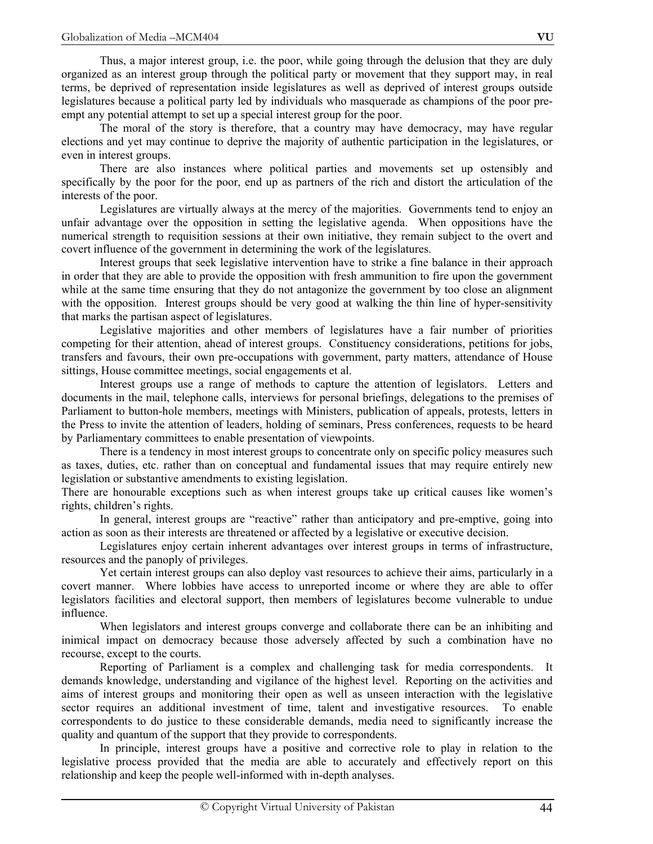Thus, a major interest group, i.e. the poor, while going through the delusion that they are duly organized as an interest group through the political party or movement that they support may, in real terms, be deprived of representation inside legislatures as well as deprived of interest groups outside legislatures because a political party led by individuals who masquerade as champions of the poor preempt any potential attempt to set up a special interest group for the poor.

 The moral of the story is therefore, that a country may have democracy, may have regular elections and yet may continue to deprive the majority of authentic participation in the legislatures, or even in interest groups.

 There are also instances where political parties and movements set up ostensibly and specifically by the poor for the poor, end up as partners of the rich and distort the articulation of the interests of the poor.

 Legislatures are virtually always at the mercy of the majorities. Governments tend to enjoy an unfair advantage over the opposition in setting the legislative agenda. When oppositions have the numerical strength to requisition sessions at their own initiative, they remain subject to the overt and covert influence of the government in determining the work of the legislatures.

 Interest groups that seek legislative intervention have to strike a fine balance in their approach in order that they are able to provide the opposition with fresh ammunition to fire upon the government while at the same time ensuring that they do not antagonize the government by too close an alignment with the opposition. Interest groups should be very good at walking the thin line of hyper-sensitivity that marks the partisan aspect of legislatures.

 Legislative majorities and other members of legislatures have a fair number of priorities competing for their attention, ahead of interest groups. Constituency considerations, petitions for jobs, transfers and favours, their own pre-occupations with government, party matters, attendance of House sittings, House committee meetings, social engagements et al.

 Interest groups use a range of methods to capture the attention of legislators. Letters and documents in the mail, telephone calls, interviews for personal briefings, delegations to the premises of Parliament to button-hole members, meetings with Ministers, publication of appeals, protests, letters in the Press to invite the attention of leaders, holding of seminars, Press conferences, requests to be heard by Parliamentary committees to enable presentation of viewpoints.

 There is a tendency in most interest groups to concentrate only on specific policy measures such as taxes, duties, etc. rather than on conceptual and fundamental issues that may require entirely new legislation or substantive amendments to existing legislation.

There are honourable exceptions such as when interest groups take up critical causes like women's rights, children's rights.

In general, interest groups are "reactive" rather than anticipatory and pre-emptive, going into action as soon as their interests are threatened or affected by a legislative or executive decision.

 Legislatures enjoy certain inherent advantages over interest groups in terms of infrastructure, resources and the panoply of privileges.

 Yet certain interest groups can also deploy vast resources to achieve their aims, particularly in a covert manner. Where lobbies have access to unreported income or where they are able to offer legislators facilities and electoral support, then members of legislatures become vulnerable to undue influence.

 When legislators and interest groups converge and collaborate there can be an inhibiting and inimical impact on democracy because those adversely affected by such a combination have no recourse, except to the courts.

 Reporting of Parliament is a complex and challenging task for media correspondents. It demands knowledge, understanding and vigilance of the highest level. Reporting on the activities and aims of interest groups and monitoring their open as well as unseen interaction with the legislative sector requires an additional investment of time, talent and investigative resources. To enable correspondents to do justice to these considerable demands, media need to significantly increase the quality and quantum of the support that they provide to correspondents.

 In principle, interest groups have a positive and corrective role to play in relation to the legislative process provided that the media are able to accurately and effectively report on this relationship and keep the people well-informed with in-depth analyses.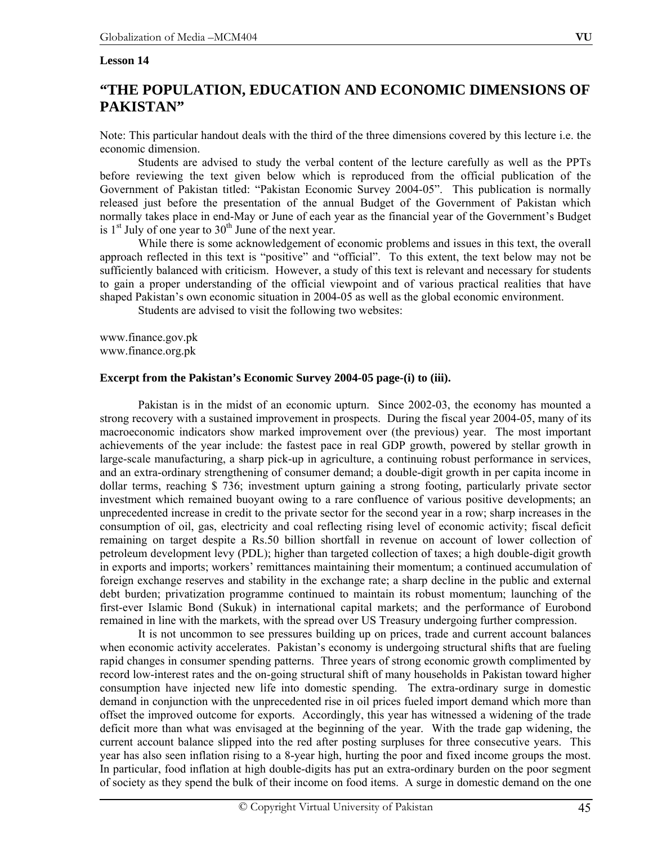# **"THE POPULATION, EDUCATION AND ECONOMIC DIMENSIONS OF PAKISTAN"**

Note: This particular handout deals with the third of the three dimensions covered by this lecture i.e. the economic dimension.

 Students are advised to study the verbal content of the lecture carefully as well as the PPTs before reviewing the text given below which is reproduced from the official publication of the Government of Pakistan titled: "Pakistan Economic Survey 2004-05". This publication is normally released just before the presentation of the annual Budget of the Government of Pakistan which normally takes place in end-May or June of each year as the financial year of the Government's Budget is  $1<sup>st</sup>$  July of one year to  $30<sup>th</sup>$  June of the next year.

 While there is some acknowledgement of economic problems and issues in this text, the overall approach reflected in this text is "positive" and "official". To this extent, the text below may not be sufficiently balanced with criticism. However, a study of this text is relevant and necessary for students to gain a proper understanding of the official viewpoint and of various practical realities that have shaped Pakistan's own economic situation in 2004-05 as well as the global economic environment.

Students are advised to visit the following two websites:

www.finance.gov.pk www.finance.org.pk

#### **Excerpt from the Pakistan's Economic Survey 2004-05 page-(i) to (iii).**

 Pakistan is in the midst of an economic upturn. Since 2002-03, the economy has mounted a strong recovery with a sustained improvement in prospects. During the fiscal year 2004-05, many of its macroeconomic indicators show marked improvement over (the previous) year. The most important achievements of the year include: the fastest pace in real GDP growth, powered by stellar growth in large-scale manufacturing, a sharp pick-up in agriculture, a continuing robust performance in services, and an extra-ordinary strengthening of consumer demand; a double-digit growth in per capita income in dollar terms, reaching \$ 736; investment upturn gaining a strong footing, particularly private sector investment which remained buoyant owing to a rare confluence of various positive developments; an unprecedented increase in credit to the private sector for the second year in a row; sharp increases in the consumption of oil, gas, electricity and coal reflecting rising level of economic activity; fiscal deficit remaining on target despite a Rs.50 billion shortfall in revenue on account of lower collection of petroleum development levy (PDL); higher than targeted collection of taxes; a high double-digit growth in exports and imports; workers' remittances maintaining their momentum; a continued accumulation of foreign exchange reserves and stability in the exchange rate; a sharp decline in the public and external debt burden; privatization programme continued to maintain its robust momentum; launching of the first-ever Islamic Bond (Sukuk) in international capital markets; and the performance of Eurobond remained in line with the markets, with the spread over US Treasury undergoing further compression.

 It is not uncommon to see pressures building up on prices, trade and current account balances when economic activity accelerates. Pakistan's economy is undergoing structural shifts that are fueling rapid changes in consumer spending patterns. Three years of strong economic growth complimented by record low-interest rates and the on-going structural shift of many households in Pakistan toward higher consumption have injected new life into domestic spending. The extra-ordinary surge in domestic demand in conjunction with the unprecedented rise in oil prices fueled import demand which more than offset the improved outcome for exports. Accordingly, this year has witnessed a widening of the trade deficit more than what was envisaged at the beginning of the year. With the trade gap widening, the current account balance slipped into the red after posting surpluses for three consecutive years. This year has also seen inflation rising to a 8-year high, hurting the poor and fixed income groups the most. In particular, food inflation at high double-digits has put an extra-ordinary burden on the poor segment of society as they spend the bulk of their income on food items. A surge in domestic demand on the one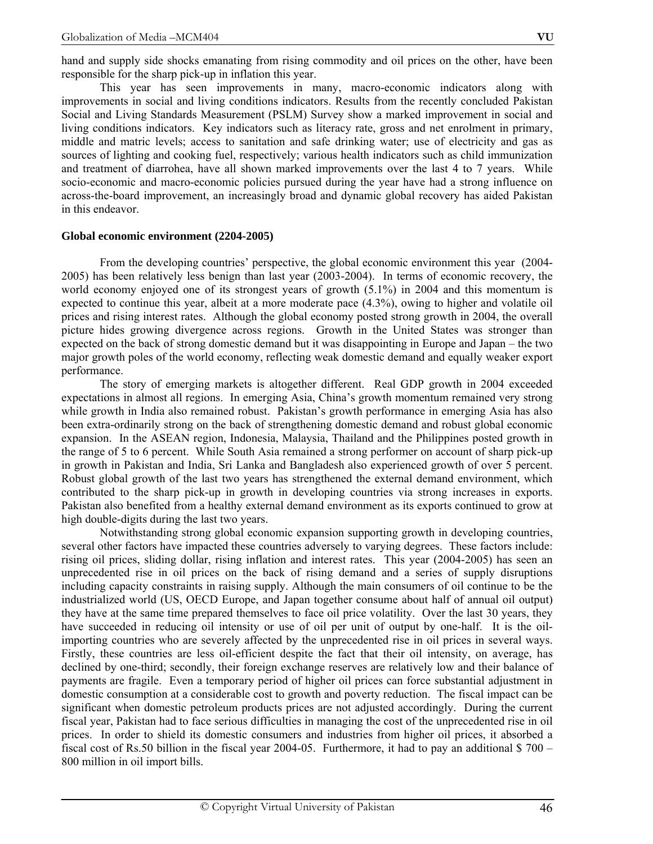hand and supply side shocks emanating from rising commodity and oil prices on the other, have been responsible for the sharp pick-up in inflation this year.

 This year has seen improvements in many, macro-economic indicators along with improvements in social and living conditions indicators. Results from the recently concluded Pakistan Social and Living Standards Measurement (PSLM) Survey show a marked improvement in social and living conditions indicators. Key indicators such as literacy rate, gross and net enrolment in primary, middle and matric levels; access to sanitation and safe drinking water; use of electricity and gas as sources of lighting and cooking fuel, respectively; various health indicators such as child immunization and treatment of diarrohea, have all shown marked improvements over the last 4 to 7 years. While socio-economic and macro-economic policies pursued during the year have had a strong influence on across-the-board improvement, an increasingly broad and dynamic global recovery has aided Pakistan in this endeavor.

### **Global economic environment (2204-2005)**

 From the developing countries' perspective, the global economic environment this year (2004- 2005) has been relatively less benign than last year (2003-2004). In terms of economic recovery, the world economy enjoyed one of its strongest years of growth  $(5.1%)$  in 2004 and this momentum is expected to continue this year, albeit at a more moderate pace (4.3%), owing to higher and volatile oil prices and rising interest rates. Although the global economy posted strong growth in 2004, the overall picture hides growing divergence across regions. Growth in the United States was stronger than expected on the back of strong domestic demand but it was disappointing in Europe and Japan – the two major growth poles of the world economy, reflecting weak domestic demand and equally weaker export performance.

 The story of emerging markets is altogether different. Real GDP growth in 2004 exceeded expectations in almost all regions. In emerging Asia, China's growth momentum remained very strong while growth in India also remained robust. Pakistan's growth performance in emerging Asia has also been extra-ordinarily strong on the back of strengthening domestic demand and robust global economic expansion. In the ASEAN region, Indonesia, Malaysia, Thailand and the Philippines posted growth in the range of 5 to 6 percent. While South Asia remained a strong performer on account of sharp pick-up in growth in Pakistan and India, Sri Lanka and Bangladesh also experienced growth of over 5 percent. Robust global growth of the last two years has strengthened the external demand environment, which contributed to the sharp pick-up in growth in developing countries via strong increases in exports. Pakistan also benefited from a healthy external demand environment as its exports continued to grow at high double-digits during the last two years.

 Notwithstanding strong global economic expansion supporting growth in developing countries, several other factors have impacted these countries adversely to varying degrees. These factors include: rising oil prices, sliding dollar, rising inflation and interest rates. This year (2004-2005) has seen an unprecedented rise in oil prices on the back of rising demand and a series of supply disruptions including capacity constraints in raising supply. Although the main consumers of oil continue to be the industrialized world (US, OECD Europe, and Japan together consume about half of annual oil output) they have at the same time prepared themselves to face oil price volatility. Over the last 30 years, they have succeeded in reducing oil intensity or use of oil per unit of output by one-half. It is the oilimporting countries who are severely affected by the unprecedented rise in oil prices in several ways. Firstly, these countries are less oil-efficient despite the fact that their oil intensity, on average, has declined by one-third; secondly, their foreign exchange reserves are relatively low and their balance of payments are fragile. Even a temporary period of higher oil prices can force substantial adjustment in domestic consumption at a considerable cost to growth and poverty reduction. The fiscal impact can be significant when domestic petroleum products prices are not adjusted accordingly. During the current fiscal year, Pakistan had to face serious difficulties in managing the cost of the unprecedented rise in oil prices. In order to shield its domestic consumers and industries from higher oil prices, it absorbed a fiscal cost of Rs.50 billion in the fiscal year 2004-05. Furthermore, it had to pay an additional \$ 700 – 800 million in oil import bills.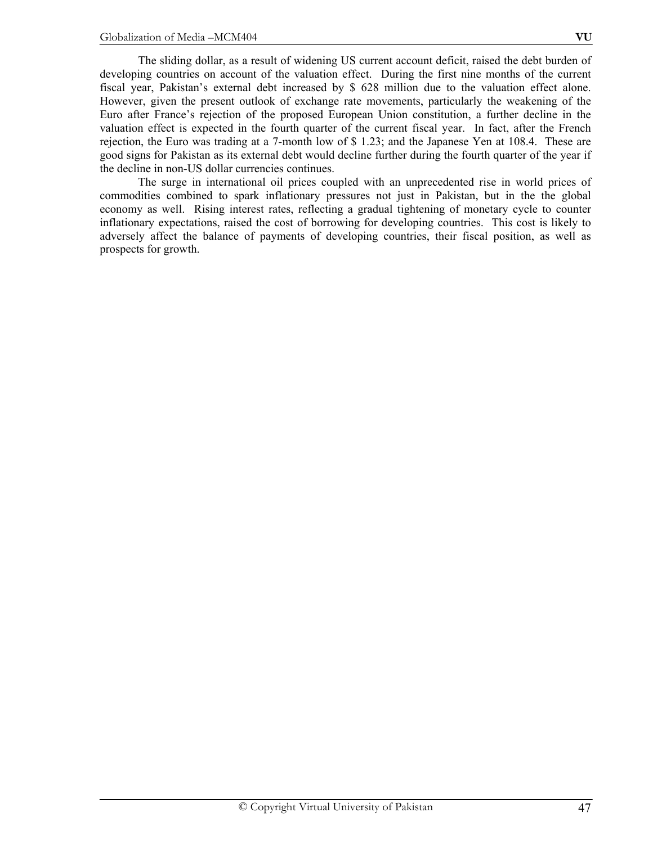The sliding dollar, as a result of widening US current account deficit, raised the debt burden of developing countries on account of the valuation effect. During the first nine months of the current fiscal year, Pakistan's external debt increased by \$ 628 million due to the valuation effect alone. However, given the present outlook of exchange rate movements, particularly the weakening of the Euro after France's rejection of the proposed European Union constitution, a further decline in the valuation effect is expected in the fourth quarter of the current fiscal year. In fact, after the French rejection, the Euro was trading at a 7-month low of \$ 1.23; and the Japanese Yen at 108.4. These are good signs for Pakistan as its external debt would decline further during the fourth quarter of the year if the decline in non-US dollar currencies continues.

 The surge in international oil prices coupled with an unprecedented rise in world prices of commodities combined to spark inflationary pressures not just in Pakistan, but in the the global economy as well. Rising interest rates, reflecting a gradual tightening of monetary cycle to counter inflationary expectations, raised the cost of borrowing for developing countries. This cost is likely to adversely affect the balance of payments of developing countries, their fiscal position, as well as prospects for growth.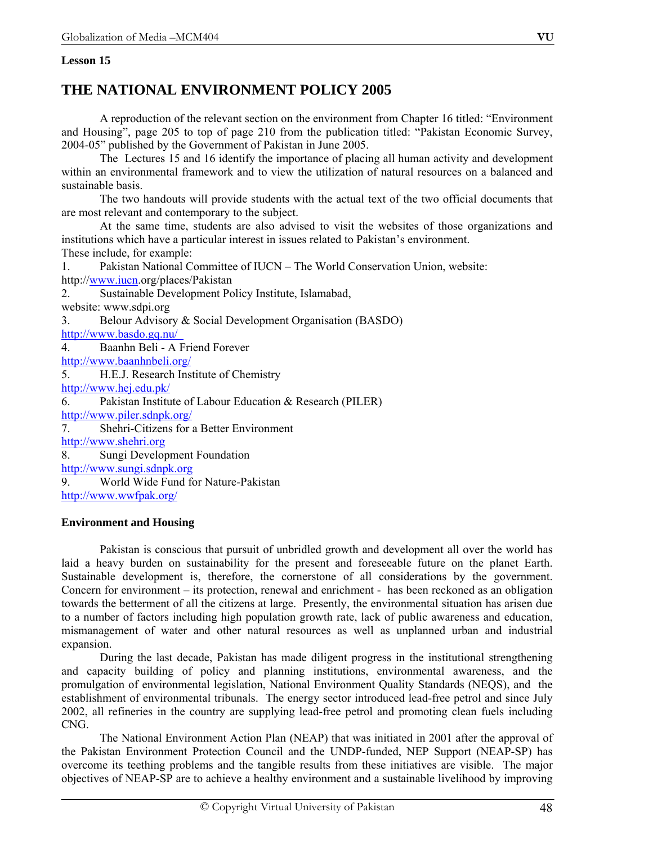# **THE NATIONAL ENVIRONMENT POLICY 2005**

 A reproduction of the relevant section on the environment from Chapter 16 titled: "Environment and Housing", page 205 to top of page 210 from the publication titled: "Pakistan Economic Survey, 2004-05" published by the Government of Pakistan in June 2005.

 The Lectures 15 and 16 identify the importance of placing all human activity and development within an environmental framework and to view the utilization of natural resources on a balanced and sustainable basis.

 The two handouts will provide students with the actual text of the two official documents that are most relevant and contemporary to the subject.

 At the same time, students are also advised to visit the websites of those organizations and institutions which have a particular interest in issues related to Pakistan's environment. These include, for example:

1. Pakistan National Committee of IUCN – The World Conservation Union, website:

http://www.iucn.org/places/Pakistan

2. Sustainable Development Policy Institute, Islamabad,

website: www.sdpi.org

3. Belour Advisory & Social Development Organisation (BASDO)

http://www.basdo.gq.nu/

4. Baanhn Beli - A Friend Forever

http://www.baanhnbeli.org/

5. H.E.J. Research Institute of Chemistry

http://www.hej.edu.pk/

6. Pakistan Institute of Labour Education & Research (PILER)

http://www.piler.sdnpk.org/

7. Shehri-Citizens for a Better Environment

http://www.shehri.org

8. Sungi Development Foundation

http://www.sungi.sdnpk.org

9. World Wide Fund for Nature-Pakistan

http://www.wwfpak.org/

### **Environment and Housing**

 Pakistan is conscious that pursuit of unbridled growth and development all over the world has laid a heavy burden on sustainability for the present and foreseeable future on the planet Earth. Sustainable development is, therefore, the cornerstone of all considerations by the government. Concern for environment – its protection, renewal and enrichment - has been reckoned as an obligation towards the betterment of all the citizens at large. Presently, the environmental situation has arisen due to a number of factors including high population growth rate, lack of public awareness and education, mismanagement of water and other natural resources as well as unplanned urban and industrial expansion.

 During the last decade, Pakistan has made diligent progress in the institutional strengthening and capacity building of policy and planning institutions, environmental awareness, and the promulgation of environmental legislation, National Environment Quality Standards (NEQS), and the establishment of environmental tribunals. The energy sector introduced lead-free petrol and since July 2002, all refineries in the country are supplying lead-free petrol and promoting clean fuels including CNG.

 The National Environment Action Plan (NEAP) that was initiated in 2001 after the approval of the Pakistan Environment Protection Council and the UNDP-funded, NEP Support (NEAP-SP) has overcome its teething problems and the tangible results from these initiatives are visible. The major objectives of NEAP-SP are to achieve a healthy environment and a sustainable livelihood by improving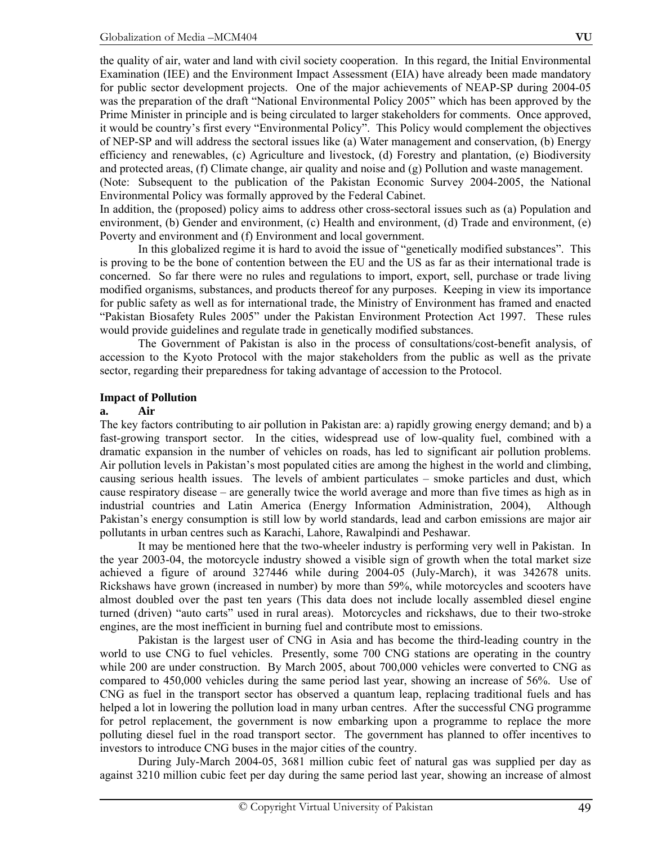the quality of air, water and land with civil society cooperation. In this regard, the Initial Environmental Examination (IEE) and the Environment Impact Assessment (EIA) have already been made mandatory for public sector development projects. One of the major achievements of NEAP-SP during 2004-05 was the preparation of the draft "National Environmental Policy 2005" which has been approved by the Prime Minister in principle and is being circulated to larger stakeholders for comments. Once approved, it would be country's first every "Environmental Policy". This Policy would complement the objectives of NEP-SP and will address the sectoral issues like (a) Water management and conservation, (b) Energy efficiency and renewables, (c) Agriculture and livestock, (d) Forestry and plantation, (e) Biodiversity and protected areas, (f) Climate change, air quality and noise and (g) Pollution and waste management. (Note: Subsequent to the publication of the Pakistan Economic Survey 2004-2005, the National

Environmental Policy was formally approved by the Federal Cabinet. In addition, the (proposed) policy aims to address other cross-sectoral issues such as (a) Population and environment, (b) Gender and environment, (c) Health and environment, (d) Trade and environment, (e) Poverty and environment and (f) Environment and local government.

 In this globalized regime it is hard to avoid the issue of "genetically modified substances". This is proving to be the bone of contention between the EU and the US as far as their international trade is concerned. So far there were no rules and regulations to import, export, sell, purchase or trade living modified organisms, substances, and products thereof for any purposes. Keeping in view its importance for public safety as well as for international trade, the Ministry of Environment has framed and enacted "Pakistan Biosafety Rules 2005" under the Pakistan Environment Protection Act 1997. These rules would provide guidelines and regulate trade in genetically modified substances.

 The Government of Pakistan is also in the process of consultations/cost-benefit analysis, of accession to the Kyoto Protocol with the major stakeholders from the public as well as the private sector, regarding their preparedness for taking advantage of accession to the Protocol.

#### **Impact of Pollution**

## **a. Air**

The key factors contributing to air pollution in Pakistan are: a) rapidly growing energy demand; and b) a fast-growing transport sector. In the cities, widespread use of low-quality fuel, combined with a dramatic expansion in the number of vehicles on roads, has led to significant air pollution problems. Air pollution levels in Pakistan's most populated cities are among the highest in the world and climbing, causing serious health issues. The levels of ambient particulates – smoke particles and dust, which cause respiratory disease – are generally twice the world average and more than five times as high as in industrial countries and Latin America (Energy Information Administration, 2004), Although Pakistan's energy consumption is still low by world standards, lead and carbon emissions are major air pollutants in urban centres such as Karachi, Lahore, Rawalpindi and Peshawar.

 It may be mentioned here that the two-wheeler industry is performing very well in Pakistan. In the year 2003-04, the motorcycle industry showed a visible sign of growth when the total market size achieved a figure of around 327446 while during 2004-05 (July-March), it was 342678 units. Rickshaws have grown (increased in number) by more than 59%, while motorcycles and scooters have almost doubled over the past ten years (This data does not include locally assembled diesel engine turned (driven) "auto carts" used in rural areas). Motorcycles and rickshaws, due to their two-stroke engines, are the most inefficient in burning fuel and contribute most to emissions.

 Pakistan is the largest user of CNG in Asia and has become the third-leading country in the world to use CNG to fuel vehicles. Presently, some 700 CNG stations are operating in the country while 200 are under construction. By March 2005, about 700,000 vehicles were converted to CNG as compared to 450,000 vehicles during the same period last year, showing an increase of 56%. Use of CNG as fuel in the transport sector has observed a quantum leap, replacing traditional fuels and has helped a lot in lowering the pollution load in many urban centres. After the successful CNG programme for petrol replacement, the government is now embarking upon a programme to replace the more polluting diesel fuel in the road transport sector. The government has planned to offer incentives to investors to introduce CNG buses in the major cities of the country.

 During July-March 2004-05, 3681 million cubic feet of natural gas was supplied per day as against 3210 million cubic feet per day during the same period last year, showing an increase of almost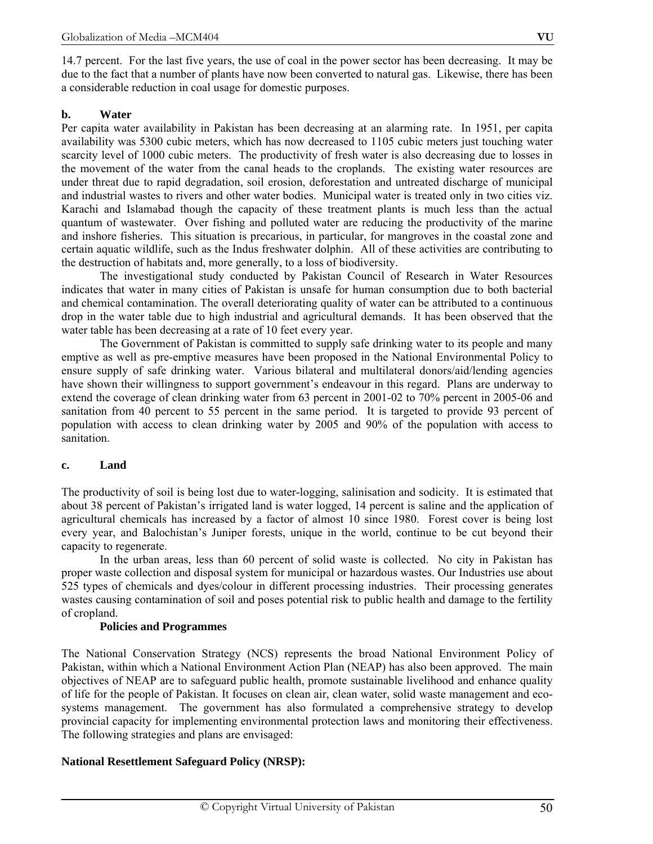14.7 percent. For the last five years, the use of coal in the power sector has been decreasing. It may be due to the fact that a number of plants have now been converted to natural gas. Likewise, there has been a considerable reduction in coal usage for domestic purposes.

### **b. Water**

Per capita water availability in Pakistan has been decreasing at an alarming rate. In 1951, per capita availability was 5300 cubic meters, which has now decreased to 1105 cubic meters just touching water scarcity level of 1000 cubic meters. The productivity of fresh water is also decreasing due to losses in the movement of the water from the canal heads to the croplands. The existing water resources are under threat due to rapid degradation, soil erosion, deforestation and untreated discharge of municipal and industrial wastes to rivers and other water bodies. Municipal water is treated only in two cities viz. Karachi and Islamabad though the capacity of these treatment plants is much less than the actual quantum of wastewater. Over fishing and polluted water are reducing the productivity of the marine and inshore fisheries. This situation is precarious, in particular, for mangroves in the coastal zone and certain aquatic wildlife, such as the Indus freshwater dolphin. All of these activities are contributing to the destruction of habitats and, more generally, to a loss of biodiversity.

 The investigational study conducted by Pakistan Council of Research in Water Resources indicates that water in many cities of Pakistan is unsafe for human consumption due to both bacterial and chemical contamination. The overall deteriorating quality of water can be attributed to a continuous drop in the water table due to high industrial and agricultural demands. It has been observed that the water table has been decreasing at a rate of 10 feet every year.

 The Government of Pakistan is committed to supply safe drinking water to its people and many emptive as well as pre-emptive measures have been proposed in the National Environmental Policy to ensure supply of safe drinking water. Various bilateral and multilateral donors/aid/lending agencies have shown their willingness to support government's endeavour in this regard. Plans are underway to extend the coverage of clean drinking water from 63 percent in 2001-02 to 70% percent in 2005-06 and sanitation from 40 percent to 55 percent in the same period. It is targeted to provide 93 percent of population with access to clean drinking water by 2005 and 90% of the population with access to sanitation.

### **c. Land**

The productivity of soil is being lost due to water-logging, salinisation and sodicity. It is estimated that about 38 percent of Pakistan's irrigated land is water logged, 14 percent is saline and the application of agricultural chemicals has increased by a factor of almost 10 since 1980. Forest cover is being lost every year, and Balochistan's Juniper forests, unique in the world, continue to be cut beyond their capacity to regenerate.

 In the urban areas, less than 60 percent of solid waste is collected. No city in Pakistan has proper waste collection and disposal system for municipal or hazardous wastes. Our Industries use about 525 types of chemicals and dyes/colour in different processing industries. Their processing generates wastes causing contamination of soil and poses potential risk to public health and damage to the fertility of cropland.

# **Policies and Programmes**

The National Conservation Strategy (NCS) represents the broad National Environment Policy of Pakistan, within which a National Environment Action Plan (NEAP) has also been approved. The main objectives of NEAP are to safeguard public health, promote sustainable livelihood and enhance quality of life for the people of Pakistan. It focuses on clean air, clean water, solid waste management and ecosystems management. The government has also formulated a comprehensive strategy to develop provincial capacity for implementing environmental protection laws and monitoring their effectiveness. The following strategies and plans are envisaged:

# **National Resettlement Safeguard Policy (NRSP):**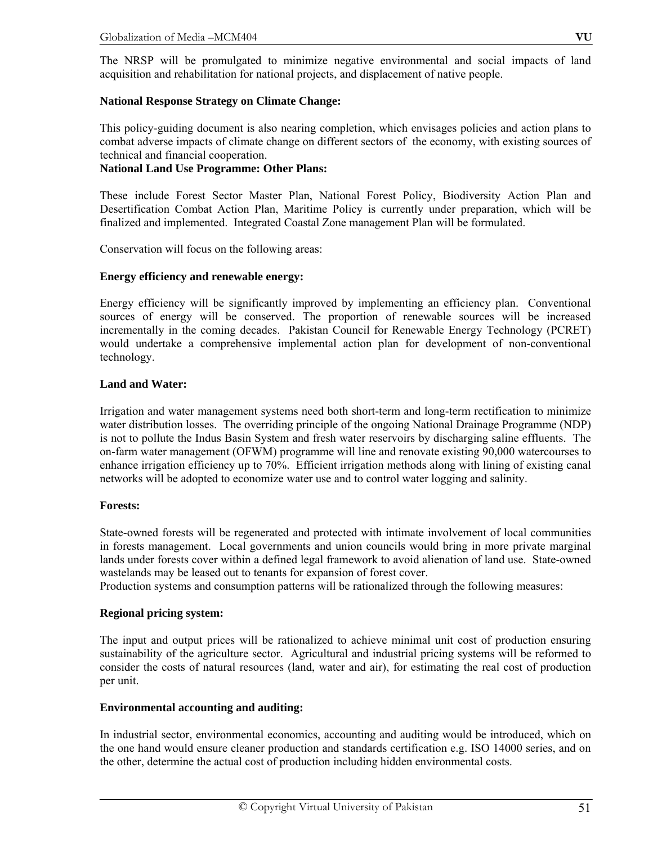The NRSP will be promulgated to minimize negative environmental and social impacts of land acquisition and rehabilitation for national projects, and displacement of native people.

## **National Response Strategy on Climate Change:**

This policy-guiding document is also nearing completion, which envisages policies and action plans to combat adverse impacts of climate change on different sectors of the economy, with existing sources of technical and financial cooperation.

### **National Land Use Programme: Other Plans:**

These include Forest Sector Master Plan, National Forest Policy, Biodiversity Action Plan and Desertification Combat Action Plan, Maritime Policy is currently under preparation, which will be finalized and implemented. Integrated Coastal Zone management Plan will be formulated.

Conservation will focus on the following areas:

## **Energy efficiency and renewable energy:**

Energy efficiency will be significantly improved by implementing an efficiency plan. Conventional sources of energy will be conserved. The proportion of renewable sources will be increased incrementally in the coming decades. Pakistan Council for Renewable Energy Technology (PCRET) would undertake a comprehensive implemental action plan for development of non-conventional technology.

## **Land and Water:**

Irrigation and water management systems need both short-term and long-term rectification to minimize water distribution losses. The overriding principle of the ongoing National Drainage Programme (NDP) is not to pollute the Indus Basin System and fresh water reservoirs by discharging saline effluents. The on-farm water management (OFWM) programme will line and renovate existing 90,000 watercourses to enhance irrigation efficiency up to 70%. Efficient irrigation methods along with lining of existing canal networks will be adopted to economize water use and to control water logging and salinity.

### **Forests:**

State-owned forests will be regenerated and protected with intimate involvement of local communities in forests management. Local governments and union councils would bring in more private marginal lands under forests cover within a defined legal framework to avoid alienation of land use. State-owned wastelands may be leased out to tenants for expansion of forest cover.

Production systems and consumption patterns will be rationalized through the following measures:

# **Regional pricing system:**

The input and output prices will be rationalized to achieve minimal unit cost of production ensuring sustainability of the agriculture sector. Agricultural and industrial pricing systems will be reformed to consider the costs of natural resources (land, water and air), for estimating the real cost of production per unit.

### **Environmental accounting and auditing:**

In industrial sector, environmental economics, accounting and auditing would be introduced, which on the one hand would ensure cleaner production and standards certification e.g. ISO 14000 series, and on the other, determine the actual cost of production including hidden environmental costs.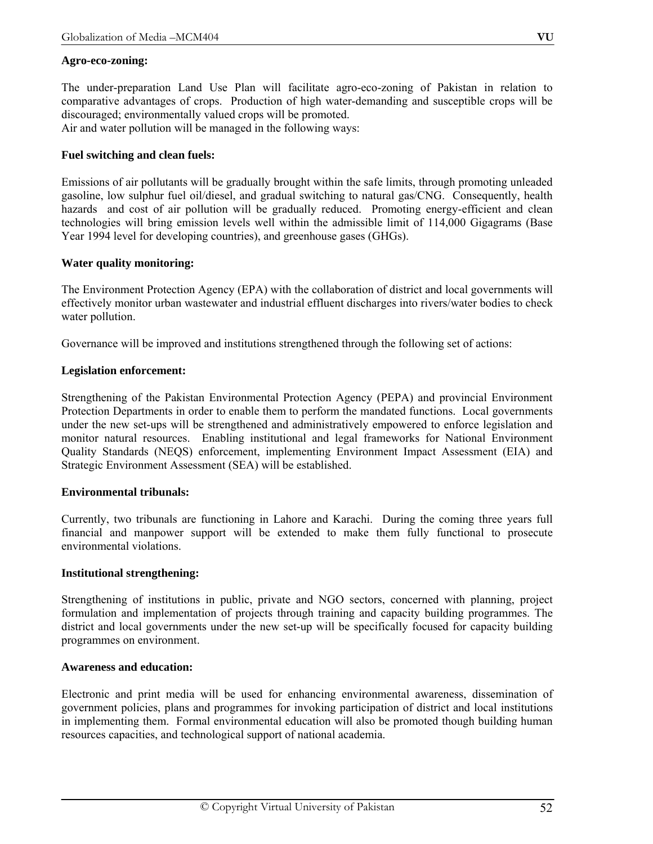#### **Agro-eco-zoning:**

The under-preparation Land Use Plan will facilitate agro-eco-zoning of Pakistan in relation to comparative advantages of crops. Production of high water-demanding and susceptible crops will be discouraged; environmentally valued crops will be promoted.

Air and water pollution will be managed in the following ways:

#### **Fuel switching and clean fuels:**

Emissions of air pollutants will be gradually brought within the safe limits, through promoting unleaded gasoline, low sulphur fuel oil/diesel, and gradual switching to natural gas/CNG. Consequently, health hazards and cost of air pollution will be gradually reduced. Promoting energy-efficient and clean technologies will bring emission levels well within the admissible limit of 114,000 Gigagrams (Base Year 1994 level for developing countries), and greenhouse gases (GHGs).

#### **Water quality monitoring:**

The Environment Protection Agency (EPA) with the collaboration of district and local governments will effectively monitor urban wastewater and industrial effluent discharges into rivers/water bodies to check water pollution.

Governance will be improved and institutions strengthened through the following set of actions:

#### **Legislation enforcement:**

Strengthening of the Pakistan Environmental Protection Agency (PEPA) and provincial Environment Protection Departments in order to enable them to perform the mandated functions. Local governments under the new set-ups will be strengthened and administratively empowered to enforce legislation and monitor natural resources. Enabling institutional and legal frameworks for National Environment Quality Standards (NEQS) enforcement, implementing Environment Impact Assessment (EIA) and Strategic Environment Assessment (SEA) will be established.

#### **Environmental tribunals:**

Currently, two tribunals are functioning in Lahore and Karachi. During the coming three years full financial and manpower support will be extended to make them fully functional to prosecute environmental violations.

#### **Institutional strengthening:**

Strengthening of institutions in public, private and NGO sectors, concerned with planning, project formulation and implementation of projects through training and capacity building programmes. The district and local governments under the new set-up will be specifically focused for capacity building programmes on environment.

### **Awareness and education:**

Electronic and print media will be used for enhancing environmental awareness, dissemination of government policies, plans and programmes for invoking participation of district and local institutions in implementing them. Formal environmental education will also be promoted though building human resources capacities, and technological support of national academia.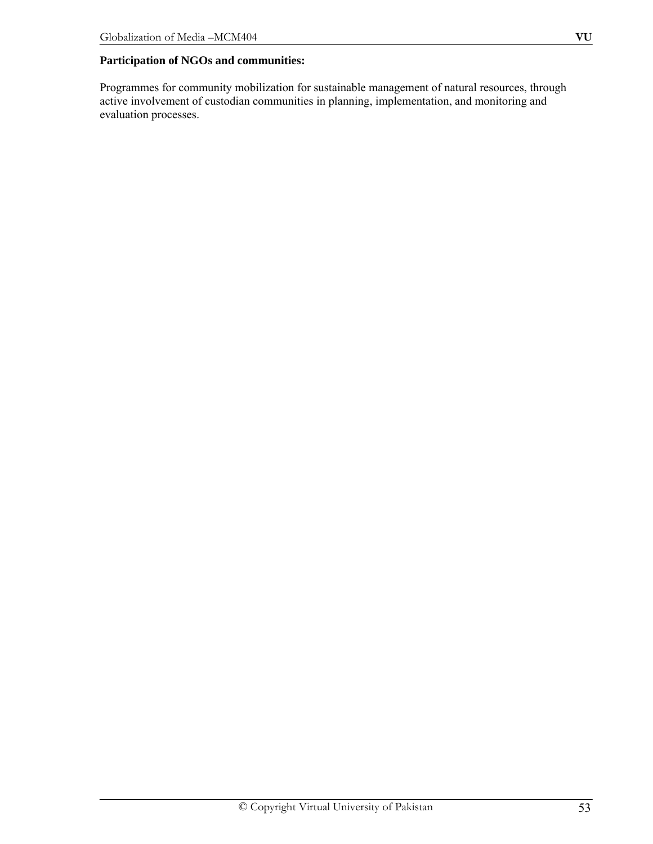# **Participation of NGOs and communities:**

Programmes for community mobilization for sustainable management of natural resources, through active involvement of custodian communities in planning, implementation, and monitoring and evaluation processes.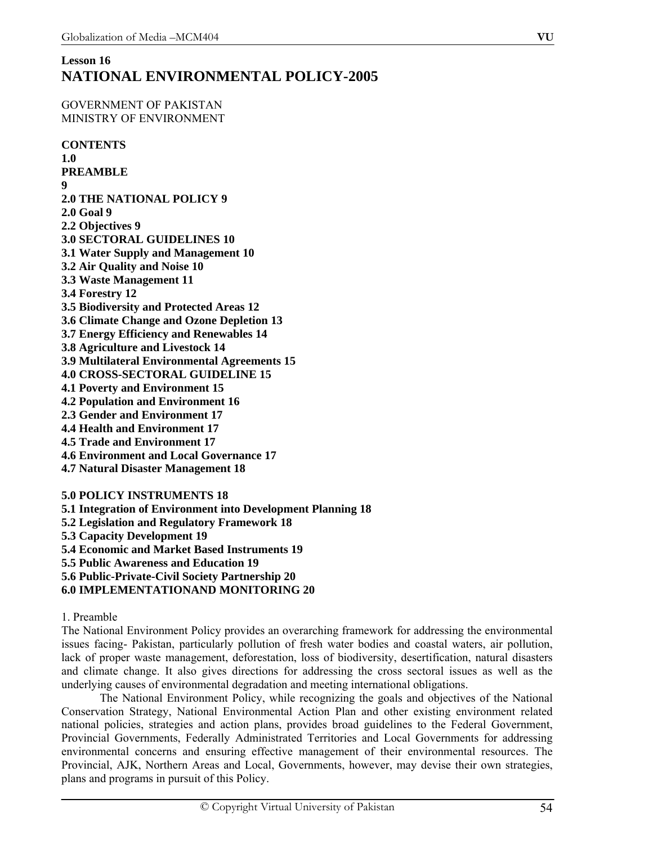# **Lesson 16 NATIONAL ENVIRONMENTAL POLICY-2005**

GOVERNMENT OF PAKISTAN MINISTRY OF ENVIRONMENT

**CONTENTS 1.0 PREAMBLE 9 2.0 THE NATIONAL POLICY 9 2.0 Goal 9 2.2 Objectives 9 3.0 SECTORAL GUIDELINES 10 3.1 Water Supply and Management 10 3.2 Air Quality and Noise 10 3.3 Waste Management 11 3.4 Forestry 12 3.5 Biodiversity and Protected Areas 12 3.6 Climate Change and Ozone Depletion 13 3.7 Energy Efficiency and Renewables 14 3.8 Agriculture and Livestock 14 3.9 Multilateral Environmental Agreements 15 4.0 CROSS-SECTORAL GUIDELINE 15 4.1 Poverty and Environment 15 4.2 Population and Environment 16 2.3 Gender and Environment 17 4.4 Health and Environment 17 4.5 Trade and Environment 17 4.6 Environment and Local Governance 17 4.7 Natural Disaster Management 18** 

**5.0 POLICY INSTRUMENTS 18** 

**5.1 Integration of Environment into Development Planning 18** 

**5.2 Legislation and Regulatory Framework 18** 

**5.3 Capacity Development 19** 

**5.4 Economic and Market Based Instruments 19** 

**5.5 Public Awareness and Education 19** 

**5.6 Public-Private-Civil Society Partnership 20** 

**6.0 IMPLEMENTATIONAND MONITORING 20** 

### 1. Preamble

The National Environment Policy provides an overarching framework for addressing the environmental issues facing- Pakistan, particularly pollution of fresh water bodies and coastal waters, air pollution, lack of proper waste management, deforestation, loss of biodiversity, desertification, natural disasters and climate change. It also gives directions for addressing the cross sectoral issues as well as the underlying causes of environmental degradation and meeting international obligations.

 The National Environment Policy, while recognizing the goals and objectives of the National Conservation Strategy, National Environmental Action Plan and other existing environment related national policies, strategies and action plans, provides broad guidelines to the Federal Government, Provincial Governments, Federally Administrated Territories and Local Governments for addressing environmental concerns and ensuring effective management of their environmental resources. The Provincial, AJK, Northern Areas and Local, Governments, however, may devise their own strategies, plans and programs in pursuit of this Policy.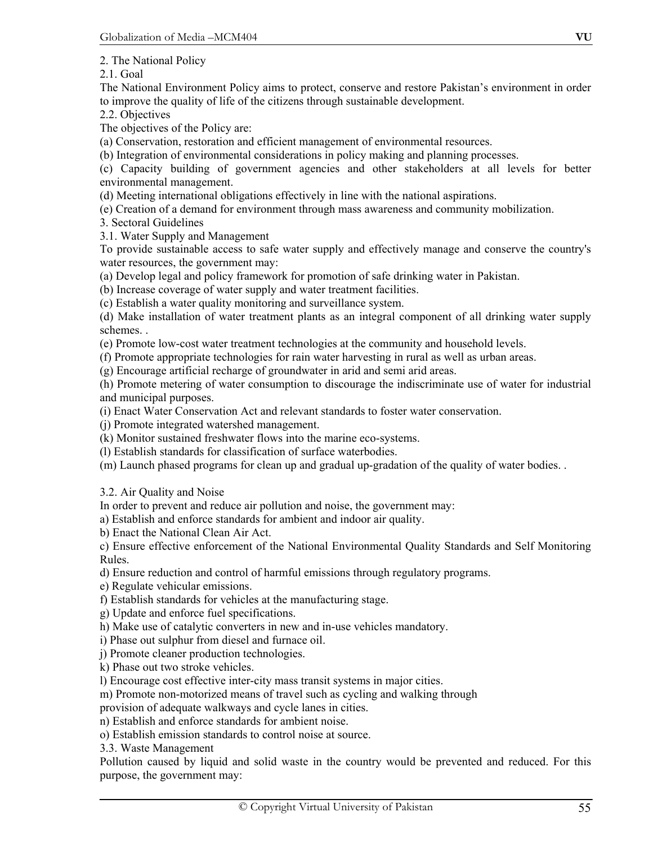2. The National Policy

2.1. Goal

The National Environment Policy aims to protect, conserve and restore Pakistan's environment in order to improve the quality of life of the citizens through sustainable development.

2.2. Objectives

The objectives of the Policy are:

(a) Conservation, restoration and efficient management of environmental resources.

(b) Integration of environmental considerations in policy making and planning processes.

(c) Capacity building of government agencies and other stakeholders at all levels for better environmental management.

(d) Meeting international obligations effectively in line with the national aspirations.

(e) Creation of a demand for environment through mass awareness and community mobilization.

3. Sectoral Guidelines

3.1. Water Supply and Management

To provide sustainable access to safe water supply and effectively manage and conserve the country's water resources, the government may:

(a) Develop legal and policy framework for promotion of safe drinking water in Pakistan.

(b) Increase coverage of water supply and water treatment facilities.

(c) Establish a water quality monitoring and surveillance system.

(d) Make installation of water treatment plants as an integral component of all drinking water supply schemes. .

(e) Promote low-cost water treatment technologies at the community and household levels.

(f) Promote appropriate technologies for rain water harvesting in rural as well as urban areas.

(g) Encourage artificial recharge of groundwater in arid and semi arid areas.

(h) Promote metering of water consumption to discourage the indiscriminate use of water for industrial and municipal purposes.

(i) Enact Water Conservation Act and relevant standards to foster water conservation.

(j) Promote integrated watershed management.

(k) Monitor sustained freshwater flows into the marine eco-systems.

(l) Establish standards for classification of surface waterbodies.

(m) Launch phased programs for clean up and gradual up-gradation of the quality of water bodies. .

3.2. Air Quality and Noise

In order to prevent and reduce air pollution and noise, the government may:

a) Establish and enforce standards for ambient and indoor air quality.

b) Enact the National Clean Air Act.

c) Ensure effective enforcement of the National Environmental Quality Standards and Self Monitoring Rules.

d) Ensure reduction and control of harmful emissions through regulatory programs.

e) Regulate vehicular emissions.

f) Establish standards for vehicles at the manufacturing stage.

g) Update and enforce fuel specifications.

h) Make use of catalytic converters in new and in-use vehicles mandatory.

i) Phase out sulphur from diesel and furnace oil.

j) Promote cleaner production technologies.

k) Phase out two stroke vehicles.

l) Encourage cost effective inter-city mass transit systems in major cities.

m) Promote non-motorized means of travel such as cycling and walking through

provision of adequate walkways and cycle lanes in cities.

n) Establish and enforce standards for ambient noise.

o) Establish emission standards to control noise at source.

3.3. Waste Management

Pollution caused by liquid and solid waste in the country would be prevented and reduced. For this purpose, the government may: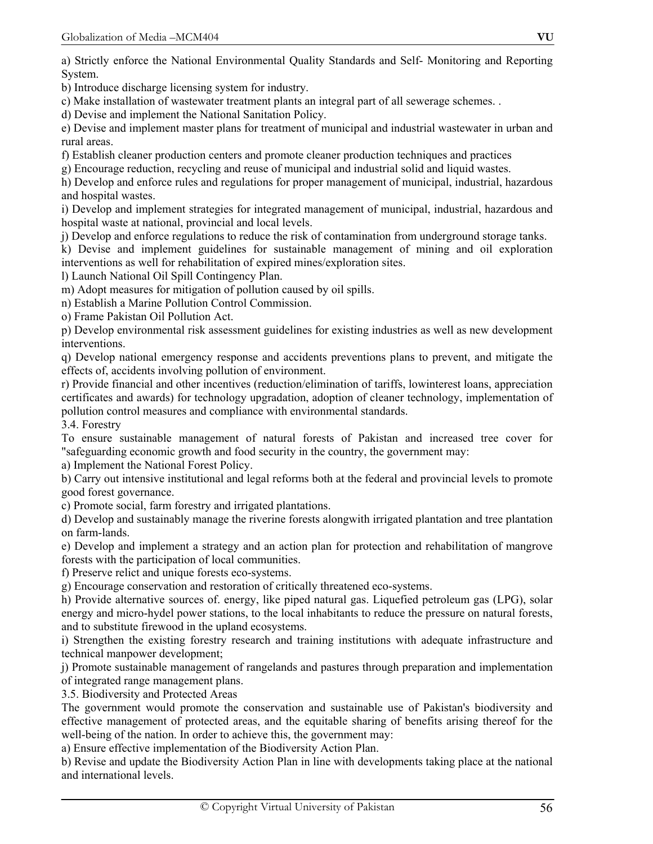a) Strictly enforce the National Environmental Quality Standards and Self- Monitoring and Reporting System.

b) Introduce discharge licensing system for industry.

c) Make installation of wastewater treatment plants an integral part of all sewerage schemes. .

d) Devise and implement the National Sanitation Policy.

e) Devise and implement master plans for treatment of municipal and industrial wastewater in urban and rural areas.

f) Establish cleaner production centers and promote cleaner production techniques and practices

g) Encourage reduction, recycling and reuse of municipal and industrial solid and liquid wastes.

h) Develop and enforce rules and regulations for proper management of municipal, industrial, hazardous and hospital wastes.

i) Develop and implement strategies for integrated management of municipal, industrial, hazardous and hospital waste at national, provincial and local levels.

j) Develop and enforce regulations to reduce the risk of contamination from underground storage tanks.

k) Devise and implement guidelines for sustainable management of mining and oil exploration interventions as well for rehabilitation of expired mines/exploration sites.

l) Launch National Oil Spill Contingency Plan.

m) Adopt measures for mitigation of pollution caused by oil spills.

n) Establish a Marine Pollution Control Commission.

o) Frame Pakistan Oil Pollution Act.

p) Develop environmental risk assessment guidelines for existing industries as well as new development interventions.

q) Develop national emergency response and accidents preventions plans to prevent, and mitigate the effects of, accidents involving pollution of environment.

r) Provide financial and other incentives (reduction/elimination of tariffs, lowinterest loans, appreciation certificates and awards) for technology upgradation, adoption of cleaner technology, implementation of pollution control measures and compliance with environmental standards.

3.4. Forestry

To ensure sustainable management of natural forests of Pakistan and increased tree cover for "safeguarding economic growth and food security in the country, the government may:

a) Implement the National Forest Policy.

b) Carry out intensive institutional and legal reforms both at the federal and provincial levels to promote good forest governance.

c) Promote social, farm forestry and irrigated plantations.

d) Develop and sustainably manage the riverine forests alongwith irrigated plantation and tree plantation on farm-lands.

e) Develop and implement a strategy and an action plan for protection and rehabilitation of mangrove forests with the participation of local communities.

f) Preserve relict and unique forests eco-systems.

g) Encourage conservation and restoration of critically threatened eco-systems.

h) Provide alternative sources of. energy, like piped natural gas. Liquefied petroleum gas (LPG), solar energy and micro-hydel power stations, to the local inhabitants to reduce the pressure on natural forests, and to substitute firewood in the upland ecosystems.

i) Strengthen the existing forestry research and training institutions with adequate infrastructure and technical manpower development;

j) Promote sustainable management of rangelands and pastures through preparation and implementation of integrated range management plans.

3.5. Biodiversity and Protected Areas

The government would promote the conservation and sustainable use of Pakistan's biodiversity and effective management of protected areas, and the equitable sharing of benefits arising thereof for the well-being of the nation. In order to achieve this, the government may:

a) Ensure effective implementation of the Biodiversity Action Plan.

b) Revise and update the Biodiversity Action Plan in line with developments taking place at the national and international levels.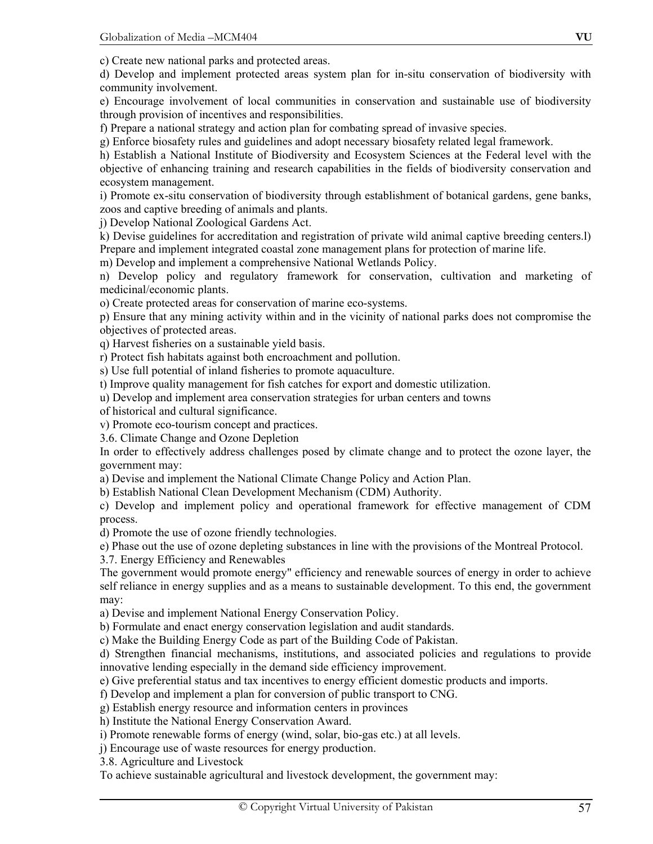c) Create new national parks and protected areas.

d) Develop and implement protected areas system plan for in-situ conservation of biodiversity with community involvement.

e) Encourage involvement of local communities in conservation and sustainable use of biodiversity through provision of incentives and responsibilities.

f) Prepare a national strategy and action plan for combating spread of invasive species.

g) Enforce biosafety rules and guidelines and adopt necessary biosafety related legal framework.

h) Establish a National Institute of Biodiversity and Ecosystem Sciences at the Federal level with the objective of enhancing training and research capabilities in the fields of biodiversity conservation and ecosystem management.

i) Promote ex-situ conservation of biodiversity through establishment of botanical gardens, gene banks, zoos and captive breeding of animals and plants.

j) Develop National Zoological Gardens Act.

k) Devise guidelines for accreditation and registration of private wild animal captive breeding centers.l) Prepare and implement integrated coastal zone management plans for protection of marine life.

m) Develop and implement a comprehensive National Wetlands Policy.

n) Develop policy and regulatory framework for conservation, cultivation and marketing of medicinal/economic plants.

o) Create protected areas for conservation of marine eco-systems.

p) Ensure that any mining activity within and in the vicinity of national parks does not compromise the objectives of protected areas.

q) Harvest fisheries on a sustainable yield basis.

r) Protect fish habitats against both encroachment and pollution.

s) Use full potential of inland fisheries to promote aquaculture.

t) Improve quality management for fish catches for export and domestic utilization.

u) Develop and implement area conservation strategies for urban centers and towns

of historical and cultural significance.

v) Promote eco-tourism concept and practices.

3.6. Climate Change and Ozone Depletion

In order to effectively address challenges posed by climate change and to protect the ozone layer, the government may:

a) Devise and implement the National Climate Change Policy and Action Plan.

b) Establish National Clean Development Mechanism (CDM) Authority.

c) Develop and implement policy and operational framework for effective management of CDM process.

d) Promote the use of ozone friendly technologies.

e) Phase out the use of ozone depleting substances in line with the provisions of the Montreal Protocol.

3.7. Energy Efficiency and Renewables

The government would promote energy" efficiency and renewable sources of energy in order to achieve self reliance in energy supplies and as a means to sustainable development. To this end, the government may:

a) Devise and implement National Energy Conservation Policy.

b) Formulate and enact energy conservation legislation and audit standards.

c) Make the Building Energy Code as part of the Building Code of Pakistan.

d) Strengthen financial mechanisms, institutions, and associated policies and regulations to provide innovative lending especially in the demand side efficiency improvement.

e) Give preferential status and tax incentives to energy efficient domestic products and imports.

f) Develop and implement a plan for conversion of public transport to CNG.

g) Establish energy resource and information centers in provinces

h) Institute the National Energy Conservation Award.

i) Promote renewable forms of energy (wind, solar, bio-gas etc.) at all levels.

j) Encourage use of waste resources for energy production.

3.8. Agriculture and Livestock

To achieve sustainable agricultural and livestock development, the government may: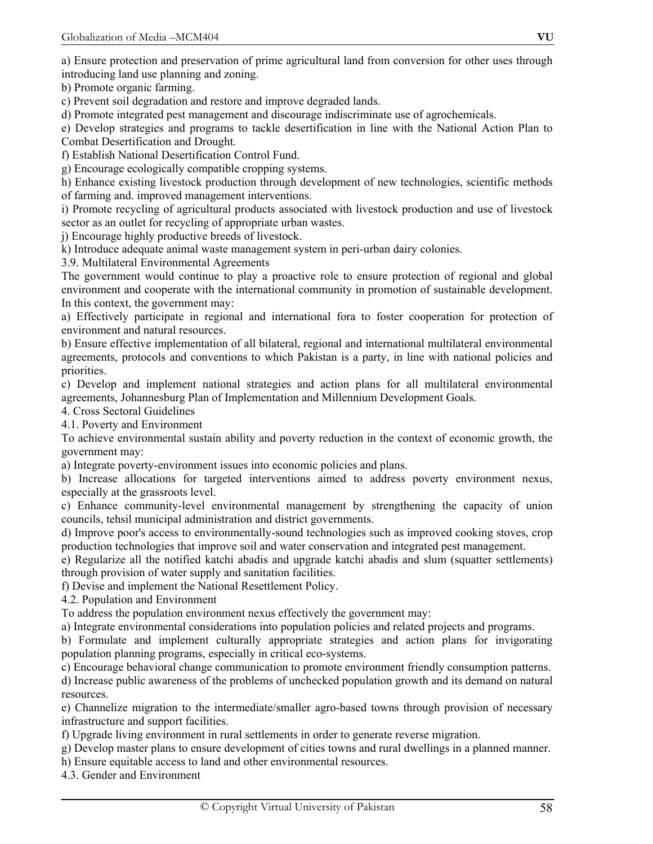a) Ensure protection and preservation of prime agricultural land from conversion for other uses through introducing land use planning and zoning.

b) Promote organic farming.

c) Prevent soil degradation and restore and improve degraded lands.

d) Promote integrated pest management and discourage indiscriminate use of agrochemicals.

e) Develop strategies and programs to tackle desertification in line with the National Action Plan to Combat Desertification and Drought.

f) Establish National Desertification Control Fund.

g) Encourage ecologically compatible cropping systems.

h) Enhance existing livestock production through development of new technologies, scientific methods of farming and. improved management interventions.

i) Promote recycling of agricultural products associated with livestock production and use of livestock sector as an outlet for recycling of appropriate urban wastes.

j) Encourage highly productive breeds of livestock.

k) Introduce adequate animal waste management system in peri-urban dairy colonies.

3.9. Multilateral Environmental Agreements

The government would continue to play a proactive role to ensure protection of regional and global environment and cooperate with the international community in promotion of sustainable development. In this context, the government may:

a) Effectively participate in regional and international fora to foster cooperation for protection of environment and natural resources.

b) Ensure effective implementation of all bilateral, regional and international multilateral environmental agreements, protocols and conventions to which Pakistan is a party, in line with national policies and priorities.

c) Develop and implement national strategies and action plans for all multilateral environmental agreements, Johannesburg Plan of Implementation and Millennium Development Goals.

4. Cross Sectoral Guidelines

4.1. Poverty and Environment

To achieve environmental sustain ability and poverty reduction in the context of economic growth, the government may:

a) Integrate poverty-environment issues into economic policies and plans.

b) Increase allocations for targeted interventions aimed to address poverty environment nexus, especially at the grassroots level.

c) Enhance community-level environmental management by strengthening the capacity of union councils, tehsil municipal administration and district governments.

d) Improve poor's access to environmentally-sound technologies such as improved cooking stoves, crop production technologies that improve soil and water conservation and integrated pest management.

e) Regularize all the notified katchi abadis and upgrade katchi abadis and slum (squatter settlements) through provision of water supply and sanitation facilities.

f) Devise and implement the National Resettlement Policy.

4.2. Population and Environment

To address the population environment nexus effectively the government may:

a) Integrate environmental considerations into population policies and related projects and programs.

b) Formulate and implement culturally appropriate strategies and action plans for invigorating population planning programs, especially in critical eco-systems.

c) Encourage behavioral change communication to promote environment friendly consumption patterns.

d) Increase public awareness of the problems of unchecked population growth and its demand on natural resources.

e) Channelize migration to the intermediate/smaller agro-based towns through provision of necessary infrastructure and support facilities.

f) Upgrade living environment in rural settlements in order to generate reverse migration.

g) Develop master plans to ensure development of cities towns and rural dwellings in a planned manner.

h) Ensure equitable access to land and other environmental resources.

4.3. Gender and Environment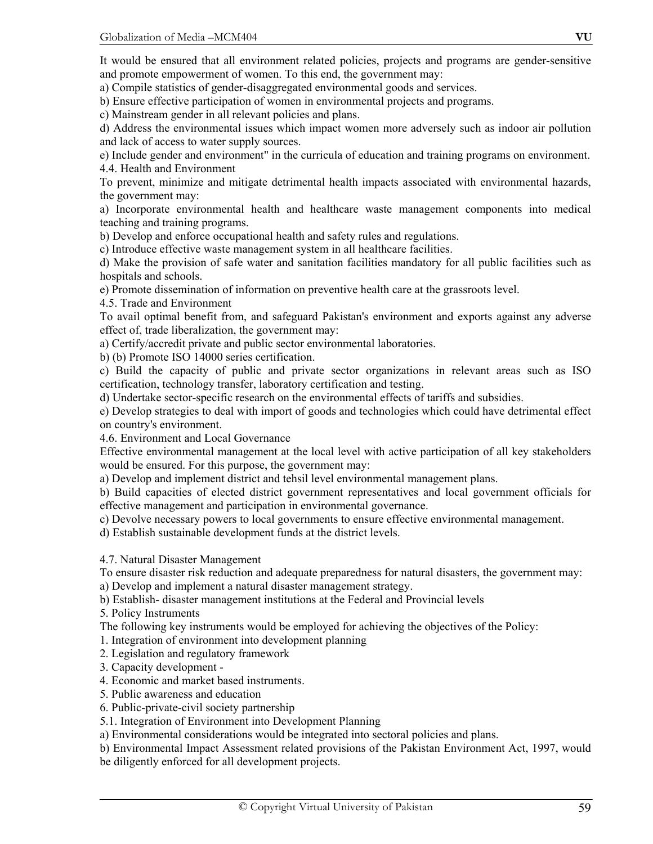It would be ensured that all environment related policies, projects and programs are gender-sensitive and promote empowerment of women. To this end, the government may:

a) Compile statistics of gender-disaggregated environmental goods and services.

b) Ensure effective participation of women in environmental projects and programs.

c) Mainstream gender in all relevant policies and plans.

d) Address the environmental issues which impact women more adversely such as indoor air pollution and lack of access to water supply sources.

e) Include gender and environment" in the curricula of education and training programs on environment. 4.4. Health and Environment

To prevent, minimize and mitigate detrimental health impacts associated with environmental hazards, the government may:

a) Incorporate environmental health and healthcare waste management components into medical teaching and training programs.

b) Develop and enforce occupational health and safety rules and regulations.

c) Introduce effective waste management system in all healthcare facilities.

d) Make the provision of safe water and sanitation facilities mandatory for all public facilities such as hospitals and schools.

e) Promote dissemination of information on preventive health care at the grassroots level.

4.5. Trade and Environment

To avail optimal benefit from, and safeguard Pakistan's environment and exports against any adverse effect of, trade liberalization, the government may:

a) Certify/accredit private and public sector environmental laboratories.

b) (b) Promote ISO 14000 series certification.

c) Build the capacity of public and private sector organizations in relevant areas such as ISO certification, technology transfer, laboratory certification and testing.

d) Undertake sector-specific research on the environmental effects of tariffs and subsidies.

e) Develop strategies to deal with import of goods and technologies which could have detrimental effect on country's environment.

4.6. Environment and Local Governance

Effective environmental management at the local level with active participation of all key stakeholders would be ensured. For this purpose, the government may:

a) Develop and implement district and tehsil level environmental management plans.

b) Build capacities of elected district government representatives and local government officials for effective management and participation in environmental governance.

c) Devolve necessary powers to local governments to ensure effective environmental management.

d) Establish sustainable development funds at the district levels.

4.7. Natural Disaster Management

To ensure disaster risk reduction and adequate preparedness for natural disasters, the government may:

a) Develop and implement a natural disaster management strategy.

b) Establish- disaster management institutions at the Federal and Provincial levels

5. Policy Instruments

The following key instruments would be employed for achieving the objectives of the Policy:

1. Integration of environment into development planning

2. Legislation and regulatory framework

3. Capacity development -

4. Economic and market based instruments.

5. Public awareness and education

6. Public-private-civil society partnership

5.1. Integration of Environment into Development Planning

a) Environmental considerations would be integrated into sectoral policies and plans.

b) Environmental Impact Assessment related provisions of the Pakistan Environment Act, 1997, would be diligently enforced for all development projects.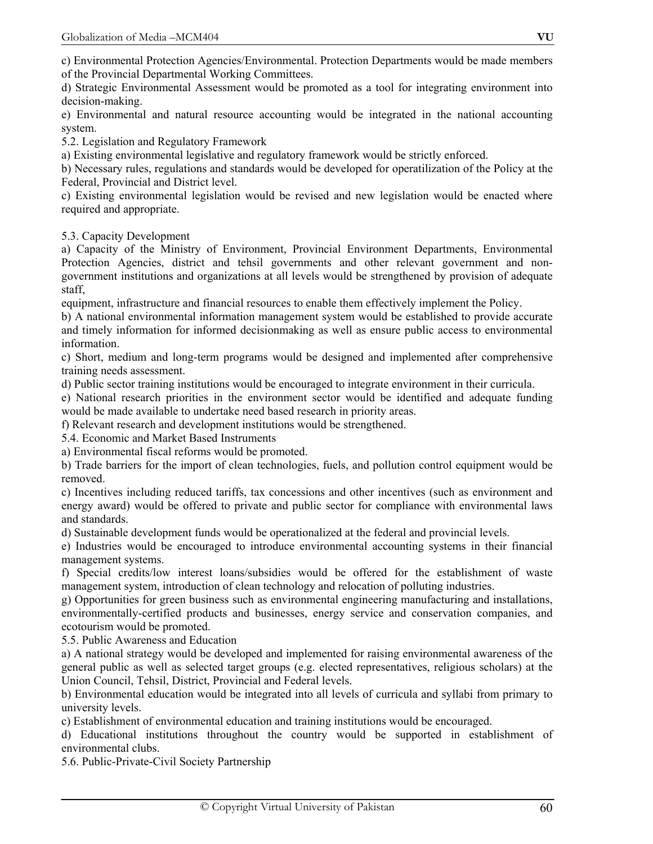c) Environmental Protection Agencies/Environmental. Protection Departments would be made members of the Provincial Departmental Working Committees.

d) Strategic Environmental Assessment would be promoted as a tool for integrating environment into decision-making.

e) Environmental and natural resource accounting would be integrated in the national accounting system.

5.2. Legislation and Regulatory Framework

a) Existing environmental legislative and regulatory framework would be strictly enforced.

b) Necessary rules, regulations and standards would be developed for operatilization of the Policy at the Federal, Provincial and District level.

c) Existing environmental legislation would be revised and new legislation would be enacted where required and appropriate.

5.3. Capacity Development

a) Capacity of the Ministry of Environment, Provincial Environment Departments, Environmental Protection Agencies, district and tehsil governments and other relevant government and nongovernment institutions and organizations at all levels would be strengthened by provision of adequate staff,

equipment, infrastructure and financial resources to enable them effectively implement the Policy.

b) A national environmental information management system would be established to provide accurate and timely information for informed decisionmaking as well as ensure public access to environmental information.

c) Short, medium and long-term programs would be designed and implemented after comprehensive training needs assessment.

d) Public sector training institutions would be encouraged to integrate environment in their curricula.

e) National research priorities in the environment sector would be identified and adequate funding would be made available to undertake need based research in priority areas.

f) Relevant research and development institutions would be strengthened.

5.4. Economic and Market Based Instruments

a) Environmental fiscal reforms would be promoted.

b) Trade barriers for the import of clean technologies, fuels, and pollution control equipment would be removed.

c) Incentives including reduced tariffs, tax concessions and other incentives (such as environment and energy award) would be offered to private and public sector for compliance with environmental laws and standards.

d) Sustainable development funds would be operationalized at the federal and provincial levels.

e) Industries would be encouraged to introduce environmental accounting systems in their financial management systems.

f) Special credits/low interest loans/subsidies would be offered for the establishment of waste management system, introduction of clean technology and relocation of polluting industries.

g) Opportunities for green business such as environmental engineering manufacturing and installations, environmentally-certified products and businesses, energy service and conservation companies, and ecotourism would be promoted.

5.5. Public Awareness and Education

a) A national strategy would be developed and implemented for raising environmental awareness of the general public as well as selected target groups (e.g. elected representatives, religious scholars) at the Union Council, Tehsil, District, Provincial and Federal levels.

b) Environmental education would be integrated into all levels of curricula and syllabi from primary to university levels.

c) Establishment of environmental education and training institutions would be encouraged.

d) Educational institutions throughout the country would be supported in establishment of environmental clubs.

5.6. Public-Private-Civil Society Partnership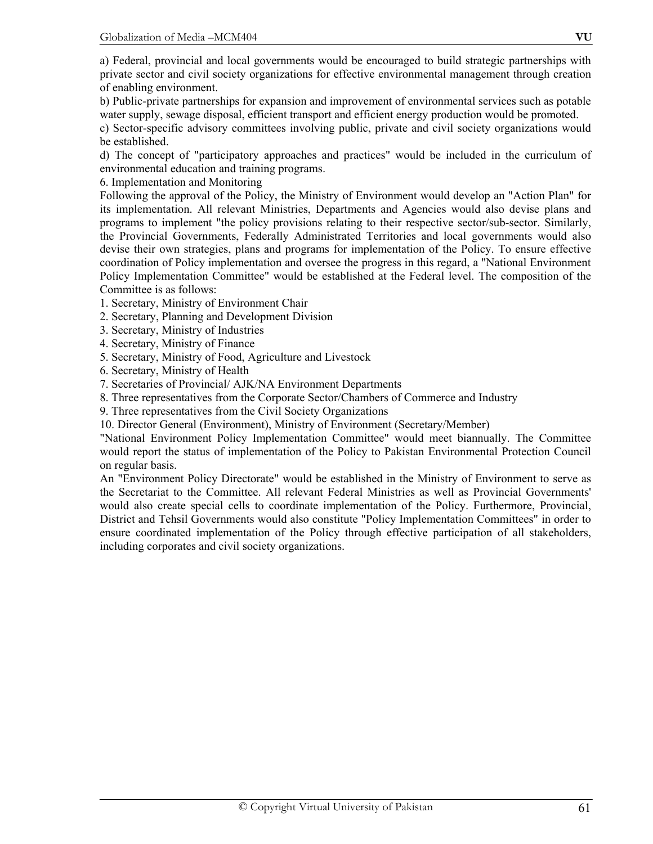a) Federal, provincial and local governments would be encouraged to build strategic partnerships with private sector and civil society organizations for effective environmental management through creation of enabling environment.

b) Public-private partnerships for expansion and improvement of environmental services such as potable water supply, sewage disposal, efficient transport and efficient energy production would be promoted.

c) Sector-specific advisory committees involving public, private and civil society organizations would be established.

d) The concept of "participatory approaches and practices" would be included in the curriculum of environmental education and training programs.

6. Implementation and Monitoring

Following the approval of the Policy, the Ministry of Environment would develop an "Action Plan" for its implementation. All relevant Ministries, Departments and Agencies would also devise plans and programs to implement "the policy provisions relating to their respective sector/sub-sector. Similarly, the Provincial Governments, Federally Administrated Territories and local governments would also devise their own strategies, plans and programs for implementation of the Policy. To ensure effective coordination of Policy implementation and oversee the progress in this regard, a "National Environment Policy Implementation Committee" would be established at the Federal level. The composition of the Committee is as follows:

1. Secretary, Ministry of Environment Chair

- 2. Secretary, Planning and Development Division
- 3. Secretary, Ministry of Industries
- 4. Secretary, Ministry of Finance
- 5. Secretary, Ministry of Food, Agriculture and Livestock
- 6. Secretary, Ministry of Health

7. Secretaries of Provincial/ AJK/NA Environment Departments

8. Three representatives from the Corporate Sector/Chambers of Commerce and Industry

9. Three representatives from the Civil Society Organizations

10. Director General (Environment), Ministry of Environment (Secretary/Member)

"National Environment Policy Implementation Committee" would meet biannually. The Committee would report the status of implementation of the Policy to Pakistan Environmental Protection Council on regular basis.

An "Environment Policy Directorate" would be established in the Ministry of Environment to serve as the Secretariat to the Committee. All relevant Federal Ministries as well as Provincial Governments' would also create special cells to coordinate implementation of the Policy. Furthermore, Provincial, District and Tehsil Governments would also constitute "Policy Implementation Committees" in order to ensure coordinated implementation of the Policy through effective participation of all stakeholders, including corporates and civil society organizations.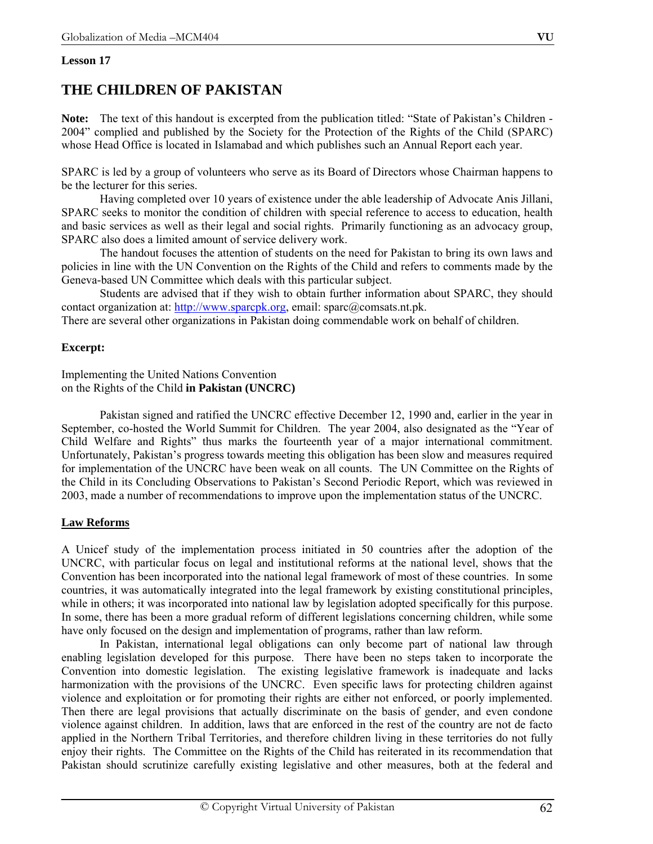# **THE CHILDREN OF PAKISTAN**

**Note:** The text of this handout is excerpted from the publication titled: "State of Pakistan's Children - 2004" complied and published by the Society for the Protection of the Rights of the Child (SPARC) whose Head Office is located in Islamabad and which publishes such an Annual Report each year.

SPARC is led by a group of volunteers who serve as its Board of Directors whose Chairman happens to be the lecturer for this series.

 Having completed over 10 years of existence under the able leadership of Advocate Anis Jillani, SPARC seeks to monitor the condition of children with special reference to access to education, health and basic services as well as their legal and social rights. Primarily functioning as an advocacy group, SPARC also does a limited amount of service delivery work.

 The handout focuses the attention of students on the need for Pakistan to bring its own laws and policies in line with the UN Convention on the Rights of the Child and refers to comments made by the Geneva-based UN Committee which deals with this particular subject.

 Students are advised that if they wish to obtain further information about SPARC, they should contact organization at: http://www.sparcpk.org, email: sparc@comsats.nt.pk.

There are several other organizations in Pakistan doing commendable work on behalf of children.

### **Excerpt:**

Implementing the United Nations Convention on the Rights of the Child **in Pakistan (UNCRC)**

 Pakistan signed and ratified the UNCRC effective December 12, 1990 and, earlier in the year in September, co-hosted the World Summit for Children. The year 2004, also designated as the "Year of Child Welfare and Rights" thus marks the fourteenth year of a major international commitment. Unfortunately, Pakistan's progress towards meeting this obligation has been slow and measures required for implementation of the UNCRC have been weak on all counts. The UN Committee on the Rights of the Child in its Concluding Observations to Pakistan's Second Periodic Report, which was reviewed in 2003, made a number of recommendations to improve upon the implementation status of the UNCRC.

### **Law Reforms**

A Unicef study of the implementation process initiated in 50 countries after the adoption of the UNCRC, with particular focus on legal and institutional reforms at the national level, shows that the Convention has been incorporated into the national legal framework of most of these countries. In some countries, it was automatically integrated into the legal framework by existing constitutional principles, while in others; it was incorporated into national law by legislation adopted specifically for this purpose. In some, there has been a more gradual reform of different legislations concerning children, while some have only focused on the design and implementation of programs, rather than law reform.

 In Pakistan, international legal obligations can only become part of national law through enabling legislation developed for this purpose. There have been no steps taken to incorporate the Convention into domestic legislation. The existing legislative framework is inadequate and lacks harmonization with the provisions of the UNCRC. Even specific laws for protecting children against violence and exploitation or for promoting their rights are either not enforced, or poorly implemented. Then there are legal provisions that actually discriminate on the basis of gender, and even condone violence against children. In addition, laws that are enforced in the rest of the country are not de facto applied in the Northern Tribal Territories, and therefore children living in these territories do not fully enjoy their rights. The Committee on the Rights of the Child has reiterated in its recommendation that Pakistan should scrutinize carefully existing legislative and other measures, both at the federal and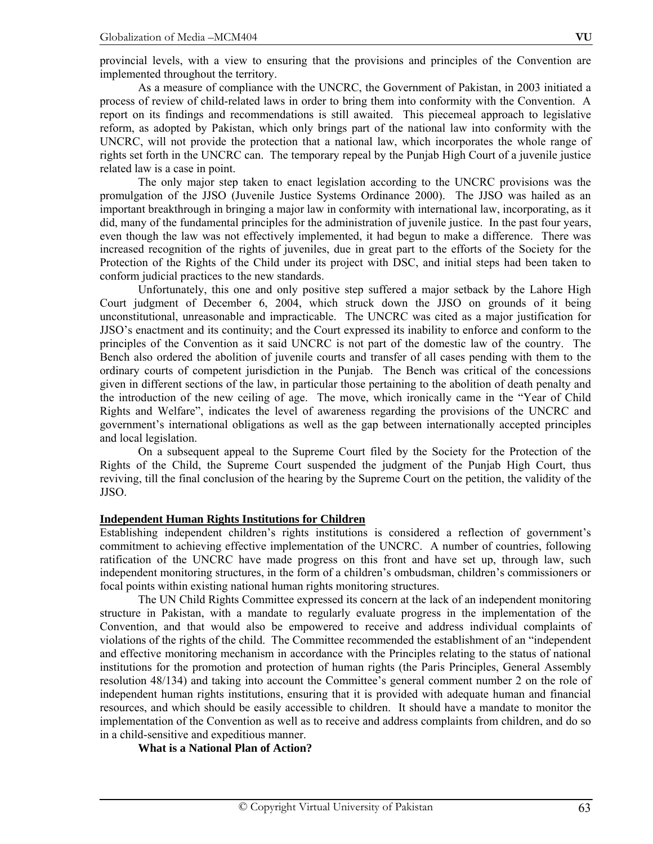provincial levels, with a view to ensuring that the provisions and principles of the Convention are implemented throughout the territory.

 As a measure of compliance with the UNCRC, the Government of Pakistan, in 2003 initiated a process of review of child-related laws in order to bring them into conformity with the Convention. A report on its findings and recommendations is still awaited. This piecemeal approach to legislative reform, as adopted by Pakistan, which only brings part of the national law into conformity with the UNCRC, will not provide the protection that a national law, which incorporates the whole range of rights set forth in the UNCRC can. The temporary repeal by the Punjab High Court of a juvenile justice related law is a case in point.

 The only major step taken to enact legislation according to the UNCRC provisions was the promulgation of the JJSO (Juvenile Justice Systems Ordinance 2000). The JJSO was hailed as an important breakthrough in bringing a major law in conformity with international law, incorporating, as it did, many of the fundamental principles for the administration of juvenile justice. In the past four years, even though the law was not effectively implemented, it had begun to make a difference. There was increased recognition of the rights of juveniles, due in great part to the efforts of the Society for the Protection of the Rights of the Child under its project with DSC, and initial steps had been taken to conform judicial practices to the new standards.

 Unfortunately, this one and only positive step suffered a major setback by the Lahore High Court judgment of December 6, 2004, which struck down the JJSO on grounds of it being unconstitutional, unreasonable and impracticable. The UNCRC was cited as a major justification for JJSO's enactment and its continuity; and the Court expressed its inability to enforce and conform to the principles of the Convention as it said UNCRC is not part of the domestic law of the country. The Bench also ordered the abolition of juvenile courts and transfer of all cases pending with them to the ordinary courts of competent jurisdiction in the Punjab. The Bench was critical of the concessions given in different sections of the law, in particular those pertaining to the abolition of death penalty and the introduction of the new ceiling of age. The move, which ironically came in the "Year of Child Rights and Welfare", indicates the level of awareness regarding the provisions of the UNCRC and government's international obligations as well as the gap between internationally accepted principles and local legislation.

 On a subsequent appeal to the Supreme Court filed by the Society for the Protection of the Rights of the Child, the Supreme Court suspended the judgment of the Punjab High Court, thus reviving, till the final conclusion of the hearing by the Supreme Court on the petition, the validity of the JJSO.

### **Independent Human Rights Institutions for Children**

Establishing independent children's rights institutions is considered a reflection of government's commitment to achieving effective implementation of the UNCRC. A number of countries, following ratification of the UNCRC have made progress on this front and have set up, through law, such independent monitoring structures, in the form of a children's ombudsman, children's commissioners or focal points within existing national human rights monitoring structures.

 The UN Child Rights Committee expressed its concern at the lack of an independent monitoring structure in Pakistan, with a mandate to regularly evaluate progress in the implementation of the Convention, and that would also be empowered to receive and address individual complaints of violations of the rights of the child. The Committee recommended the establishment of an "independent and effective monitoring mechanism in accordance with the Principles relating to the status of national institutions for the promotion and protection of human rights (the Paris Principles, General Assembly resolution 48/134) and taking into account the Committee's general comment number 2 on the role of independent human rights institutions, ensuring that it is provided with adequate human and financial resources, and which should be easily accessible to children. It should have a mandate to monitor the implementation of the Convention as well as to receive and address complaints from children, and do so in a child-sensitive and expeditious manner.

 **What is a National Plan of Action?**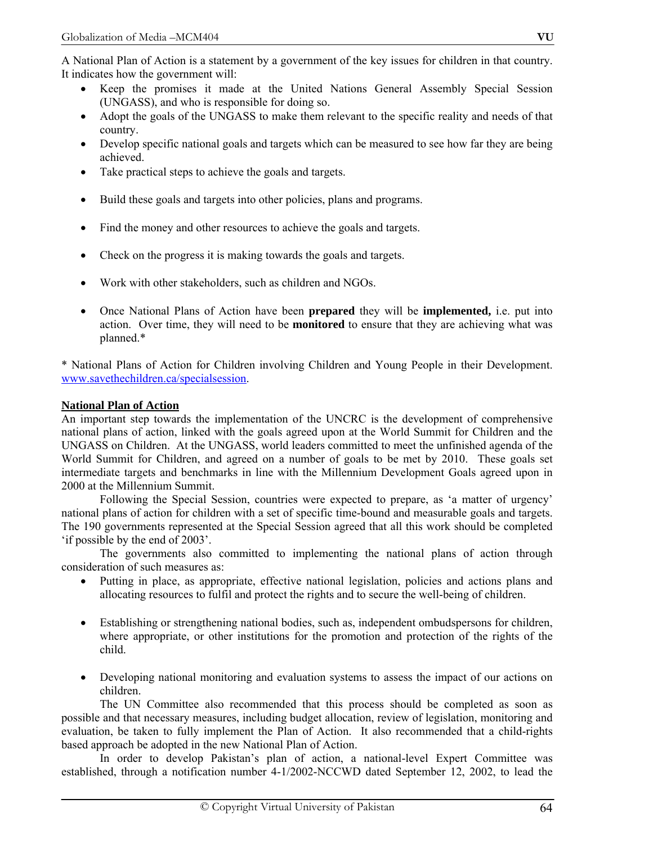A National Plan of Action is a statement by a government of the key issues for children in that country. It indicates how the government will:

- Keep the promises it made at the United Nations General Assembly Special Session (UNGASS), and who is responsible for doing so.
- Adopt the goals of the UNGASS to make them relevant to the specific reality and needs of that country.
- Develop specific national goals and targets which can be measured to see how far they are being achieved.
- Take practical steps to achieve the goals and targets.
- Build these goals and targets into other policies, plans and programs.
- Find the money and other resources to achieve the goals and targets.
- Check on the progress it is making towards the goals and targets.
- Work with other stakeholders, such as children and NGOs.
- Once National Plans of Action have been **prepared** they will be **implemented,** i.e. put into action. Over time, they will need to be **monitored** to ensure that they are achieving what was planned.\*

\* National Plans of Action for Children involving Children and Young People in their Development. www.savethechildren.ca/specialsession.

### **National Plan of Action**

An important step towards the implementation of the UNCRC is the development of comprehensive national plans of action, linked with the goals agreed upon at the World Summit for Children and the UNGASS on Children. At the UNGASS, world leaders committed to meet the unfinished agenda of the World Summit for Children, and agreed on a number of goals to be met by 2010. These goals set intermediate targets and benchmarks in line with the Millennium Development Goals agreed upon in 2000 at the Millennium Summit.

 Following the Special Session, countries were expected to prepare, as 'a matter of urgency' national plans of action for children with a set of specific time-bound and measurable goals and targets. The 190 governments represented at the Special Session agreed that all this work should be completed 'if possible by the end of 2003'.

 The governments also committed to implementing the national plans of action through consideration of such measures as:

- Putting in place, as appropriate, effective national legislation, policies and actions plans and allocating resources to fulfil and protect the rights and to secure the well-being of children.
- Establishing or strengthening national bodies, such as, independent ombudspersons for children, where appropriate, or other institutions for the promotion and protection of the rights of the child.
- Developing national monitoring and evaluation systems to assess the impact of our actions on children.

 The UN Committee also recommended that this process should be completed as soon as possible and that necessary measures, including budget allocation, review of legislation, monitoring and evaluation, be taken to fully implement the Plan of Action. It also recommended that a child-rights based approach be adopted in the new National Plan of Action.

 In order to develop Pakistan's plan of action, a national-level Expert Committee was established, through a notification number 4-1/2002-NCCWD dated September 12, 2002, to lead the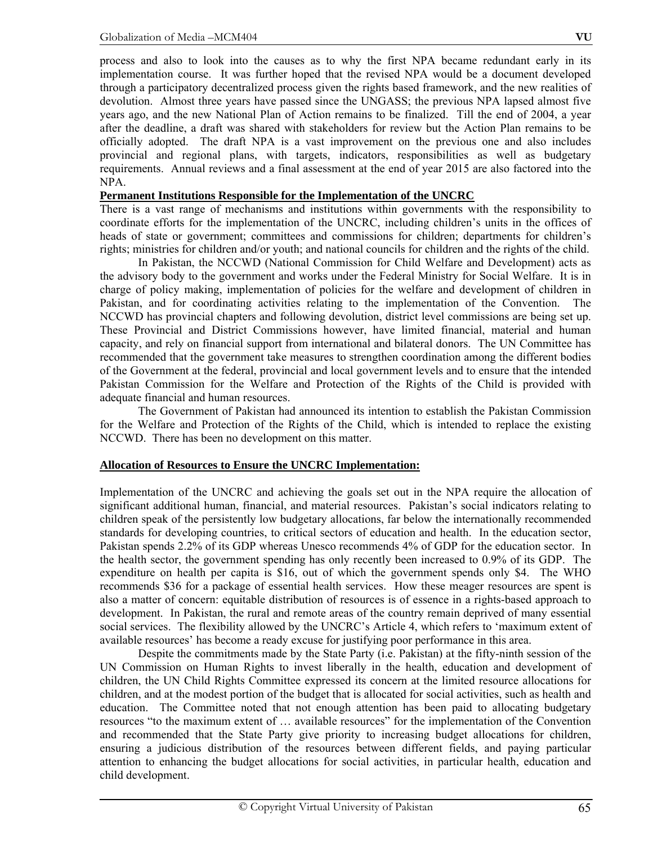process and also to look into the causes as to why the first NPA became redundant early in its implementation course. It was further hoped that the revised NPA would be a document developed through a participatory decentralized process given the rights based framework, and the new realities of devolution. Almost three years have passed since the UNGASS; the previous NPA lapsed almost five years ago, and the new National Plan of Action remains to be finalized. Till the end of 2004, a year after the deadline, a draft was shared with stakeholders for review but the Action Plan remains to be officially adopted. The draft NPA is a vast improvement on the previous one and also includes provincial and regional plans, with targets, indicators, responsibilities as well as budgetary requirements. Annual reviews and a final assessment at the end of year 2015 are also factored into the NPA.

### **Permanent Institutions Responsible for the Implementation of the UNCRC**

There is a vast range of mechanisms and institutions within governments with the responsibility to coordinate efforts for the implementation of the UNCRC, including children's units in the offices of heads of state or government; committees and commissions for children; departments for children's rights; ministries for children and/or youth; and national councils for children and the rights of the child.

 In Pakistan, the NCCWD (National Commission for Child Welfare and Development) acts as the advisory body to the government and works under the Federal Ministry for Social Welfare. It is in charge of policy making, implementation of policies for the welfare and development of children in Pakistan, and for coordinating activities relating to the implementation of the Convention. The NCCWD has provincial chapters and following devolution, district level commissions are being set up. These Provincial and District Commissions however, have limited financial, material and human capacity, and rely on financial support from international and bilateral donors. The UN Committee has recommended that the government take measures to strengthen coordination among the different bodies of the Government at the federal, provincial and local government levels and to ensure that the intended Pakistan Commission for the Welfare and Protection of the Rights of the Child is provided with adequate financial and human resources.

 The Government of Pakistan had announced its intention to establish the Pakistan Commission for the Welfare and Protection of the Rights of the Child, which is intended to replace the existing NCCWD. There has been no development on this matter.

### **Allocation of Resources to Ensure the UNCRC Implementation:**

Implementation of the UNCRC and achieving the goals set out in the NPA require the allocation of significant additional human, financial, and material resources. Pakistan's social indicators relating to children speak of the persistently low budgetary allocations, far below the internationally recommended standards for developing countries, to critical sectors of education and health. In the education sector, Pakistan spends 2.2% of its GDP whereas Unesco recommends 4% of GDP for the education sector. In the health sector, the government spending has only recently been increased to 0.9% of its GDP. The expenditure on health per capita is \$16, out of which the government spends only \$4. The WHO recommends \$36 for a package of essential health services. How these meager resources are spent is also a matter of concern: equitable distribution of resources is of essence in a rights-based approach to development. In Pakistan, the rural and remote areas of the country remain deprived of many essential social services. The flexibility allowed by the UNCRC's Article 4, which refers to 'maximum extent of available resources' has become a ready excuse for justifying poor performance in this area.

 Despite the commitments made by the State Party (i.e. Pakistan) at the fifty-ninth session of the UN Commission on Human Rights to invest liberally in the health, education and development of children, the UN Child Rights Committee expressed its concern at the limited resource allocations for children, and at the modest portion of the budget that is allocated for social activities, such as health and education. The Committee noted that not enough attention has been paid to allocating budgetary resources "to the maximum extent of … available resources" for the implementation of the Convention and recommended that the State Party give priority to increasing budget allocations for children, ensuring a judicious distribution of the resources between different fields, and paying particular attention to enhancing the budget allocations for social activities, in particular health, education and child development.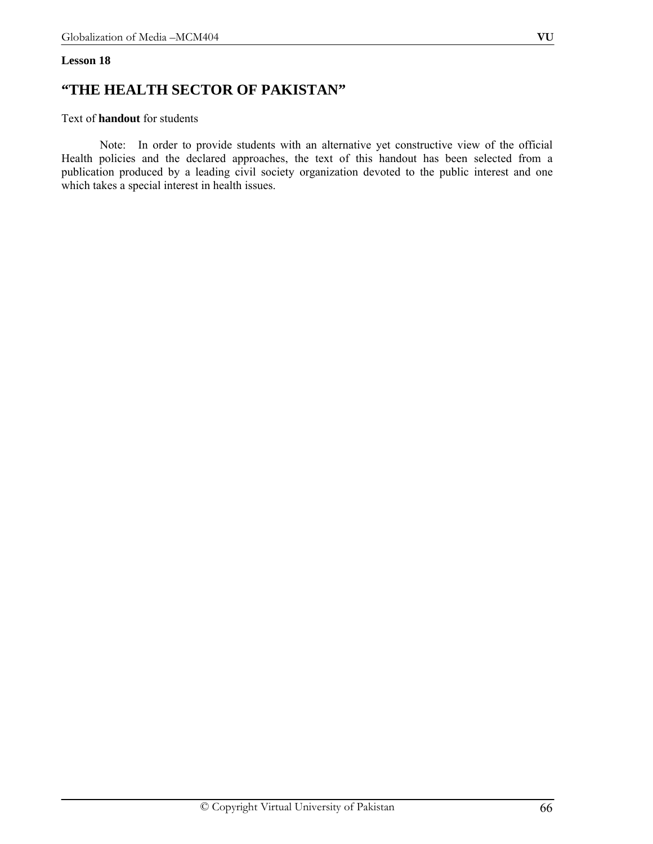# **"THE HEALTH SECTOR OF PAKISTAN"**

## Text of **handout** for students

 Note: In order to provide students with an alternative yet constructive view of the official Health policies and the declared approaches, the text of this handout has been selected from a publication produced by a leading civil society organization devoted to the public interest and one which takes a special interest in health issues.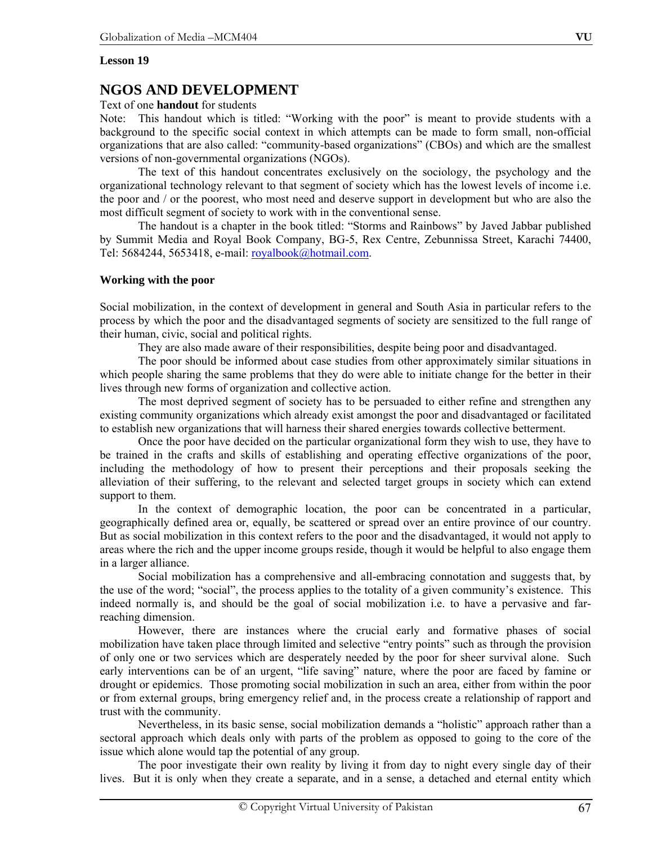# **NGOS AND DEVELOPMENT**

## Text of one **handout** for students

Note: This handout which is titled: "Working with the poor" is meant to provide students with a background to the specific social context in which attempts can be made to form small, non-official organizations that are also called: "community-based organizations" (CBOs) and which are the smallest versions of non-governmental organizations (NGOs).

 The text of this handout concentrates exclusively on the sociology, the psychology and the organizational technology relevant to that segment of society which has the lowest levels of income i.e. the poor and / or the poorest, who most need and deserve support in development but who are also the most difficult segment of society to work with in the conventional sense.

 The handout is a chapter in the book titled: "Storms and Rainbows" by Javed Jabbar published by Summit Media and Royal Book Company, BG-5, Rex Centre, Zebunnissa Street, Karachi 74400, Tel: 5684244, 5653418, e-mail: royalbook@hotmail.com.

## **Working with the poor**

Social mobilization, in the context of development in general and South Asia in particular refers to the process by which the poor and the disadvantaged segments of society are sensitized to the full range of their human, civic, social and political rights.

They are also made aware of their responsibilities, despite being poor and disadvantaged.

 The poor should be informed about case studies from other approximately similar situations in which people sharing the same problems that they do were able to initiate change for the better in their lives through new forms of organization and collective action.

 The most deprived segment of society has to be persuaded to either refine and strengthen any existing community organizations which already exist amongst the poor and disadvantaged or facilitated to establish new organizations that will harness their shared energies towards collective betterment.

 Once the poor have decided on the particular organizational form they wish to use, they have to be trained in the crafts and skills of establishing and operating effective organizations of the poor, including the methodology of how to present their perceptions and their proposals seeking the alleviation of their suffering, to the relevant and selected target groups in society which can extend support to them.

 In the context of demographic location, the poor can be concentrated in a particular, geographically defined area or, equally, be scattered or spread over an entire province of our country. But as social mobilization in this context refers to the poor and the disadvantaged, it would not apply to areas where the rich and the upper income groups reside, though it would be helpful to also engage them in a larger alliance.

 Social mobilization has a comprehensive and all-embracing connotation and suggests that, by the use of the word; "social", the process applies to the totality of a given community's existence. This indeed normally is, and should be the goal of social mobilization i.e. to have a pervasive and farreaching dimension.

 However, there are instances where the crucial early and formative phases of social mobilization have taken place through limited and selective "entry points" such as through the provision of only one or two services which are desperately needed by the poor for sheer survival alone. Such early interventions can be of an urgent, "life saving" nature, where the poor are faced by famine or drought or epidemics. Those promoting social mobilization in such an area, either from within the poor or from external groups, bring emergency relief and, in the process create a relationship of rapport and trust with the community.

 Nevertheless, in its basic sense, social mobilization demands a "holistic" approach rather than a sectoral approach which deals only with parts of the problem as opposed to going to the core of the issue which alone would tap the potential of any group.

 The poor investigate their own reality by living it from day to night every single day of their lives. But it is only when they create a separate, and in a sense, a detached and eternal entity which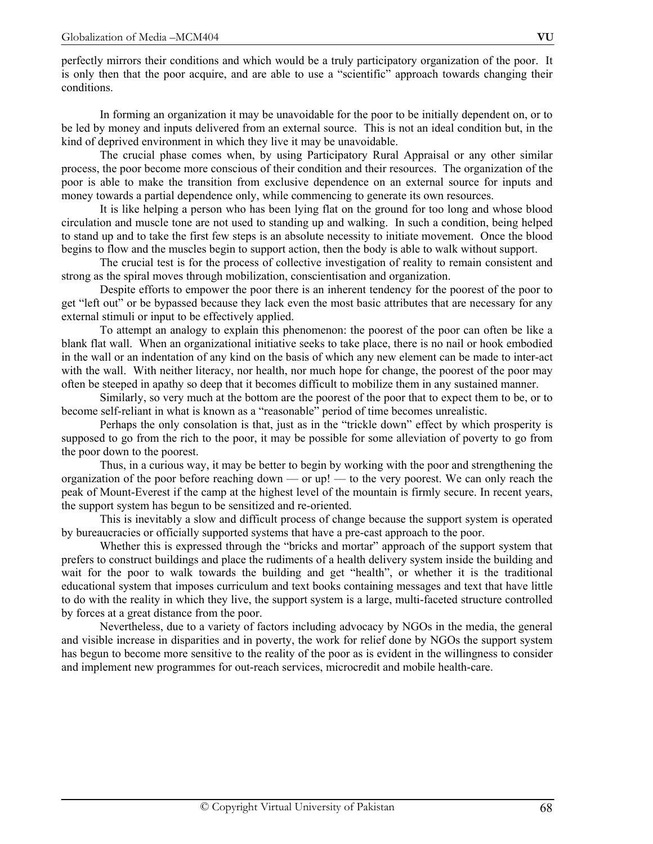perfectly mirrors their conditions and which would be a truly participatory organization of the poor. It is only then that the poor acquire, and are able to use a "scientific" approach towards changing their conditions.

 In forming an organization it may be unavoidable for the poor to be initially dependent on, or to be led by money and inputs delivered from an external source. This is not an ideal condition but, in the kind of deprived environment in which they live it may be unavoidable.

 The crucial phase comes when, by using Participatory Rural Appraisal or any other similar process, the poor become more conscious of their condition and their resources. The organization of the poor is able to make the transition from exclusive dependence on an external source for inputs and money towards a partial dependence only, while commencing to generate its own resources.

 It is like helping a person who has been lying flat on the ground for too long and whose blood circulation and muscle tone are not used to standing up and walking. In such a condition, being helped to stand up and to take the first few steps is an absolute necessity to initiate movement. Once the blood begins to flow and the muscles begin to support action, then the body is able to walk without support.

 The crucial test is for the process of collective investigation of reality to remain consistent and strong as the spiral moves through mobilization, conscientisation and organization.

 Despite efforts to empower the poor there is an inherent tendency for the poorest of the poor to get "left out" or be bypassed because they lack even the most basic attributes that are necessary for any external stimuli or input to be effectively applied.

 To attempt an analogy to explain this phenomenon: the poorest of the poor can often be like a blank flat wall. When an organizational initiative seeks to take place, there is no nail or hook embodied in the wall or an indentation of any kind on the basis of which any new element can be made to inter-act with the wall. With neither literacy, nor health, nor much hope for change, the poorest of the poor may often be steeped in apathy so deep that it becomes difficult to mobilize them in any sustained manner.

 Similarly, so very much at the bottom are the poorest of the poor that to expect them to be, or to become self-reliant in what is known as a "reasonable" period of time becomes unrealistic.

 Perhaps the only consolation is that, just as in the "trickle down" effect by which prosperity is supposed to go from the rich to the poor, it may be possible for some alleviation of poverty to go from the poor down to the poorest.

 Thus, in a curious way, it may be better to begin by working with the poor and strengthening the organization of the poor before reaching down — or up! — to the very poorest. We can only reach the peak of Mount-Everest if the camp at the highest level of the mountain is firmly secure. In recent years, the support system has begun to be sensitized and re-oriented.

 This is inevitably a slow and difficult process of change because the support system is operated by bureaucracies or officially supported systems that have a pre-cast approach to the poor.

 Whether this is expressed through the "bricks and mortar" approach of the support system that prefers to construct buildings and place the rudiments of a health delivery system inside the building and wait for the poor to walk towards the building and get "health", or whether it is the traditional educational system that imposes curriculum and text books containing messages and text that have little to do with the reality in which they live, the support system is a large, multi-faceted structure controlled by forces at a great distance from the poor.

 Nevertheless, due to a variety of factors including advocacy by NGOs in the media, the general and visible increase in disparities and in poverty, the work for relief done by NGOs the support system has begun to become more sensitive to the reality of the poor as is evident in the willingness to consider and implement new programmes for out-reach services, microcredit and mobile health-care.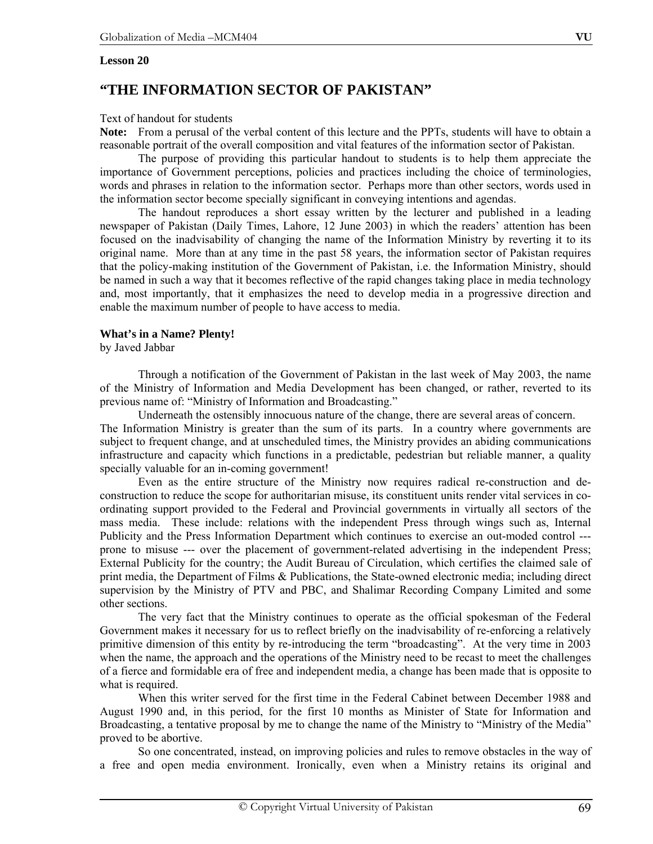# **"THE INFORMATION SECTOR OF PAKISTAN"**

#### Text of handout for students

**Note:** From a perusal of the verbal content of this lecture and the PPTs, students will have to obtain a reasonable portrait of the overall composition and vital features of the information sector of Pakistan.

 The purpose of providing this particular handout to students is to help them appreciate the importance of Government perceptions, policies and practices including the choice of terminologies, words and phrases in relation to the information sector. Perhaps more than other sectors, words used in the information sector become specially significant in conveying intentions and agendas.

 The handout reproduces a short essay written by the lecturer and published in a leading newspaper of Pakistan (Daily Times, Lahore, 12 June 2003) in which the readers' attention has been focused on the inadvisability of changing the name of the Information Ministry by reverting it to its original name. More than at any time in the past 58 years, the information sector of Pakistan requires that the policy-making institution of the Government of Pakistan, i.e. the Information Ministry, should be named in such a way that it becomes reflective of the rapid changes taking place in media technology and, most importantly, that it emphasizes the need to develop media in a progressive direction and enable the maximum number of people to have access to media.

### **What's in a Name? Plenty!**

by Javed Jabbar

 Through a notification of the Government of Pakistan in the last week of May 2003, the name of the Ministry of Information and Media Development has been changed, or rather, reverted to its previous name of: "Ministry of Information and Broadcasting."

 Underneath the ostensibly innocuous nature of the change, there are several areas of concern. The Information Ministry is greater than the sum of its parts. In a country where governments are subject to frequent change, and at unscheduled times, the Ministry provides an abiding communications infrastructure and capacity which functions in a predictable, pedestrian but reliable manner, a quality specially valuable for an in-coming government!

 Even as the entire structure of the Ministry now requires radical re-construction and deconstruction to reduce the scope for authoritarian misuse, its constituent units render vital services in coordinating support provided to the Federal and Provincial governments in virtually all sectors of the mass media. These include: relations with the independent Press through wings such as, Internal Publicity and the Press Information Department which continues to exercise an out-moded control -- prone to misuse --- over the placement of government-related advertising in the independent Press; External Publicity for the country; the Audit Bureau of Circulation, which certifies the claimed sale of print media, the Department of Films & Publications, the State-owned electronic media; including direct supervision by the Ministry of PTV and PBC, and Shalimar Recording Company Limited and some other sections.

 The very fact that the Ministry continues to operate as the official spokesman of the Federal Government makes it necessary for us to reflect briefly on the inadvisability of re-enforcing a relatively primitive dimension of this entity by re-introducing the term "broadcasting". At the very time in 2003 when the name, the approach and the operations of the Ministry need to be recast to meet the challenges of a fierce and formidable era of free and independent media, a change has been made that is opposite to what is required.

 When this writer served for the first time in the Federal Cabinet between December 1988 and August 1990 and, in this period, for the first 10 months as Minister of State for Information and Broadcasting, a tentative proposal by me to change the name of the Ministry to "Ministry of the Media" proved to be abortive.

 So one concentrated, instead, on improving policies and rules to remove obstacles in the way of a free and open media environment. Ironically, even when a Ministry retains its original and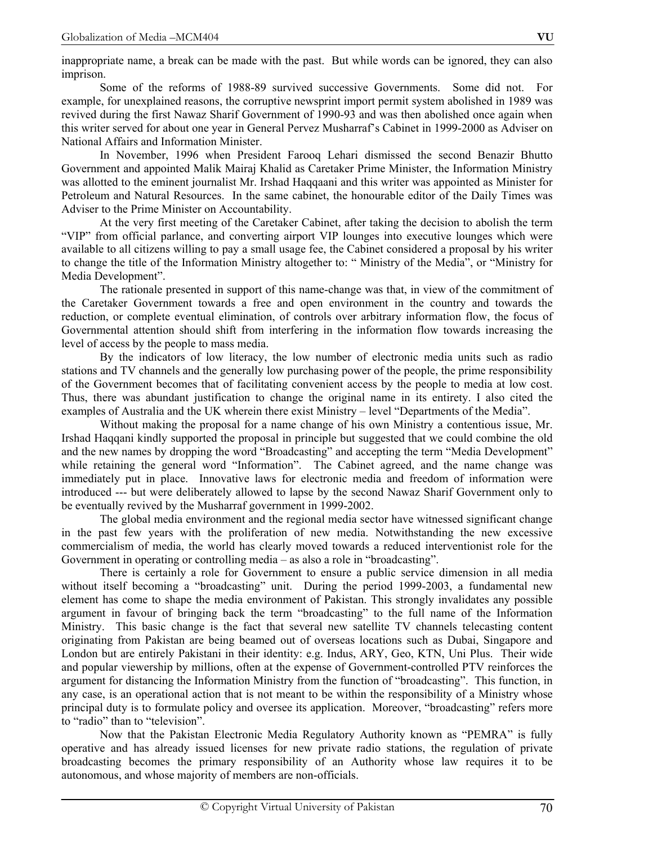Some of the reforms of 1988-89 survived successive Governments. Some did not. For example, for unexplained reasons, the corruptive newsprint import permit system abolished in 1989 was revived during the first Nawaz Sharif Government of 1990-93 and was then abolished once again when this writer served for about one year in General Pervez Musharraf's Cabinet in 1999-2000 as Adviser on National Affairs and Information Minister.

 In November, 1996 when President Farooq Lehari dismissed the second Benazir Bhutto Government and appointed Malik Mairaj Khalid as Caretaker Prime Minister, the Information Ministry was allotted to the eminent journalist Mr. Irshad Haqqaani and this writer was appointed as Minister for Petroleum and Natural Resources. In the same cabinet, the honourable editor of the Daily Times was Adviser to the Prime Minister on Accountability.

 At the very first meeting of the Caretaker Cabinet, after taking the decision to abolish the term "VIP" from official parlance, and converting airport VIP lounges into executive lounges which were available to all citizens willing to pay a small usage fee, the Cabinet considered a proposal by his writer to change the title of the Information Ministry altogether to: " Ministry of the Media", or "Ministry for Media Development".

 The rationale presented in support of this name-change was that, in view of the commitment of the Caretaker Government towards a free and open environment in the country and towards the reduction, or complete eventual elimination, of controls over arbitrary information flow, the focus of Governmental attention should shift from interfering in the information flow towards increasing the level of access by the people to mass media.

 By the indicators of low literacy, the low number of electronic media units such as radio stations and TV channels and the generally low purchasing power of the people, the prime responsibility of the Government becomes that of facilitating convenient access by the people to media at low cost. Thus, there was abundant justification to change the original name in its entirety. I also cited the examples of Australia and the UK wherein there exist Ministry – level "Departments of the Media".

 Without making the proposal for a name change of his own Ministry a contentious issue, Mr. Irshad Haqqani kindly supported the proposal in principle but suggested that we could combine the old and the new names by dropping the word "Broadcasting" and accepting the term "Media Development" while retaining the general word "Information". The Cabinet agreed, and the name change was immediately put in place. Innovative laws for electronic media and freedom of information were introduced --- but were deliberately allowed to lapse by the second Nawaz Sharif Government only to be eventually revived by the Musharraf government in 1999-2002.

 The global media environment and the regional media sector have witnessed significant change in the past few years with the proliferation of new media. Notwithstanding the new excessive commercialism of media, the world has clearly moved towards a reduced interventionist role for the Government in operating or controlling media – as also a role in "broadcasting".

 There is certainly a role for Government to ensure a public service dimension in all media without itself becoming a "broadcasting" unit. During the period 1999-2003, a fundamental new element has come to shape the media environment of Pakistan. This strongly invalidates any possible argument in favour of bringing back the term "broadcasting" to the full name of the Information Ministry. This basic change is the fact that several new satellite TV channels telecasting content originating from Pakistan are being beamed out of overseas locations such as Dubai, Singapore and London but are entirely Pakistani in their identity: e.g. Indus, ARY, Geo, KTN, Uni Plus. Their wide and popular viewership by millions, often at the expense of Government-controlled PTV reinforces the argument for distancing the Information Ministry from the function of "broadcasting". This function, in any case, is an operational action that is not meant to be within the responsibility of a Ministry whose principal duty is to formulate policy and oversee its application. Moreover, "broadcasting" refers more to "radio" than to "television".

 Now that the Pakistan Electronic Media Regulatory Authority known as "PEMRA" is fully operative and has already issued licenses for new private radio stations, the regulation of private broadcasting becomes the primary responsibility of an Authority whose law requires it to be autonomous, and whose majority of members are non-officials.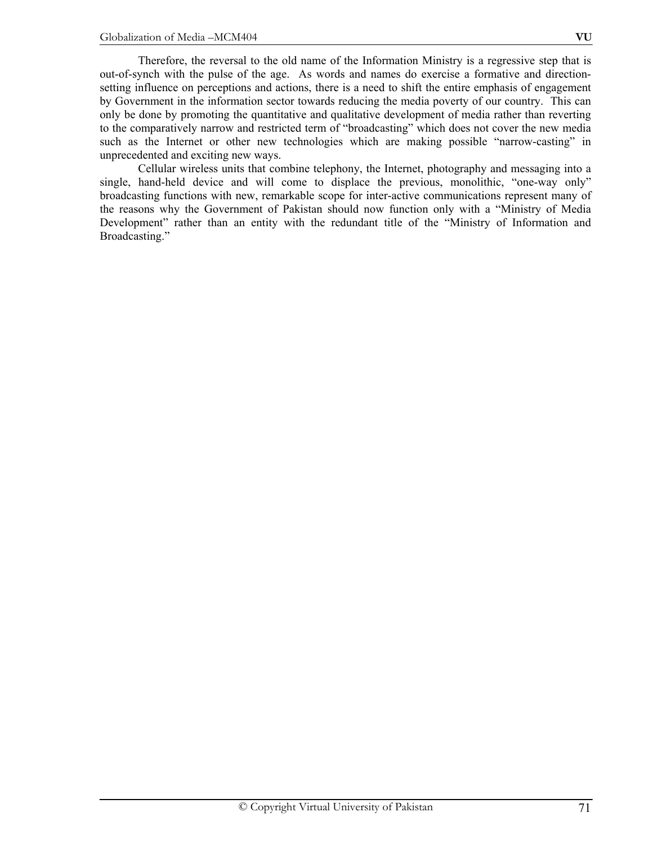Therefore, the reversal to the old name of the Information Ministry is a regressive step that is out-of-synch with the pulse of the age. As words and names do exercise a formative and directionsetting influence on perceptions and actions, there is a need to shift the entire emphasis of engagement by Government in the information sector towards reducing the media poverty of our country. This can only be done by promoting the quantitative and qualitative development of media rather than reverting to the comparatively narrow and restricted term of "broadcasting" which does not cover the new media such as the Internet or other new technologies which are making possible "narrow-casting" in unprecedented and exciting new ways.

 Cellular wireless units that combine telephony, the Internet, photography and messaging into a single, hand-held device and will come to displace the previous, monolithic, "one-way only" broadcasting functions with new, remarkable scope for inter-active communications represent many of the reasons why the Government of Pakistan should now function only with a "Ministry of Media Development" rather than an entity with the redundant title of the "Ministry of Information and Broadcasting."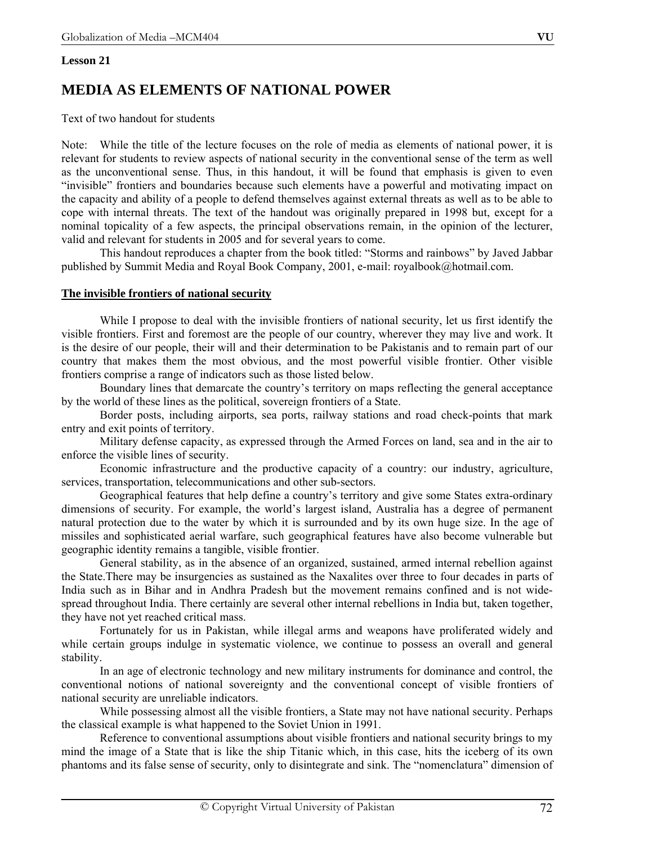# **MEDIA AS ELEMENTS OF NATIONAL POWER**

Text of two handout for students

Note: While the title of the lecture focuses on the role of media as elements of national power, it is relevant for students to review aspects of national security in the conventional sense of the term as well as the unconventional sense. Thus, in this handout, it will be found that emphasis is given to even "invisible" frontiers and boundaries because such elements have a powerful and motivating impact on the capacity and ability of a people to defend themselves against external threats as well as to be able to cope with internal threats. The text of the handout was originally prepared in 1998 but, except for a nominal topicality of a few aspects, the principal observations remain, in the opinion of the lecturer, valid and relevant for students in 2005 and for several years to come.

 This handout reproduces a chapter from the book titled: "Storms and rainbows" by Javed Jabbar published by Summit Media and Royal Book Company, 2001, e-mail: royalbook@hotmail.com.

#### **The invisible frontiers of national security**

 While I propose to deal with the invisible frontiers of national security, let us first identify the visible frontiers. First and foremost are the people of our country, wherever they may live and work. It is the desire of our people, their will and their determination to be Pakistanis and to remain part of our country that makes them the most obvious, and the most powerful visible frontier. Other visible frontiers comprise a range of indicators such as those listed below.

 Boundary lines that demarcate the country's territory on maps reflecting the general acceptance by the world of these lines as the political, sovereign frontiers of a State.

 Border posts, including airports, sea ports, railway stations and road check-points that mark entry and exit points of territory.

 Military defense capacity, as expressed through the Armed Forces on land, sea and in the air to enforce the visible lines of security.

 Economic infrastructure and the productive capacity of a country: our industry, agriculture, services, transportation, telecommunications and other sub-sectors.

 Geographical features that help define a country's territory and give some States extra-ordinary dimensions of security. For example, the world's largest island, Australia has a degree of permanent natural protection due to the water by which it is surrounded and by its own huge size. In the age of missiles and sophisticated aerial warfare, such geographical features have also become vulnerable but geographic identity remains a tangible, visible frontier.

 General stability, as in the absence of an organized, sustained, armed internal rebellion against the State.There may be insurgencies as sustained as the Naxalites over three to four decades in parts of India such as in Bihar and in Andhra Pradesh but the movement remains confined and is not widespread throughout India. There certainly are several other internal rebellions in India but, taken together, they have not yet reached critical mass.

 Fortunately for us in Pakistan, while illegal arms and weapons have proliferated widely and while certain groups indulge in systematic violence, we continue to possess an overall and general stability.

 In an age of electronic technology and new military instruments for dominance and control, the conventional notions of national sovereignty and the conventional concept of visible frontiers of national security are unreliable indicators.

 While possessing almost all the visible frontiers, a State may not have national security. Perhaps the classical example is what happened to the Soviet Union in 1991.

 Reference to conventional assumptions about visible frontiers and national security brings to my mind the image of a State that is like the ship Titanic which, in this case, hits the iceberg of its own phantoms and its false sense of security, only to disintegrate and sink. The "nomenclatura" dimension of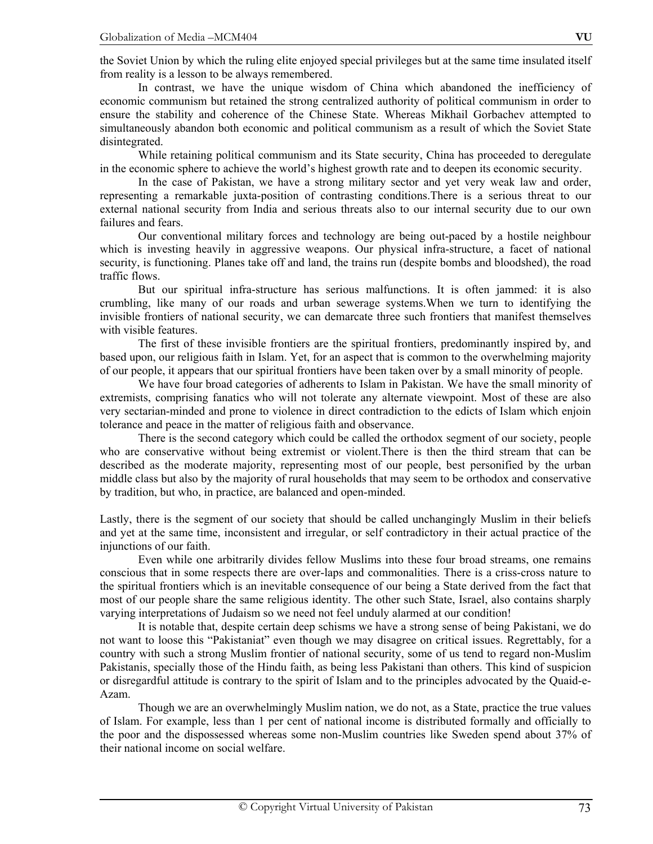the Soviet Union by which the ruling elite enjoyed special privileges but at the same time insulated itself from reality is a lesson to be always remembered.

 In contrast, we have the unique wisdom of China which abandoned the inefficiency of economic communism but retained the strong centralized authority of political communism in order to ensure the stability and coherence of the Chinese State. Whereas Mikhail Gorbachev attempted to simultaneously abandon both economic and political communism as a result of which the Soviet State disintegrated.

 While retaining political communism and its State security, China has proceeded to deregulate in the economic sphere to achieve the world's highest growth rate and to deepen its economic security.

 In the case of Pakistan, we have a strong military sector and yet very weak law and order, representing a remarkable juxta-position of contrasting conditions.There is a serious threat to our external national security from India and serious threats also to our internal security due to our own failures and fears.

 Our conventional military forces and technology are being out-paced by a hostile neighbour which is investing heavily in aggressive weapons. Our physical infra-structure, a facet of national security, is functioning. Planes take off and land, the trains run (despite bombs and bloodshed), the road traffic flows.

 But our spiritual infra-structure has serious malfunctions. It is often jammed: it is also crumbling, like many of our roads and urban sewerage systems.When we turn to identifying the invisible frontiers of national security, we can demarcate three such frontiers that manifest themselves with visible features.

 The first of these invisible frontiers are the spiritual frontiers, predominantly inspired by, and based upon, our religious faith in Islam. Yet, for an aspect that is common to the overwhelming majority of our people, it appears that our spiritual frontiers have been taken over by a small minority of people.

 We have four broad categories of adherents to Islam in Pakistan. We have the small minority of extremists, comprising fanatics who will not tolerate any alternate viewpoint. Most of these are also very sectarian-minded and prone to violence in direct contradiction to the edicts of Islam which enjoin tolerance and peace in the matter of religious faith and observance.

 There is the second category which could be called the orthodox segment of our society, people who are conservative without being extremist or violent.There is then the third stream that can be described as the moderate majority, representing most of our people, best personified by the urban middle class but also by the majority of rural households that may seem to be orthodox and conservative by tradition, but who, in practice, are balanced and open-minded.

Lastly, there is the segment of our society that should be called unchangingly Muslim in their beliefs and yet at the same time, inconsistent and irregular, or self contradictory in their actual practice of the injunctions of our faith.

 Even while one arbitrarily divides fellow Muslims into these four broad streams, one remains conscious that in some respects there are over-laps and commonalities. There is a criss-cross nature to the spiritual frontiers which is an inevitable consequence of our being a State derived from the fact that most of our people share the same religious identity. The other such State, Israel, also contains sharply varying interpretations of Judaism so we need not feel unduly alarmed at our condition!

 It is notable that, despite certain deep schisms we have a strong sense of being Pakistani, we do not want to loose this "Pakistaniat" even though we may disagree on critical issues. Regrettably, for a country with such a strong Muslim frontier of national security, some of us tend to regard non-Muslim Pakistanis, specially those of the Hindu faith, as being less Pakistani than others. This kind of suspicion or disregardful attitude is contrary to the spirit of Islam and to the principles advocated by the Quaid-e-Azam.

 Though we are an overwhelmingly Muslim nation, we do not, as a State, practice the true values of Islam. For example, less than 1 per cent of national income is distributed formally and officially to the poor and the dispossessed whereas some non-Muslim countries like Sweden spend about 37% of their national income on social welfare.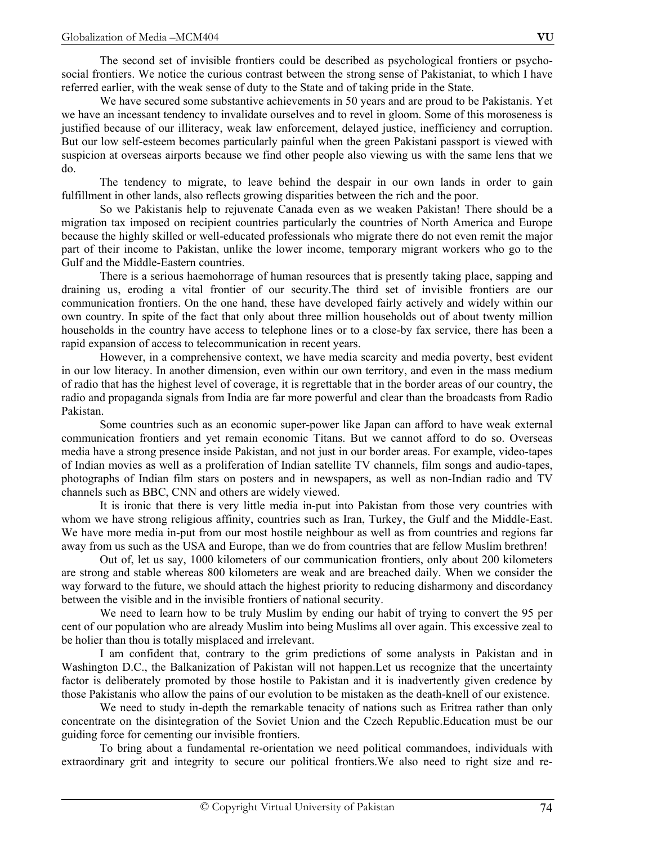We have secured some substantive achievements in 50 years and are proud to be Pakistanis. Yet we have an incessant tendency to invalidate ourselves and to revel in gloom. Some of this moroseness is justified because of our illiteracy, weak law enforcement, delayed justice, inefficiency and corruption. But our low self-esteem becomes particularly painful when the green Pakistani passport is viewed with suspicion at overseas airports because we find other people also viewing us with the same lens that we do.

 The tendency to migrate, to leave behind the despair in our own lands in order to gain fulfillment in other lands, also reflects growing disparities between the rich and the poor.

 So we Pakistanis help to rejuvenate Canada even as we weaken Pakistan! There should be a migration tax imposed on recipient countries particularly the countries of North America and Europe because the highly skilled or well-educated professionals who migrate there do not even remit the major part of their income to Pakistan, unlike the lower income, temporary migrant workers who go to the Gulf and the Middle-Eastern countries.

 There is a serious haemohorrage of human resources that is presently taking place, sapping and draining us, eroding a vital frontier of our security.The third set of invisible frontiers are our communication frontiers. On the one hand, these have developed fairly actively and widely within our own country. In spite of the fact that only about three million households out of about twenty million households in the country have access to telephone lines or to a close-by fax service, there has been a rapid expansion of access to telecommunication in recent years.

 However, in a comprehensive context, we have media scarcity and media poverty, best evident in our low literacy. In another dimension, even within our own territory, and even in the mass medium of radio that has the highest level of coverage, it is regrettable that in the border areas of our country, the radio and propaganda signals from India are far more powerful and clear than the broadcasts from Radio Pakistan.

 Some countries such as an economic super-power like Japan can afford to have weak external communication frontiers and yet remain economic Titans. But we cannot afford to do so. Overseas media have a strong presence inside Pakistan, and not just in our border areas. For example, video-tapes of Indian movies as well as a proliferation of Indian satellite TV channels, film songs and audio-tapes, photographs of Indian film stars on posters and in newspapers, as well as non-Indian radio and TV channels such as BBC, CNN and others are widely viewed.

 It is ironic that there is very little media in-put into Pakistan from those very countries with whom we have strong religious affinity, countries such as Iran, Turkey, the Gulf and the Middle-East. We have more media in-put from our most hostile neighbour as well as from countries and regions far away from us such as the USA and Europe, than we do from countries that are fellow Muslim brethren!

 Out of, let us say, 1000 kilometers of our communication frontiers, only about 200 kilometers are strong and stable whereas 800 kilometers are weak and are breached daily. When we consider the way forward to the future, we should attach the highest priority to reducing disharmony and discordancy between the visible and in the invisible frontiers of national security.

 We need to learn how to be truly Muslim by ending our habit of trying to convert the 95 per cent of our population who are already Muslim into being Muslims all over again. This excessive zeal to be holier than thou is totally misplaced and irrelevant.

 I am confident that, contrary to the grim predictions of some analysts in Pakistan and in Washington D.C., the Balkanization of Pakistan will not happen.Let us recognize that the uncertainty factor is deliberately promoted by those hostile to Pakistan and it is inadvertently given credence by those Pakistanis who allow the pains of our evolution to be mistaken as the death-knell of our existence.

 We need to study in-depth the remarkable tenacity of nations such as Eritrea rather than only concentrate on the disintegration of the Soviet Union and the Czech Republic.Education must be our guiding force for cementing our invisible frontiers.

 To bring about a fundamental re-orientation we need political commandoes, individuals with extraordinary grit and integrity to secure our political frontiers.We also need to right size and re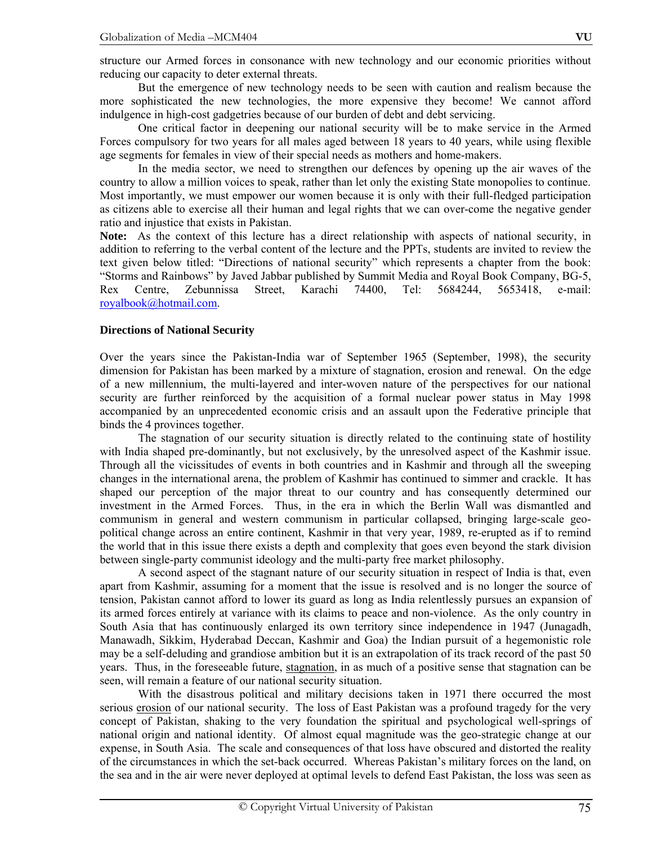structure our Armed forces in consonance with new technology and our economic priorities without reducing our capacity to deter external threats.

 But the emergence of new technology needs to be seen with caution and realism because the more sophisticated the new technologies, the more expensive they become! We cannot afford indulgence in high-cost gadgetries because of our burden of debt and debt servicing.

 One critical factor in deepening our national security will be to make service in the Armed Forces compulsory for two years for all males aged between 18 years to 40 years, while using flexible age segments for females in view of their special needs as mothers and home-makers.

 In the media sector, we need to strengthen our defences by opening up the air waves of the country to allow a million voices to speak, rather than let only the existing State monopolies to continue. Most importantly, we must empower our women because it is only with their full-fledged participation as citizens able to exercise all their human and legal rights that we can over-come the negative gender ratio and injustice that exists in Pakistan.

**Note:** As the context of this lecture has a direct relationship with aspects of national security, in addition to referring to the verbal content of the lecture and the PPTs, students are invited to review the text given below titled: "Directions of national security" which represents a chapter from the book: "Storms and Rainbows" by Javed Jabbar published by Summit Media and Royal Book Company, BG-5, Rex Centre, Zebunnissa Street, Karachi 74400, Tel: 5684244, 5653418, e-mail: royalbook@hotmail.com.

## **Directions of National Security**

Over the years since the Pakistan-India war of September 1965 (September, 1998), the security dimension for Pakistan has been marked by a mixture of stagnation, erosion and renewal. On the edge of a new millennium, the multi-layered and inter-woven nature of the perspectives for our national security are further reinforced by the acquisition of a formal nuclear power status in May 1998 accompanied by an unprecedented economic crisis and an assault upon the Federative principle that binds the 4 provinces together.

 The stagnation of our security situation is directly related to the continuing state of hostility with India shaped pre-dominantly, but not exclusively, by the unresolved aspect of the Kashmir issue. Through all the vicissitudes of events in both countries and in Kashmir and through all the sweeping changes in the international arena, the problem of Kashmir has continued to simmer and crackle. It has shaped our perception of the major threat to our country and has consequently determined our investment in the Armed Forces. Thus, in the era in which the Berlin Wall was dismantled and communism in general and western communism in particular collapsed, bringing large-scale geopolitical change across an entire continent, Kashmir in that very year, 1989, re-erupted as if to remind the world that in this issue there exists a depth and complexity that goes even beyond the stark division between single-party communist ideology and the multi-party free market philosophy.

 A second aspect of the stagnant nature of our security situation in respect of India is that, even apart from Kashmir, assuming for a moment that the issue is resolved and is no longer the source of tension, Pakistan cannot afford to lower its guard as long as India relentlessly pursues an expansion of its armed forces entirely at variance with its claims to peace and non-violence. As the only country in South Asia that has continuously enlarged its own territory since independence in 1947 (Junagadh, Manawadh, Sikkim, Hyderabad Deccan, Kashmir and Goa) the Indian pursuit of a hegemonistic role may be a self-deluding and grandiose ambition but it is an extrapolation of its track record of the past 50 years. Thus, in the foreseeable future, stagnation, in as much of a positive sense that stagnation can be seen, will remain a feature of our national security situation.

 With the disastrous political and military decisions taken in 1971 there occurred the most serious erosion of our national security. The loss of East Pakistan was a profound tragedy for the very concept of Pakistan, shaking to the very foundation the spiritual and psychological well-springs of national origin and national identity. Of almost equal magnitude was the geo-strategic change at our expense, in South Asia. The scale and consequences of that loss have obscured and distorted the reality of the circumstances in which the set-back occurred. Whereas Pakistan's military forces on the land, on the sea and in the air were never deployed at optimal levels to defend East Pakistan, the loss was seen as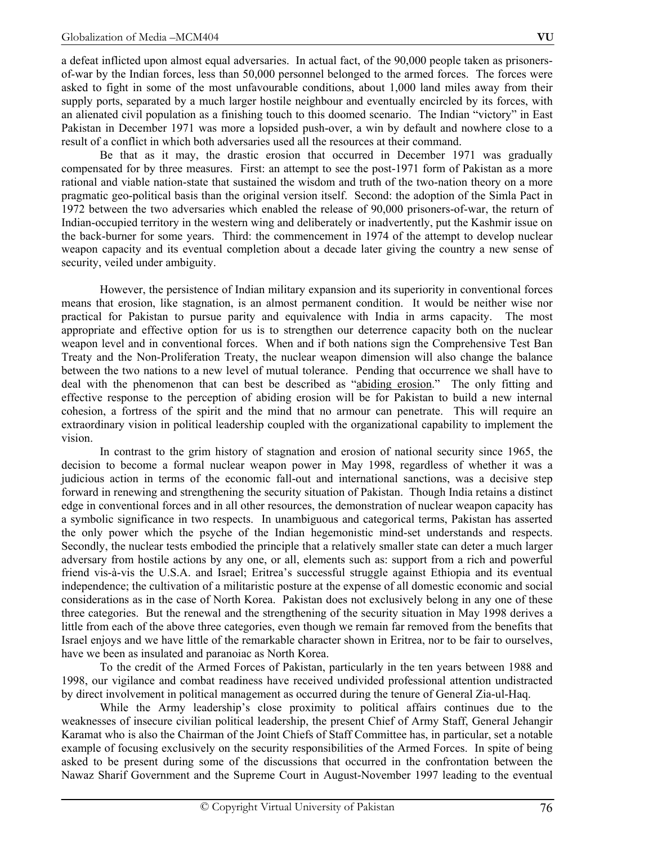a defeat inflicted upon almost equal adversaries. In actual fact, of the 90,000 people taken as prisonersof-war by the Indian forces, less than 50,000 personnel belonged to the armed forces. The forces were asked to fight in some of the most unfavourable conditions, about 1,000 land miles away from their supply ports, separated by a much larger hostile neighbour and eventually encircled by its forces, with an alienated civil population as a finishing touch to this doomed scenario. The Indian "victory" in East Pakistan in December 1971 was more a lopsided push-over, a win by default and nowhere close to a result of a conflict in which both adversaries used all the resources at their command.

 Be that as it may, the drastic erosion that occurred in December 1971 was gradually compensated for by three measures. First: an attempt to see the post-1971 form of Pakistan as a more rational and viable nation-state that sustained the wisdom and truth of the two-nation theory on a more pragmatic geo-political basis than the original version itself. Second: the adoption of the Simla Pact in 1972 between the two adversaries which enabled the release of 90,000 prisoners-of-war, the return of Indian-occupied territory in the western wing and deliberately or inadvertently, put the Kashmir issue on the back-burner for some years. Third: the commencement in 1974 of the attempt to develop nuclear weapon capacity and its eventual completion about a decade later giving the country a new sense of security, veiled under ambiguity.

 However, the persistence of Indian military expansion and its superiority in conventional forces means that erosion, like stagnation, is an almost permanent condition. It would be neither wise nor practical for Pakistan to pursue parity and equivalence with India in arms capacity. The most appropriate and effective option for us is to strengthen our deterrence capacity both on the nuclear weapon level and in conventional forces. When and if both nations sign the Comprehensive Test Ban Treaty and the Non-Proliferation Treaty, the nuclear weapon dimension will also change the balance between the two nations to a new level of mutual tolerance. Pending that occurrence we shall have to deal with the phenomenon that can best be described as "abiding erosion." The only fitting and effective response to the perception of abiding erosion will be for Pakistan to build a new internal cohesion, a fortress of the spirit and the mind that no armour can penetrate. This will require an extraordinary vision in political leadership coupled with the organizational capability to implement the vision.

 In contrast to the grim history of stagnation and erosion of national security since 1965, the decision to become a formal nuclear weapon power in May 1998, regardless of whether it was a judicious action in terms of the economic fall-out and international sanctions, was a decisive step forward in renewing and strengthening the security situation of Pakistan. Though India retains a distinct edge in conventional forces and in all other resources, the demonstration of nuclear weapon capacity has a symbolic significance in two respects. In unambiguous and categorical terms, Pakistan has asserted the only power which the psyche of the Indian hegemonistic mind-set understands and respects. Secondly, the nuclear tests embodied the principle that a relatively smaller state can deter a much larger adversary from hostile actions by any one, or all, elements such as: support from a rich and powerful friend vis-à-vis the U.S.A. and Israel; Eritrea's successful struggle against Ethiopia and its eventual independence; the cultivation of a militaristic posture at the expense of all domestic economic and social considerations as in the case of North Korea. Pakistan does not exclusively belong in any one of these three categories. But the renewal and the strengthening of the security situation in May 1998 derives a little from each of the above three categories, even though we remain far removed from the benefits that Israel enjoys and we have little of the remarkable character shown in Eritrea, nor to be fair to ourselves, have we been as insulated and paranoiac as North Korea.

 To the credit of the Armed Forces of Pakistan, particularly in the ten years between 1988 and 1998, our vigilance and combat readiness have received undivided professional attention undistracted by direct involvement in political management as occurred during the tenure of General Zia-ul-Haq.

 While the Army leadership's close proximity to political affairs continues due to the weaknesses of insecure civilian political leadership, the present Chief of Army Staff, General Jehangir Karamat who is also the Chairman of the Joint Chiefs of Staff Committee has, in particular, set a notable example of focusing exclusively on the security responsibilities of the Armed Forces. In spite of being asked to be present during some of the discussions that occurred in the confrontation between the Nawaz Sharif Government and the Supreme Court in August-November 1997 leading to the eventual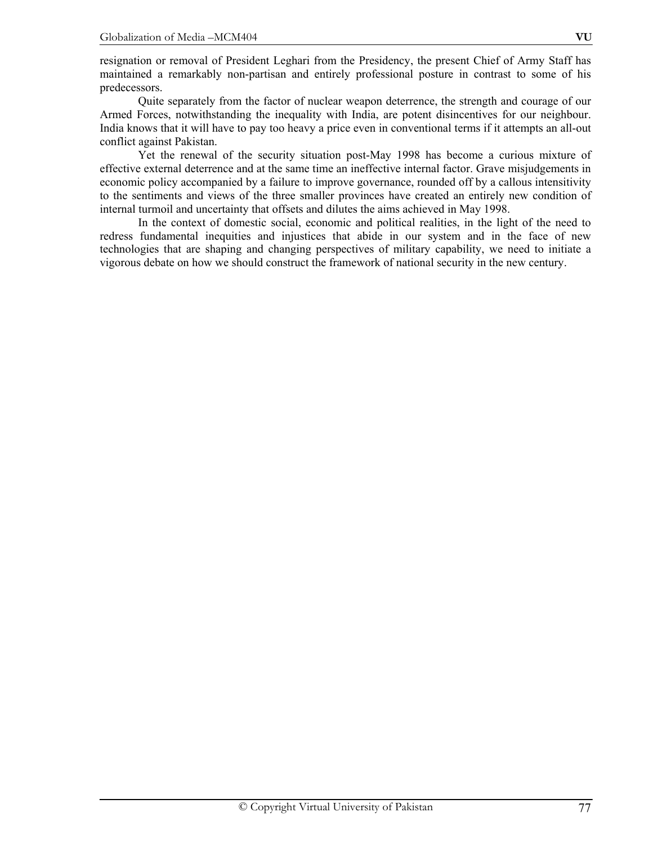resignation or removal of President Leghari from the Presidency, the present Chief of Army Staff has maintained a remarkably non-partisan and entirely professional posture in contrast to some of his predecessors.

 Quite separately from the factor of nuclear weapon deterrence, the strength and courage of our Armed Forces, notwithstanding the inequality with India, are potent disincentives for our neighbour. India knows that it will have to pay too heavy a price even in conventional terms if it attempts an all-out conflict against Pakistan.

 Yet the renewal of the security situation post-May 1998 has become a curious mixture of effective external deterrence and at the same time an ineffective internal factor. Grave misjudgements in economic policy accompanied by a failure to improve governance, rounded off by a callous intensitivity to the sentiments and views of the three smaller provinces have created an entirely new condition of internal turmoil and uncertainty that offsets and dilutes the aims achieved in May 1998.

 In the context of domestic social, economic and political realities, in the light of the need to redress fundamental inequities and injustices that abide in our system and in the face of new technologies that are shaping and changing perspectives of military capability, we need to initiate a vigorous debate on how we should construct the framework of national security in the new century.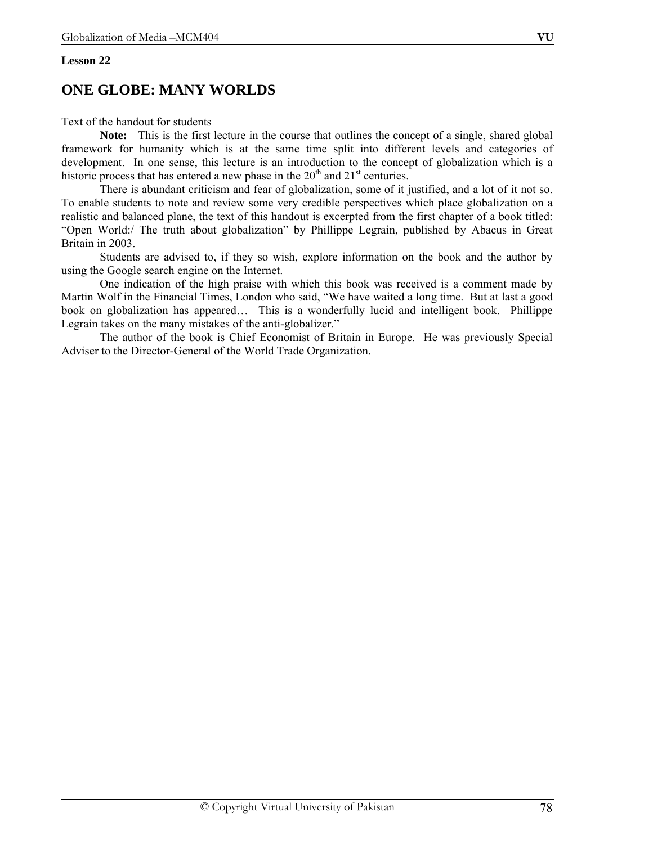## **ONE GLOBE: MANY WORLDS**

Text of the handout for students

 **Note:** This is the first lecture in the course that outlines the concept of a single, shared global framework for humanity which is at the same time split into different levels and categories of development. In one sense, this lecture is an introduction to the concept of globalization which is a historic process that has entered a new phase in the  $20<sup>th</sup>$  and  $21<sup>st</sup>$  centuries.

There is abundant criticism and fear of globalization, some of it justified, and a lot of it not so. To enable students to note and review some very credible perspectives which place globalization on a realistic and balanced plane, the text of this handout is excerpted from the first chapter of a book titled: "Open World:/ The truth about globalization" by Phillippe Legrain, published by Abacus in Great Britain in 2003.

 Students are advised to, if they so wish, explore information on the book and the author by using the Google search engine on the Internet.

 One indication of the high praise with which this book was received is a comment made by Martin Wolf in the Financial Times, London who said, "We have waited a long time. But at last a good book on globalization has appeared… This is a wonderfully lucid and intelligent book. Phillippe Legrain takes on the many mistakes of the anti-globalizer."

 The author of the book is Chief Economist of Britain in Europe. He was previously Special Adviser to the Director-General of the World Trade Organization.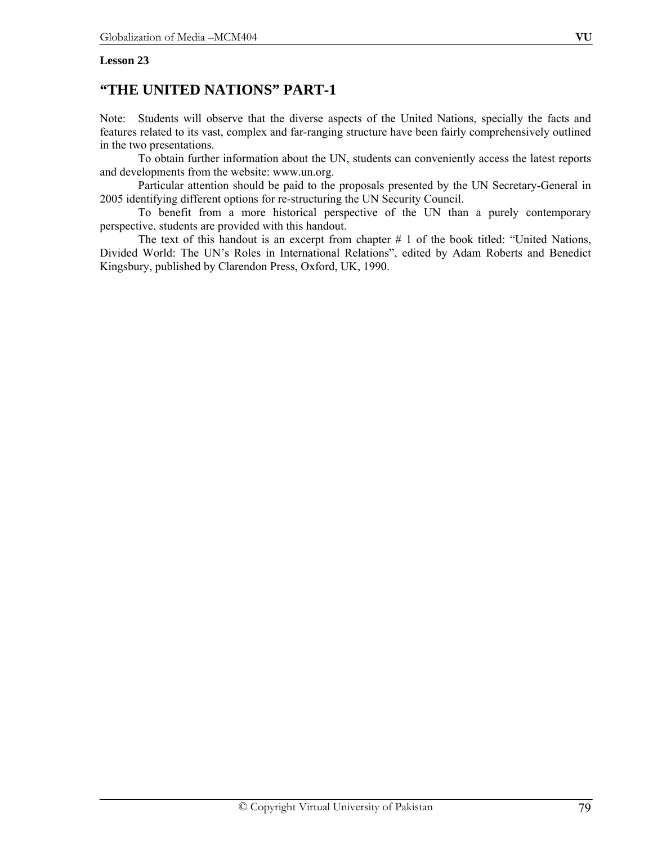## **"THE UNITED NATIONS" PART-1**

Note: Students will observe that the diverse aspects of the United Nations, specially the facts and features related to its vast, complex and far-ranging structure have been fairly comprehensively outlined in the two presentations.

 To obtain further information about the UN, students can conveniently access the latest reports and developments from the website: www.un.org.

 Particular attention should be paid to the proposals presented by the UN Secretary-General in 2005 identifying different options for re-structuring the UN Security Council.

 To benefit from a more historical perspective of the UN than a purely contemporary perspective, students are provided with this handout.

 The text of this handout is an excerpt from chapter # 1 of the book titled: "United Nations, Divided World: The UN's Roles in International Relations", edited by Adam Roberts and Benedict Kingsbury, published by Clarendon Press, Oxford, UK, 1990.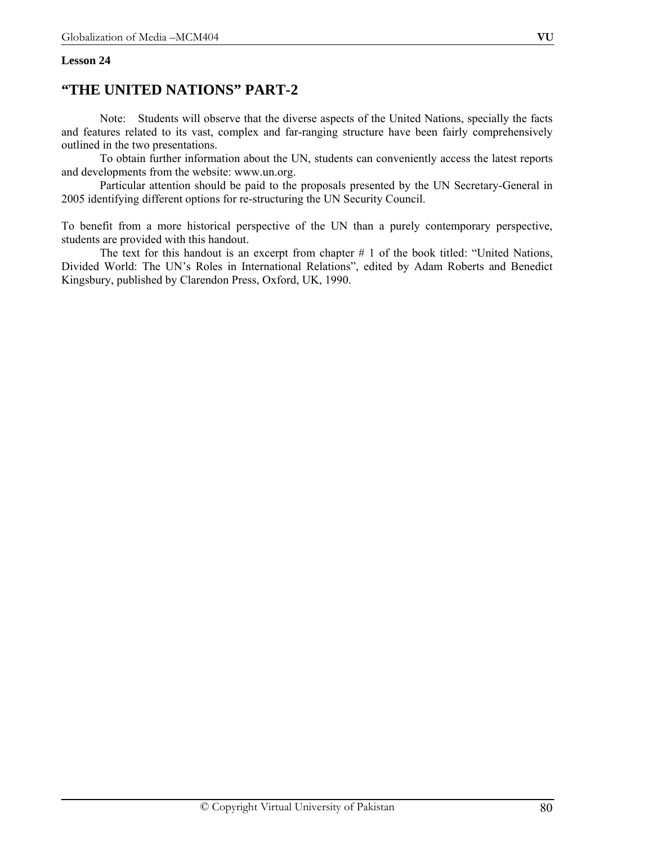## **"THE UNITED NATIONS" PART-2**

 Note: Students will observe that the diverse aspects of the United Nations, specially the facts and features related to its vast, complex and far-ranging structure have been fairly comprehensively outlined in the two presentations.

 To obtain further information about the UN, students can conveniently access the latest reports and developments from the website: www.un.org.

 Particular attention should be paid to the proposals presented by the UN Secretary-General in 2005 identifying different options for re-structuring the UN Security Council.

To benefit from a more historical perspective of the UN than a purely contemporary perspective, students are provided with this handout.

 The text for this handout is an excerpt from chapter # 1 of the book titled: "United Nations, Divided World: The UN's Roles in International Relations", edited by Adam Roberts and Benedict Kingsbury, published by Clarendon Press, Oxford, UK, 1990.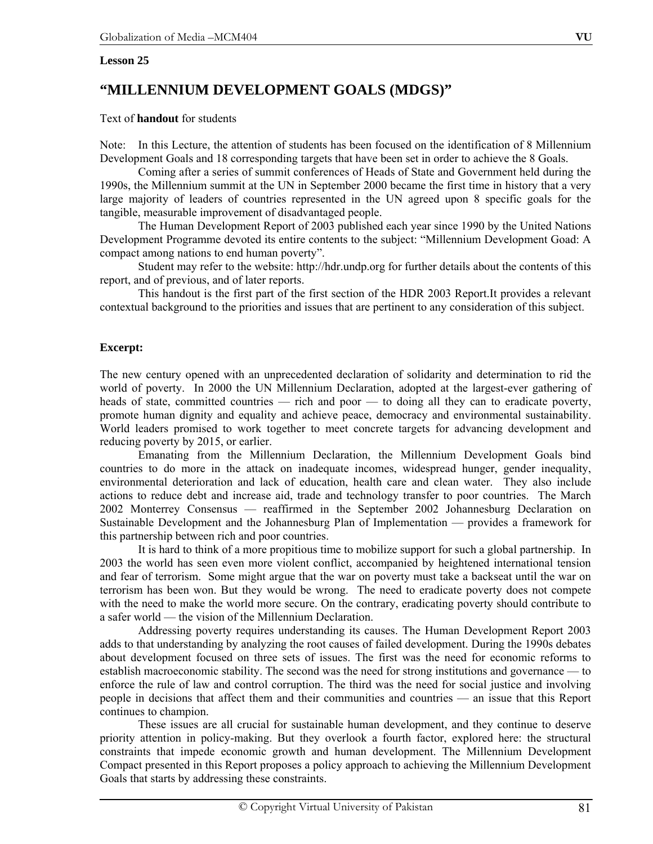# **"MILLENNIUM DEVELOPMENT GOALS (MDGS)"**

#### Text of **handout** for students

Note: In this Lecture, the attention of students has been focused on the identification of 8 Millennium Development Goals and 18 corresponding targets that have been set in order to achieve the 8 Goals.

 Coming after a series of summit conferences of Heads of State and Government held during the 1990s, the Millennium summit at the UN in September 2000 became the first time in history that a very large majority of leaders of countries represented in the UN agreed upon 8 specific goals for the tangible, measurable improvement of disadvantaged people.

 The Human Development Report of 2003 published each year since 1990 by the United Nations Development Programme devoted its entire contents to the subject: "Millennium Development Goad: A compact among nations to end human poverty".

 Student may refer to the website: http://hdr.undp.org for further details about the contents of this report, and of previous, and of later reports.

 This handout is the first part of the first section of the HDR 2003 Report.It provides a relevant contextual background to the priorities and issues that are pertinent to any consideration of this subject.

## **Excerpt:**

The new century opened with an unprecedented declaration of solidarity and determination to rid the world of poverty. In 2000 the UN Millennium Declaration, adopted at the largest-ever gathering of heads of state, committed countries — rich and poor — to doing all they can to eradicate poverty, promote human dignity and equality and achieve peace, democracy and environmental sustainability. World leaders promised to work together to meet concrete targets for advancing development and reducing poverty by 2015, or earlier.

 Emanating from the Millennium Declaration, the Millennium Development Goals bind countries to do more in the attack on inadequate incomes, widespread hunger, gender inequality, environmental deterioration and lack of education, health care and clean water. They also include actions to reduce debt and increase aid, trade and technology transfer to poor countries. The March 2002 Monterrey Consensus — reaffirmed in the September 2002 Johannesburg Declaration on Sustainable Development and the Johannesburg Plan of Implementation — provides a framework for this partnership between rich and poor countries.

 It is hard to think of a more propitious time to mobilize support for such a global partnership. In 2003 the world has seen even more violent conflict, accompanied by heightened international tension and fear of terrorism. Some might argue that the war on poverty must take a backseat until the war on terrorism has been won. But they would be wrong. The need to eradicate poverty does not compete with the need to make the world more secure. On the contrary, eradicating poverty should contribute to a safer world — the vision of the Millennium Declaration.

 Addressing poverty requires understanding its causes. The Human Development Report 2003 adds to that understanding by analyzing the root causes of failed development. During the 1990s debates about development focused on three sets of issues. The first was the need for economic reforms to establish macroeconomic stability. The second was the need for strong institutions and governance — to enforce the rule of law and control corruption. The third was the need for social justice and involving people in decisions that affect them and their communities and countries — an issue that this Report continues to champion.

 These issues are all crucial for sustainable human development, and they continue to deserve priority attention in policy-making. But they overlook a fourth factor, explored here: the structural constraints that impede economic growth and human development. The Millennium Development Compact presented in this Report proposes a policy approach to achieving the Millennium Development Goals that starts by addressing these constraints.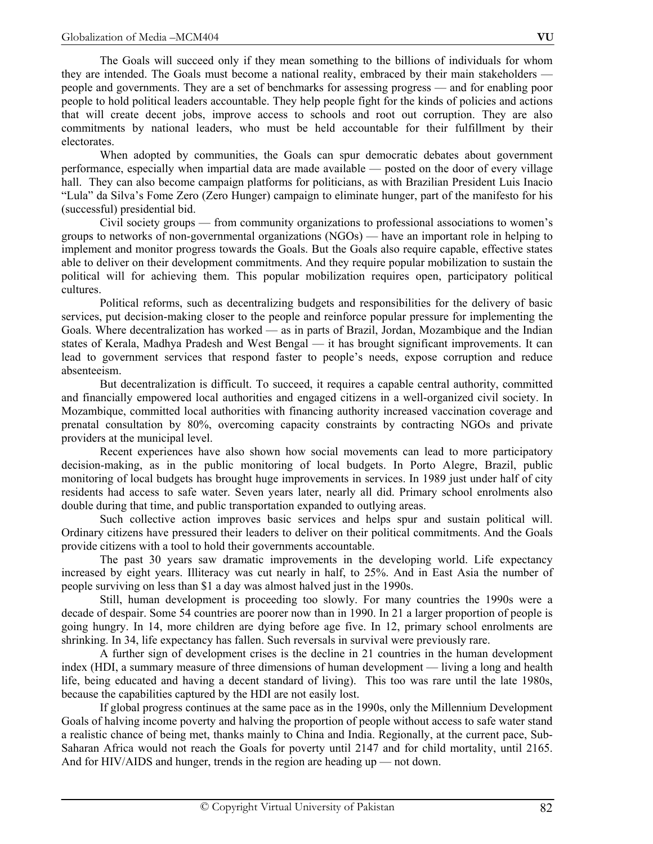The Goals will succeed only if they mean something to the billions of individuals for whom they are intended. The Goals must become a national reality, embraced by their main stakeholders people and governments. They are a set of benchmarks for assessing progress — and for enabling poor people to hold political leaders accountable. They help people fight for the kinds of policies and actions that will create decent jobs, improve access to schools and root out corruption. They are also commitments by national leaders, who must be held accountable for their fulfillment by their electorates.

 When adopted by communities, the Goals can spur democratic debates about government performance, especially when impartial data are made available — posted on the door of every village hall. They can also become campaign platforms for politicians, as with Brazilian President Luis Inacio "Lula" da Silva's Fome Zero (Zero Hunger) campaign to eliminate hunger, part of the manifesto for his (successful) presidential bid.

 Civil society groups — from community organizations to professional associations to women's groups to networks of non-governmental organizations (NGOs) — have an important role in helping to implement and monitor progress towards the Goals. But the Goals also require capable, effective states able to deliver on their development commitments. And they require popular mobilization to sustain the political will for achieving them. This popular mobilization requires open, participatory political cultures.

 Political reforms, such as decentralizing budgets and responsibilities for the delivery of basic services, put decision-making closer to the people and reinforce popular pressure for implementing the Goals. Where decentralization has worked — as in parts of Brazil, Jordan, Mozambique and the Indian states of Kerala, Madhya Pradesh and West Bengal — it has brought significant improvements. It can lead to government services that respond faster to people's needs, expose corruption and reduce absenteeism.

 But decentralization is difficult. To succeed, it requires a capable central authority, committed and financially empowered local authorities and engaged citizens in a well-organized civil society. In Mozambique, committed local authorities with financing authority increased vaccination coverage and prenatal consultation by 80%, overcoming capacity constraints by contracting NGOs and private providers at the municipal level.

 Recent experiences have also shown how social movements can lead to more participatory decision-making, as in the public monitoring of local budgets. In Porto Alegre, Brazil, public monitoring of local budgets has brought huge improvements in services. In 1989 just under half of city residents had access to safe water. Seven years later, nearly all did. Primary school enrolments also double during that time, and public transportation expanded to outlying areas.

 Such collective action improves basic services and helps spur and sustain political will. Ordinary citizens have pressured their leaders to deliver on their political commitments. And the Goals provide citizens with a tool to hold their governments accountable.

 The past 30 years saw dramatic improvements in the developing world. Life expectancy increased by eight years. Illiteracy was cut nearly in half, to 25%. And in East Asia the number of people surviving on less than \$1 a day was almost halved just in the 1990s.

 Still, human development is proceeding too slowly. For many countries the 1990s were a decade of despair. Some 54 countries are poorer now than in 1990. In 21 a larger proportion of people is going hungry. In 14, more children are dying before age five. In 12, primary school enrolments are shrinking. In 34, life expectancy has fallen. Such reversals in survival were previously rare.

 A further sign of development crises is the decline in 21 countries in the human development index (HDI, a summary measure of three dimensions of human development — living a long and health life, being educated and having a decent standard of living). This too was rare until the late 1980s, because the capabilities captured by the HDI are not easily lost.

 If global progress continues at the same pace as in the 1990s, only the Millennium Development Goals of halving income poverty and halving the proportion of people without access to safe water stand a realistic chance of being met, thanks mainly to China and India. Regionally, at the current pace, Sub-Saharan Africa would not reach the Goals for poverty until 2147 and for child mortality, until 2165. And for HIV/AIDS and hunger, trends in the region are heading up — not down.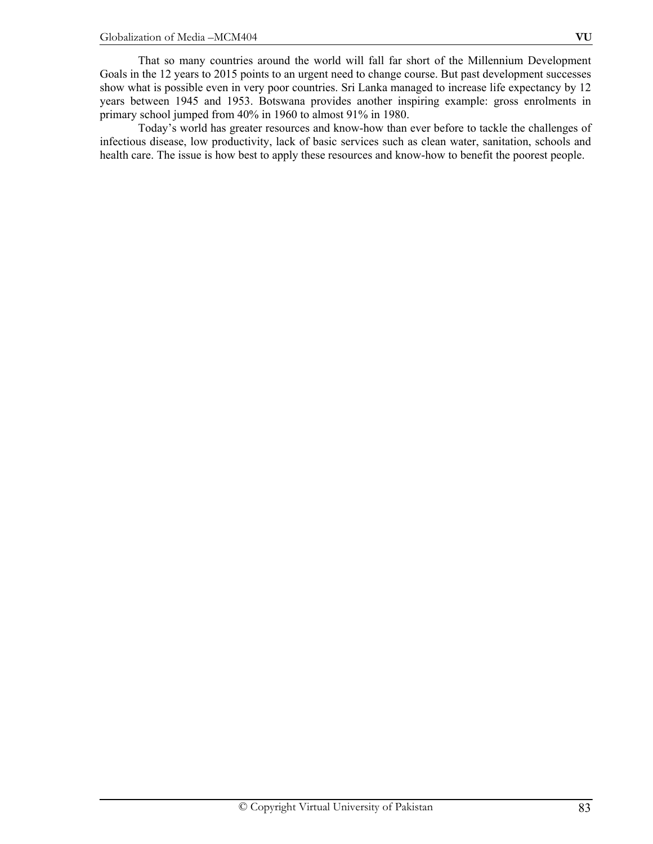That so many countries around the world will fall far short of the Millennium Development Goals in the 12 years to 2015 points to an urgent need to change course. But past development successes show what is possible even in very poor countries. Sri Lanka managed to increase life expectancy by 12 years between 1945 and 1953. Botswana provides another inspiring example: gross enrolments in primary school jumped from 40% in 1960 to almost 91% in 1980.

 Today's world has greater resources and know-how than ever before to tackle the challenges of infectious disease, low productivity, lack of basic services such as clean water, sanitation, schools and health care. The issue is how best to apply these resources and know-how to benefit the poorest people.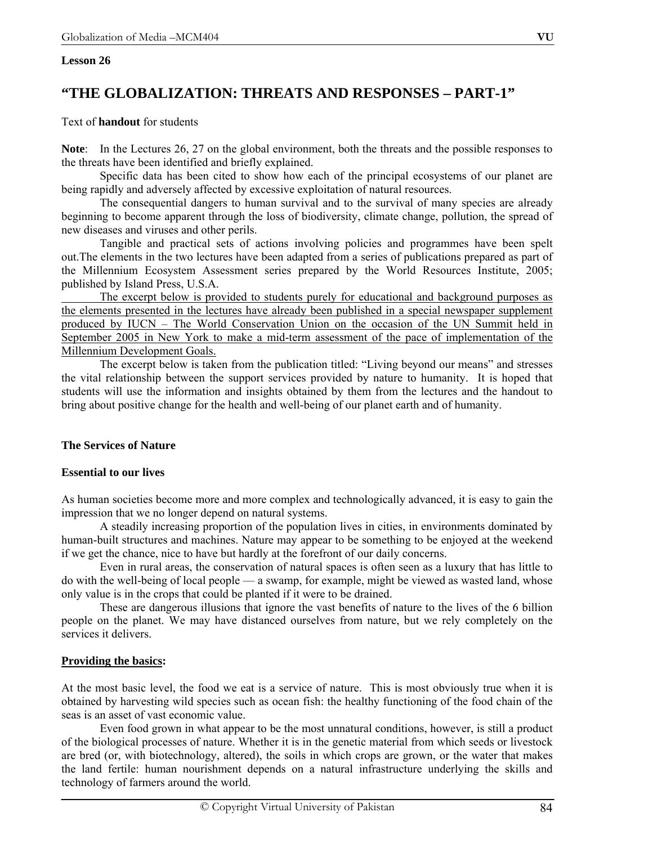# **"THE GLOBALIZATION: THREATS AND RESPONSES – PART-1"**

#### Text of **handout** for students

**Note**: In the Lectures 26, 27 on the global environment, both the threats and the possible responses to the threats have been identified and briefly explained.

 Specific data has been cited to show how each of the principal ecosystems of our planet are being rapidly and adversely affected by excessive exploitation of natural resources.

 The consequential dangers to human survival and to the survival of many species are already beginning to become apparent through the loss of biodiversity, climate change, pollution, the spread of new diseases and viruses and other perils.

 Tangible and practical sets of actions involving policies and programmes have been spelt out.The elements in the two lectures have been adapted from a series of publications prepared as part of the Millennium Ecosystem Assessment series prepared by the World Resources Institute, 2005; published by Island Press, U.S.A.

 The excerpt below is provided to students purely for educational and background purposes as the elements presented in the lectures have already been published in a special newspaper supplement produced by IUCN – The World Conservation Union on the occasion of the UN Summit held in September 2005 in New York to make a mid-term assessment of the pace of implementation of the Millennium Development Goals.

 The excerpt below is taken from the publication titled: "Living beyond our means" and stresses the vital relationship between the support services provided by nature to humanity. It is hoped that students will use the information and insights obtained by them from the lectures and the handout to bring about positive change for the health and well-being of our planet earth and of humanity.

## **The Services of Nature**

#### **Essential to our lives**

As human societies become more and more complex and technologically advanced, it is easy to gain the impression that we no longer depend on natural systems.

 A steadily increasing proportion of the population lives in cities, in environments dominated by human-built structures and machines. Nature may appear to be something to be enjoyed at the weekend if we get the chance, nice to have but hardly at the forefront of our daily concerns.

 Even in rural areas, the conservation of natural spaces is often seen as a luxury that has little to do with the well-being of local people — a swamp, for example, might be viewed as wasted land, whose only value is in the crops that could be planted if it were to be drained.

 These are dangerous illusions that ignore the vast benefits of nature to the lives of the 6 billion people on the planet. We may have distanced ourselves from nature, but we rely completely on the services it delivers.

## **Providing the basics:**

At the most basic level, the food we eat is a service of nature. This is most obviously true when it is obtained by harvesting wild species such as ocean fish: the healthy functioning of the food chain of the seas is an asset of vast economic value.

 Even food grown in what appear to be the most unnatural conditions, however, is still a product of the biological processes of nature. Whether it is in the genetic material from which seeds or livestock are bred (or, with biotechnology, altered), the soils in which crops are grown, or the water that makes the land fertile: human nourishment depends on a natural infrastructure underlying the skills and technology of farmers around the world.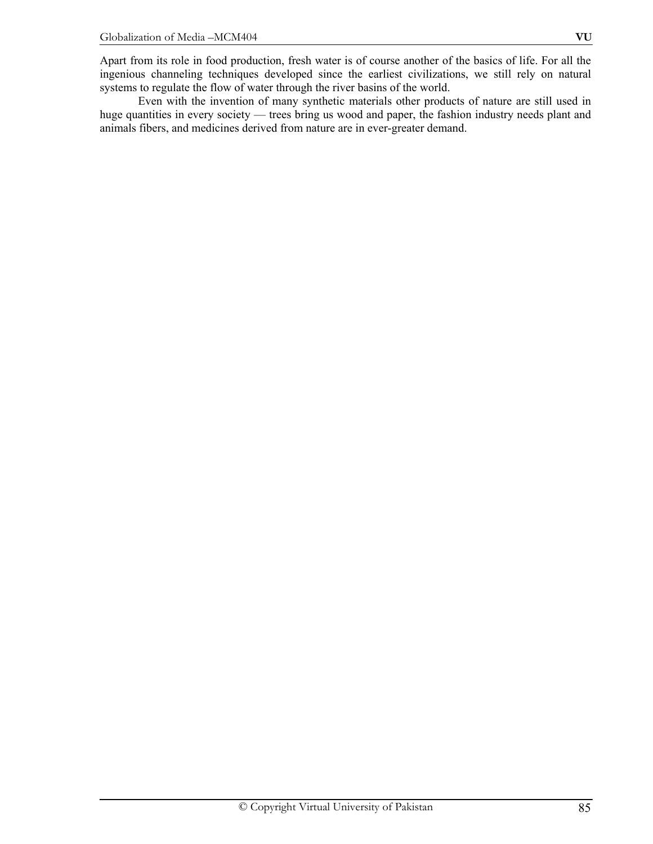Apart from its role in food production, fresh water is of course another of the basics of life. For all the ingenious channeling techniques developed since the earliest civilizations, we still rely on natural systems to regulate the flow of water through the river basins of the world.

 Even with the invention of many synthetic materials other products of nature are still used in huge quantities in every society — trees bring us wood and paper, the fashion industry needs plant and animals fibers, and medicines derived from nature are in ever-greater demand.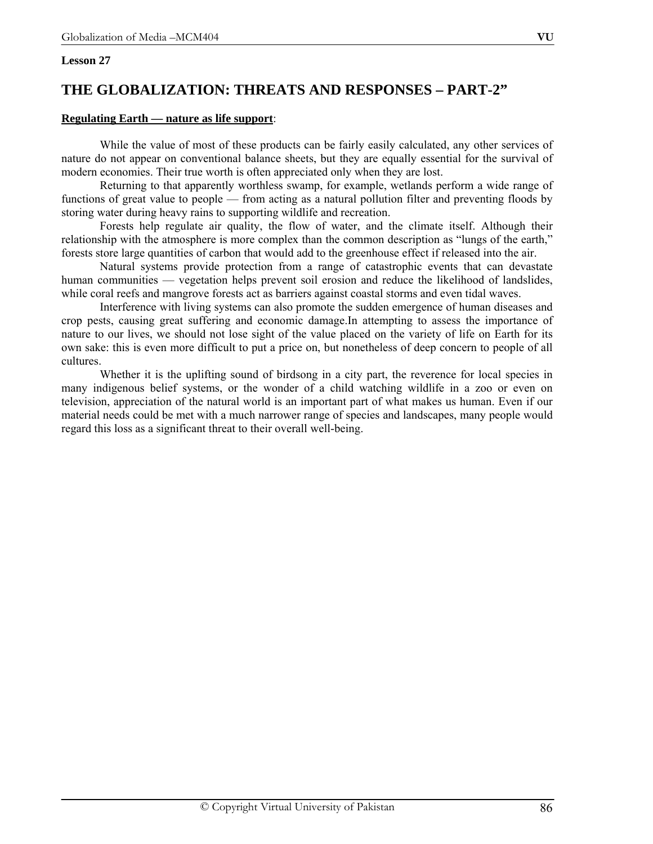# **THE GLOBALIZATION: THREATS AND RESPONSES – PART-2"**

#### **Regulating Earth — nature as life support**:

 While the value of most of these products can be fairly easily calculated, any other services of nature do not appear on conventional balance sheets, but they are equally essential for the survival of modern economies. Their true worth is often appreciated only when they are lost.

 Returning to that apparently worthless swamp, for example, wetlands perform a wide range of functions of great value to people — from acting as a natural pollution filter and preventing floods by storing water during heavy rains to supporting wildlife and recreation.

 Forests help regulate air quality, the flow of water, and the climate itself. Although their relationship with the atmosphere is more complex than the common description as "lungs of the earth," forests store large quantities of carbon that would add to the greenhouse effect if released into the air.

 Natural systems provide protection from a range of catastrophic events that can devastate human communities — vegetation helps prevent soil erosion and reduce the likelihood of landslides, while coral reefs and mangrove forests act as barriers against coastal storms and even tidal waves.

 Interference with living systems can also promote the sudden emergence of human diseases and crop pests, causing great suffering and economic damage.In attempting to assess the importance of nature to our lives, we should not lose sight of the value placed on the variety of life on Earth for its own sake: this is even more difficult to put a price on, but nonetheless of deep concern to people of all cultures.

 Whether it is the uplifting sound of birdsong in a city part, the reverence for local species in many indigenous belief systems, or the wonder of a child watching wildlife in a zoo or even on television, appreciation of the natural world is an important part of what makes us human. Even if our material needs could be met with a much narrower range of species and landscapes, many people would regard this loss as a significant threat to their overall well-being.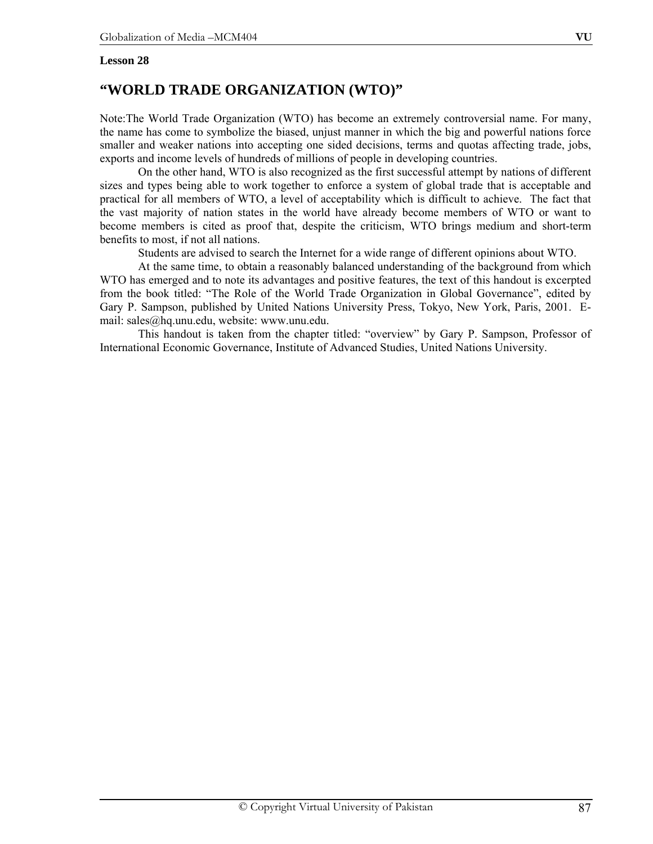## **"WORLD TRADE ORGANIZATION (WTO)"**

Note:The World Trade Organization (WTO) has become an extremely controversial name. For many, the name has come to symbolize the biased, unjust manner in which the big and powerful nations force smaller and weaker nations into accepting one sided decisions, terms and quotas affecting trade, jobs, exports and income levels of hundreds of millions of people in developing countries.

 On the other hand, WTO is also recognized as the first successful attempt by nations of different sizes and types being able to work together to enforce a system of global trade that is acceptable and practical for all members of WTO, a level of acceptability which is difficult to achieve. The fact that the vast majority of nation states in the world have already become members of WTO or want to become members is cited as proof that, despite the criticism, WTO brings medium and short-term benefits to most, if not all nations.

Students are advised to search the Internet for a wide range of different opinions about WTO.

 At the same time, to obtain a reasonably balanced understanding of the background from which WTO has emerged and to note its advantages and positive features, the text of this handout is excerpted from the book titled: "The Role of the World Trade Organization in Global Governance", edited by Gary P. Sampson, published by United Nations University Press, Tokyo, New York, Paris, 2001. Email: sales@hq.unu.edu, website: www.unu.edu.

 This handout is taken from the chapter titled: "overview" by Gary P. Sampson, Professor of International Economic Governance, Institute of Advanced Studies, United Nations University.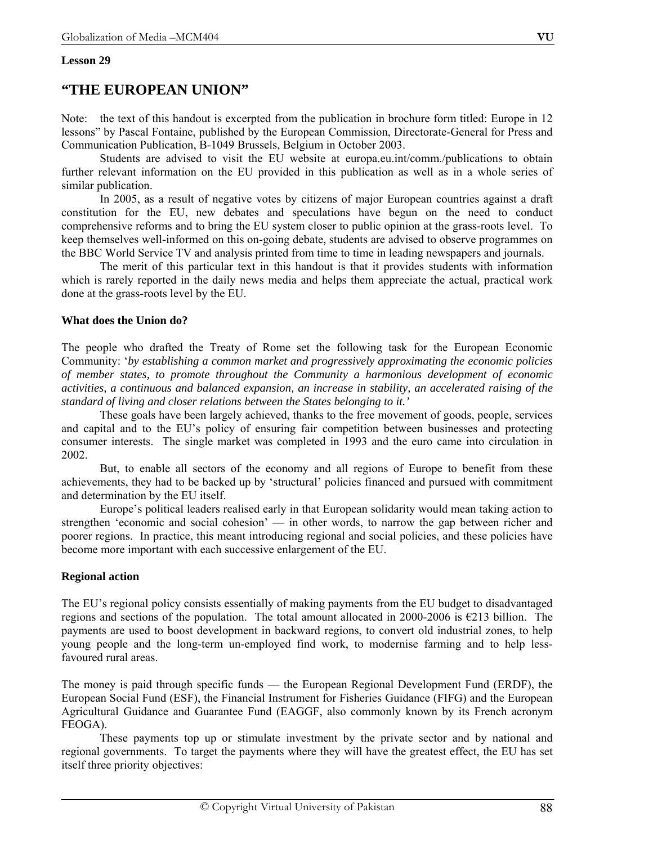## **"THE EUROPEAN UNION"**

Note: the text of this handout is excerpted from the publication in brochure form titled: Europe in 12 lessons" by Pascal Fontaine, published by the European Commission, Directorate-General for Press and Communication Publication, B-1049 Brussels, Belgium in October 2003.

 Students are advised to visit the EU website at europa.eu.int/comm./publications to obtain further relevant information on the EU provided in this publication as well as in a whole series of similar publication.

 In 2005, as a result of negative votes by citizens of major European countries against a draft constitution for the EU, new debates and speculations have begun on the need to conduct comprehensive reforms and to bring the EU system closer to public opinion at the grass-roots level. To keep themselves well-informed on this on-going debate, students are advised to observe programmes on the BBC World Service TV and analysis printed from time to time in leading newspapers and journals.

 The merit of this particular text in this handout is that it provides students with information which is rarely reported in the daily news media and helps them appreciate the actual, practical work done at the grass-roots level by the EU.

#### **What does the Union do?**

The people who drafted the Treaty of Rome set the following task for the European Economic Community: '*by establishing a common market and progressively approximating the economic policies of member states, to promote throughout the Community a harmonious development of economic activities, a continuous and balanced expansion, an increase in stability, an accelerated raising of the standard of living and closer relations between the States belonging to it.'* 

 These goals have been largely achieved, thanks to the free movement of goods, people, services and capital and to the EU's policy of ensuring fair competition between businesses and protecting consumer interests. The single market was completed in 1993 and the euro came into circulation in 2002.

 But, to enable all sectors of the economy and all regions of Europe to benefit from these achievements, they had to be backed up by 'structural' policies financed and pursued with commitment and determination by the EU itself.

 Europe's political leaders realised early in that European solidarity would mean taking action to strengthen 'economic and social cohesion' –– in other words, to narrow the gap between richer and poorer regions. In practice, this meant introducing regional and social policies, and these policies have become more important with each successive enlargement of the EU.

## **Regional action**

The EU's regional policy consists essentially of making payments from the EU budget to disadvantaged regions and sections of the population. The total amount allocated in 2000-2006 is  $\epsilon$ 213 billion. The payments are used to boost development in backward regions, to convert old industrial zones, to help young people and the long-term un-employed find work, to modernise farming and to help lessfavoured rural areas.

The money is paid through specific funds –– the European Regional Development Fund (ERDF), the European Social Fund (ESF), the Financial Instrument for Fisheries Guidance (FIFG) and the European Agricultural Guidance and Guarantee Fund (EAGGF, also commonly known by its French acronym FEOGA).

 These payments top up or stimulate investment by the private sector and by national and regional governments. To target the payments where they will have the greatest effect, the EU has set itself three priority objectives: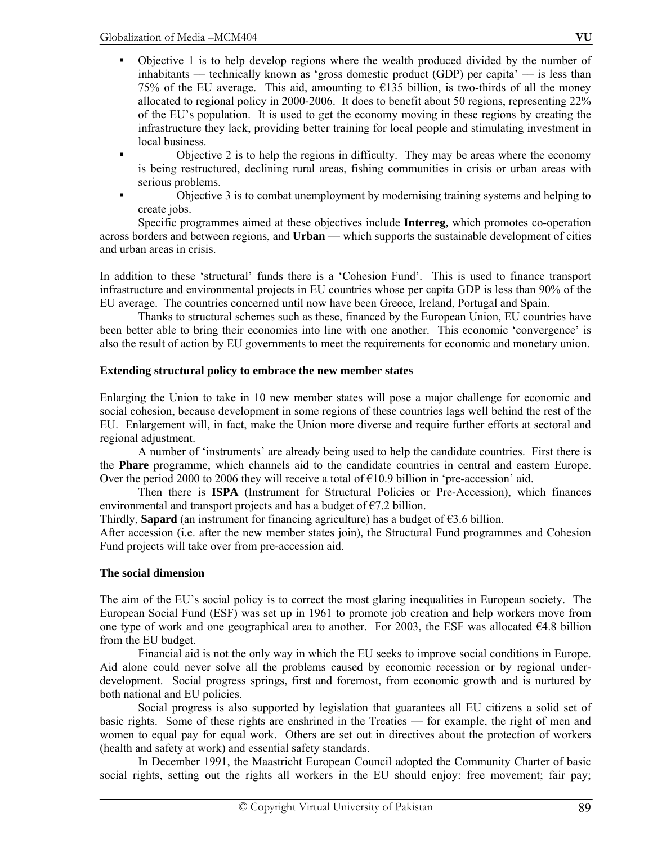- Objective 1 is to help develop regions where the wealth produced divided by the number of inhabitants — technically known as 'gross domestic product (GDP) per capita' — is less than 75% of the EU average. This aid, amounting to €135 billion, is two-thirds of all the money allocated to regional policy in 2000-2006. It does to benefit about 50 regions, representing 22% of the EU's population. It is used to get the economy moving in these regions by creating the infrastructure they lack, providing better training for local people and stimulating investment in local business.
- Objective 2 is to help the regions in difficulty. They may be areas where the economy is being restructured, declining rural areas, fishing communities in crisis or urban areas with serious problems.
- Objective 3 is to combat unemployment by modernising training systems and helping to create jobs.

 Specific programmes aimed at these objectives include **Interreg,** which promotes co-operation across borders and between regions, and **Urban** –– which supports the sustainable development of cities and urban areas in crisis.

In addition to these 'structural' funds there is a 'Cohesion Fund'. This is used to finance transport infrastructure and environmental projects in EU countries whose per capita GDP is less than 90% of the EU average. The countries concerned until now have been Greece, Ireland, Portugal and Spain.

 Thanks to structural schemes such as these, financed by the European Union, EU countries have been better able to bring their economies into line with one another. This economic 'convergence' is also the result of action by EU governments to meet the requirements for economic and monetary union.

## **Extending structural policy to embrace the new member states**

Enlarging the Union to take in 10 new member states will pose a major challenge for economic and social cohesion, because development in some regions of these countries lags well behind the rest of the EU. Enlargement will, in fact, make the Union more diverse and require further efforts at sectoral and regional adjustment.

 A number of 'instruments' are already being used to help the candidate countries. First there is the **Phare** programme, which channels aid to the candidate countries in central and eastern Europe. Over the period 2000 to 2006 they will receive a total of  $\epsilon$ 10.9 billion in 'pre-accession' aid.

 Then there is **ISPA** (Instrument for Structural Policies or Pre-Accession), which finances environmental and transport projects and has a budget of  $\epsilon$ 7.2 billion.

Thirdly, **Sapard** (an instrument for financing agriculture) has a budget of  $\epsilon$ 3.6 billion.

After accession (i.e. after the new member states join), the Structural Fund programmes and Cohesion Fund projects will take over from pre-accession aid.

## **The social dimension**

The aim of the EU's social policy is to correct the most glaring inequalities in European society. The European Social Fund (ESF) was set up in 1961 to promote job creation and help workers move from one type of work and one geographical area to another. For 2003, the ESF was allocated €4.8 billion from the EU budget.

 Financial aid is not the only way in which the EU seeks to improve social conditions in Europe. Aid alone could never solve all the problems caused by economic recession or by regional underdevelopment. Social progress springs, first and foremost, from economic growth and is nurtured by both national and EU policies.

 Social progress is also supported by legislation that guarantees all EU citizens a solid set of basic rights. Some of these rights are enshrined in the Treaties –– for example, the right of men and women to equal pay for equal work. Others are set out in directives about the protection of workers (health and safety at work) and essential safety standards.

 In December 1991, the Maastricht European Council adopted the Community Charter of basic social rights, setting out the rights all workers in the EU should enjoy: free movement; fair pay;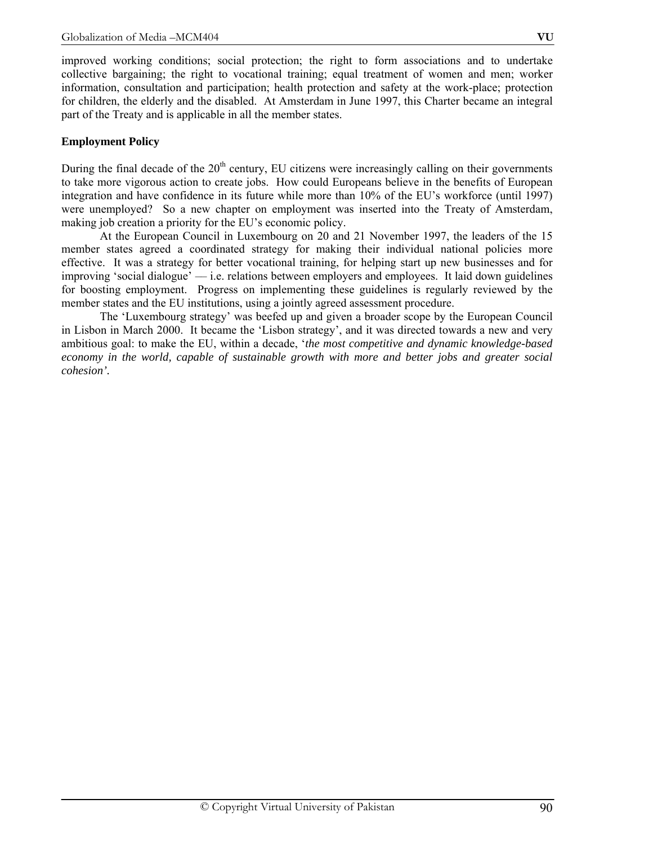improved working conditions; social protection; the right to form associations and to undertake collective bargaining; the right to vocational training; equal treatment of women and men; worker information, consultation and participation; health protection and safety at the work-place; protection for children, the elderly and the disabled. At Amsterdam in June 1997, this Charter became an integral part of the Treaty and is applicable in all the member states.

## **Employment Policy**

During the final decade of the  $20<sup>th</sup>$  century, EU citizens were increasingly calling on their governments to take more vigorous action to create jobs. How could Europeans believe in the benefits of European integration and have confidence in its future while more than 10% of the EU's workforce (until 1997) were unemployed? So a new chapter on employment was inserted into the Treaty of Amsterdam, making job creation a priority for the EU's economic policy.

 At the European Council in Luxembourg on 20 and 21 November 1997, the leaders of the 15 member states agreed a coordinated strategy for making their individual national policies more effective. It was a strategy for better vocational training, for helping start up new businesses and for improving 'social dialogue'  $\frac{d}{dx}$  i.e. relations between employers and employees. It laid down guidelines for boosting employment. Progress on implementing these guidelines is regularly reviewed by the member states and the EU institutions, using a jointly agreed assessment procedure.

 The 'Luxembourg strategy' was beefed up and given a broader scope by the European Council in Lisbon in March 2000. It became the 'Lisbon strategy', and it was directed towards a new and very ambitious goal: to make the EU, within a decade, '*the most competitive and dynamic knowledge-based economy in the world, capable of sustainable growth with more and better jobs and greater social cohesion'.*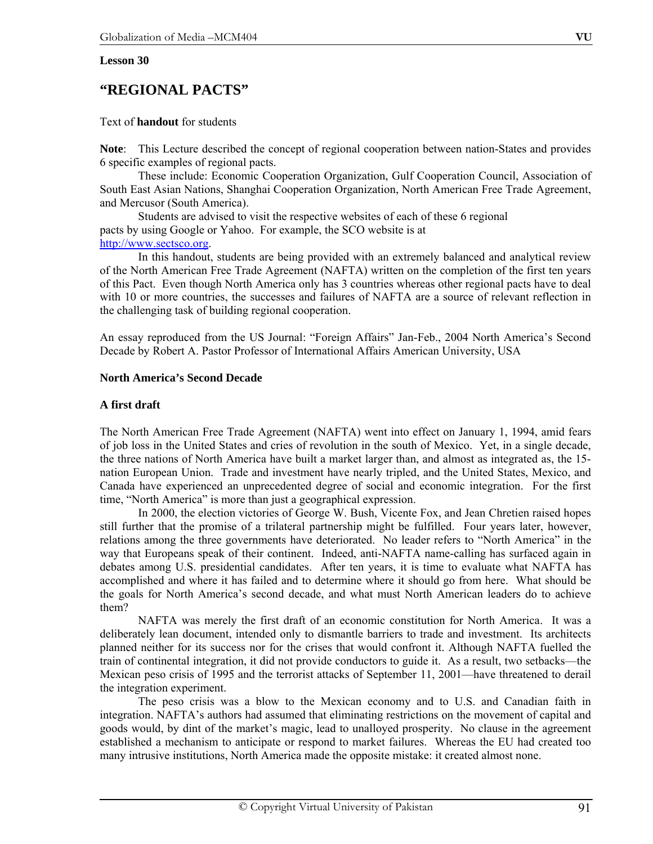## **"REGIONAL PACTS"**

#### Text of **handout** for students

**Note**: This Lecture described the concept of regional cooperation between nation-States and provides 6 specific examples of regional pacts.

 These include: Economic Cooperation Organization, Gulf Cooperation Council, Association of South East Asian Nations, Shanghai Cooperation Organization, North American Free Trade Agreement, and Mercusor (South America).

 Students are advised to visit the respective websites of each of these 6 regional pacts by using Google or Yahoo. For example, the SCO website is at http://www.sectsco.org.

 In this handout, students are being provided with an extremely balanced and analytical review of the North American Free Trade Agreement (NAFTA) written on the completion of the first ten years of this Pact. Even though North America only has 3 countries whereas other regional pacts have to deal with 10 or more countries, the successes and failures of NAFTA are a source of relevant reflection in the challenging task of building regional cooperation.

An essay reproduced from the US Journal: "Foreign Affairs" Jan-Feb., 2004 North America's Second Decade by Robert A. Pastor Professor of International Affairs American University, USA

#### **North America's Second Decade**

#### **A first draft**

The North American Free Trade Agreement (NAFTA) went into effect on January 1, 1994, amid fears of job loss in the United States and cries of revolution in the south of Mexico. Yet, in a single decade, the three nations of North America have built a market larger than, and almost as integrated as, the 15 nation European Union. Trade and investment have nearly tripled, and the United States, Mexico, and Canada have experienced an unprecedented degree of social and economic integration. For the first time, "North America" is more than just a geographical expression.

 In 2000, the election victories of George W. Bush, Vicente Fox, and Jean Chretien raised hopes still further that the promise of a trilateral partnership might be fulfilled. Four years later, however, relations among the three governments have deteriorated. No leader refers to "North America" in the way that Europeans speak of their continent. Indeed, anti-NAFTA name-calling has surfaced again in debates among U.S. presidential candidates. After ten years, it is time to evaluate what NAFTA has accomplished and where it has failed and to determine where it should go from here. What should be the goals for North America's second decade, and what must North American leaders do to achieve them?

 NAFTA was merely the first draft of an economic constitution for North America. It was a deliberately lean document, intended only to dismantle barriers to trade and investment. Its architects planned neither for its success nor for the crises that would confront it. Although NAFTA fuelled the train of continental integration, it did not provide conductors to guide it. As a result, two setbacks––the Mexican peso crisis of 1995 and the terrorist attacks of September 11, 2001––have threatened to derail the integration experiment.

 The peso crisis was a blow to the Mexican economy and to U.S. and Canadian faith in integration. NAFTA's authors had assumed that eliminating restrictions on the movement of capital and goods would, by dint of the market's magic, lead to unalloyed prosperity. No clause in the agreement established a mechanism to anticipate or respond to market failures. Whereas the EU had created too many intrusive institutions, North America made the opposite mistake: it created almost none.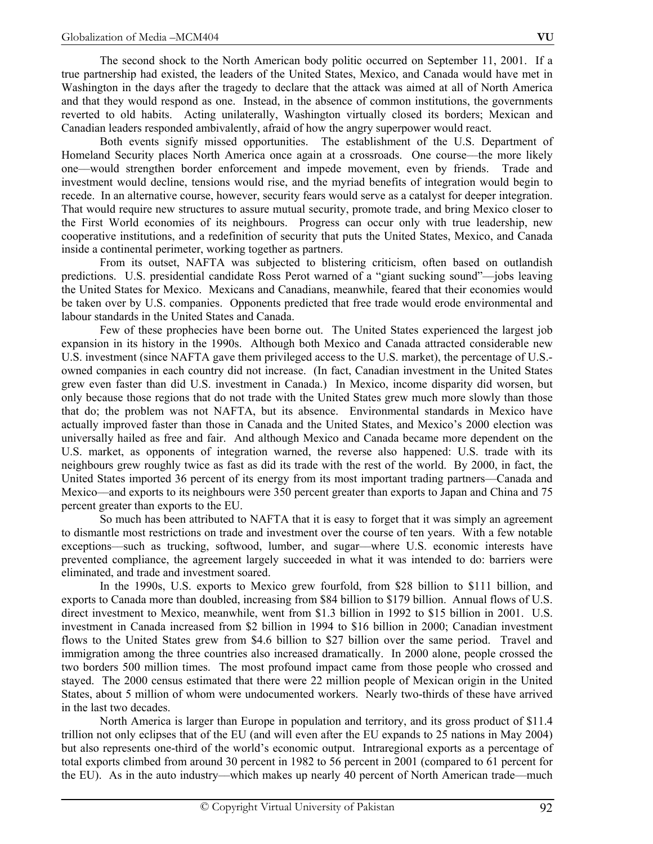The second shock to the North American body politic occurred on September 11, 2001. If a true partnership had existed, the leaders of the United States, Mexico, and Canada would have met in Washington in the days after the tragedy to declare that the attack was aimed at all of North America and that they would respond as one. Instead, in the absence of common institutions, the governments reverted to old habits. Acting unilaterally, Washington virtually closed its borders; Mexican and Canadian leaders responded ambivalently, afraid of how the angry superpower would react.

 Both events signify missed opportunities. The establishment of the U.S. Department of Homeland Security places North America once again at a crossroads. One course––the more likely one––would strengthen border enforcement and impede movement, even by friends. Trade and investment would decline, tensions would rise, and the myriad benefits of integration would begin to recede. In an alternative course, however, security fears would serve as a catalyst for deeper integration. That would require new structures to assure mutual security, promote trade, and bring Mexico closer to the First World economies of its neighbours. Progress can occur only with true leadership, new cooperative institutions, and a redefinition of security that puts the United States, Mexico, and Canada inside a continental perimeter, working together as partners.

 From its outset, NAFTA was subjected to blistering criticism, often based on outlandish predictions. U.S. presidential candidate Ross Perot warned of a "giant sucking sound"––jobs leaving the United States for Mexico. Mexicans and Canadians, meanwhile, feared that their economies would be taken over by U.S. companies. Opponents predicted that free trade would erode environmental and labour standards in the United States and Canada.

 Few of these prophecies have been borne out. The United States experienced the largest job expansion in its history in the 1990s. Although both Mexico and Canada attracted considerable new U.S. investment (since NAFTA gave them privileged access to the U.S. market), the percentage of U.S. owned companies in each country did not increase. (In fact, Canadian investment in the United States grew even faster than did U.S. investment in Canada.) In Mexico, income disparity did worsen, but only because those regions that do not trade with the United States grew much more slowly than those that do; the problem was not NAFTA, but its absence. Environmental standards in Mexico have actually improved faster than those in Canada and the United States, and Mexico's 2000 election was universally hailed as free and fair. And although Mexico and Canada became more dependent on the U.S. market, as opponents of integration warned, the reverse also happened: U.S. trade with its neighbours grew roughly twice as fast as did its trade with the rest of the world. By 2000, in fact, the United States imported 36 percent of its energy from its most important trading partners––Canada and Mexico––and exports to its neighbours were 350 percent greater than exports to Japan and China and 75 percent greater than exports to the EU.

 So much has been attributed to NAFTA that it is easy to forget that it was simply an agreement to dismantle most restrictions on trade and investment over the course of ten years. With a few notable exceptions––such as trucking, softwood, lumber, and sugar––where U.S. economic interests have prevented compliance, the agreement largely succeeded in what it was intended to do: barriers were eliminated, and trade and investment soared.

 In the 1990s, U.S. exports to Mexico grew fourfold, from \$28 billion to \$111 billion, and exports to Canada more than doubled, increasing from \$84 billion to \$179 billion. Annual flows of U.S. direct investment to Mexico, meanwhile, went from \$1.3 billion in 1992 to \$15 billion in 2001. U.S. investment in Canada increased from \$2 billion in 1994 to \$16 billion in 2000; Canadian investment flows to the United States grew from \$4.6 billion to \$27 billion over the same period. Travel and immigration among the three countries also increased dramatically. In 2000 alone, people crossed the two borders 500 million times. The most profound impact came from those people who crossed and stayed. The 2000 census estimated that there were 22 million people of Mexican origin in the United States, about 5 million of whom were undocumented workers. Nearly two-thirds of these have arrived in the last two decades.

 North America is larger than Europe in population and territory, and its gross product of \$11.4 trillion not only eclipses that of the EU (and will even after the EU expands to 25 nations in May 2004) but also represents one-third of the world's economic output. Intraregional exports as a percentage of total exports climbed from around 30 percent in 1982 to 56 percent in 2001 (compared to 61 percent for the EU). As in the auto industry––which makes up nearly 40 percent of North American trade––much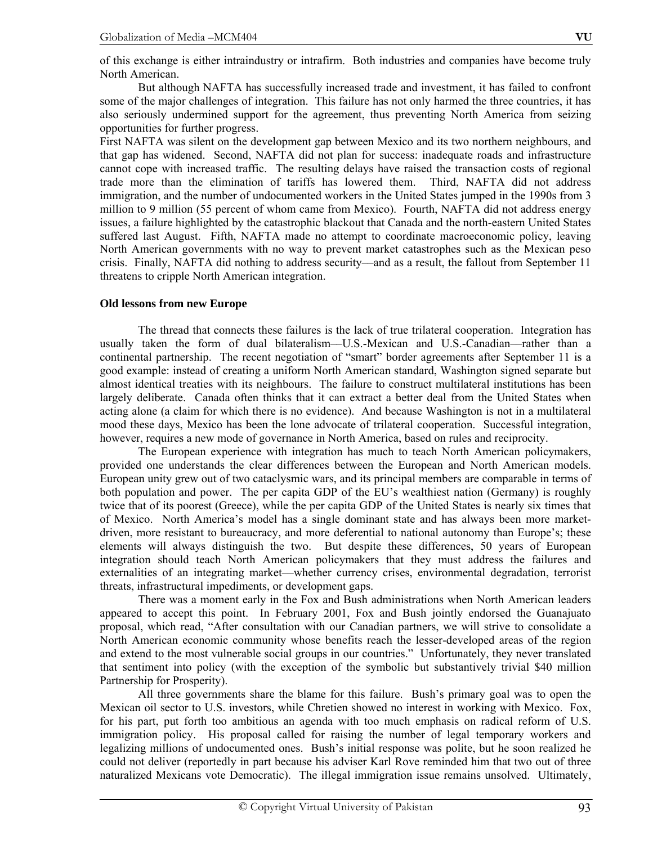of this exchange is either intraindustry or intrafirm. Both industries and companies have become truly North American.

 But although NAFTA has successfully increased trade and investment, it has failed to confront some of the major challenges of integration. This failure has not only harmed the three countries, it has also seriously undermined support for the agreement, thus preventing North America from seizing opportunities for further progress.

First NAFTA was silent on the development gap between Mexico and its two northern neighbours, and that gap has widened. Second, NAFTA did not plan for success: inadequate roads and infrastructure cannot cope with increased traffic. The resulting delays have raised the transaction costs of regional trade more than the elimination of tariffs has lowered them. Third, NAFTA did not address immigration, and the number of undocumented workers in the United States jumped in the 1990s from 3 million to 9 million (55 percent of whom came from Mexico). Fourth, NAFTA did not address energy issues, a failure highlighted by the catastrophic blackout that Canada and the north-eastern United States suffered last August. Fifth, NAFTA made no attempt to coordinate macroeconomic policy, leaving North American governments with no way to prevent market catastrophes such as the Mexican peso crisis. Finally, NAFTA did nothing to address security––and as a result, the fallout from September 11 threatens to cripple North American integration.

## **Old lessons from new Europe**

 The thread that connects these failures is the lack of true trilateral cooperation. Integration has usually taken the form of dual bilateralism––U.S.-Mexican and U.S.-Canadian––rather than a continental partnership. The recent negotiation of "smart" border agreements after September 11 is a good example: instead of creating a uniform North American standard, Washington signed separate but almost identical treaties with its neighbours. The failure to construct multilateral institutions has been largely deliberate. Canada often thinks that it can extract a better deal from the United States when acting alone (a claim for which there is no evidence). And because Washington is not in a multilateral mood these days, Mexico has been the lone advocate of trilateral cooperation. Successful integration, however, requires a new mode of governance in North America, based on rules and reciprocity.

 The European experience with integration has much to teach North American policymakers, provided one understands the clear differences between the European and North American models. European unity grew out of two cataclysmic wars, and its principal members are comparable in terms of both population and power. The per capita GDP of the EU's wealthiest nation (Germany) is roughly twice that of its poorest (Greece), while the per capita GDP of the United States is nearly six times that of Mexico. North America's model has a single dominant state and has always been more marketdriven, more resistant to bureaucracy, and more deferential to national autonomy than Europe's; these elements will always distinguish the two. But despite these differences, 50 years of European integration should teach North American policymakers that they must address the failures and externalities of an integrating market––whether currency crises, environmental degradation, terrorist threats, infrastructural impediments, or development gaps.

 There was a moment early in the Fox and Bush administrations when North American leaders appeared to accept this point. In February 2001, Fox and Bush jointly endorsed the Guanajuato proposal, which read, "After consultation with our Canadian partners, we will strive to consolidate a North American economic community whose benefits reach the lesser-developed areas of the region and extend to the most vulnerable social groups in our countries." Unfortunately, they never translated that sentiment into policy (with the exception of the symbolic but substantively trivial \$40 million Partnership for Prosperity).

 All three governments share the blame for this failure. Bush's primary goal was to open the Mexican oil sector to U.S. investors, while Chretien showed no interest in working with Mexico. Fox, for his part, put forth too ambitious an agenda with too much emphasis on radical reform of U.S. immigration policy. His proposal called for raising the number of legal temporary workers and legalizing millions of undocumented ones. Bush's initial response was polite, but he soon realized he could not deliver (reportedly in part because his adviser Karl Rove reminded him that two out of three naturalized Mexicans vote Democratic). The illegal immigration issue remains unsolved. Ultimately,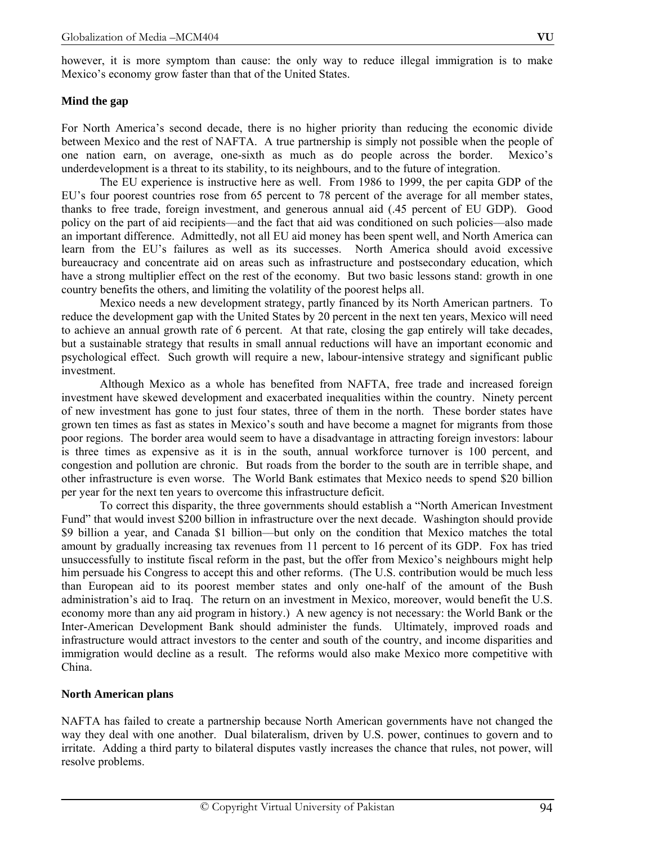however, it is more symptom than cause: the only way to reduce illegal immigration is to make Mexico's economy grow faster than that of the United States.

## **Mind the gap**

For North America's second decade, there is no higher priority than reducing the economic divide between Mexico and the rest of NAFTA. A true partnership is simply not possible when the people of one nation earn, on average, one-sixth as much as do people across the border. Mexico's underdevelopment is a threat to its stability, to its neighbours, and to the future of integration.

 The EU experience is instructive here as well. From 1986 to 1999, the per capita GDP of the EU's four poorest countries rose from 65 percent to 78 percent of the average for all member states, thanks to free trade, foreign investment, and generous annual aid (.45 percent of EU GDP). Good policy on the part of aid recipients––and the fact that aid was conditioned on such policies––also made an important difference. Admittedly, not all EU aid money has been spent well, and North America can learn from the EU's failures as well as its successes. North America should avoid excessive bureaucracy and concentrate aid on areas such as infrastructure and postsecondary education, which have a strong multiplier effect on the rest of the economy. But two basic lessons stand: growth in one country benefits the others, and limiting the volatility of the poorest helps all.

 Mexico needs a new development strategy, partly financed by its North American partners. To reduce the development gap with the United States by 20 percent in the next ten years, Mexico will need to achieve an annual growth rate of 6 percent. At that rate, closing the gap entirely will take decades, but a sustainable strategy that results in small annual reductions will have an important economic and psychological effect. Such growth will require a new, labour-intensive strategy and significant public investment.

 Although Mexico as a whole has benefited from NAFTA, free trade and increased foreign investment have skewed development and exacerbated inequalities within the country. Ninety percent of new investment has gone to just four states, three of them in the north. These border states have grown ten times as fast as states in Mexico's south and have become a magnet for migrants from those poor regions. The border area would seem to have a disadvantage in attracting foreign investors: labour is three times as expensive as it is in the south, annual workforce turnover is 100 percent, and congestion and pollution are chronic. But roads from the border to the south are in terrible shape, and other infrastructure is even worse. The World Bank estimates that Mexico needs to spend \$20 billion per year for the next ten years to overcome this infrastructure deficit.

 To correct this disparity, the three governments should establish a "North American Investment Fund" that would invest \$200 billion in infrastructure over the next decade. Washington should provide \$9 billion a year, and Canada \$1 billion—but only on the condition that Mexico matches the total amount by gradually increasing tax revenues from 11 percent to 16 percent of its GDP. Fox has tried unsuccessfully to institute fiscal reform in the past, but the offer from Mexico's neighbours might help him persuade his Congress to accept this and other reforms. (The U.S. contribution would be much less than European aid to its poorest member states and only one-half of the amount of the Bush administration's aid to Iraq. The return on an investment in Mexico, moreover, would benefit the U.S. economy more than any aid program in history.) A new agency is not necessary: the World Bank or the Inter-American Development Bank should administer the funds. Ultimately, improved roads and infrastructure would attract investors to the center and south of the country, and income disparities and immigration would decline as a result. The reforms would also make Mexico more competitive with China.

## **North American plans**

NAFTA has failed to create a partnership because North American governments have not changed the way they deal with one another. Dual bilateralism, driven by U.S. power, continues to govern and to irritate. Adding a third party to bilateral disputes vastly increases the chance that rules, not power, will resolve problems.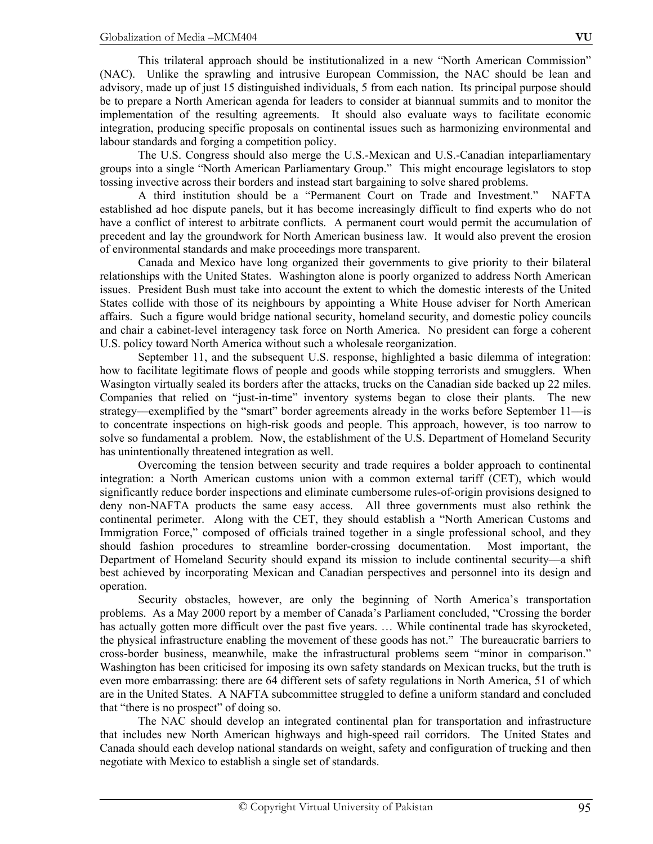This trilateral approach should be institutionalized in a new "North American Commission" (NAC). Unlike the sprawling and intrusive European Commission, the NAC should be lean and advisory, made up of just 15 distinguished individuals, 5 from each nation. Its principal purpose should be to prepare a North American agenda for leaders to consider at biannual summits and to monitor the implementation of the resulting agreements. It should also evaluate ways to facilitate economic integration, producing specific proposals on continental issues such as harmonizing environmental and labour standards and forging a competition policy.

 The U.S. Congress should also merge the U.S.-Mexican and U.S.-Canadian inteparliamentary groups into a single "North American Parliamentary Group." This might encourage legislators to stop tossing invective across their borders and instead start bargaining to solve shared problems.

 A third institution should be a "Permanent Court on Trade and Investment." NAFTA established ad hoc dispute panels, but it has become increasingly difficult to find experts who do not have a conflict of interest to arbitrate conflicts. A permanent court would permit the accumulation of precedent and lay the groundwork for North American business law. It would also prevent the erosion of environmental standards and make proceedings more transparent.

 Canada and Mexico have long organized their governments to give priority to their bilateral relationships with the United States. Washington alone is poorly organized to address North American issues. President Bush must take into account the extent to which the domestic interests of the United States collide with those of its neighbours by appointing a White House adviser for North American affairs. Such a figure would bridge national security, homeland security, and domestic policy councils and chair a cabinet-level interagency task force on North America. No president can forge a coherent U.S. policy toward North America without such a wholesale reorganization.

 September 11, and the subsequent U.S. response, highlighted a basic dilemma of integration: how to facilitate legitimate flows of people and goods while stopping terrorists and smugglers. When Wasington virtually sealed its borders after the attacks, trucks on the Canadian side backed up 22 miles. Companies that relied on "just-in-time" inventory systems began to close their plants. The new strategy—exemplified by the "smart" border agreements already in the works before September 11—is to concentrate inspections on high-risk goods and people. This approach, however, is too narrow to solve so fundamental a problem. Now, the establishment of the U.S. Department of Homeland Security has unintentionally threatened integration as well.

 Overcoming the tension between security and trade requires a bolder approach to continental integration: a North American customs union with a common external tariff (CET), which would significantly reduce border inspections and eliminate cumbersome rules-of-origin provisions designed to deny non-NAFTA products the same easy access. All three governments must also rethink the continental perimeter. Along with the CET, they should establish a "North American Customs and Immigration Force," composed of officials trained together in a single professional school, and they should fashion procedures to streamline border-crossing documentation. Most important, the Department of Homeland Security should expand its mission to include continental security––a shift best achieved by incorporating Mexican and Canadian perspectives and personnel into its design and operation.

 Security obstacles, however, are only the beginning of North America's transportation problems. As a May 2000 report by a member of Canada's Parliament concluded, "Crossing the border has actually gotten more difficult over the past five years. … While continental trade has skyrocketed, the physical infrastructure enabling the movement of these goods has not." The bureaucratic barriers to cross-border business, meanwhile, make the infrastructural problems seem "minor in comparison." Washington has been criticised for imposing its own safety standards on Mexican trucks, but the truth is even more embarrassing: there are 64 different sets of safety regulations in North America, 51 of which are in the United States. A NAFTA subcommittee struggled to define a uniform standard and concluded that "there is no prospect" of doing so.

 The NAC should develop an integrated continental plan for transportation and infrastructure that includes new North American highways and high-speed rail corridors. The United States and Canada should each develop national standards on weight, safety and configuration of trucking and then negotiate with Mexico to establish a single set of standards.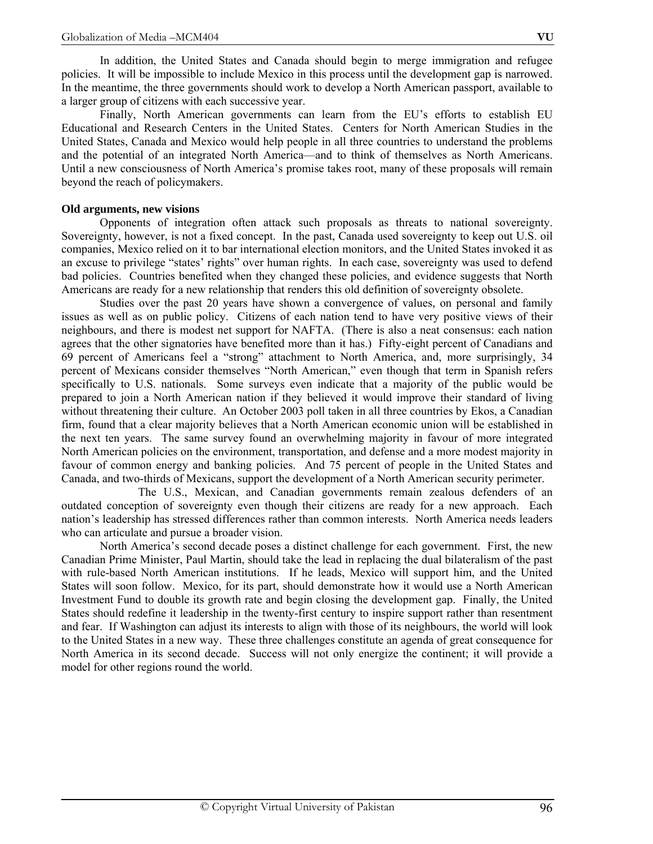In addition, the United States and Canada should begin to merge immigration and refugee policies. It will be impossible to include Mexico in this process until the development gap is narrowed. In the meantime, the three governments should work to develop a North American passport, available to a larger group of citizens with each successive year.

 Finally, North American governments can learn from the EU's efforts to establish EU Educational and Research Centers in the United States. Centers for North American Studies in the United States, Canada and Mexico would help people in all three countries to understand the problems and the potential of an integrated North America––and to think of themselves as North Americans. Until a new consciousness of North America's promise takes root, many of these proposals will remain beyond the reach of policymakers.

#### **Old arguments, new visions**

 Opponents of integration often attack such proposals as threats to national sovereignty. Sovereignty, however, is not a fixed concept. In the past, Canada used sovereignty to keep out U.S. oil companies, Mexico relied on it to bar international election monitors, and the United States invoked it as an excuse to privilege "states' rights" over human rights. In each case, sovereignty was used to defend bad policies. Countries benefited when they changed these policies, and evidence suggests that North Americans are ready for a new relationship that renders this old definition of sovereignty obsolete.

 Studies over the past 20 years have shown a convergence of values, on personal and family issues as well as on public policy. Citizens of each nation tend to have very positive views of their neighbours, and there is modest net support for NAFTA. (There is also a neat consensus: each nation agrees that the other signatories have benefited more than it has.) Fifty-eight percent of Canadians and 69 percent of Americans feel a "strong" attachment to North America, and, more surprisingly, 34 percent of Mexicans consider themselves "North American," even though that term in Spanish refers specifically to U.S. nationals. Some surveys even indicate that a majority of the public would be prepared to join a North American nation if they believed it would improve their standard of living without threatening their culture. An October 2003 poll taken in all three countries by Ekos, a Canadian firm, found that a clear majority believes that a North American economic union will be established in the next ten years. The same survey found an overwhelming majority in favour of more integrated North American policies on the environment, transportation, and defense and a more modest majority in favour of common energy and banking policies. And 75 percent of people in the United States and Canada, and two-thirds of Mexicans, support the development of a North American security perimeter.

 The U.S., Mexican, and Canadian governments remain zealous defenders of an outdated conception of sovereignty even though their citizens are ready for a new approach. Each nation's leadership has stressed differences rather than common interests. North America needs leaders who can articulate and pursue a broader vision.

 North America's second decade poses a distinct challenge for each government. First, the new Canadian Prime Minister, Paul Martin, should take the lead in replacing the dual bilateralism of the past with rule-based North American institutions. If he leads, Mexico will support him, and the United States will soon follow. Mexico, for its part, should demonstrate how it would use a North American Investment Fund to double its growth rate and begin closing the development gap. Finally, the United States should redefine it leadership in the twenty-first century to inspire support rather than resentment and fear. If Washington can adjust its interests to align with those of its neighbours, the world will look to the United States in a new way. These three challenges constitute an agenda of great consequence for North America in its second decade. Success will not only energize the continent; it will provide a model for other regions round the world.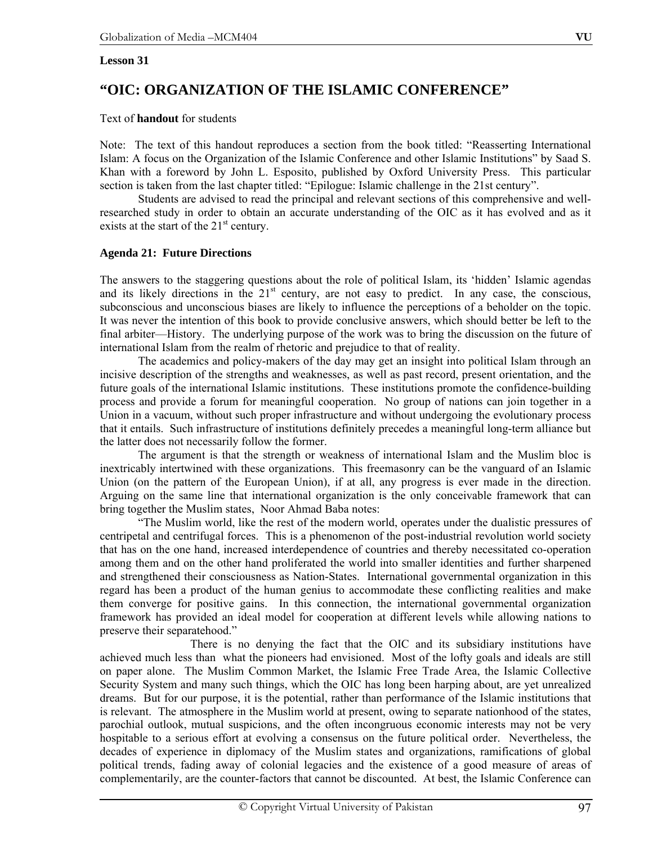# **"OIC: ORGANIZATION OF THE ISLAMIC CONFERENCE"**

## Text of **handout** for students

Note: The text of this handout reproduces a section from the book titled: "Reasserting International Islam: A focus on the Organization of the Islamic Conference and other Islamic Institutions" by Saad S. Khan with a foreword by John L. Esposito, published by Oxford University Press. This particular section is taken from the last chapter titled: "Epilogue: Islamic challenge in the 21st century".

 Students are advised to read the principal and relevant sections of this comprehensive and wellresearched study in order to obtain an accurate understanding of the OIC as it has evolved and as it exists at the start of the  $21<sup>st</sup>$  century.

## **Agenda 21: Future Directions**

The answers to the staggering questions about the role of political Islam, its 'hidden' Islamic agendas and its likely directions in the  $21<sup>st</sup>$  century, are not easy to predict. In any case, the conscious, subconscious and unconscious biases are likely to influence the perceptions of a beholder on the topic. It was never the intention of this book to provide conclusive answers, which should better be left to the final arbiter––History. The underlying purpose of the work was to bring the discussion on the future of international Islam from the realm of rhetoric and prejudice to that of reality.

 The academics and policy-makers of the day may get an insight into political Islam through an incisive description of the strengths and weaknesses, as well as past record, present orientation, and the future goals of the international Islamic institutions. These institutions promote the confidence-building process and provide a forum for meaningful cooperation. No group of nations can join together in a Union in a vacuum, without such proper infrastructure and without undergoing the evolutionary process that it entails. Such infrastructure of institutions definitely precedes a meaningful long-term alliance but the latter does not necessarily follow the former.

 The argument is that the strength or weakness of international Islam and the Muslim bloc is inextricably intertwined with these organizations. This freemasonry can be the vanguard of an Islamic Union (on the pattern of the European Union), if at all, any progress is ever made in the direction. Arguing on the same line that international organization is the only conceivable framework that can bring together the Muslim states, Noor Ahmad Baba notes:

 "The Muslim world, like the rest of the modern world, operates under the dualistic pressures of centripetal and centrifugal forces. This is a phenomenon of the post-industrial revolution world society that has on the one hand, increased interdependence of countries and thereby necessitated co-operation among them and on the other hand proliferated the world into smaller identities and further sharpened and strengthened their consciousness as Nation-States. International governmental organization in this regard has been a product of the human genius to accommodate these conflicting realities and make them converge for positive gains. In this connection, the international governmental organization framework has provided an ideal model for cooperation at different levels while allowing nations to preserve their separatehood."

 There is no denying the fact that the OIC and its subsidiary institutions have achieved much less than what the pioneers had envisioned. Most of the lofty goals and ideals are still on paper alone. The Muslim Common Market, the Islamic Free Trade Area, the Islamic Collective Security System and many such things, which the OIC has long been harping about, are yet unrealized dreams. But for our purpose, it is the potential, rather than performance of the Islamic institutions that is relevant. The atmosphere in the Muslim world at present, owing to separate nationhood of the states, parochial outlook, mutual suspicions, and the often incongruous economic interests may not be very hospitable to a serious effort at evolving a consensus on the future political order. Nevertheless, the decades of experience in diplomacy of the Muslim states and organizations, ramifications of global political trends, fading away of colonial legacies and the existence of a good measure of areas of complementarily, are the counter-factors that cannot be discounted. At best, the Islamic Conference can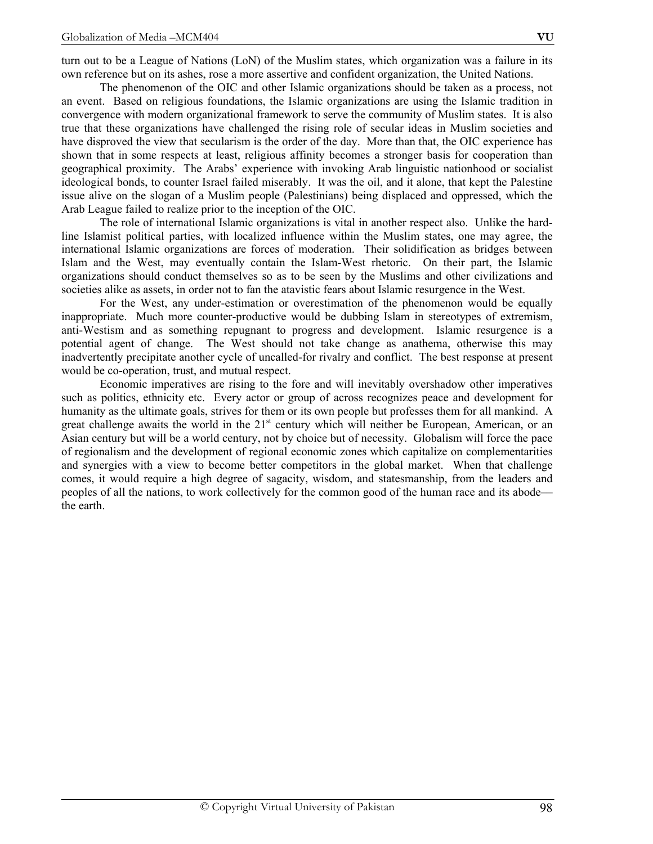The phenomenon of the OIC and other Islamic organizations should be taken as a process, not an event. Based on religious foundations, the Islamic organizations are using the Islamic tradition in convergence with modern organizational framework to serve the community of Muslim states. It is also true that these organizations have challenged the rising role of secular ideas in Muslim societies and have disproved the view that secularism is the order of the day. More than that, the OIC experience has shown that in some respects at least, religious affinity becomes a stronger basis for cooperation than geographical proximity. The Arabs' experience with invoking Arab linguistic nationhood or socialist ideological bonds, to counter Israel failed miserably. It was the oil, and it alone, that kept the Palestine issue alive on the slogan of a Muslim people (Palestinians) being displaced and oppressed, which the Arab League failed to realize prior to the inception of the OIC.

 The role of international Islamic organizations is vital in another respect also. Unlike the hardline Islamist political parties, with localized influence within the Muslim states, one may agree, the international Islamic organizations are forces of moderation. Their solidification as bridges between Islam and the West, may eventually contain the Islam-West rhetoric. On their part, the Islamic organizations should conduct themselves so as to be seen by the Muslims and other civilizations and societies alike as assets, in order not to fan the atavistic fears about Islamic resurgence in the West.

 For the West, any under-estimation or overestimation of the phenomenon would be equally inappropriate. Much more counter-productive would be dubbing Islam in stereotypes of extremism, anti-Westism and as something repugnant to progress and development. Islamic resurgence is a potential agent of change. The West should not take change as anathema, otherwise this may inadvertently precipitate another cycle of uncalled-for rivalry and conflict. The best response at present would be co-operation, trust, and mutual respect.

 Economic imperatives are rising to the fore and will inevitably overshadow other imperatives such as politics, ethnicity etc. Every actor or group of across recognizes peace and development for humanity as the ultimate goals, strives for them or its own people but professes them for all mankind. A great challenge awaits the world in the 21<sup>st</sup> century which will neither be European, American, or an Asian century but will be a world century, not by choice but of necessity. Globalism will force the pace of regionalism and the development of regional economic zones which capitalize on complementarities and synergies with a view to become better competitors in the global market. When that challenge comes, it would require a high degree of sagacity, wisdom, and statesmanship, from the leaders and peoples of all the nations, to work collectively for the common good of the human race and its abode–– the earth.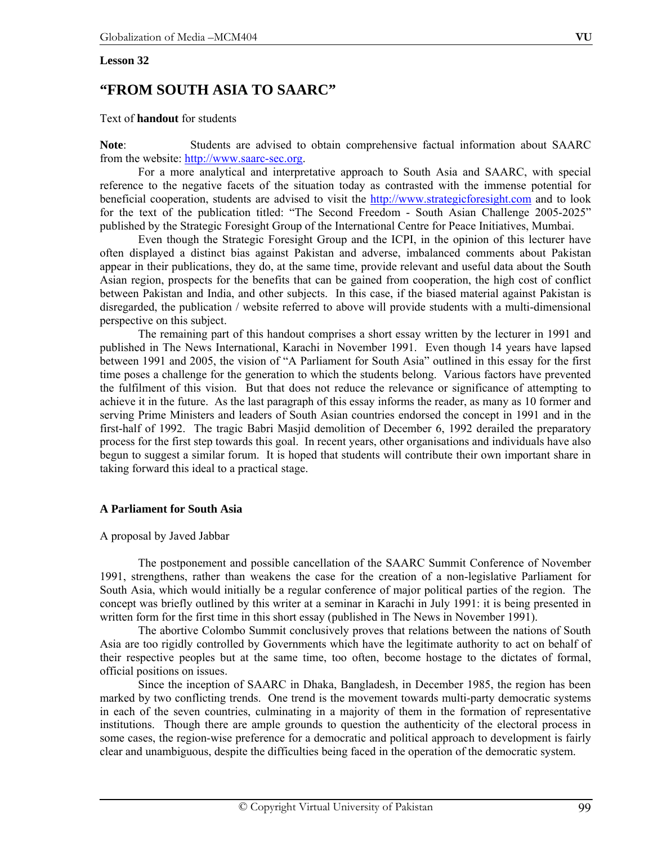# **"FROM SOUTH ASIA TO SAARC"**

#### Text of **handout** for students

**Note**: Students are advised to obtain comprehensive factual information about SAARC from the website: http://www.saarc-sec.org.

 For a more analytical and interpretative approach to South Asia and SAARC, with special reference to the negative facets of the situation today as contrasted with the immense potential for beneficial cooperation, students are advised to visit the http://www.strategicforesight.com and to look for the text of the publication titled: "The Second Freedom - South Asian Challenge 2005-2025" published by the Strategic Foresight Group of the International Centre for Peace Initiatives, Mumbai.

 Even though the Strategic Foresight Group and the ICPI, in the opinion of this lecturer have often displayed a distinct bias against Pakistan and adverse, imbalanced comments about Pakistan appear in their publications, they do, at the same time, provide relevant and useful data about the South Asian region, prospects for the benefits that can be gained from cooperation, the high cost of conflict between Pakistan and India, and other subjects. In this case, if the biased material against Pakistan is disregarded, the publication / website referred to above will provide students with a multi-dimensional perspective on this subject.

 The remaining part of this handout comprises a short essay written by the lecturer in 1991 and published in The News International, Karachi in November 1991. Even though 14 years have lapsed between 1991 and 2005, the vision of "A Parliament for South Asia" outlined in this essay for the first time poses a challenge for the generation to which the students belong. Various factors have prevented the fulfilment of this vision. But that does not reduce the relevance or significance of attempting to achieve it in the future. As the last paragraph of this essay informs the reader, as many as 10 former and serving Prime Ministers and leaders of South Asian countries endorsed the concept in 1991 and in the first-half of 1992. The tragic Babri Masjid demolition of December 6, 1992 derailed the preparatory process for the first step towards this goal. In recent years, other organisations and individuals have also begun to suggest a similar forum. It is hoped that students will contribute their own important share in taking forward this ideal to a practical stage.

## **A Parliament for South Asia**

## A proposal by Javed Jabbar

 The postponement and possible cancellation of the SAARC Summit Conference of November 1991, strengthens, rather than weakens the case for the creation of a non-legislative Parliament for South Asia, which would initially be a regular conference of major political parties of the region. The concept was briefly outlined by this writer at a seminar in Karachi in July 1991: it is being presented in written form for the first time in this short essay (published in The News in November 1991).

 The abortive Colombo Summit conclusively proves that relations between the nations of South Asia are too rigidly controlled by Governments which have the legitimate authority to act on behalf of their respective peoples but at the same time, too often, become hostage to the dictates of formal, official positions on issues.

 Since the inception of SAARC in Dhaka, Bangladesh, in December 1985, the region has been marked by two conflicting trends. One trend is the movement towards multi-party democratic systems in each of the seven countries, culminating in a majority of them in the formation of representative institutions. Though there are ample grounds to question the authenticity of the electoral process in some cases, the region-wise preference for a democratic and political approach to development is fairly clear and unambiguous, despite the difficulties being faced in the operation of the democratic system.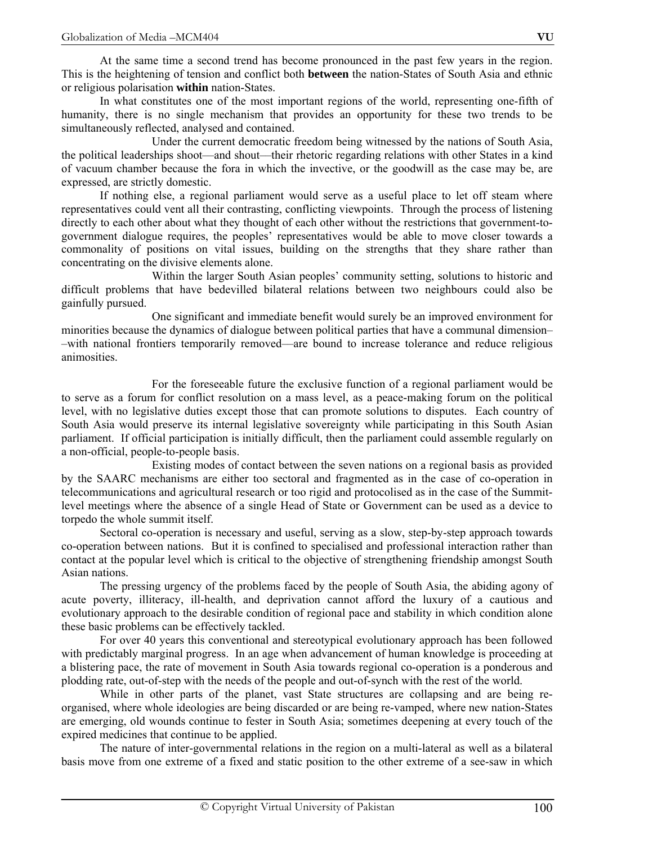At the same time a second trend has become pronounced in the past few years in the region. This is the heightening of tension and conflict both **between** the nation-States of South Asia and ethnic or religious polarisation **within** nation-States.

 In what constitutes one of the most important regions of the world, representing one-fifth of humanity, there is no single mechanism that provides an opportunity for these two trends to be simultaneously reflected, analysed and contained.

 Under the current democratic freedom being witnessed by the nations of South Asia, the political leaderships shoot––and shout––their rhetoric regarding relations with other States in a kind of vacuum chamber because the fora in which the invective, or the goodwill as the case may be, are expressed, are strictly domestic.

 If nothing else, a regional parliament would serve as a useful place to let off steam where representatives could vent all their contrasting, conflicting viewpoints. Through the process of listening directly to each other about what they thought of each other without the restrictions that government-togovernment dialogue requires, the peoples' representatives would be able to move closer towards a commonality of positions on vital issues, building on the strengths that they share rather than concentrating on the divisive elements alone.

 Within the larger South Asian peoples' community setting, solutions to historic and difficult problems that have bedevilled bilateral relations between two neighbours could also be gainfully pursued.

 One significant and immediate benefit would surely be an improved environment for minorities because the dynamics of dialogue between political parties that have a communal dimension– –with national frontiers temporarily removed––are bound to increase tolerance and reduce religious animosities.

 For the foreseeable future the exclusive function of a regional parliament would be to serve as a forum for conflict resolution on a mass level, as a peace-making forum on the political level, with no legislative duties except those that can promote solutions to disputes. Each country of South Asia would preserve its internal legislative sovereignty while participating in this South Asian parliament. If official participation is initially difficult, then the parliament could assemble regularly on a non-official, people-to-people basis.

 Existing modes of contact between the seven nations on a regional basis as provided by the SAARC mechanisms are either too sectoral and fragmented as in the case of co-operation in telecommunications and agricultural research or too rigid and protocolised as in the case of the Summitlevel meetings where the absence of a single Head of State or Government can be used as a device to torpedo the whole summit itself.

 Sectoral co-operation is necessary and useful, serving as a slow, step-by-step approach towards co-operation between nations. But it is confined to specialised and professional interaction rather than contact at the popular level which is critical to the objective of strengthening friendship amongst South Asian nations.

 The pressing urgency of the problems faced by the people of South Asia, the abiding agony of acute poverty, illiteracy, ill-health, and deprivation cannot afford the luxury of a cautious and evolutionary approach to the desirable condition of regional pace and stability in which condition alone these basic problems can be effectively tackled.

 For over 40 years this conventional and stereotypical evolutionary approach has been followed with predictably marginal progress. In an age when advancement of human knowledge is proceeding at a blistering pace, the rate of movement in South Asia towards regional co-operation is a ponderous and plodding rate, out-of-step with the needs of the people and out-of-synch with the rest of the world.

 While in other parts of the planet, vast State structures are collapsing and are being reorganised, where whole ideologies are being discarded or are being re-vamped, where new nation-States are emerging, old wounds continue to fester in South Asia; sometimes deepening at every touch of the expired medicines that continue to be applied.

 The nature of inter-governmental relations in the region on a multi-lateral as well as a bilateral basis move from one extreme of a fixed and static position to the other extreme of a see-saw in which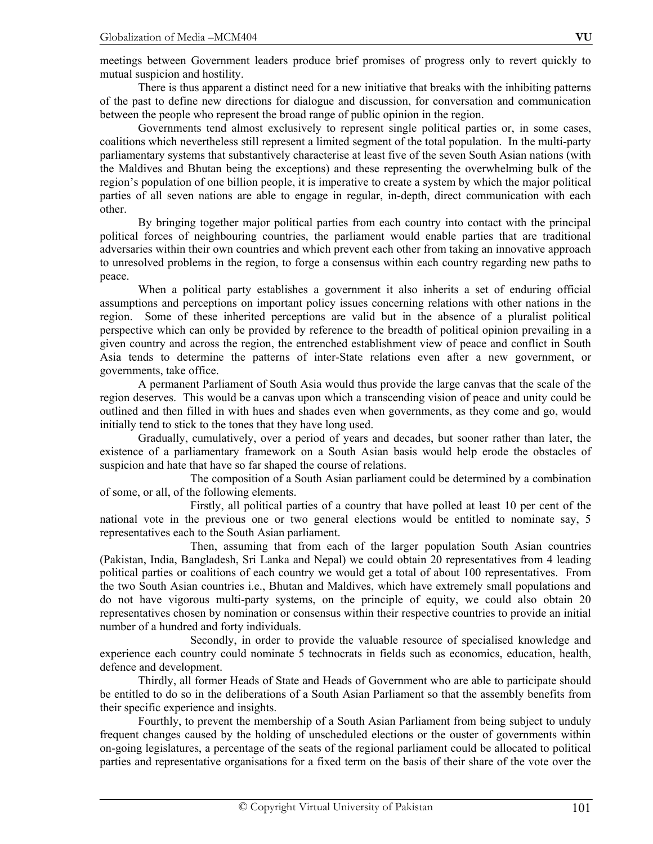meetings between Government leaders produce brief promises of progress only to revert quickly to mutual suspicion and hostility.

 There is thus apparent a distinct need for a new initiative that breaks with the inhibiting patterns of the past to define new directions for dialogue and discussion, for conversation and communication between the people who represent the broad range of public opinion in the region.

 Governments tend almost exclusively to represent single political parties or, in some cases, coalitions which nevertheless still represent a limited segment of the total population. In the multi-party parliamentary systems that substantively characterise at least five of the seven South Asian nations (with the Maldives and Bhutan being the exceptions) and these representing the overwhelming bulk of the region's population of one billion people, it is imperative to create a system by which the major political parties of all seven nations are able to engage in regular, in-depth, direct communication with each other.

 By bringing together major political parties from each country into contact with the principal political forces of neighbouring countries, the parliament would enable parties that are traditional adversaries within their own countries and which prevent each other from taking an innovative approach to unresolved problems in the region, to forge a consensus within each country regarding new paths to peace.

 When a political party establishes a government it also inherits a set of enduring official assumptions and perceptions on important policy issues concerning relations with other nations in the region. Some of these inherited perceptions are valid but in the absence of a pluralist political perspective which can only be provided by reference to the breadth of political opinion prevailing in a given country and across the region, the entrenched establishment view of peace and conflict in South Asia tends to determine the patterns of inter-State relations even after a new government, or governments, take office.

 A permanent Parliament of South Asia would thus provide the large canvas that the scale of the region deserves. This would be a canvas upon which a transcending vision of peace and unity could be outlined and then filled in with hues and shades even when governments, as they come and go, would initially tend to stick to the tones that they have long used.

 Gradually, cumulatively, over a period of years and decades, but sooner rather than later, the existence of a parliamentary framework on a South Asian basis would help erode the obstacles of suspicion and hate that have so far shaped the course of relations.

 The composition of a South Asian parliament could be determined by a combination of some, or all, of the following elements.

 Firstly, all political parties of a country that have polled at least 10 per cent of the national vote in the previous one or two general elections would be entitled to nominate say, 5 representatives each to the South Asian parliament.

 Then, assuming that from each of the larger population South Asian countries (Pakistan, India, Bangladesh, Sri Lanka and Nepal) we could obtain 20 representatives from 4 leading political parties or coalitions of each country we would get a total of about 100 representatives. From the two South Asian countries i.e., Bhutan and Maldives, which have extremely small populations and do not have vigorous multi-party systems, on the principle of equity, we could also obtain 20 representatives chosen by nomination or consensus within their respective countries to provide an initial number of a hundred and forty individuals.

 Secondly, in order to provide the valuable resource of specialised knowledge and experience each country could nominate 5 technocrats in fields such as economics, education, health, defence and development.

 Thirdly, all former Heads of State and Heads of Government who are able to participate should be entitled to do so in the deliberations of a South Asian Parliament so that the assembly benefits from their specific experience and insights.

 Fourthly, to prevent the membership of a South Asian Parliament from being subject to unduly frequent changes caused by the holding of unscheduled elections or the ouster of governments within on-going legislatures, a percentage of the seats of the regional parliament could be allocated to political parties and representative organisations for a fixed term on the basis of their share of the vote over the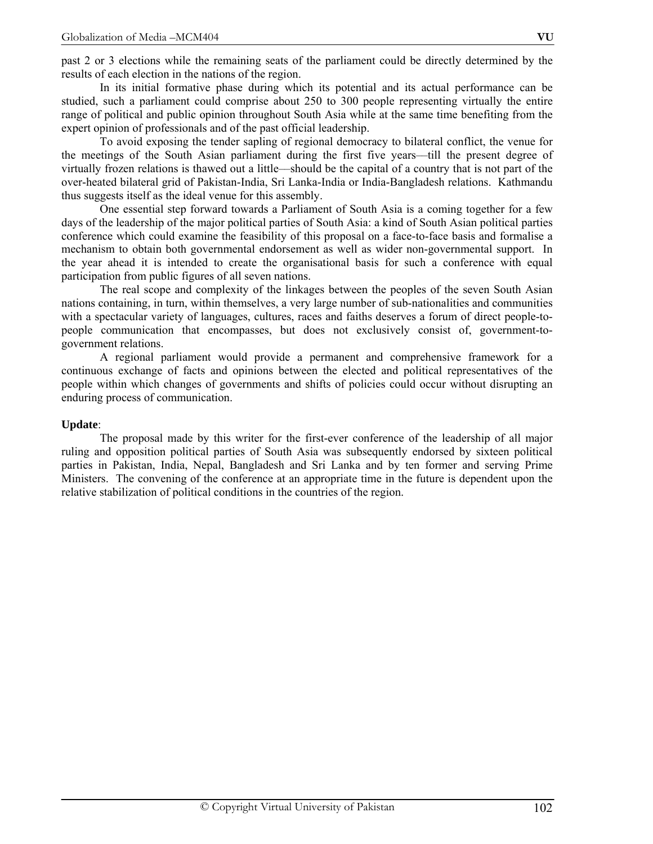past 2 or 3 elections while the remaining seats of the parliament could be directly determined by the results of each election in the nations of the region.

 In its initial formative phase during which its potential and its actual performance can be studied, such a parliament could comprise about 250 to 300 people representing virtually the entire range of political and public opinion throughout South Asia while at the same time benefiting from the expert opinion of professionals and of the past official leadership.

 To avoid exposing the tender sapling of regional democracy to bilateral conflict, the venue for the meetings of the South Asian parliament during the first five years––till the present degree of virtually frozen relations is thawed out a little––should be the capital of a country that is not part of the over-heated bilateral grid of Pakistan-India, Sri Lanka-India or India-Bangladesh relations. Kathmandu thus suggests itself as the ideal venue for this assembly.

 One essential step forward towards a Parliament of South Asia is a coming together for a few days of the leadership of the major political parties of South Asia: a kind of South Asian political parties conference which could examine the feasibility of this proposal on a face-to-face basis and formalise a mechanism to obtain both governmental endorsement as well as wider non-governmental support. In the year ahead it is intended to create the organisational basis for such a conference with equal participation from public figures of all seven nations.

 The real scope and complexity of the linkages between the peoples of the seven South Asian nations containing, in turn, within themselves, a very large number of sub-nationalities and communities with a spectacular variety of languages, cultures, races and faiths deserves a forum of direct people-topeople communication that encompasses, but does not exclusively consist of, government-togovernment relations.

 A regional parliament would provide a permanent and comprehensive framework for a continuous exchange of facts and opinions between the elected and political representatives of the people within which changes of governments and shifts of policies could occur without disrupting an enduring process of communication.

#### **Update**:

 The proposal made by this writer for the first-ever conference of the leadership of all major ruling and opposition political parties of South Asia was subsequently endorsed by sixteen political parties in Pakistan, India, Nepal, Bangladesh and Sri Lanka and by ten former and serving Prime Ministers. The convening of the conference at an appropriate time in the future is dependent upon the relative stabilization of political conditions in the countries of the region.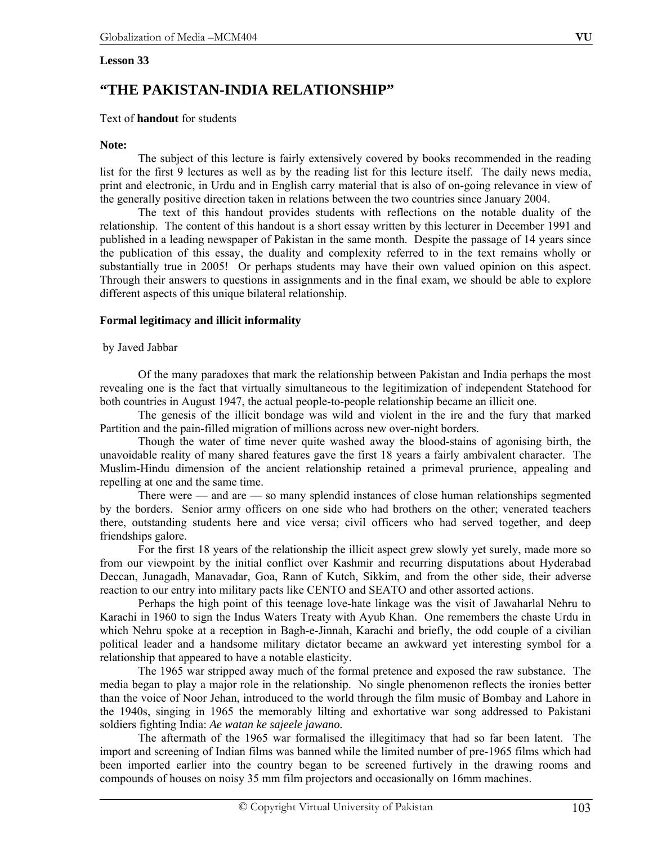# **"THE PAKISTAN-INDIA RELATIONSHIP"**

#### Text of **handout** for students

#### **Note:**

 The subject of this lecture is fairly extensively covered by books recommended in the reading list for the first 9 lectures as well as by the reading list for this lecture itself. The daily news media, print and electronic, in Urdu and in English carry material that is also of on-going relevance in view of the generally positive direction taken in relations between the two countries since January 2004.

 The text of this handout provides students with reflections on the notable duality of the relationship. The content of this handout is a short essay written by this lecturer in December 1991 and published in a leading newspaper of Pakistan in the same month. Despite the passage of 14 years since the publication of this essay, the duality and complexity referred to in the text remains wholly or substantially true in 2005! Or perhaps students may have their own valued opinion on this aspect. Through their answers to questions in assignments and in the final exam, we should be able to explore different aspects of this unique bilateral relationship.

#### **Formal legitimacy and illicit informality**

#### by Javed Jabbar

 Of the many paradoxes that mark the relationship between Pakistan and India perhaps the most revealing one is the fact that virtually simultaneous to the legitimization of independent Statehood for both countries in August 1947, the actual people-to-people relationship became an illicit one.

 The genesis of the illicit bondage was wild and violent in the ire and the fury that marked Partition and the pain-filled migration of millions across new over-night borders.

 Though the water of time never quite washed away the blood-stains of agonising birth, the unavoidable reality of many shared features gave the first 18 years a fairly ambivalent character. The Muslim-Hindu dimension of the ancient relationship retained a primeval prurience, appealing and repelling at one and the same time.

There were — and are — so many splendid instances of close human relationships segmented by the borders. Senior army officers on one side who had brothers on the other; venerated teachers there, outstanding students here and vice versa; civil officers who had served together, and deep friendships galore.

 For the first 18 years of the relationship the illicit aspect grew slowly yet surely, made more so from our viewpoint by the initial conflict over Kashmir and recurring disputations about Hyderabad Deccan, Junagadh, Manavadar, Goa, Rann of Kutch, Sikkim, and from the other side, their adverse reaction to our entry into military pacts like CENTO and SEATO and other assorted actions.

 Perhaps the high point of this teenage love-hate linkage was the visit of Jawaharlal Nehru to Karachi in 1960 to sign the Indus Waters Treaty with Ayub Khan. One remembers the chaste Urdu in which Nehru spoke at a reception in Bagh-e-Jinnah, Karachi and briefly, the odd couple of a civilian political leader and a handsome military dictator became an awkward yet interesting symbol for a relationship that appeared to have a notable elasticity.

 The 1965 war stripped away much of the formal pretence and exposed the raw substance. The media began to play a major role in the relationship. No single phenomenon reflects the ironies better than the voice of Noor Jehan, introduced to the world through the film music of Bombay and Lahore in the 1940s, singing in 1965 the memorably lilting and exhortative war song addressed to Pakistani soldiers fighting India: *Ae watan ke sajeele jawano.*

 The aftermath of the 1965 war formalised the illegitimacy that had so far been latent. The import and screening of Indian films was banned while the limited number of pre-1965 films which had been imported earlier into the country began to be screened furtively in the drawing rooms and compounds of houses on noisy 35 mm film projectors and occasionally on 16mm machines.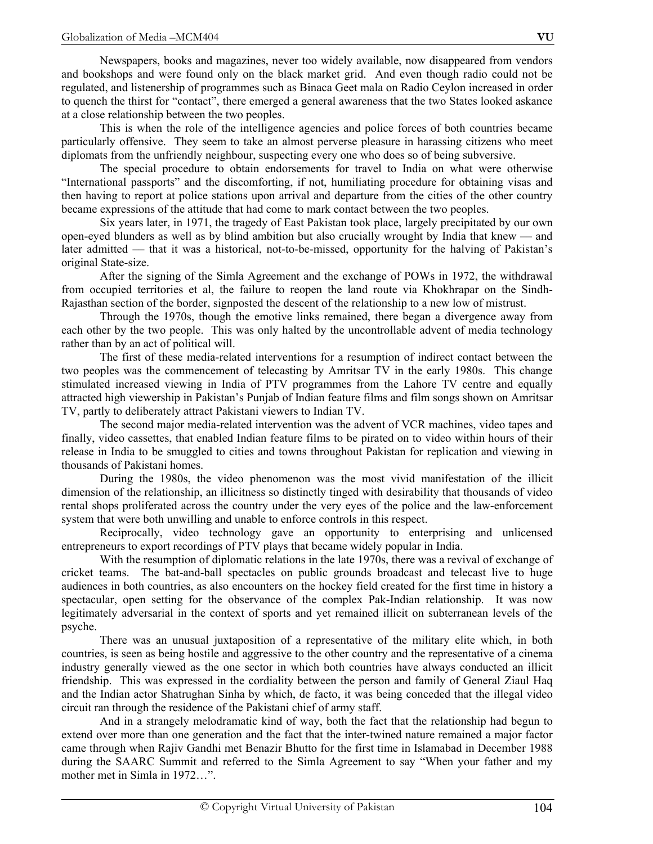Newspapers, books and magazines, never too widely available, now disappeared from vendors and bookshops and were found only on the black market grid. And even though radio could not be regulated, and listenership of programmes such as Binaca Geet mala on Radio Ceylon increased in order to quench the thirst for "contact", there emerged a general awareness that the two States looked askance at a close relationship between the two peoples.

 This is when the role of the intelligence agencies and police forces of both countries became particularly offensive. They seem to take an almost perverse pleasure in harassing citizens who meet diplomats from the unfriendly neighbour, suspecting every one who does so of being subversive.

 The special procedure to obtain endorsements for travel to India on what were otherwise "International passports" and the discomforting, if not, humiliating procedure for obtaining visas and then having to report at police stations upon arrival and departure from the cities of the other country became expressions of the attitude that had come to mark contact between the two peoples.

 Six years later, in 1971, the tragedy of East Pakistan took place, largely precipitated by our own open-eyed blunders as well as by blind ambition but also crucially wrought by India that knew –– and later admitted — that it was a historical, not-to-be-missed, opportunity for the halving of Pakistan's original State-size.

 After the signing of the Simla Agreement and the exchange of POWs in 1972, the withdrawal from occupied territories et al, the failure to reopen the land route via Khokhrapar on the Sindh-Rajasthan section of the border, signposted the descent of the relationship to a new low of mistrust.

 Through the 1970s, though the emotive links remained, there began a divergence away from each other by the two people. This was only halted by the uncontrollable advent of media technology rather than by an act of political will.

 The first of these media-related interventions for a resumption of indirect contact between the two peoples was the commencement of telecasting by Amritsar TV in the early 1980s. This change stimulated increased viewing in India of PTV programmes from the Lahore TV centre and equally attracted high viewership in Pakistan's Punjab of Indian feature films and film songs shown on Amritsar TV, partly to deliberately attract Pakistani viewers to Indian TV.

 The second major media-related intervention was the advent of VCR machines, video tapes and finally, video cassettes, that enabled Indian feature films to be pirated on to video within hours of their release in India to be smuggled to cities and towns throughout Pakistan for replication and viewing in thousands of Pakistani homes.

 During the 1980s, the video phenomenon was the most vivid manifestation of the illicit dimension of the relationship, an illicitness so distinctly tinged with desirability that thousands of video rental shops proliferated across the country under the very eyes of the police and the law-enforcement system that were both unwilling and unable to enforce controls in this respect.

 Reciprocally, video technology gave an opportunity to enterprising and unlicensed entrepreneurs to export recordings of PTV plays that became widely popular in India.

 With the resumption of diplomatic relations in the late 1970s, there was a revival of exchange of cricket teams. The bat-and-ball spectacles on public grounds broadcast and telecast live to huge audiences in both countries, as also encounters on the hockey field created for the first time in history a spectacular, open setting for the observance of the complex Pak-Indian relationship. It was now legitimately adversarial in the context of sports and yet remained illicit on subterranean levels of the psyche.

 There was an unusual juxtaposition of a representative of the military elite which, in both countries, is seen as being hostile and aggressive to the other country and the representative of a cinema industry generally viewed as the one sector in which both countries have always conducted an illicit friendship. This was expressed in the cordiality between the person and family of General Ziaul Haq and the Indian actor Shatrughan Sinha by which, de facto, it was being conceded that the illegal video circuit ran through the residence of the Pakistani chief of army staff.

 And in a strangely melodramatic kind of way, both the fact that the relationship had begun to extend over more than one generation and the fact that the inter-twined nature remained a major factor came through when Rajiv Gandhi met Benazir Bhutto for the first time in Islamabad in December 1988 during the SAARC Summit and referred to the Simla Agreement to say "When your father and my mother met in Simla in 1972…".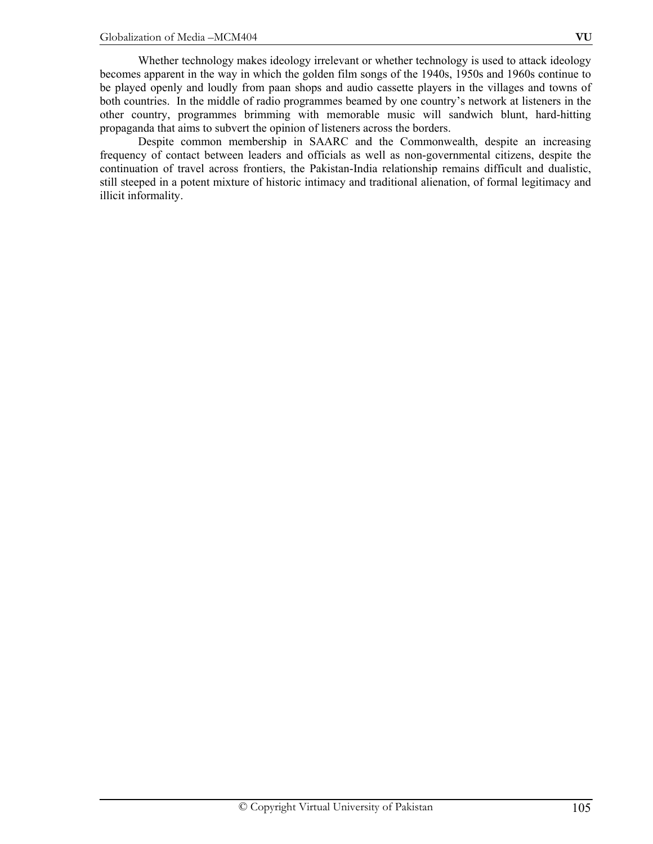Whether technology makes ideology irrelevant or whether technology is used to attack ideology becomes apparent in the way in which the golden film songs of the 1940s, 1950s and 1960s continue to be played openly and loudly from paan shops and audio cassette players in the villages and towns of both countries. In the middle of radio programmes beamed by one country's network at listeners in the other country, programmes brimming with memorable music will sandwich blunt, hard-hitting propaganda that aims to subvert the opinion of listeners across the borders.

 Despite common membership in SAARC and the Commonwealth, despite an increasing frequency of contact between leaders and officials as well as non-governmental citizens, despite the continuation of travel across frontiers, the Pakistan-India relationship remains difficult and dualistic, still steeped in a potent mixture of historic intimacy and traditional alienation, of formal legitimacy and illicit informality.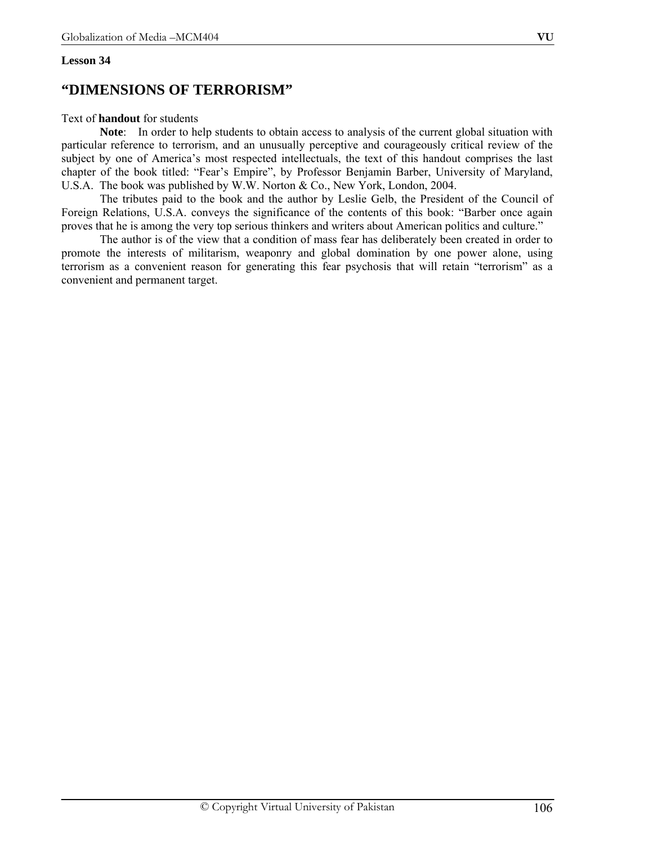## **"DIMENSIONS OF TERRORISM"**

#### Text of **handout** for students

**Note**: In order to help students to obtain access to analysis of the current global situation with particular reference to terrorism, and an unusually perceptive and courageously critical review of the subject by one of America's most respected intellectuals, the text of this handout comprises the last chapter of the book titled: "Fear's Empire", by Professor Benjamin Barber, University of Maryland, U.S.A. The book was published by W.W. Norton & Co., New York, London, 2004.

 The tributes paid to the book and the author by Leslie Gelb, the President of the Council of Foreign Relations, U.S.A. conveys the significance of the contents of this book: "Barber once again proves that he is among the very top serious thinkers and writers about American politics and culture."

 The author is of the view that a condition of mass fear has deliberately been created in order to promote the interests of militarism, weaponry and global domination by one power alone, using terrorism as a convenient reason for generating this fear psychosis that will retain "terrorism" as a convenient and permanent target.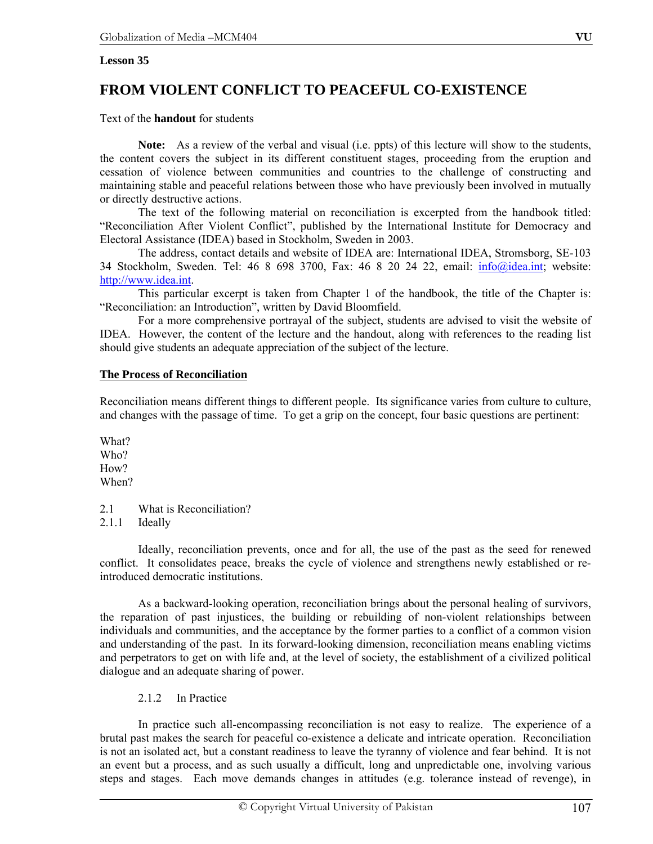# **FROM VIOLENT CONFLICT TO PEACEFUL CO-EXISTENCE**

## Text of the **handout** for students

 **Note:** As a review of the verbal and visual (i.e. ppts) of this lecture will show to the students, the content covers the subject in its different constituent stages, proceeding from the eruption and cessation of violence between communities and countries to the challenge of constructing and maintaining stable and peaceful relations between those who have previously been involved in mutually or directly destructive actions.

 The text of the following material on reconciliation is excerpted from the handbook titled: "Reconciliation After Violent Conflict", published by the International Institute for Democracy and Electoral Assistance (IDEA) based in Stockholm, Sweden in 2003.

 The address, contact details and website of IDEA are: International IDEA, Stromsborg, SE-103 34 Stockholm, Sweden. Tel: 46 8 698 3700, Fax: 46 8 20 24 22, email: info@idea.int; website: http://www.idea.int.

 This particular excerpt is taken from Chapter 1 of the handbook, the title of the Chapter is: "Reconciliation: an Introduction", written by David Bloomfield.

 For a more comprehensive portrayal of the subject, students are advised to visit the website of IDEA. However, the content of the lecture and the handout, along with references to the reading list should give students an adequate appreciation of the subject of the lecture.

## **The Process of Reconciliation**

Reconciliation means different things to different people. Its significance varies from culture to culture, and changes with the passage of time. To get a grip on the concept, four basic questions are pertinent:

What? Who? H<sub>ow</sub>? When?

2.1 What is Reconciliation?

2.1.1 Ideally

 Ideally, reconciliation prevents, once and for all, the use of the past as the seed for renewed conflict. It consolidates peace, breaks the cycle of violence and strengthens newly established or reintroduced democratic institutions.

 As a backward-looking operation, reconciliation brings about the personal healing of survivors, the reparation of past injustices, the building or rebuilding of non-violent relationships between individuals and communities, and the acceptance by the former parties to a conflict of a common vision and understanding of the past. In its forward-looking dimension, reconciliation means enabling victims and perpetrators to get on with life and, at the level of society, the establishment of a civilized political dialogue and an adequate sharing of power.

## 2.1.2 In Practice

 In practice such all-encompassing reconciliation is not easy to realize. The experience of a brutal past makes the search for peaceful co-existence a delicate and intricate operation. Reconciliation is not an isolated act, but a constant readiness to leave the tyranny of violence and fear behind. It is not an event but a process, and as such usually a difficult, long and unpredictable one, involving various steps and stages. Each move demands changes in attitudes (e.g. tolerance instead of revenge), in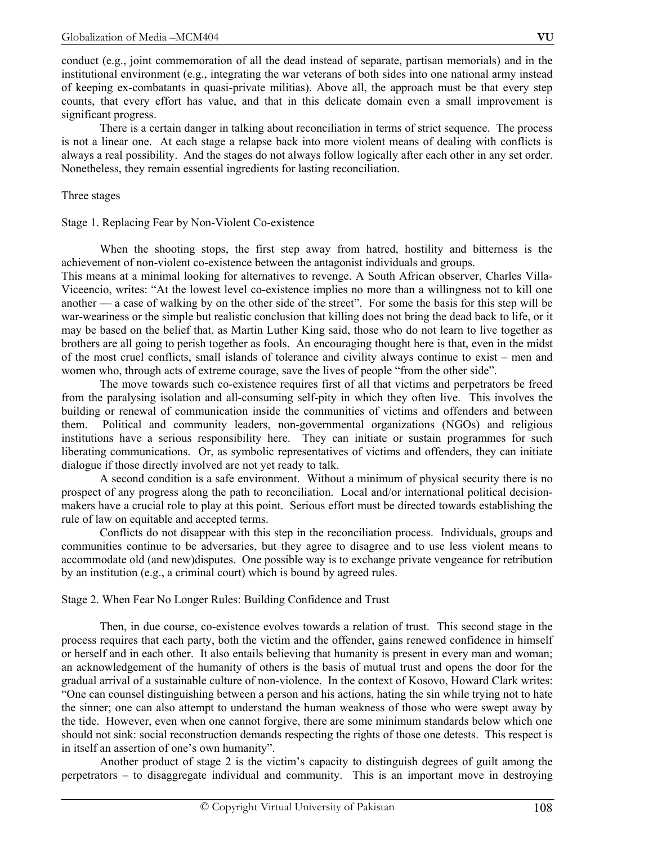conduct (e.g., joint commemoration of all the dead instead of separate, partisan memorials) and in the institutional environment (e.g., integrating the war veterans of both sides into one national army instead of keeping ex-combatants in quasi-private militias). Above all, the approach must be that every step counts, that every effort has value, and that in this delicate domain even a small improvement is significant progress.

 There is a certain danger in talking about reconciliation in terms of strict sequence. The process is not a linear one. At each stage a relapse back into more violent means of dealing with conflicts is always a real possibility. And the stages do not always follow logically after each other in any set order. Nonetheless, they remain essential ingredients for lasting reconciliation.

## Three stages

## Stage 1. Replacing Fear by Non-Violent Co-existence

 When the shooting stops, the first step away from hatred, hostility and bitterness is the achievement of non-violent co-existence between the antagonist individuals and groups.

This means at a minimal looking for alternatives to revenge. A South African observer, Charles Villa-Viceencio, writes: "At the lowest level co-existence implies no more than a willingness not to kill one another –– a case of walking by on the other side of the street". For some the basis for this step will be war-weariness or the simple but realistic conclusion that killing does not bring the dead back to life, or it may be based on the belief that, as Martin Luther King said, those who do not learn to live together as brothers are all going to perish together as fools. An encouraging thought here is that, even in the midst of the most cruel conflicts, small islands of tolerance and civility always continue to exist – men and women who, through acts of extreme courage, save the lives of people "from the other side".

 The move towards such co-existence requires first of all that victims and perpetrators be freed from the paralysing isolation and all-consuming self-pity in which they often live. This involves the building or renewal of communication inside the communities of victims and offenders and between them. Political and community leaders, non-governmental organizations (NGOs) and religious institutions have a serious responsibility here. They can initiate or sustain programmes for such liberating communications. Or, as symbolic representatives of victims and offenders, they can initiate dialogue if those directly involved are not yet ready to talk.

 A second condition is a safe environment. Without a minimum of physical security there is no prospect of any progress along the path to reconciliation. Local and/or international political decisionmakers have a crucial role to play at this point. Serious effort must be directed towards establishing the rule of law on equitable and accepted terms.

 Conflicts do not disappear with this step in the reconciliation process. Individuals, groups and communities continue to be adversaries, but they agree to disagree and to use less violent means to accommodate old (and new)disputes. One possible way is to exchange private vengeance for retribution by an institution (e.g., a criminal court) which is bound by agreed rules.

## Stage 2. When Fear No Longer Rules: Building Confidence and Trust

 Then, in due course, co-existence evolves towards a relation of trust. This second stage in the process requires that each party, both the victim and the offender, gains renewed confidence in himself or herself and in each other. It also entails believing that humanity is present in every man and woman; an acknowledgement of the humanity of others is the basis of mutual trust and opens the door for the gradual arrival of a sustainable culture of non-violence. In the context of Kosovo, Howard Clark writes: "One can counsel distinguishing between a person and his actions, hating the sin while trying not to hate the sinner; one can also attempt to understand the human weakness of those who were swept away by the tide. However, even when one cannot forgive, there are some minimum standards below which one should not sink: social reconstruction demands respecting the rights of those one detests. This respect is in itself an assertion of one's own humanity".

 Another product of stage 2 is the victim's capacity to distinguish degrees of guilt among the perpetrators – to disaggregate individual and community. This is an important move in destroying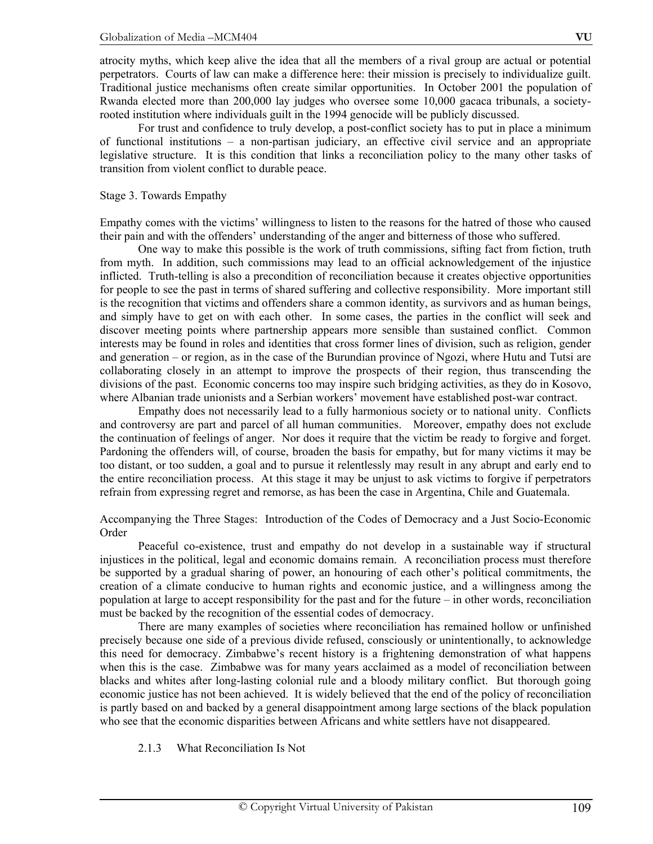atrocity myths, which keep alive the idea that all the members of a rival group are actual or potential perpetrators. Courts of law can make a difference here: their mission is precisely to individualize guilt. Traditional justice mechanisms often create similar opportunities. In October 2001 the population of Rwanda elected more than 200,000 lay judges who oversee some 10,000 gacaca tribunals, a societyrooted institution where individuals guilt in the 1994 genocide will be publicly discussed.

 For trust and confidence to truly develop, a post-conflict society has to put in place a minimum of functional institutions – a non-partisan judiciary, an effective civil service and an appropriate legislative structure. It is this condition that links a reconciliation policy to the many other tasks of transition from violent conflict to durable peace.

### Stage 3. Towards Empathy

Empathy comes with the victims' willingness to listen to the reasons for the hatred of those who caused their pain and with the offenders' understanding of the anger and bitterness of those who suffered.

 One way to make this possible is the work of truth commissions, sifting fact from fiction, truth from myth. In addition, such commissions may lead to an official acknowledgement of the injustice inflicted. Truth-telling is also a precondition of reconciliation because it creates objective opportunities for people to see the past in terms of shared suffering and collective responsibility. More important still is the recognition that victims and offenders share a common identity, as survivors and as human beings, and simply have to get on with each other. In some cases, the parties in the conflict will seek and discover meeting points where partnership appears more sensible than sustained conflict. Common interests may be found in roles and identities that cross former lines of division, such as religion, gender and generation – or region, as in the case of the Burundian province of Ngozi, where Hutu and Tutsi are collaborating closely in an attempt to improve the prospects of their region, thus transcending the divisions of the past. Economic concerns too may inspire such bridging activities, as they do in Kosovo, where Albanian trade unionists and a Serbian workers' movement have established post-war contract.

 Empathy does not necessarily lead to a fully harmonious society or to national unity. Conflicts and controversy are part and parcel of all human communities. Moreover, empathy does not exclude the continuation of feelings of anger. Nor does it require that the victim be ready to forgive and forget. Pardoning the offenders will, of course, broaden the basis for empathy, but for many victims it may be too distant, or too sudden, a goal and to pursue it relentlessly may result in any abrupt and early end to the entire reconciliation process. At this stage it may be unjust to ask victims to forgive if perpetrators refrain from expressing regret and remorse, as has been the case in Argentina, Chile and Guatemala.

### Accompanying the Three Stages: Introduction of the Codes of Democracy and a Just Socio-Economic Order

 Peaceful co-existence, trust and empathy do not develop in a sustainable way if structural injustices in the political, legal and economic domains remain. A reconciliation process must therefore be supported by a gradual sharing of power, an honouring of each other's political commitments, the creation of a climate conducive to human rights and economic justice, and a willingness among the population at large to accept responsibility for the past and for the future – in other words, reconciliation must be backed by the recognition of the essential codes of democracy.

 There are many examples of societies where reconciliation has remained hollow or unfinished precisely because one side of a previous divide refused, consciously or unintentionally, to acknowledge this need for democracy. Zimbabwe's recent history is a frightening demonstration of what happens when this is the case. Zimbabwe was for many years acclaimed as a model of reconciliation between blacks and whites after long-lasting colonial rule and a bloody military conflict. But thorough going economic justice has not been achieved. It is widely believed that the end of the policy of reconciliation is partly based on and backed by a general disappointment among large sections of the black population who see that the economic disparities between Africans and white settlers have not disappeared.

## 2.1.3 What Reconciliation Is Not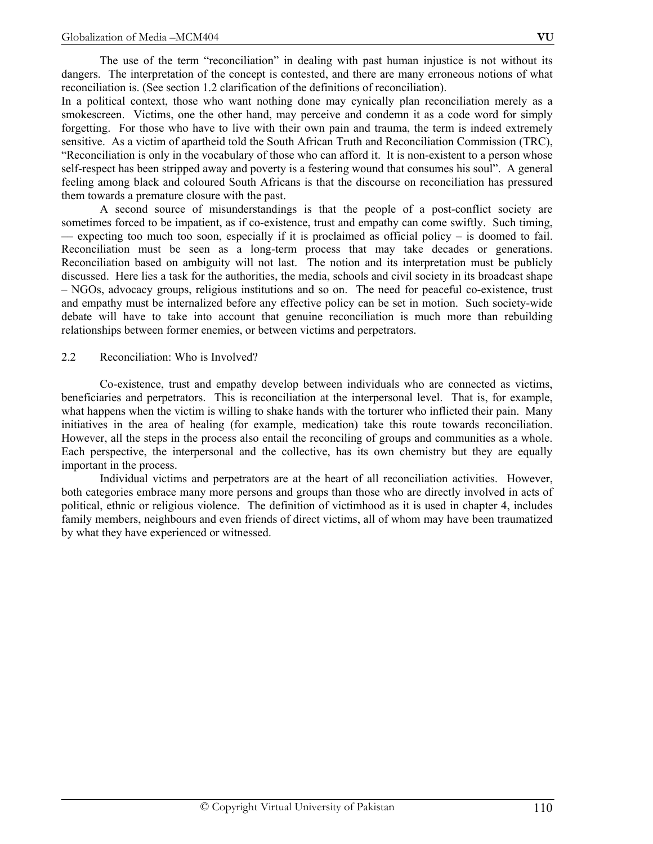The use of the term "reconciliation" in dealing with past human injustice is not without its dangers. The interpretation of the concept is contested, and there are many erroneous notions of what reconciliation is. (See section 1.2 clarification of the definitions of reconciliation).

In a political context, those who want nothing done may cynically plan reconciliation merely as a smokescreen. Victims, one the other hand, may perceive and condemn it as a code word for simply forgetting. For those who have to live with their own pain and trauma, the term is indeed extremely sensitive. As a victim of apartheid told the South African Truth and Reconciliation Commission (TRC), "Reconciliation is only in the vocabulary of those who can afford it. It is non-existent to a person whose self-respect has been stripped away and poverty is a festering wound that consumes his soul". A general feeling among black and coloured South Africans is that the discourse on reconciliation has pressured them towards a premature closure with the past.

 A second source of misunderstandings is that the people of a post-conflict society are sometimes forced to be impatient, as if co-existence, trust and empathy can come swiftly. Such timing,  $-$  expecting too much too soon, especially if it is proclaimed as official policy – is doomed to fail. Reconciliation must be seen as a long-term process that may take decades or generations. Reconciliation based on ambiguity will not last. The notion and its interpretation must be publicly discussed. Here lies a task for the authorities, the media, schools and civil society in its broadcast shape – NGOs, advocacy groups, religious institutions and so on. The need for peaceful co-existence, trust and empathy must be internalized before any effective policy can be set in motion. Such society-wide debate will have to take into account that genuine reconciliation is much more than rebuilding relationships between former enemies, or between victims and perpetrators.

### 2.2 Reconciliation: Who is Involved?

 Co-existence, trust and empathy develop between individuals who are connected as victims, beneficiaries and perpetrators. This is reconciliation at the interpersonal level. That is, for example, what happens when the victim is willing to shake hands with the torturer who inflicted their pain. Many initiatives in the area of healing (for example, medication) take this route towards reconciliation. However, all the steps in the process also entail the reconciling of groups and communities as a whole. Each perspective, the interpersonal and the collective, has its own chemistry but they are equally important in the process.

 Individual victims and perpetrators are at the heart of all reconciliation activities. However, both categories embrace many more persons and groups than those who are directly involved in acts of political, ethnic or religious violence. The definition of victimhood as it is used in chapter 4, includes family members, neighbours and even friends of direct victims, all of whom may have been traumatized by what they have experienced or witnessed.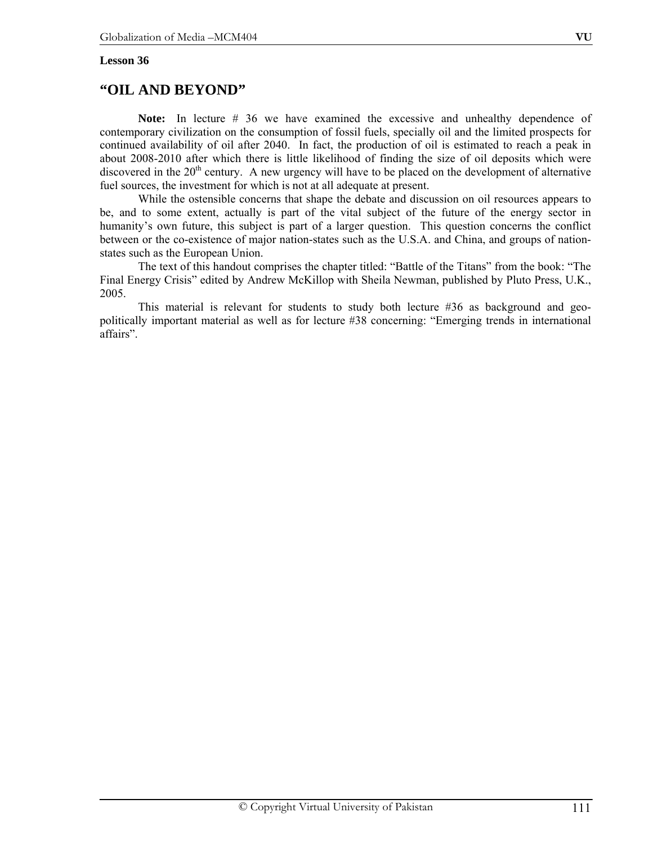## **"OIL AND BEYOND"**

 **Note:** In lecture # 36 we have examined the excessive and unhealthy dependence of contemporary civilization on the consumption of fossil fuels, specially oil and the limited prospects for continued availability of oil after 2040. In fact, the production of oil is estimated to reach a peak in about 2008-2010 after which there is little likelihood of finding the size of oil deposits which were discovered in the  $20<sup>th</sup>$  century. A new urgency will have to be placed on the development of alternative fuel sources, the investment for which is not at all adequate at present.

 While the ostensible concerns that shape the debate and discussion on oil resources appears to be, and to some extent, actually is part of the vital subject of the future of the energy sector in humanity's own future, this subject is part of a larger question. This question concerns the conflict between or the co-existence of major nation-states such as the U.S.A. and China, and groups of nationstates such as the European Union.

 The text of this handout comprises the chapter titled: "Battle of the Titans" from the book: "The Final Energy Crisis" edited by Andrew McKillop with Sheila Newman, published by Pluto Press, U.K., 2005.

 This material is relevant for students to study both lecture #36 as background and geopolitically important material as well as for lecture #38 concerning: "Emerging trends in international affairs".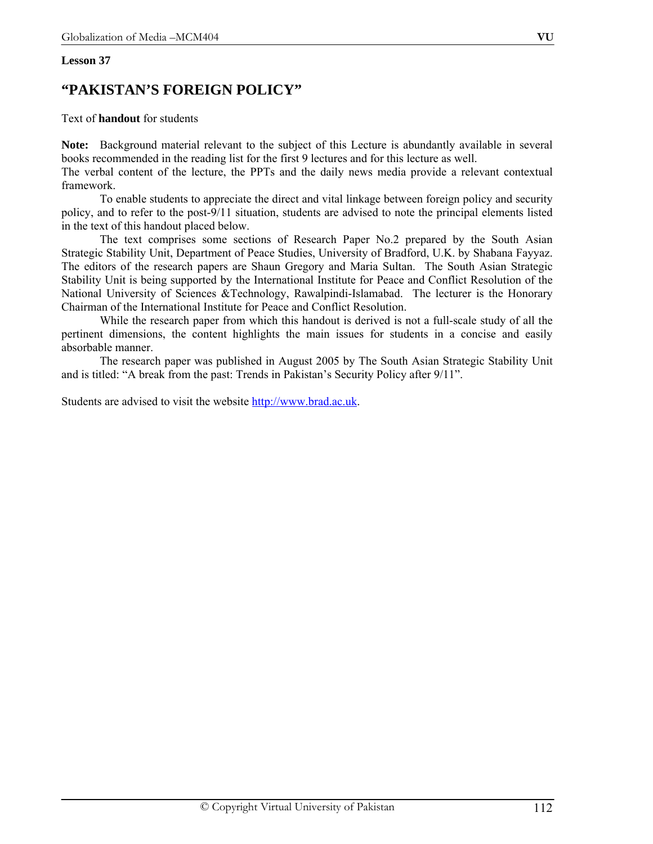# **"PAKISTAN'S FOREIGN POLICY"**

#### Text of **handout** for students

**Note:** Background material relevant to the subject of this Lecture is abundantly available in several books recommended in the reading list for the first 9 lectures and for this lecture as well.

The verbal content of the lecture, the PPTs and the daily news media provide a relevant contextual framework.

 To enable students to appreciate the direct and vital linkage between foreign policy and security policy, and to refer to the post-9/11 situation, students are advised to note the principal elements listed in the text of this handout placed below.

 The text comprises some sections of Research Paper No.2 prepared by the South Asian Strategic Stability Unit, Department of Peace Studies, University of Bradford, U.K. by Shabana Fayyaz. The editors of the research papers are Shaun Gregory and Maria Sultan. The South Asian Strategic Stability Unit is being supported by the International Institute for Peace and Conflict Resolution of the National University of Sciences &Technology, Rawalpindi-Islamabad. The lecturer is the Honorary Chairman of the International Institute for Peace and Conflict Resolution.

 While the research paper from which this handout is derived is not a full-scale study of all the pertinent dimensions, the content highlights the main issues for students in a concise and easily absorbable manner.

 The research paper was published in August 2005 by The South Asian Strategic Stability Unit and is titled: "A break from the past: Trends in Pakistan's Security Policy after 9/11".

Students are advised to visit the website http://www.brad.ac.uk.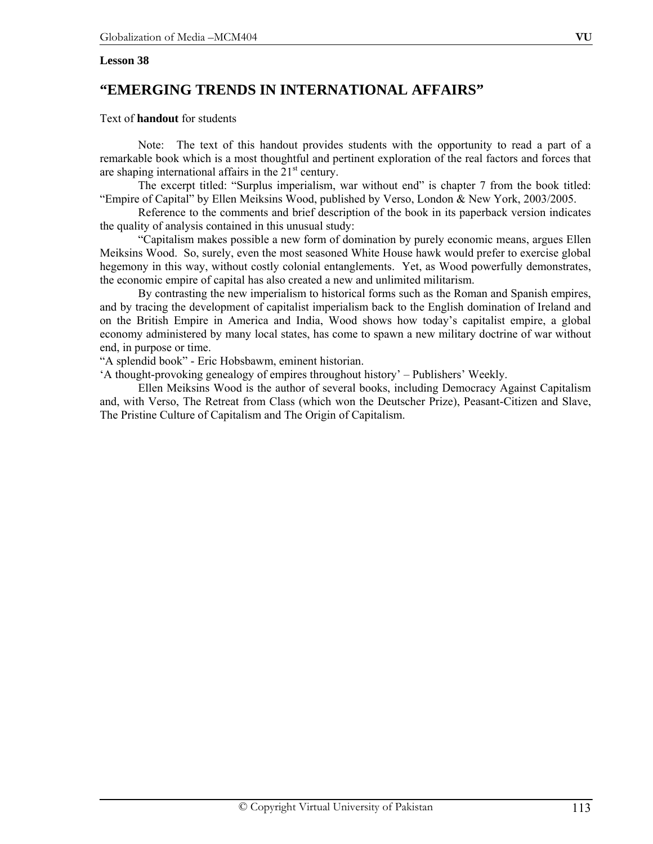## **"EMERGING TRENDS IN INTERNATIONAL AFFAIRS"**

### Text of **handout** for students

 Note: The text of this handout provides students with the opportunity to read a part of a remarkable book which is a most thoughtful and pertinent exploration of the real factors and forces that are shaping international affairs in the  $21<sup>st</sup>$  century.

The excerpt titled: "Surplus imperialism, war without end" is chapter 7 from the book titled: "Empire of Capital" by Ellen Meiksins Wood, published by Verso, London & New York, 2003/2005.

 Reference to the comments and brief description of the book in its paperback version indicates the quality of analysis contained in this unusual study:

 "Capitalism makes possible a new form of domination by purely economic means, argues Ellen Meiksins Wood. So, surely, even the most seasoned White House hawk would prefer to exercise global hegemony in this way, without costly colonial entanglements. Yet, as Wood powerfully demonstrates, the economic empire of capital has also created a new and unlimited militarism.

 By contrasting the new imperialism to historical forms such as the Roman and Spanish empires, and by tracing the development of capitalist imperialism back to the English domination of Ireland and on the British Empire in America and India, Wood shows how today's capitalist empire, a global economy administered by many local states, has come to spawn a new military doctrine of war without end, in purpose or time.

"A splendid book" - Eric Hobsbawm, eminent historian.

'A thought-provoking genealogy of empires throughout history' – Publishers' Weekly.

 Ellen Meiksins Wood is the author of several books, including Democracy Against Capitalism and, with Verso, The Retreat from Class (which won the Deutscher Prize), Peasant-Citizen and Slave, The Pristine Culture of Capitalism and The Origin of Capitalism.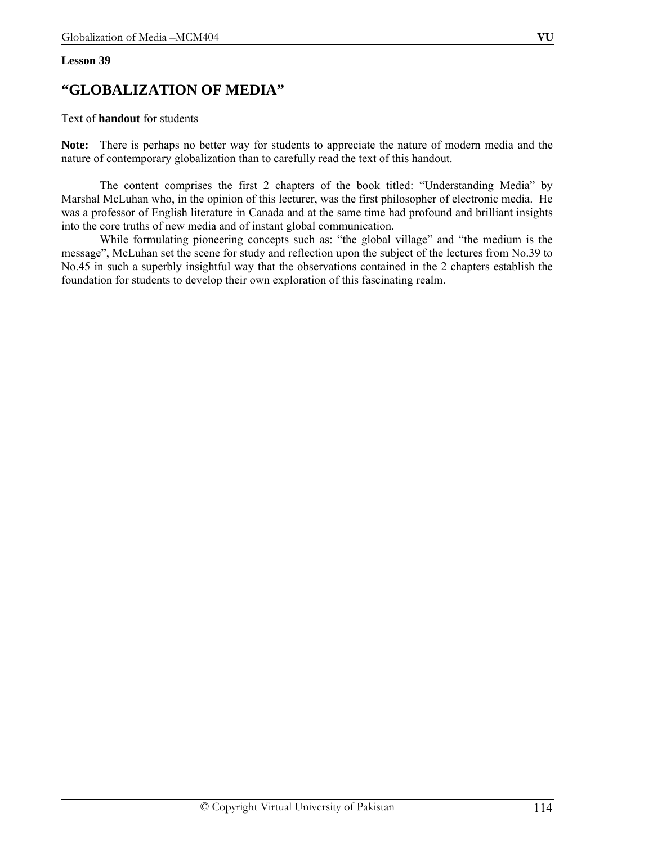# **"GLOBALIZATION OF MEDIA"**

#### Text of **handout** for students

Note: There is perhaps no better way for students to appreciate the nature of modern media and the nature of contemporary globalization than to carefully read the text of this handout.

 The content comprises the first 2 chapters of the book titled: "Understanding Media" by Marshal McLuhan who, in the opinion of this lecturer, was the first philosopher of electronic media. He was a professor of English literature in Canada and at the same time had profound and brilliant insights into the core truths of new media and of instant global communication.

 While formulating pioneering concepts such as: "the global village" and "the medium is the message", McLuhan set the scene for study and reflection upon the subject of the lectures from No.39 to No.45 in such a superbly insightful way that the observations contained in the 2 chapters establish the foundation for students to develop their own exploration of this fascinating realm.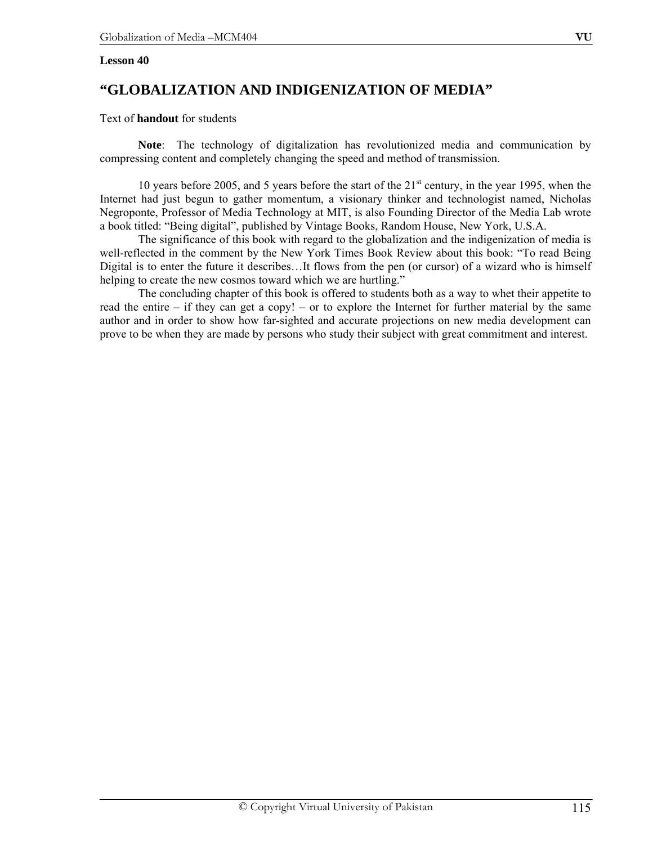# **"GLOBALIZATION AND INDIGENIZATION OF MEDIA"**

### Text of **handout** for students

 **Note**: The technology of digitalization has revolutionized media and communication by compressing content and completely changing the speed and method of transmission.

10 years before 2005, and 5 years before the start of the 21<sup>st</sup> century, in the year 1995, when the Internet had just begun to gather momentum, a visionary thinker and technologist named, Nicholas Negroponte, Professor of Media Technology at MIT, is also Founding Director of the Media Lab wrote a book titled: "Being digital", published by Vintage Books, Random House, New York, U.S.A.

 The significance of this book with regard to the globalization and the indigenization of media is well-reflected in the comment by the New York Times Book Review about this book: "To read Being Digital is to enter the future it describes…It flows from the pen (or cursor) of a wizard who is himself helping to create the new cosmos toward which we are hurtling."

 The concluding chapter of this book is offered to students both as a way to whet their appetite to read the entire – if they can get a copy! – or to explore the Internet for further material by the same author and in order to show how far-sighted and accurate projections on new media development can prove to be when they are made by persons who study their subject with great commitment and interest.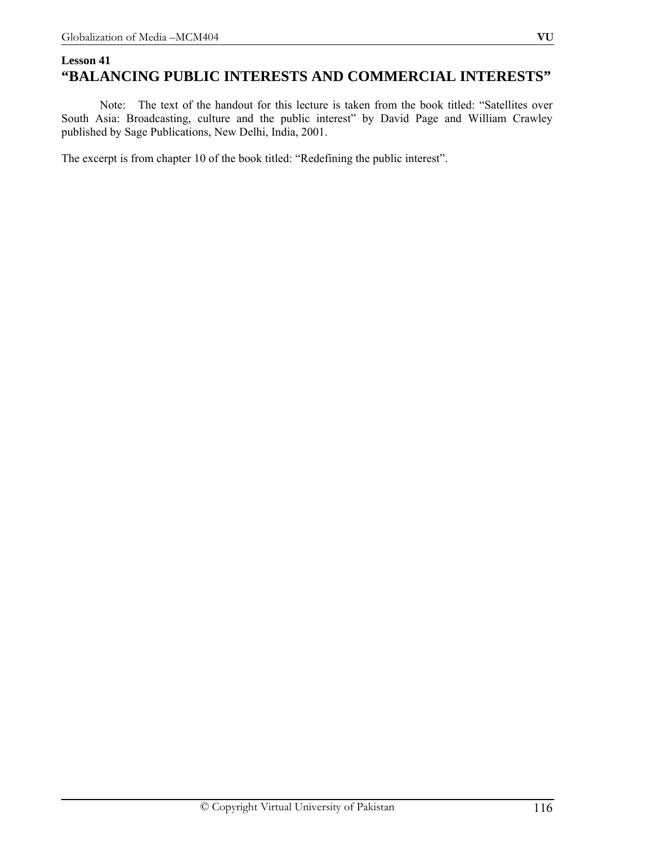## **Lesson 41 "BALANCING PUBLIC INTERESTS AND COMMERCIAL INTERESTS"**

 Note: The text of the handout for this lecture is taken from the book titled: "Satellites over South Asia: Broadcasting, culture and the public interest" by David Page and William Crawley published by Sage Publications, New Delhi, India, 2001.

The excerpt is from chapter 10 of the book titled: "Redefining the public interest".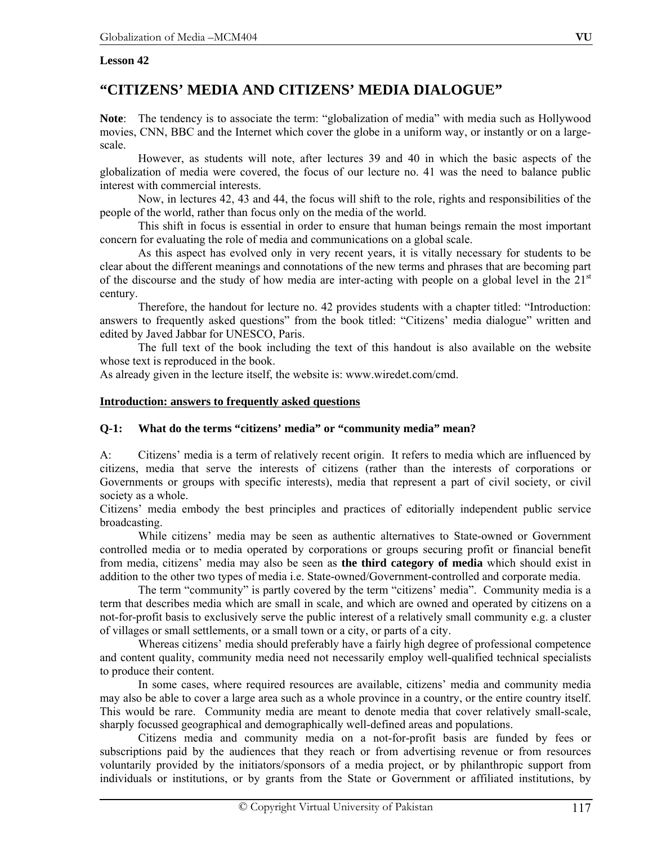## **"CITIZENS' MEDIA AND CITIZENS' MEDIA DIALOGUE"**

**Note**: The tendency is to associate the term: "globalization of media" with media such as Hollywood movies, CNN, BBC and the Internet which cover the globe in a uniform way, or instantly or on a largescale.

 However, as students will note, after lectures 39 and 40 in which the basic aspects of the globalization of media were covered, the focus of our lecture no. 41 was the need to balance public interest with commercial interests.

 Now, in lectures 42, 43 and 44, the focus will shift to the role, rights and responsibilities of the people of the world, rather than focus only on the media of the world.

 This shift in focus is essential in order to ensure that human beings remain the most important concern for evaluating the role of media and communications on a global scale.

 As this aspect has evolved only in very recent years, it is vitally necessary for students to be clear about the different meanings and connotations of the new terms and phrases that are becoming part of the discourse and the study of how media are inter-acting with people on a global level in the  $21<sup>st</sup>$ century.

 Therefore, the handout for lecture no. 42 provides students with a chapter titled: "Introduction: answers to frequently asked questions" from the book titled: "Citizens' media dialogue" written and edited by Javed Jabbar for UNESCO, Paris.

 The full text of the book including the text of this handout is also available on the website whose text is reproduced in the book.

As already given in the lecture itself, the website is: www.wiredet.com/cmd.

#### **Introduction: answers to frequently asked questions**

### **Q-1: What do the terms "citizens' media" or "community media" mean?**

A: Citizens' media is a term of relatively recent origin. It refers to media which are influenced by citizens, media that serve the interests of citizens (rather than the interests of corporations or Governments or groups with specific interests), media that represent a part of civil society, or civil society as a whole.

Citizens' media embody the best principles and practices of editorially independent public service broadcasting.

 While citizens' media may be seen as authentic alternatives to State-owned or Government controlled media or to media operated by corporations or groups securing profit or financial benefit from media, citizens' media may also be seen as **the third category of media** which should exist in addition to the other two types of media i.e. State-owned/Government-controlled and corporate media.

 The term "community" is partly covered by the term "citizens' media". Community media is a term that describes media which are small in scale, and which are owned and operated by citizens on a not-for-profit basis to exclusively serve the public interest of a relatively small community e.g. a cluster of villages or small settlements, or a small town or a city, or parts of a city.

 Whereas citizens' media should preferably have a fairly high degree of professional competence and content quality, community media need not necessarily employ well-qualified technical specialists to produce their content.

 In some cases, where required resources are available, citizens' media and community media may also be able to cover a large area such as a whole province in a country, or the entire country itself. This would be rare. Community media are meant to denote media that cover relatively small-scale, sharply focussed geographical and demographically well-defined areas and populations.

 Citizens media and community media on a not-for-profit basis are funded by fees or subscriptions paid by the audiences that they reach or from advertising revenue or from resources voluntarily provided by the initiators/sponsors of a media project, or by philanthropic support from individuals or institutions, or by grants from the State or Government or affiliated institutions, by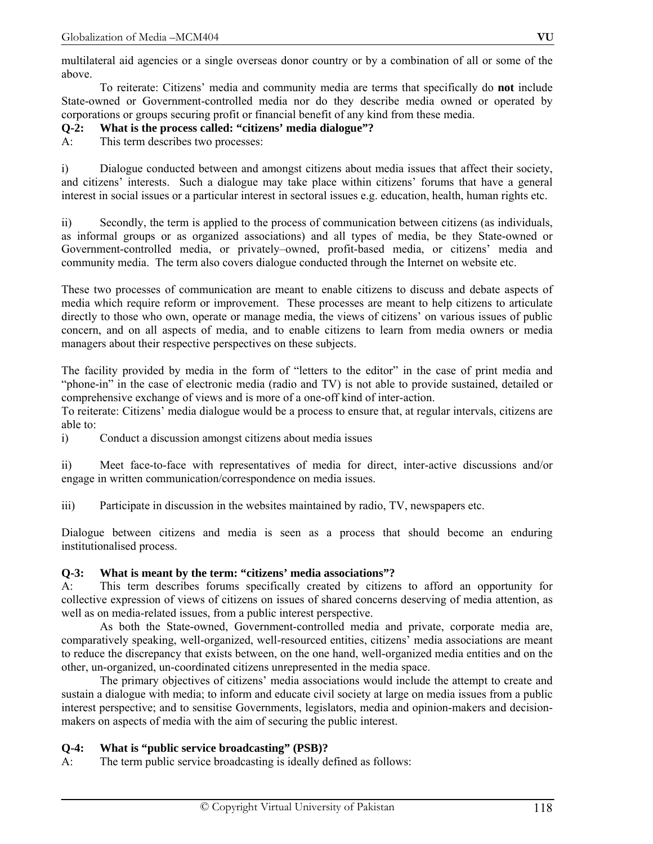multilateral aid agencies or a single overseas donor country or by a combination of all or some of the above.

 To reiterate: Citizens' media and community media are terms that specifically do **not** include State-owned or Government-controlled media nor do they describe media owned or operated by corporations or groups securing profit or financial benefit of any kind from these media.

**Q-2: What is the process called: "citizens' media dialogue"?** 

A: This term describes two processes:

i) Dialogue conducted between and amongst citizens about media issues that affect their society, and citizens' interests. Such a dialogue may take place within citizens' forums that have a general interest in social issues or a particular interest in sectoral issues e.g. education, health, human rights etc.

ii) Secondly, the term is applied to the process of communication between citizens (as individuals, as informal groups or as organized associations) and all types of media, be they State-owned or Government-controlled media, or privately–owned, profit-based media, or citizens' media and community media. The term also covers dialogue conducted through the Internet on website etc.

These two processes of communication are meant to enable citizens to discuss and debate aspects of media which require reform or improvement. These processes are meant to help citizens to articulate directly to those who own, operate or manage media, the views of citizens' on various issues of public concern, and on all aspects of media, and to enable citizens to learn from media owners or media managers about their respective perspectives on these subjects.

The facility provided by media in the form of "letters to the editor" in the case of print media and "phone-in" in the case of electronic media (radio and TV) is not able to provide sustained, detailed or comprehensive exchange of views and is more of a one-off kind of inter-action.

To reiterate: Citizens' media dialogue would be a process to ensure that, at regular intervals, citizens are able to:

i) Conduct a discussion amongst citizens about media issues

ii) Meet face-to-face with representatives of media for direct, inter-active discussions and/or engage in written communication/correspondence on media issues.

iii) Participate in discussion in the websites maintained by radio, TV, newspapers etc.

Dialogue between citizens and media is seen as a process that should become an enduring institutionalised process.

## **Q-3: What is meant by the term: "citizens' media associations"?**

A: This term describes forums specifically created by citizens to afford an opportunity for collective expression of views of citizens on issues of shared concerns deserving of media attention, as well as on media-related issues, from a public interest perspective.

 As both the State-owned, Government-controlled media and private, corporate media are, comparatively speaking, well-organized, well-resourced entities, citizens' media associations are meant to reduce the discrepancy that exists between, on the one hand, well-organized media entities and on the other, un-organized, un-coordinated citizens unrepresented in the media space.

 The primary objectives of citizens' media associations would include the attempt to create and sustain a dialogue with media; to inform and educate civil society at large on media issues from a public interest perspective; and to sensitise Governments, legislators, media and opinion-makers and decisionmakers on aspects of media with the aim of securing the public interest.

## **Q-4: What is "public service broadcasting" (PSB)?**

A: The term public service broadcasting is ideally defined as follows: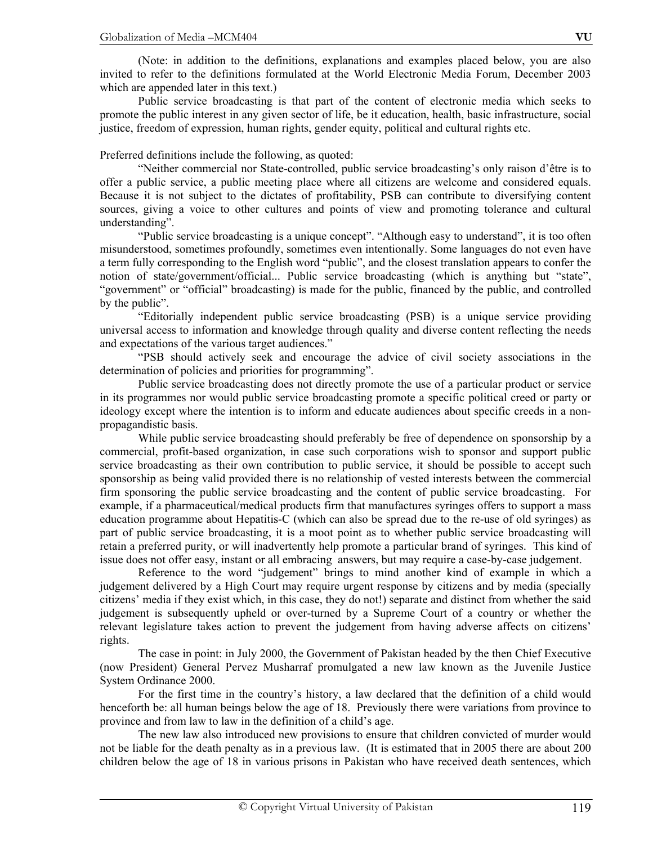(Note: in addition to the definitions, explanations and examples placed below, you are also invited to refer to the definitions formulated at the World Electronic Media Forum, December 2003 which are appended later in this text.)

 Public service broadcasting is that part of the content of electronic media which seeks to promote the public interest in any given sector of life, be it education, health, basic infrastructure, social justice, freedom of expression, human rights, gender equity, political and cultural rights etc.

Preferred definitions include the following, as quoted:

 "Neither commercial nor State-controlled, public service broadcasting's only raison d'être is to offer a public service, a public meeting place where all citizens are welcome and considered equals. Because it is not subject to the dictates of profitability, PSB can contribute to diversifying content sources, giving a voice to other cultures and points of view and promoting tolerance and cultural understanding".

 "Public service broadcasting is a unique concept". "Although easy to understand", it is too often misunderstood, sometimes profoundly, sometimes even intentionally. Some languages do not even have a term fully corresponding to the English word "public", and the closest translation appears to confer the notion of state/government/official... Public service broadcasting (which is anything but "state", "government" or "official" broadcasting) is made for the public, financed by the public, and controlled by the public".

 "Editorially independent public service broadcasting (PSB) is a unique service providing universal access to information and knowledge through quality and diverse content reflecting the needs and expectations of the various target audiences."

 "PSB should actively seek and encourage the advice of civil society associations in the determination of policies and priorities for programming".

 Public service broadcasting does not directly promote the use of a particular product or service in its programmes nor would public service broadcasting promote a specific political creed or party or ideology except where the intention is to inform and educate audiences about specific creeds in a nonpropagandistic basis.

 While public service broadcasting should preferably be free of dependence on sponsorship by a commercial, profit-based organization, in case such corporations wish to sponsor and support public service broadcasting as their own contribution to public service, it should be possible to accept such sponsorship as being valid provided there is no relationship of vested interests between the commercial firm sponsoring the public service broadcasting and the content of public service broadcasting. For example, if a pharmaceutical/medical products firm that manufactures syringes offers to support a mass education programme about Hepatitis-C (which can also be spread due to the re-use of old syringes) as part of public service broadcasting, it is a moot point as to whether public service broadcasting will retain a preferred purity, or will inadvertently help promote a particular brand of syringes. This kind of issue does not offer easy, instant or all embracing answers, but may require a case-by-case judgement.

 Reference to the word "judgement" brings to mind another kind of example in which a judgement delivered by a High Court may require urgent response by citizens and by media (specially citizens' media if they exist which, in this case, they do not!) separate and distinct from whether the said judgement is subsequently upheld or over-turned by a Supreme Court of a country or whether the relevant legislature takes action to prevent the judgement from having adverse affects on citizens' rights.

 The case in point: in July 2000, the Government of Pakistan headed by the then Chief Executive (now President) General Pervez Musharraf promulgated a new law known as the Juvenile Justice System Ordinance 2000.

 For the first time in the country's history, a law declared that the definition of a child would henceforth be: all human beings below the age of 18. Previously there were variations from province to province and from law to law in the definition of a child's age.

 The new law also introduced new provisions to ensure that children convicted of murder would not be liable for the death penalty as in a previous law. (It is estimated that in 2005 there are about 200 children below the age of 18 in various prisons in Pakistan who have received death sentences, which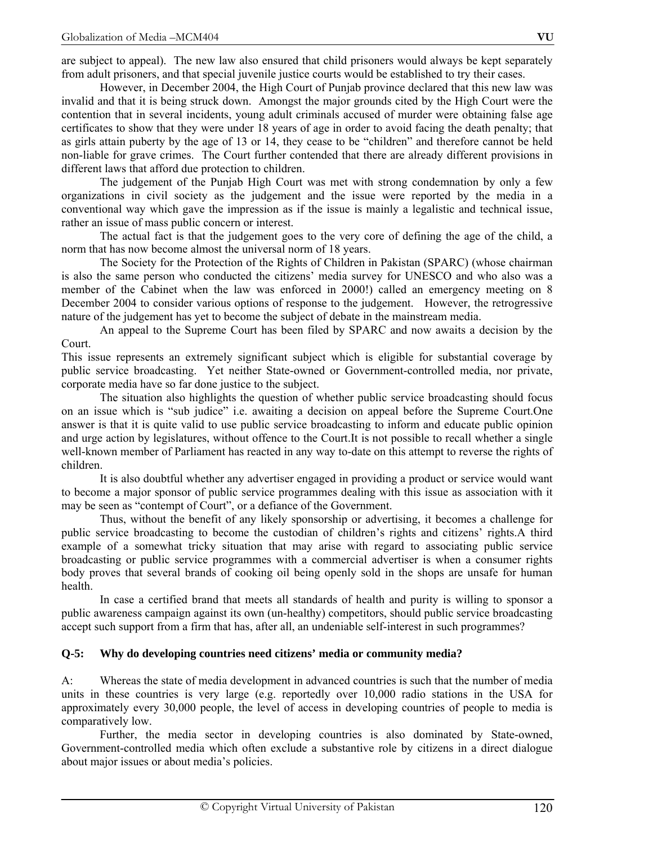are subject to appeal). The new law also ensured that child prisoners would always be kept separately from adult prisoners, and that special juvenile justice courts would be established to try their cases.

 However, in December 2004, the High Court of Punjab province declared that this new law was invalid and that it is being struck down. Amongst the major grounds cited by the High Court were the contention that in several incidents, young adult criminals accused of murder were obtaining false age certificates to show that they were under 18 years of age in order to avoid facing the death penalty; that as girls attain puberty by the age of 13 or 14, they cease to be "children" and therefore cannot be held non-liable for grave crimes. The Court further contended that there are already different provisions in different laws that afford due protection to children.

 The judgement of the Punjab High Court was met with strong condemnation by only a few organizations in civil society as the judgement and the issue were reported by the media in a conventional way which gave the impression as if the issue is mainly a legalistic and technical issue, rather an issue of mass public concern or interest.

 The actual fact is that the judgement goes to the very core of defining the age of the child, a norm that has now become almost the universal norm of 18 years.

 The Society for the Protection of the Rights of Children in Pakistan (SPARC) (whose chairman is also the same person who conducted the citizens' media survey for UNESCO and who also was a member of the Cabinet when the law was enforced in 2000!) called an emergency meeting on 8 December 2004 to consider various options of response to the judgement. However, the retrogressive nature of the judgement has yet to become the subject of debate in the mainstream media.

 An appeal to the Supreme Court has been filed by SPARC and now awaits a decision by the Court.

This issue represents an extremely significant subject which is eligible for substantial coverage by public service broadcasting. Yet neither State-owned or Government-controlled media, nor private, corporate media have so far done justice to the subject.

 The situation also highlights the question of whether public service broadcasting should focus on an issue which is "sub judice" i.e. awaiting a decision on appeal before the Supreme Court.One answer is that it is quite valid to use public service broadcasting to inform and educate public opinion and urge action by legislatures, without offence to the Court.It is not possible to recall whether a single well-known member of Parliament has reacted in any way to-date on this attempt to reverse the rights of children.

 It is also doubtful whether any advertiser engaged in providing a product or service would want to become a major sponsor of public service programmes dealing with this issue as association with it may be seen as "contempt of Court", or a defiance of the Government.

 Thus, without the benefit of any likely sponsorship or advertising, it becomes a challenge for public service broadcasting to become the custodian of children's rights and citizens' rights.A third example of a somewhat tricky situation that may arise with regard to associating public service broadcasting or public service programmes with a commercial advertiser is when a consumer rights body proves that several brands of cooking oil being openly sold in the shops are unsafe for human health.

 In case a certified brand that meets all standards of health and purity is willing to sponsor a public awareness campaign against its own (un-healthy) competitors, should public service broadcasting accept such support from a firm that has, after all, an undeniable self-interest in such programmes?

## **Q-5: Why do developing countries need citizens' media or community media?**

A: Whereas the state of media development in advanced countries is such that the number of media units in these countries is very large (e.g. reportedly over 10,000 radio stations in the USA for approximately every 30,000 people, the level of access in developing countries of people to media is comparatively low.

 Further, the media sector in developing countries is also dominated by State-owned, Government-controlled media which often exclude a substantive role by citizens in a direct dialogue about major issues or about media's policies.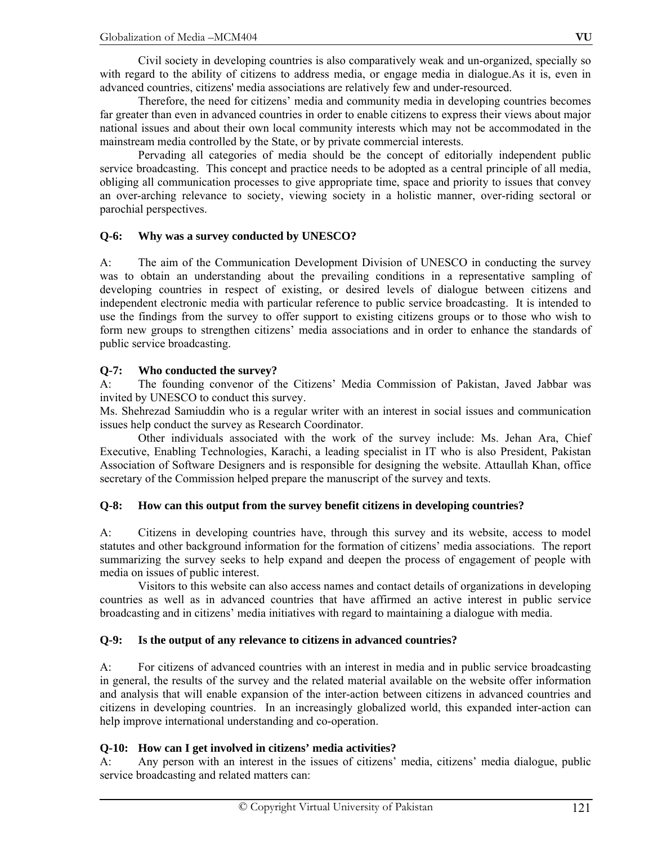Civil society in developing countries is also comparatively weak and un-organized, specially so with regard to the ability of citizens to address media, or engage media in dialogue.As it is, even in advanced countries, citizens' media associations are relatively few and under-resourced.

 Therefore, the need for citizens' media and community media in developing countries becomes far greater than even in advanced countries in order to enable citizens to express their views about major national issues and about their own local community interests which may not be accommodated in the mainstream media controlled by the State, or by private commercial interests.

 Pervading all categories of media should be the concept of editorially independent public service broadcasting. This concept and practice needs to be adopted as a central principle of all media, obliging all communication processes to give appropriate time, space and priority to issues that convey an over-arching relevance to society, viewing society in a holistic manner, over-riding sectoral or parochial perspectives.

## **Q-6: Why was a survey conducted by UNESCO?**

A: The aim of the Communication Development Division of UNESCO in conducting the survey was to obtain an understanding about the prevailing conditions in a representative sampling of developing countries in respect of existing, or desired levels of dialogue between citizens and independent electronic media with particular reference to public service broadcasting. It is intended to use the findings from the survey to offer support to existing citizens groups or to those who wish to form new groups to strengthen citizens' media associations and in order to enhance the standards of public service broadcasting.

## **Q-7: Who conducted the survey?**

A: The founding convenor of the Citizens' Media Commission of Pakistan, Javed Jabbar was invited by UNESCO to conduct this survey.

Ms. Shehrezad Samiuddin who is a regular writer with an interest in social issues and communication issues help conduct the survey as Research Coordinator.

 Other individuals associated with the work of the survey include: Ms. Jehan Ara, Chief Executive, Enabling Technologies, Karachi, a leading specialist in IT who is also President, Pakistan Association of Software Designers and is responsible for designing the website. Attaullah Khan, office secretary of the Commission helped prepare the manuscript of the survey and texts.

## **Q-8: How can this output from the survey benefit citizens in developing countries?**

A: Citizens in developing countries have, through this survey and its website, access to model statutes and other background information for the formation of citizens' media associations. The report summarizing the survey seeks to help expand and deepen the process of engagement of people with media on issues of public interest.

 Visitors to this website can also access names and contact details of organizations in developing countries as well as in advanced countries that have affirmed an active interest in public service broadcasting and in citizens' media initiatives with regard to maintaining a dialogue with media.

## **Q-9: Is the output of any relevance to citizens in advanced countries?**

A: For citizens of advanced countries with an interest in media and in public service broadcasting in general, the results of the survey and the related material available on the website offer information and analysis that will enable expansion of the inter-action between citizens in advanced countries and citizens in developing countries. In an increasingly globalized world, this expanded inter-action can help improve international understanding and co-operation.

## **Q-10: How can I get involved in citizens' media activities?**

A: Any person with an interest in the issues of citizens' media, citizens' media dialogue, public service broadcasting and related matters can: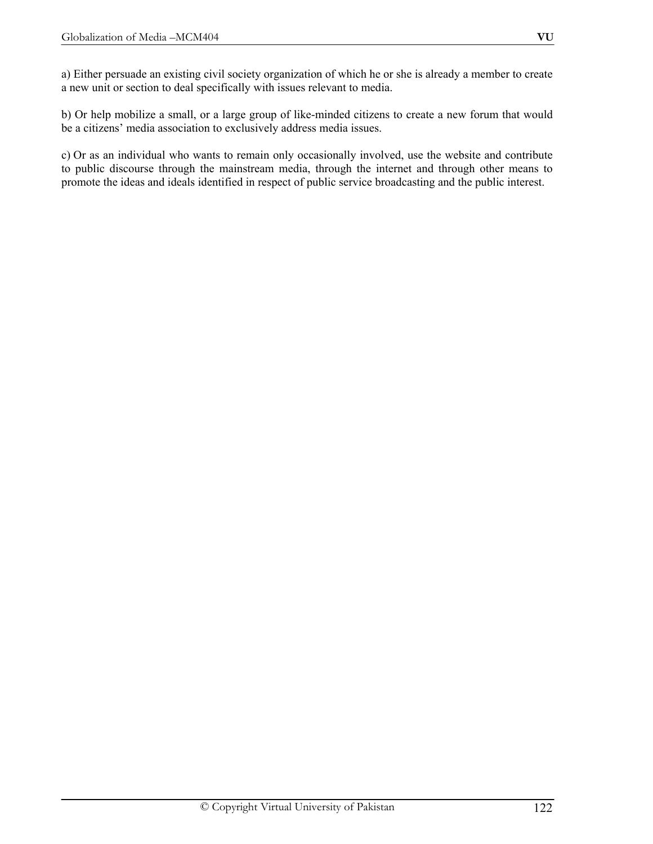a) Either persuade an existing civil society organization of which he or she is already a member to create a new unit or section to deal specifically with issues relevant to media.

b) Or help mobilize a small, or a large group of like-minded citizens to create a new forum that would be a citizens' media association to exclusively address media issues.

c) Or as an individual who wants to remain only occasionally involved, use the website and contribute to public discourse through the mainstream media, through the internet and through other means to promote the ideas and ideals identified in respect of public service broadcasting and the public interest.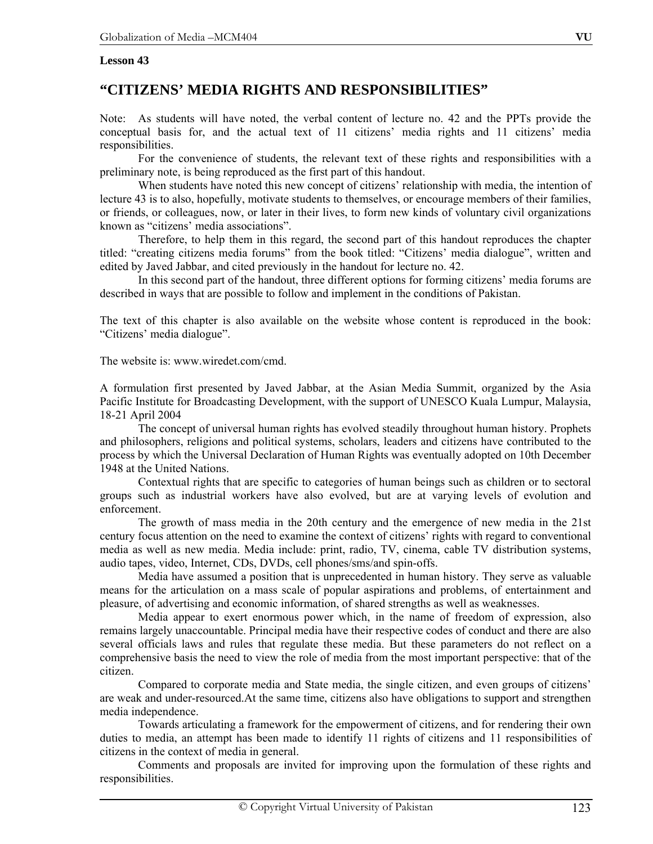## **"CITIZENS' MEDIA RIGHTS AND RESPONSIBILITIES"**

Note: As students will have noted, the verbal content of lecture no. 42 and the PPTs provide the conceptual basis for, and the actual text of 11 citizens' media rights and 11 citizens' media responsibilities.

 For the convenience of students, the relevant text of these rights and responsibilities with a preliminary note, is being reproduced as the first part of this handout.

 When students have noted this new concept of citizens' relationship with media, the intention of lecture 43 is to also, hopefully, motivate students to themselves, or encourage members of their families, or friends, or colleagues, now, or later in their lives, to form new kinds of voluntary civil organizations known as "citizens' media associations".

 Therefore, to help them in this regard, the second part of this handout reproduces the chapter titled: "creating citizens media forums" from the book titled: "Citizens' media dialogue", written and edited by Javed Jabbar, and cited previously in the handout for lecture no. 42.

 In this second part of the handout, three different options for forming citizens' media forums are described in ways that are possible to follow and implement in the conditions of Pakistan.

The text of this chapter is also available on the website whose content is reproduced in the book: "Citizens' media dialogue".

The website is: www.wiredet.com/cmd.

A formulation first presented by Javed Jabbar, at the Asian Media Summit, organized by the Asia Pacific Institute for Broadcasting Development, with the support of UNESCO Kuala Lumpur, Malaysia, 18-21 April 2004

 The concept of universal human rights has evolved steadily throughout human history. Prophets and philosophers, religions and political systems, scholars, leaders and citizens have contributed to the process by which the Universal Declaration of Human Rights was eventually adopted on 10th December 1948 at the United Nations.

 Contextual rights that are specific to categories of human beings such as children or to sectoral groups such as industrial workers have also evolved, but are at varying levels of evolution and enforcement.

 The growth of mass media in the 20th century and the emergence of new media in the 21st century focus attention on the need to examine the context of citizens' rights with regard to conventional media as well as new media. Media include: print, radio, TV, cinema, cable TV distribution systems, audio tapes, video, Internet, CDs, DVDs, cell phones/sms/and spin-offs.

 Media have assumed a position that is unprecedented in human history. They serve as valuable means for the articulation on a mass scale of popular aspirations and problems, of entertainment and pleasure, of advertising and economic information, of shared strengths as well as weaknesses.

 Media appear to exert enormous power which, in the name of freedom of expression, also remains largely unaccountable. Principal media have their respective codes of conduct and there are also several officials laws and rules that regulate these media. But these parameters do not reflect on a comprehensive basis the need to view the role of media from the most important perspective: that of the citizen.

 Compared to corporate media and State media, the single citizen, and even groups of citizens' are weak and under-resourced.At the same time, citizens also have obligations to support and strengthen media independence.

 Towards articulating a framework for the empowerment of citizens, and for rendering their own duties to media, an attempt has been made to identify 11 rights of citizens and 11 responsibilities of citizens in the context of media in general.

 Comments and proposals are invited for improving upon the formulation of these rights and responsibilities.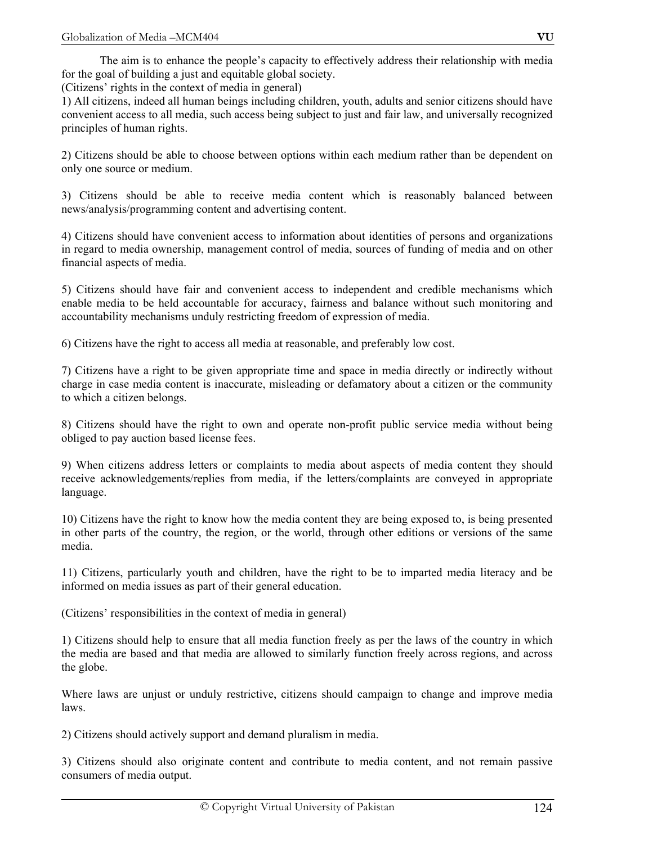The aim is to enhance the people's capacity to effectively address their relationship with media for the goal of building a just and equitable global society.

(Citizens' rights in the context of media in general)

1) All citizens, indeed all human beings including children, youth, adults and senior citizens should have convenient access to all media, such access being subject to just and fair law, and universally recognized principles of human rights.

2) Citizens should be able to choose between options within each medium rather than be dependent on only one source or medium.

3) Citizens should be able to receive media content which is reasonably balanced between news/analysis/programming content and advertising content.

4) Citizens should have convenient access to information about identities of persons and organizations in regard to media ownership, management control of media, sources of funding of media and on other financial aspects of media.

5) Citizens should have fair and convenient access to independent and credible mechanisms which enable media to be held accountable for accuracy, fairness and balance without such monitoring and accountability mechanisms unduly restricting freedom of expression of media.

6) Citizens have the right to access all media at reasonable, and preferably low cost.

7) Citizens have a right to be given appropriate time and space in media directly or indirectly without charge in case media content is inaccurate, misleading or defamatory about a citizen or the community to which a citizen belongs.

8) Citizens should have the right to own and operate non-profit public service media without being obliged to pay auction based license fees.

9) When citizens address letters or complaints to media about aspects of media content they should receive acknowledgements/replies from media, if the letters/complaints are conveyed in appropriate language.

10) Citizens have the right to know how the media content they are being exposed to, is being presented in other parts of the country, the region, or the world, through other editions or versions of the same media.

11) Citizens, particularly youth and children, have the right to be to imparted media literacy and be informed on media issues as part of their general education.

(Citizens' responsibilities in the context of media in general)

1) Citizens should help to ensure that all media function freely as per the laws of the country in which the media are based and that media are allowed to similarly function freely across regions, and across the globe.

Where laws are unjust or unduly restrictive, citizens should campaign to change and improve media laws.

2) Citizens should actively support and demand pluralism in media.

3) Citizens should also originate content and contribute to media content, and not remain passive consumers of media output.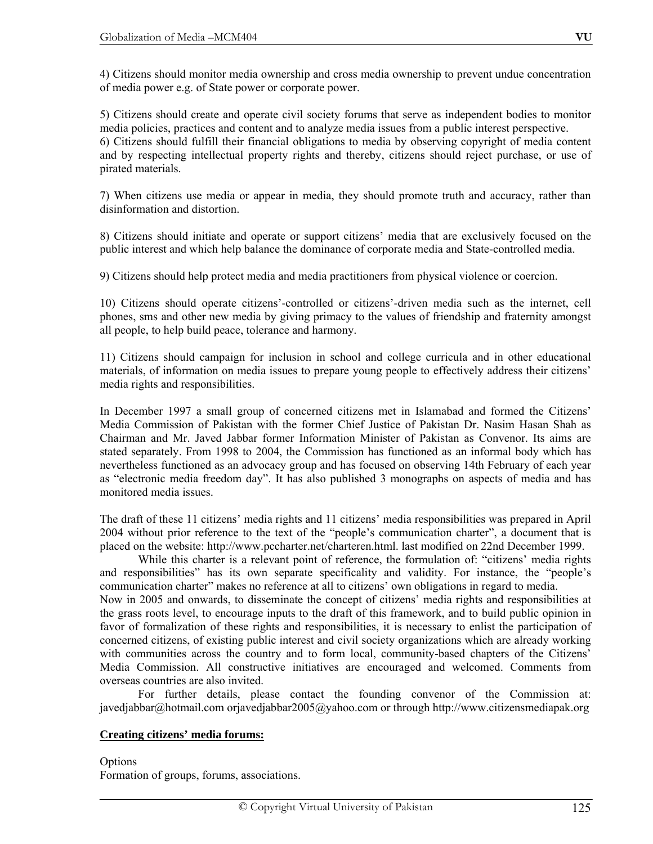4) Citizens should monitor media ownership and cross media ownership to prevent undue concentration of media power e.g. of State power or corporate power.

5) Citizens should create and operate civil society forums that serve as independent bodies to monitor media policies, practices and content and to analyze media issues from a public interest perspective. 6) Citizens should fulfill their financial obligations to media by observing copyright of media content and by respecting intellectual property rights and thereby, citizens should reject purchase, or use of pirated materials.

7) When citizens use media or appear in media, they should promote truth and accuracy, rather than disinformation and distortion.

8) Citizens should initiate and operate or support citizens' media that are exclusively focused on the public interest and which help balance the dominance of corporate media and State-controlled media.

9) Citizens should help protect media and media practitioners from physical violence or coercion.

10) Citizens should operate citizens'-controlled or citizens'-driven media such as the internet, cell phones, sms and other new media by giving primacy to the values of friendship and fraternity amongst all people, to help build peace, tolerance and harmony.

11) Citizens should campaign for inclusion in school and college curricula and in other educational materials, of information on media issues to prepare young people to effectively address their citizens' media rights and responsibilities.

In December 1997 a small group of concerned citizens met in Islamabad and formed the Citizens' Media Commission of Pakistan with the former Chief Justice of Pakistan Dr. Nasim Hasan Shah as Chairman and Mr. Javed Jabbar former Information Minister of Pakistan as Convenor. Its aims are stated separately. From 1998 to 2004, the Commission has functioned as an informal body which has nevertheless functioned as an advocacy group and has focused on observing 14th February of each year as "electronic media freedom day". It has also published 3 monographs on aspects of media and has monitored media issues.

The draft of these 11 citizens' media rights and 11 citizens' media responsibilities was prepared in April 2004 without prior reference to the text of the "people's communication charter", a document that is placed on the website: http://www.pccharter.net/charteren.html. last modified on 22nd December 1999.

 While this charter is a relevant point of reference, the formulation of: "citizens' media rights and responsibilities" has its own separate specificality and validity. For instance, the "people's communication charter" makes no reference at all to citizens' own obligations in regard to media. Now in 2005 and onwards, to disseminate the concept of citizens' media rights and responsibilities at the grass roots level, to encourage inputs to the draft of this framework, and to build public opinion in favor of formalization of these rights and responsibilities, it is necessary to enlist the participation of concerned citizens, of existing public interest and civil society organizations which are already working with communities across the country and to form local, community-based chapters of the Citizens' Media Commission. All constructive initiatives are encouraged and welcomed. Comments from overseas countries are also invited.

 For further details, please contact the founding convenor of the Commission at: javedjabbar@hotmail.com orjavedjabbar2005@yahoo.com or through http://www.citizensmediapak.org

### **Creating citizens' media forums:**

**Options** 

Formation of groups, forums, associations.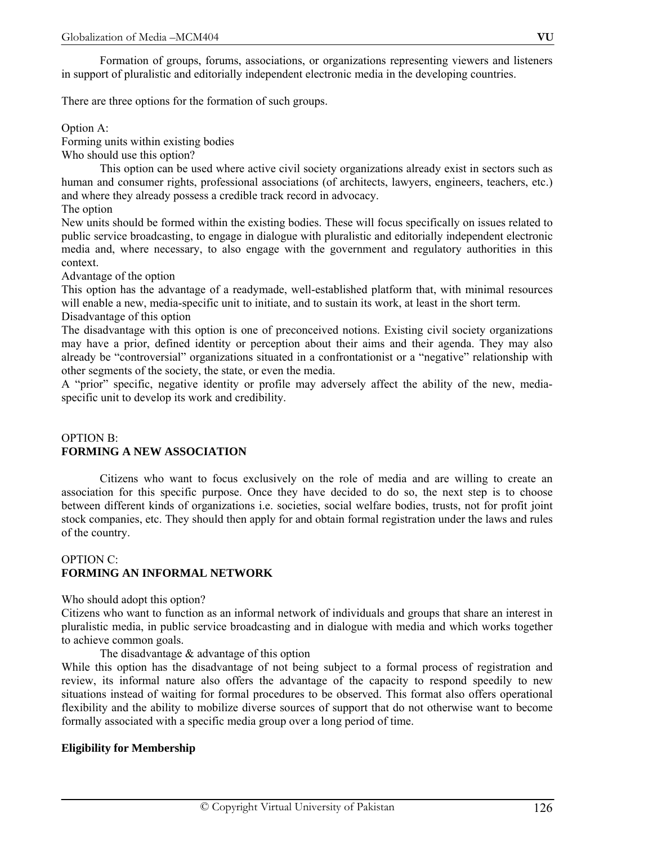Formation of groups, forums, associations, or organizations representing viewers and listeners in support of pluralistic and editorially independent electronic media in the developing countries.

There are three options for the formation of such groups.

Option A:

Forming units within existing bodies

Who should use this option?

 This option can be used where active civil society organizations already exist in sectors such as human and consumer rights, professional associations (of architects, lawyers, engineers, teachers, etc.) and where they already possess a credible track record in advocacy.

The option

New units should be formed within the existing bodies. These will focus specifically on issues related to public service broadcasting, to engage in dialogue with pluralistic and editorially independent electronic media and, where necessary, to also engage with the government and regulatory authorities in this context.

Advantage of the option

This option has the advantage of a readymade, well-established platform that, with minimal resources will enable a new, media-specific unit to initiate, and to sustain its work, at least in the short term. Disadvantage of this option

The disadvantage with this option is one of preconceived notions. Existing civil society organizations may have a prior, defined identity or perception about their aims and their agenda. They may also already be "controversial" organizations situated in a confrontationist or a "negative" relationship with other segments of the society, the state, or even the media.

A "prior" specific, negative identity or profile may adversely affect the ability of the new, mediaspecific unit to develop its work and credibility.

#### OPTION B: **FORMING A NEW ASSOCIATION**

 Citizens who want to focus exclusively on the role of media and are willing to create an association for this specific purpose. Once they have decided to do so, the next step is to choose between different kinds of organizations i.e. societies, social welfare bodies, trusts, not for profit joint stock companies, etc. They should then apply for and obtain formal registration under the laws and rules of the country.

### OPTION C: **FORMING AN INFORMAL NETWORK**

Who should adopt this option?

Citizens who want to function as an informal network of individuals and groups that share an interest in pluralistic media, in public service broadcasting and in dialogue with media and which works together to achieve common goals.

The disadvantage & advantage of this option

While this option has the disadvantage of not being subject to a formal process of registration and review, its informal nature also offers the advantage of the capacity to respond speedily to new situations instead of waiting for formal procedures to be observed. This format also offers operational flexibility and the ability to mobilize diverse sources of support that do not otherwise want to become formally associated with a specific media group over a long period of time.

## **Eligibility for Membership**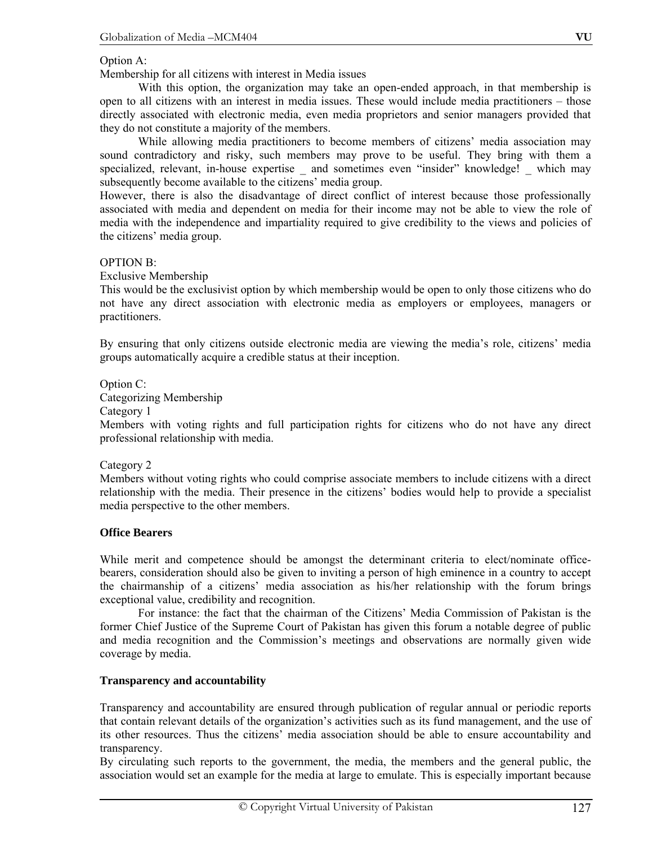#### Option A:

Membership for all citizens with interest in Media issues

 With this option, the organization may take an open-ended approach, in that membership is open to all citizens with an interest in media issues. These would include media practitioners – those directly associated with electronic media, even media proprietors and senior managers provided that they do not constitute a majority of the members.

 While allowing media practitioners to become members of citizens' media association may sound contradictory and risky, such members may prove to be useful. They bring with them a specialized, relevant, in-house expertise \_ and sometimes even "insider" knowledge! \_ which may subsequently become available to the citizens' media group.

However, there is also the disadvantage of direct conflict of interest because those professionally associated with media and dependent on media for their income may not be able to view the role of media with the independence and impartiality required to give credibility to the views and policies of the citizens' media group.

### OPTION B:

Exclusive Membership

This would be the exclusivist option by which membership would be open to only those citizens who do not have any direct association with electronic media as employers or employees, managers or practitioners.

By ensuring that only citizens outside electronic media are viewing the media's role, citizens' media groups automatically acquire a credible status at their inception.

Option C:

Categorizing Membership

Category 1

Members with voting rights and full participation rights for citizens who do not have any direct professional relationship with media.

Category 2

Members without voting rights who could comprise associate members to include citizens with a direct relationship with the media. Their presence in the citizens' bodies would help to provide a specialist media perspective to the other members.

#### **Office Bearers**

While merit and competence should be amongst the determinant criteria to elect/nominate officebearers, consideration should also be given to inviting a person of high eminence in a country to accept the chairmanship of a citizens' media association as his/her relationship with the forum brings exceptional value, credibility and recognition.

 For instance: the fact that the chairman of the Citizens' Media Commission of Pakistan is the former Chief Justice of the Supreme Court of Pakistan has given this forum a notable degree of public and media recognition and the Commission's meetings and observations are normally given wide coverage by media.

#### **Transparency and accountability**

Transparency and accountability are ensured through publication of regular annual or periodic reports that contain relevant details of the organization's activities such as its fund management, and the use of its other resources. Thus the citizens' media association should be able to ensure accountability and transparency.

By circulating such reports to the government, the media, the members and the general public, the association would set an example for the media at large to emulate. This is especially important because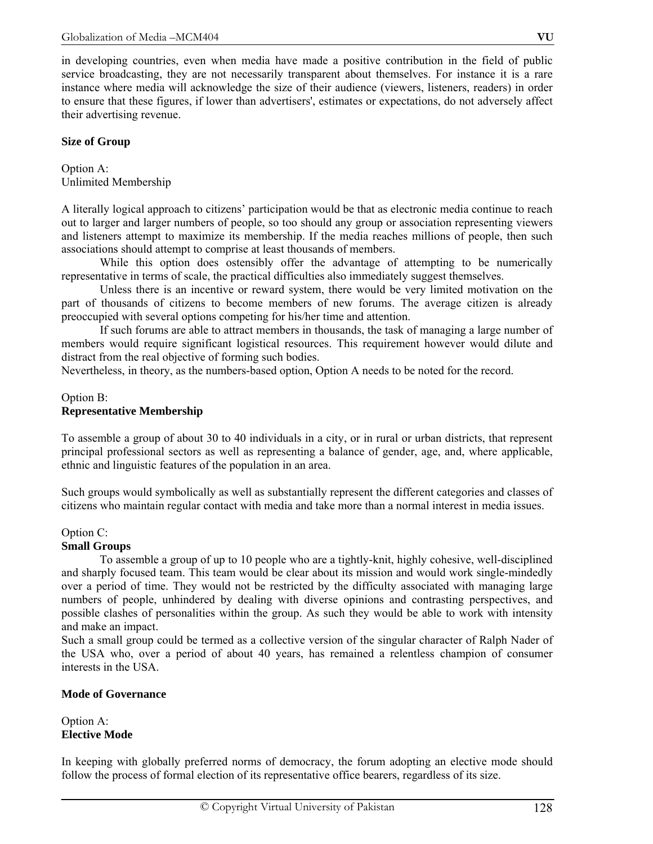in developing countries, even when media have made a positive contribution in the field of public service broadcasting, they are not necessarily transparent about themselves. For instance it is a rare instance where media will acknowledge the size of their audience (viewers, listeners, readers) in order to ensure that these figures, if lower than advertisers', estimates or expectations, do not adversely affect their advertising revenue.

## **Size of Group**

Option A: Unlimited Membership

A literally logical approach to citizens' participation would be that as electronic media continue to reach out to larger and larger numbers of people, so too should any group or association representing viewers and listeners attempt to maximize its membership. If the media reaches millions of people, then such associations should attempt to comprise at least thousands of members.

 While this option does ostensibly offer the advantage of attempting to be numerically representative in terms of scale, the practical difficulties also immediately suggest themselves.

 Unless there is an incentive or reward system, there would be very limited motivation on the part of thousands of citizens to become members of new forums. The average citizen is already preoccupied with several options competing for his/her time and attention.

 If such forums are able to attract members in thousands, the task of managing a large number of members would require significant logistical resources. This requirement however would dilute and distract from the real objective of forming such bodies.

Nevertheless, in theory, as the numbers-based option, Option A needs to be noted for the record.

#### Option B: **Representative Membership**

To assemble a group of about 30 to 40 individuals in a city, or in rural or urban districts, that represent principal professional sectors as well as representing a balance of gender, age, and, where applicable, ethnic and linguistic features of the population in an area.

Such groups would symbolically as well as substantially represent the different categories and classes of citizens who maintain regular contact with media and take more than a normal interest in media issues.

## Option C:

### **Small Groups**

 To assemble a group of up to 10 people who are a tightly-knit, highly cohesive, well-disciplined and sharply focused team. This team would be clear about its mission and would work single-mindedly over a period of time. They would not be restricted by the difficulty associated with managing large numbers of people, unhindered by dealing with diverse opinions and contrasting perspectives, and possible clashes of personalities within the group. As such they would be able to work with intensity and make an impact.

Such a small group could be termed as a collective version of the singular character of Ralph Nader of the USA who, over a period of about 40 years, has remained a relentless champion of consumer interests in the USA.

## **Mode of Governance**

Option A: **Elective Mode** 

In keeping with globally preferred norms of democracy, the forum adopting an elective mode should follow the process of formal election of its representative office bearers, regardless of its size.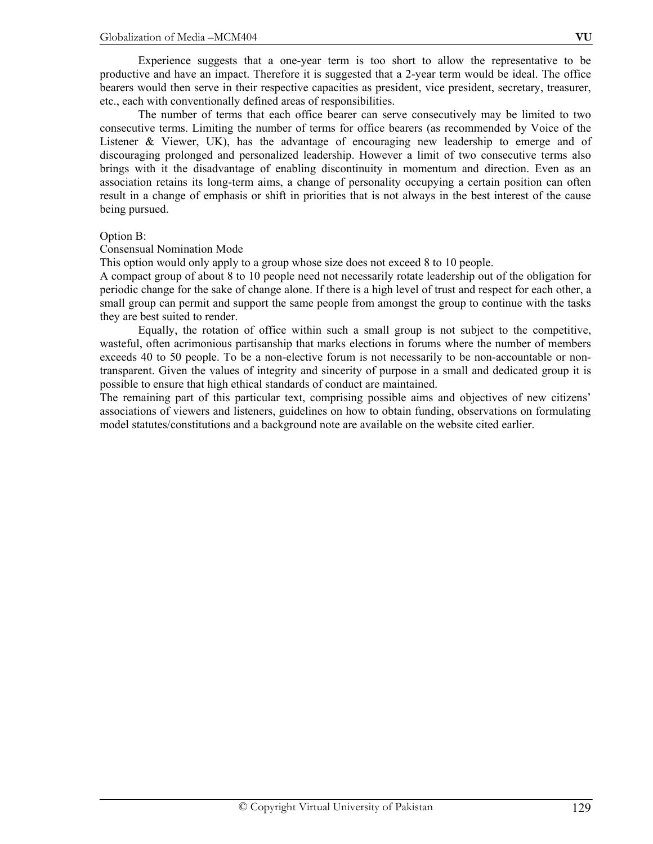Experience suggests that a one-year term is too short to allow the representative to be productive and have an impact. Therefore it is suggested that a 2-year term would be ideal. The office bearers would then serve in their respective capacities as president, vice president, secretary, treasurer, etc., each with conventionally defined areas of responsibilities.

 The number of terms that each office bearer can serve consecutively may be limited to two consecutive terms. Limiting the number of terms for office bearers (as recommended by Voice of the Listener & Viewer, UK), has the advantage of encouraging new leadership to emerge and of discouraging prolonged and personalized leadership. However a limit of two consecutive terms also brings with it the disadvantage of enabling discontinuity in momentum and direction. Even as an association retains its long-term aims, a change of personality occupying a certain position can often result in a change of emphasis or shift in priorities that is not always in the best interest of the cause being pursued.

### Option B:

Consensual Nomination Mode

This option would only apply to a group whose size does not exceed 8 to 10 people.

A compact group of about 8 to 10 people need not necessarily rotate leadership out of the obligation for periodic change for the sake of change alone. If there is a high level of trust and respect for each other, a small group can permit and support the same people from amongst the group to continue with the tasks they are best suited to render.

 Equally, the rotation of office within such a small group is not subject to the competitive, wasteful, often acrimonious partisanship that marks elections in forums where the number of members exceeds 40 to 50 people. To be a non-elective forum is not necessarily to be non-accountable or nontransparent. Given the values of integrity and sincerity of purpose in a small and dedicated group it is possible to ensure that high ethical standards of conduct are maintained.

The remaining part of this particular text, comprising possible aims and objectives of new citizens' associations of viewers and listeners, guidelines on how to obtain funding, observations on formulating model statutes/constitutions and a background note are available on the website cited earlier.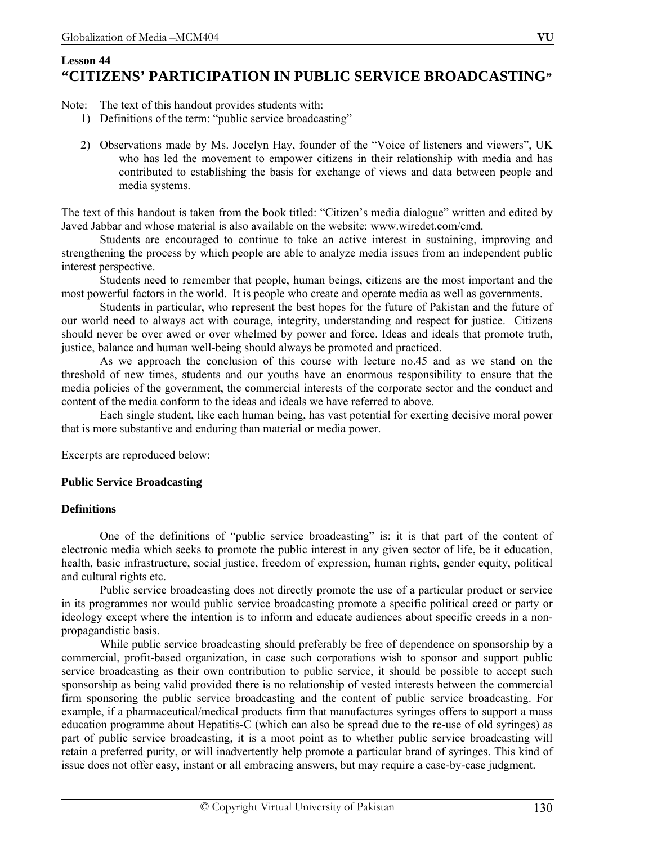## **Lesson 44 "CITIZENS' PARTICIPATION IN PUBLIC SERVICE BROADCASTING"**

- Note: The text of this handout provides students with:
	- 1) Definitions of the term: "public service broadcasting"
	- 2) Observations made by Ms. Jocelyn Hay, founder of the "Voice of listeners and viewers", UK who has led the movement to empower citizens in their relationship with media and has contributed to establishing the basis for exchange of views and data between people and media systems.

The text of this handout is taken from the book titled: "Citizen's media dialogue" written and edited by Javed Jabbar and whose material is also available on the website: www.wiredet.com/cmd.

 Students are encouraged to continue to take an active interest in sustaining, improving and strengthening the process by which people are able to analyze media issues from an independent public interest perspective.

 Students need to remember that people, human beings, citizens are the most important and the most powerful factors in the world. It is people who create and operate media as well as governments.

 Students in particular, who represent the best hopes for the future of Pakistan and the future of our world need to always act with courage, integrity, understanding and respect for justice. Citizens should never be over awed or over whelmed by power and force. Ideas and ideals that promote truth, justice, balance and human well-being should always be promoted and practiced.

 As we approach the conclusion of this course with lecture no.45 and as we stand on the threshold of new times, students and our youths have an enormous responsibility to ensure that the media policies of the government, the commercial interests of the corporate sector and the conduct and content of the media conform to the ideas and ideals we have referred to above.

 Each single student, like each human being, has vast potential for exerting decisive moral power that is more substantive and enduring than material or media power.

Excerpts are reproduced below:

## **Public Service Broadcasting**

## **Definitions**

 One of the definitions of "public service broadcasting" is: it is that part of the content of electronic media which seeks to promote the public interest in any given sector of life, be it education, health, basic infrastructure, social justice, freedom of expression, human rights, gender equity, political and cultural rights etc.

 Public service broadcasting does not directly promote the use of a particular product or service in its programmes nor would public service broadcasting promote a specific political creed or party or ideology except where the intention is to inform and educate audiences about specific creeds in a nonpropagandistic basis.

While public service broadcasting should preferably be free of dependence on sponsorship by a commercial, profit-based organization, in case such corporations wish to sponsor and support public service broadcasting as their own contribution to public service, it should be possible to accept such sponsorship as being valid provided there is no relationship of vested interests between the commercial firm sponsoring the public service broadcasting and the content of public service broadcasting. For example, if a pharmaceutical/medical products firm that manufactures syringes offers to support a mass education programme about Hepatitis-C (which can also be spread due to the re-use of old syringes) as part of public service broadcasting, it is a moot point as to whether public service broadcasting will retain a preferred purity, or will inadvertently help promote a particular brand of syringes. This kind of issue does not offer easy, instant or all embracing answers, but may require a case-by-case judgment.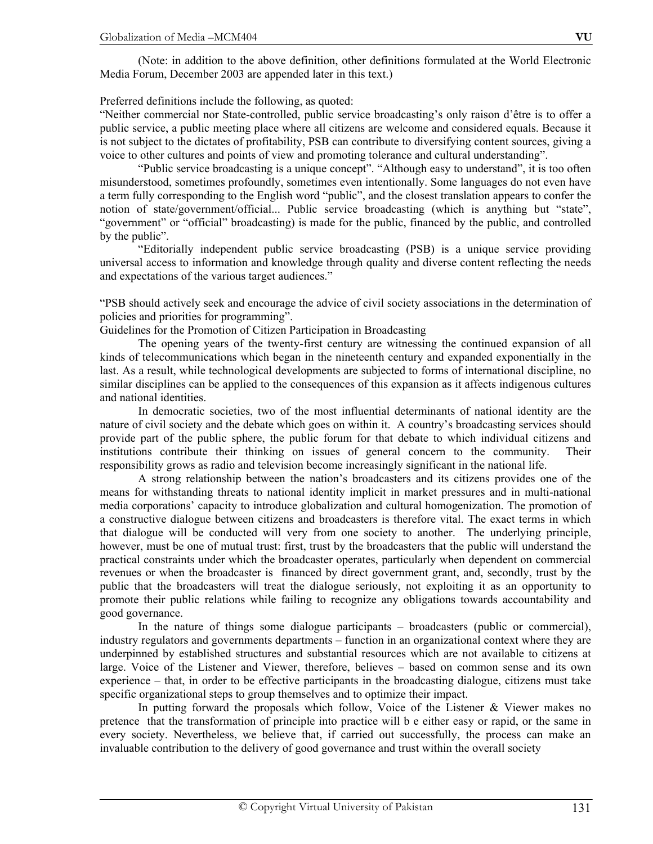(Note: in addition to the above definition, other definitions formulated at the World Electronic Media Forum, December 2003 are appended later in this text.)

Preferred definitions include the following, as quoted:

"Neither commercial nor State-controlled, public service broadcasting's only raison d'être is to offer a public service, a public meeting place where all citizens are welcome and considered equals. Because it is not subject to the dictates of profitability, PSB can contribute to diversifying content sources, giving a voice to other cultures and points of view and promoting tolerance and cultural understanding".

 "Public service broadcasting is a unique concept". "Although easy to understand", it is too often misunderstood, sometimes profoundly, sometimes even intentionally. Some languages do not even have a term fully corresponding to the English word "public", and the closest translation appears to confer the notion of state/government/official... Public service broadcasting (which is anything but "state", "government" or "official" broadcasting) is made for the public, financed by the public, and controlled by the public".

 "Editorially independent public service broadcasting (PSB) is a unique service providing universal access to information and knowledge through quality and diverse content reflecting the needs and expectations of the various target audiences."

"PSB should actively seek and encourage the advice of civil society associations in the determination of policies and priorities for programming".

Guidelines for the Promotion of Citizen Participation in Broadcasting

 The opening years of the twenty-first century are witnessing the continued expansion of all kinds of telecommunications which began in the nineteenth century and expanded exponentially in the last. As a result, while technological developments are subjected to forms of international discipline, no similar disciplines can be applied to the consequences of this expansion as it affects indigenous cultures and national identities.

 In democratic societies, two of the most influential determinants of national identity are the nature of civil society and the debate which goes on within it. A country's broadcasting services should provide part of the public sphere, the public forum for that debate to which individual citizens and institutions contribute their thinking on issues of general concern to the community. Their responsibility grows as radio and television become increasingly significant in the national life.

 A strong relationship between the nation's broadcasters and its citizens provides one of the means for withstanding threats to national identity implicit in market pressures and in multi-national media corporations' capacity to introduce globalization and cultural homogenization. The promotion of a constructive dialogue between citizens and broadcasters is therefore vital. The exact terms in which that dialogue will be conducted will very from one society to another. The underlying principle, however, must be one of mutual trust: first, trust by the broadcasters that the public will understand the practical constraints under which the broadcaster operates, particularly when dependent on commercial revenues or when the broadcaster is financed by direct government grant, and, secondly, trust by the public that the broadcasters will treat the dialogue seriously, not exploiting it as an opportunity to promote their public relations while failing to recognize any obligations towards accountability and good governance.

 In the nature of things some dialogue participants – broadcasters (public or commercial), industry regulators and governments departments – function in an organizational context where they are underpinned by established structures and substantial resources which are not available to citizens at large. Voice of the Listener and Viewer, therefore, believes – based on common sense and its own experience – that, in order to be effective participants in the broadcasting dialogue, citizens must take specific organizational steps to group themselves and to optimize their impact.

In putting forward the proposals which follow, Voice of the Listener  $\&$  Viewer makes no pretence that the transformation of principle into practice will b e either easy or rapid, or the same in every society. Nevertheless, we believe that, if carried out successfully, the process can make an invaluable contribution to the delivery of good governance and trust within the overall society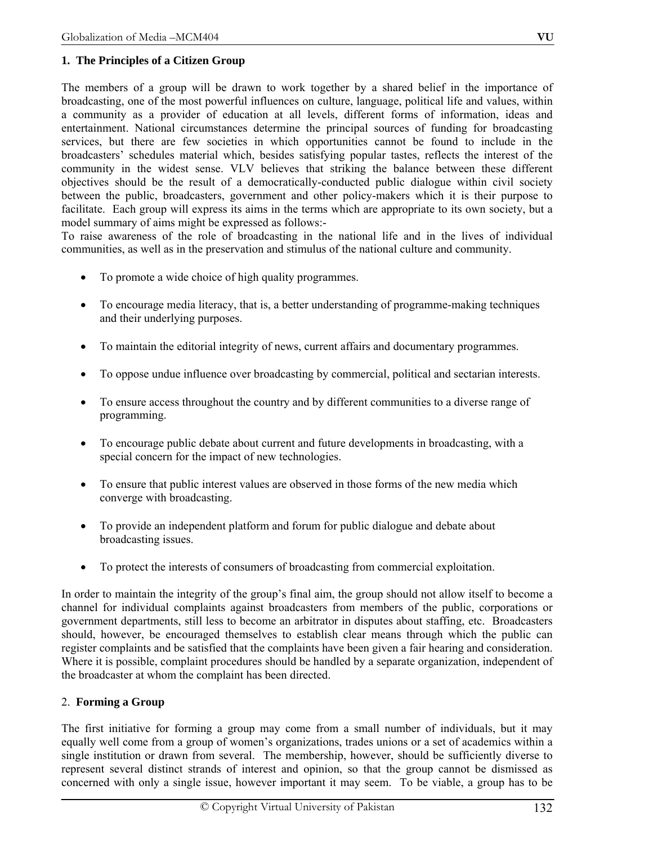## **1. The Principles of a Citizen Group**

The members of a group will be drawn to work together by a shared belief in the importance of broadcasting, one of the most powerful influences on culture, language, political life and values, within a community as a provider of education at all levels, different forms of information, ideas and entertainment. National circumstances determine the principal sources of funding for broadcasting services, but there are few societies in which opportunities cannot be found to include in the broadcasters' schedules material which, besides satisfying popular tastes, reflects the interest of the community in the widest sense. VLV believes that striking the balance between these different objectives should be the result of a democratically-conducted public dialogue within civil society between the public, broadcasters, government and other policy-makers which it is their purpose to facilitate. Each group will express its aims in the terms which are appropriate to its own society, but a model summary of aims might be expressed as follows:-

To raise awareness of the role of broadcasting in the national life and in the lives of individual communities, as well as in the preservation and stimulus of the national culture and community.

- To promote a wide choice of high quality programmes.
- To encourage media literacy, that is, a better understanding of programme-making techniques and their underlying purposes.
- To maintain the editorial integrity of news, current affairs and documentary programmes.
- To oppose undue influence over broadcasting by commercial, political and sectarian interests.
- To ensure access throughout the country and by different communities to a diverse range of programming.
- To encourage public debate about current and future developments in broadcasting, with a special concern for the impact of new technologies.
- To ensure that public interest values are observed in those forms of the new media which converge with broadcasting.
- To provide an independent platform and forum for public dialogue and debate about broadcasting issues.
- To protect the interests of consumers of broadcasting from commercial exploitation.

In order to maintain the integrity of the group's final aim, the group should not allow itself to become a channel for individual complaints against broadcasters from members of the public, corporations or government departments, still less to become an arbitrator in disputes about staffing, etc. Broadcasters should, however, be encouraged themselves to establish clear means through which the public can register complaints and be satisfied that the complaints have been given a fair hearing and consideration. Where it is possible, complaint procedures should be handled by a separate organization, independent of the broadcaster at whom the complaint has been directed.

## 2. **Forming a Group**

The first initiative for forming a group may come from a small number of individuals, but it may equally well come from a group of women's organizations, trades unions or a set of academics within a single institution or drawn from several. The membership, however, should be sufficiently diverse to represent several distinct strands of interest and opinion, so that the group cannot be dismissed as concerned with only a single issue, however important it may seem. To be viable, a group has to be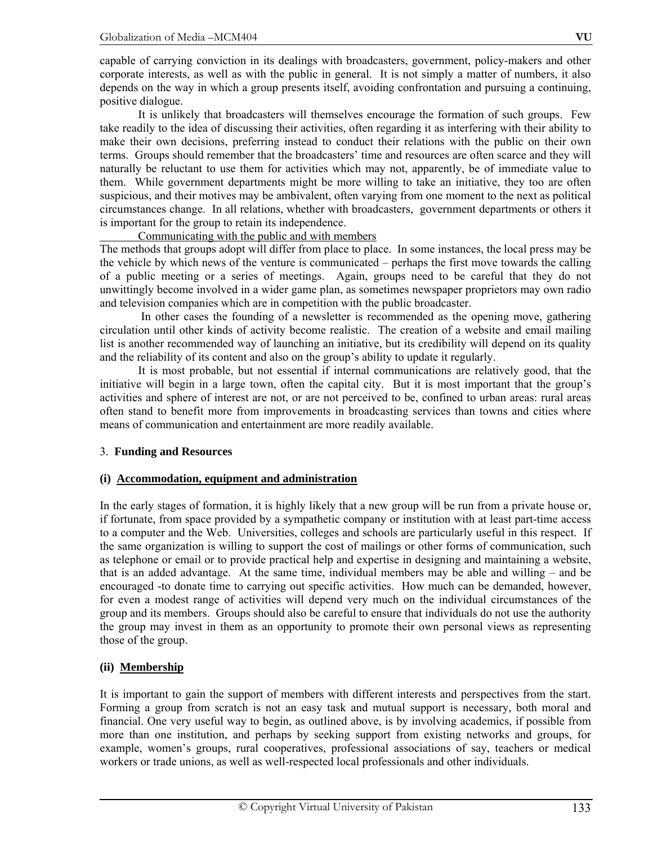capable of carrying conviction in its dealings with broadcasters, government, policy-makers and other corporate interests, as well as with the public in general. It is not simply a matter of numbers, it also depends on the way in which a group presents itself, avoiding confrontation and pursuing a continuing, positive dialogue.

 It is unlikely that broadcasters will themselves encourage the formation of such groups. Few take readily to the idea of discussing their activities, often regarding it as interfering with their ability to make their own decisions, preferring instead to conduct their relations with the public on their own terms. Groups should remember that the broadcasters' time and resources are often scarce and they will naturally be reluctant to use them for activities which may not, apparently, be of immediate value to them. While government departments might be more willing to take an initiative, they too are often suspicious, and their motives may be ambivalent, often varying from one moment to the next as political circumstances change. In all relations, whether with broadcasters, government departments or others it is important for the group to retain its independence.

Communicating with the public and with members

The methods that groups adopt will differ from place to place. In some instances, the local press may be the vehicle by which news of the venture is communicated – perhaps the first move towards the calling of a public meeting or a series of meetings. Again, groups need to be careful that they do not unwittingly become involved in a wider game plan, as sometimes newspaper proprietors may own radio and television companies which are in competition with the public broadcaster.

 In other cases the founding of a newsletter is recommended as the opening move, gathering circulation until other kinds of activity become realistic. The creation of a website and email mailing list is another recommended way of launching an initiative, but its credibility will depend on its quality and the reliability of its content and also on the group's ability to update it regularly.

 It is most probable, but not essential if internal communications are relatively good, that the initiative will begin in a large town, often the capital city. But it is most important that the group's activities and sphere of interest are not, or are not perceived to be, confined to urban areas: rural areas often stand to benefit more from improvements in broadcasting services than towns and cities where means of communication and entertainment are more readily available.

### 3. **Funding and Resources**

### **(i) Accommodation, equipment and administration**

In the early stages of formation, it is highly likely that a new group will be run from a private house or, if fortunate, from space provided by a sympathetic company or institution with at least part-time access to a computer and the Web. Universities, colleges and schools are particularly useful in this respect. If the same organization is willing to support the cost of mailings or other forms of communication, such as telephone or email or to provide practical help and expertise in designing and maintaining a website, that is an added advantage. At the same time, individual members may be able and willing – and be encouraged -to donate time to carrying out specific activities. How much can be demanded, however, for even a modest range of activities will depend very much on the individual circumstances of the group and its members. Groups should also be careful to ensure that individuals do not use the authority the group may invest in them as an opportunity to promote their own personal views as representing those of the group.

## **(ii) Membership**

It is important to gain the support of members with different interests and perspectives from the start. Forming a group from scratch is not an easy task and mutual support is necessary, both moral and financial. One very useful way to begin, as outlined above, is by involving academics, if possible from more than one institution, and perhaps by seeking support from existing networks and groups, for example, women's groups, rural cooperatives, professional associations of say, teachers or medical workers or trade unions, as well as well-respected local professionals and other individuals.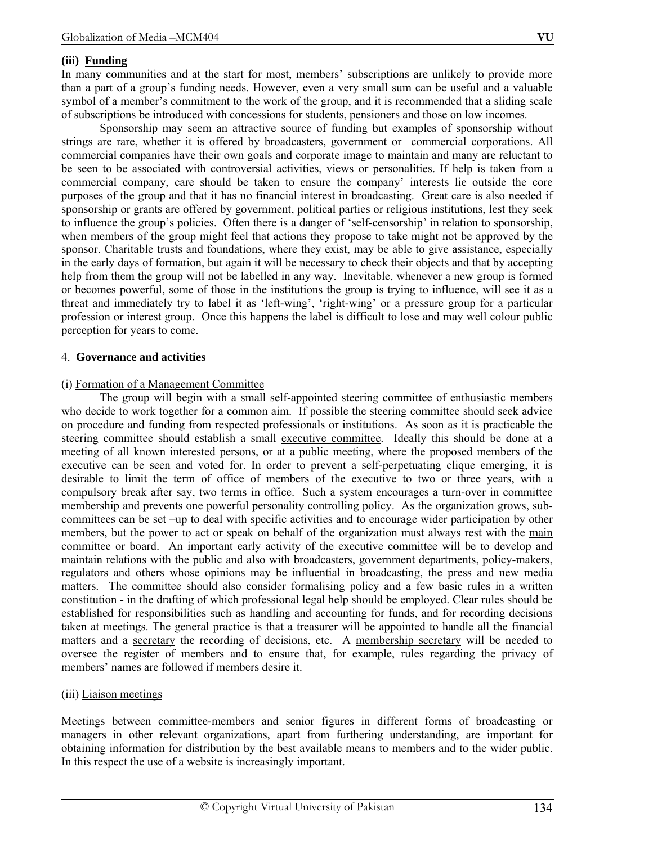#### **(iii) Funding**

In many communities and at the start for most, members' subscriptions are unlikely to provide more than a part of a group's funding needs. However, even a very small sum can be useful and a valuable symbol of a member's commitment to the work of the group, and it is recommended that a sliding scale of subscriptions be introduced with concessions for students, pensioners and those on low incomes.

 Sponsorship may seem an attractive source of funding but examples of sponsorship without strings are rare, whether it is offered by broadcasters, government or commercial corporations. All commercial companies have their own goals and corporate image to maintain and many are reluctant to be seen to be associated with controversial activities, views or personalities. If help is taken from a commercial company, care should be taken to ensure the company' interests lie outside the core purposes of the group and that it has no financial interest in broadcasting. Great care is also needed if sponsorship or grants are offered by government, political parties or religious institutions, lest they seek to influence the group's policies. Often there is a danger of 'self-censorship' in relation to sponsorship, when members of the group might feel that actions they propose to take might not be approved by the sponsor. Charitable trusts and foundations, where they exist, may be able to give assistance, especially in the early days of formation, but again it will be necessary to check their objects and that by accepting help from them the group will not be labelled in any way. Inevitable, whenever a new group is formed or becomes powerful, some of those in the institutions the group is trying to influence, will see it as a threat and immediately try to label it as 'left-wing', 'right-wing' or a pressure group for a particular profession or interest group. Once this happens the label is difficult to lose and may well colour public perception for years to come.

#### 4. **Governance and activities**

#### (i) Formation of a Management Committee

 The group will begin with a small self-appointed steering committee of enthusiastic members who decide to work together for a common aim. If possible the steering committee should seek advice on procedure and funding from respected professionals or institutions. As soon as it is practicable the steering committee should establish a small executive committee. Ideally this should be done at a meeting of all known interested persons, or at a public meeting, where the proposed members of the executive can be seen and voted for. In order to prevent a self-perpetuating clique emerging, it is desirable to limit the term of office of members of the executive to two or three years, with a compulsory break after say, two terms in office. Such a system encourages a turn-over in committee membership and prevents one powerful personality controlling policy. As the organization grows, subcommittees can be set –up to deal with specific activities and to encourage wider participation by other members, but the power to act or speak on behalf of the organization must always rest with the main committee or board. An important early activity of the executive committee will be to develop and maintain relations with the public and also with broadcasters, government departments, policy-makers, regulators and others whose opinions may be influential in broadcasting, the press and new media matters. The committee should also consider formalising policy and a few basic rules in a written constitution - in the drafting of which professional legal help should be employed. Clear rules should be established for responsibilities such as handling and accounting for funds, and for recording decisions taken at meetings. The general practice is that a treasurer will be appointed to handle all the financial matters and a secretary the recording of decisions, etc. A membership secretary will be needed to oversee the register of members and to ensure that, for example, rules regarding the privacy of members' names are followed if members desire it.

### (iii) Liaison meetings

Meetings between committee-members and senior figures in different forms of broadcasting or managers in other relevant organizations, apart from furthering understanding, are important for obtaining information for distribution by the best available means to members and to the wider public. In this respect the use of a website is increasingly important.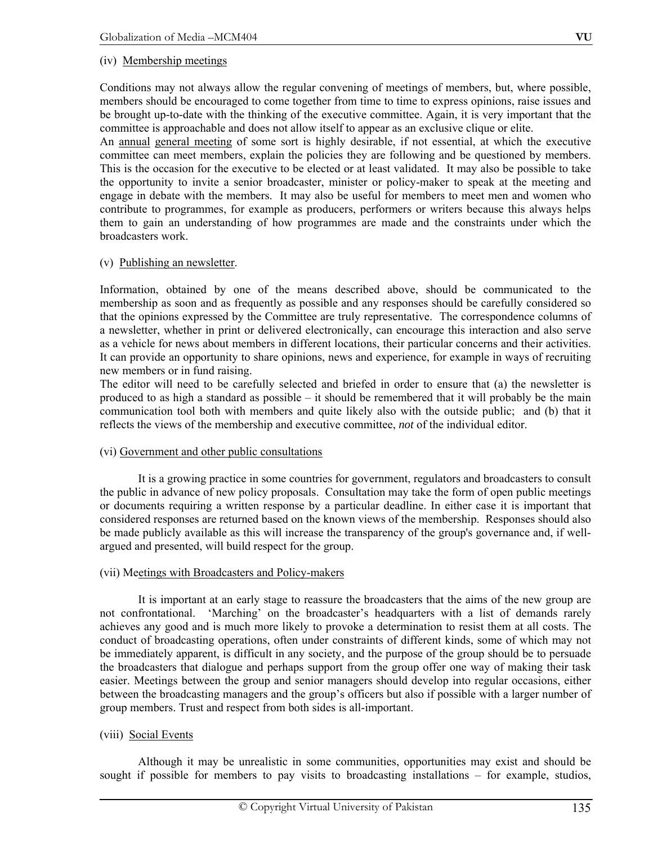Conditions may not always allow the regular convening of meetings of members, but, where possible, members should be encouraged to come together from time to time to express opinions, raise issues and be brought up-to-date with the thinking of the executive committee. Again, it is very important that the committee is approachable and does not allow itself to appear as an exclusive clique or elite.

An annual general meeting of some sort is highly desirable, if not essential, at which the executive committee can meet members, explain the policies they are following and be questioned by members. This is the occasion for the executive to be elected or at least validated. It may also be possible to take the opportunity to invite a senior broadcaster, minister or policy-maker to speak at the meeting and engage in debate with the members. It may also be useful for members to meet men and women who contribute to programmes, for example as producers, performers or writers because this always helps them to gain an understanding of how programmes are made and the constraints under which the broadcasters work.

### (v) Publishing an newsletter.

Information, obtained by one of the means described above, should be communicated to the membership as soon and as frequently as possible and any responses should be carefully considered so that the opinions expressed by the Committee are truly representative. The correspondence columns of a newsletter, whether in print or delivered electronically, can encourage this interaction and also serve as a vehicle for news about members in different locations, their particular concerns and their activities. It can provide an opportunity to share opinions, news and experience, for example in ways of recruiting new members or in fund raising.

The editor will need to be carefully selected and briefed in order to ensure that (a) the newsletter is produced to as high a standard as possible – it should be remembered that it will probably be the main communication tool both with members and quite likely also with the outside public; and (b) that it reflects the views of the membership and executive committee, *not* of the individual editor.

## (vi) Government and other public consultations

 It is a growing practice in some countries for government, regulators and broadcasters to consult the public in advance of new policy proposals. Consultation may take the form of open public meetings or documents requiring a written response by a particular deadline. In either case it is important that considered responses are returned based on the known views of the membership. Responses should also be made publicly available as this will increase the transparency of the group's governance and, if wellargued and presented, will build respect for the group.

## (vii) Meetings with Broadcasters and Policy-makers

 It is important at an early stage to reassure the broadcasters that the aims of the new group are not confrontational. 'Marching' on the broadcaster's headquarters with a list of demands rarely achieves any good and is much more likely to provoke a determination to resist them at all costs. The conduct of broadcasting operations, often under constraints of different kinds, some of which may not be immediately apparent, is difficult in any society, and the purpose of the group should be to persuade the broadcasters that dialogue and perhaps support from the group offer one way of making their task easier. Meetings between the group and senior managers should develop into regular occasions, either between the broadcasting managers and the group's officers but also if possible with a larger number of group members. Trust and respect from both sides is all-important.

## (viii) Social Events

 Although it may be unrealistic in some communities, opportunities may exist and should be sought if possible for members to pay visits to broadcasting installations – for example, studios,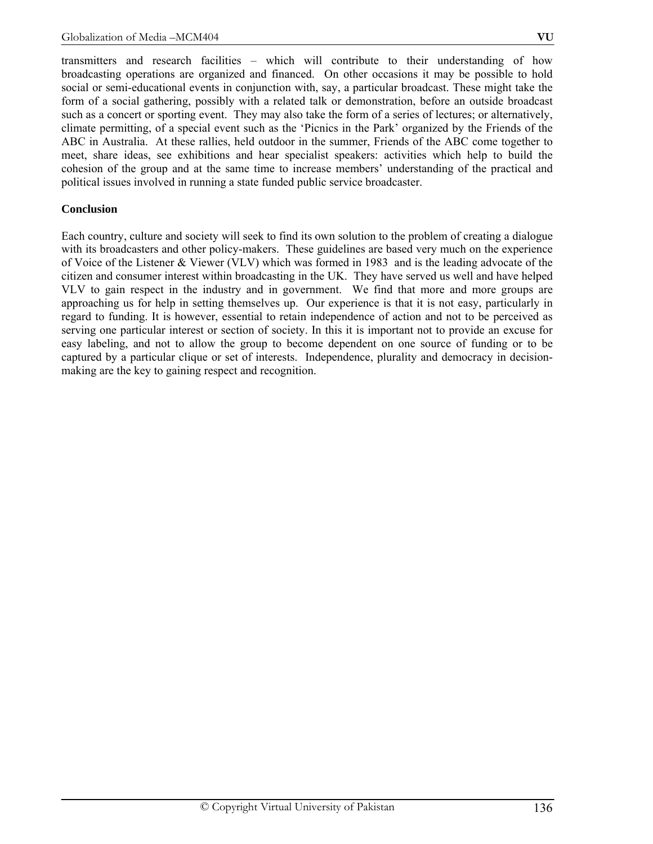transmitters and research facilities – which will contribute to their understanding of how broadcasting operations are organized and financed. On other occasions it may be possible to hold social or semi-educational events in conjunction with, say, a particular broadcast. These might take the form of a social gathering, possibly with a related talk or demonstration, before an outside broadcast such as a concert or sporting event. They may also take the form of a series of lectures; or alternatively, climate permitting, of a special event such as the 'Picnics in the Park' organized by the Friends of the ABC in Australia. At these rallies, held outdoor in the summer, Friends of the ABC come together to meet, share ideas, see exhibitions and hear specialist speakers: activities which help to build the cohesion of the group and at the same time to increase members' understanding of the practical and political issues involved in running a state funded public service broadcaster.

## **Conclusion**

Each country, culture and society will seek to find its own solution to the problem of creating a dialogue with its broadcasters and other policy-makers. These guidelines are based very much on the experience of Voice of the Listener & Viewer (VLV) which was formed in 1983 and is the leading advocate of the citizen and consumer interest within broadcasting in the UK. They have served us well and have helped VLV to gain respect in the industry and in government. We find that more and more groups are approaching us for help in setting themselves up. Our experience is that it is not easy, particularly in regard to funding. It is however, essential to retain independence of action and not to be perceived as serving one particular interest or section of society. In this it is important not to provide an excuse for easy labeling, and not to allow the group to become dependent on one source of funding or to be captured by a particular clique or set of interests. Independence, plurality and democracy in decisionmaking are the key to gaining respect and recognition.